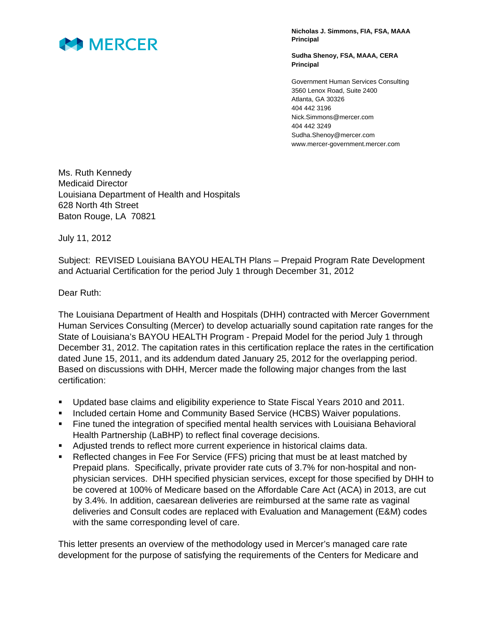

**Nicholas J. Simmons, FIA, FSA, MAAA Principal** 

**Sudha Shenoy, FSA, MAAA, CERA Principal** 

Government Human Services Consulting 3560 Lenox Road, Suite 2400 Atlanta, GA 30326 404 442 3196 Nick.Simmons@mercer.com 404 442 3249 Sudha.Shenoy@mercer.com www.mercer-government.mercer.com

Ms. Ruth Kennedy Medicaid Director Louisiana Department of Health and Hospitals 628 North 4th Street Baton Rouge, LA 70821

July 11, 2012

Subject: REVISED Louisiana BAYOU HEALTH Plans – Prepaid Program Rate Development and Actuarial Certification for the period July 1 through December 31, 2012

Dear Ruth:

The Louisiana Department of Health and Hospitals (DHH) contracted with Mercer Government Human Services Consulting (Mercer) to develop actuarially sound capitation rate ranges for the State of Louisiana's BAYOU HEALTH Program - Prepaid Model for the period July 1 through December 31, 2012. The capitation rates in this certification replace the rates in the certification dated June 15, 2011, and its addendum dated January 25, 2012 for the overlapping period. Based on discussions with DHH, Mercer made the following major changes from the last certification:

- Updated base claims and eligibility experience to State Fiscal Years 2010 and 2011.
- Included certain Home and Community Based Service (HCBS) Waiver populations.
- Fine tuned the integration of specified mental health services with Louisiana Behavioral Health Partnership (LaBHP) to reflect final coverage decisions.
- Adjusted trends to reflect more current experience in historical claims data.
- Reflected changes in Fee For Service (FFS) pricing that must be at least matched by Prepaid plans. Specifically, private provider rate cuts of 3.7% for non-hospital and nonphysician services. DHH specified physician services, except for those specified by DHH to be covered at 100% of Medicare based on the Affordable Care Act (ACA) in 2013, are cut by 3.4%. In addition, caesarean deliveries are reimbursed at the same rate as vaginal deliveries and Consult codes are replaced with Evaluation and Management (E&M) codes with the same corresponding level of care.

This letter presents an overview of the methodology used in Mercer's managed care rate development for the purpose of satisfying the requirements of the Centers for Medicare and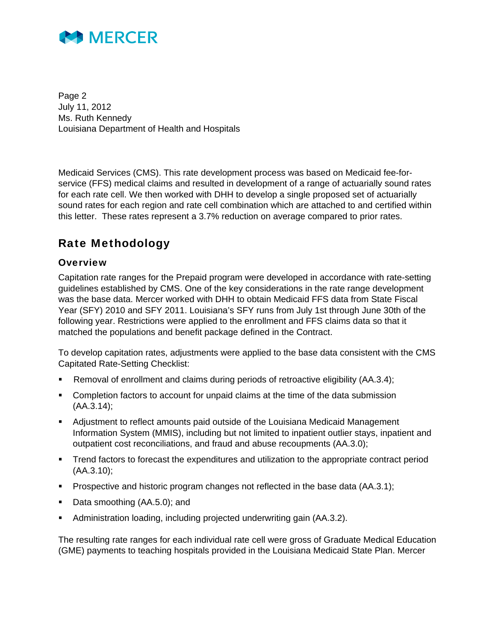

Page 2 July 11, 2012 Ms. Ruth Kennedy Louisiana Department of Health and Hospitals

Medicaid Services (CMS). This rate development process was based on Medicaid fee-forservice (FFS) medical claims and resulted in development of a range of actuarially sound rates for each rate cell. We then worked with DHH to develop a single proposed set of actuarially sound rates for each region and rate cell combination which are attached to and certified within this letter. These rates represent a 3.7% reduction on average compared to prior rates.

### Rate Methodology

### **Overview**

Capitation rate ranges for the Prepaid program were developed in accordance with rate-setting guidelines established by CMS. One of the key considerations in the rate range development was the base data. Mercer worked with DHH to obtain Medicaid FFS data from State Fiscal Year (SFY) 2010 and SFY 2011. Louisiana's SFY runs from July 1st through June 30th of the following year. Restrictions were applied to the enrollment and FFS claims data so that it matched the populations and benefit package defined in the Contract.

To develop capitation rates, adjustments were applied to the base data consistent with the CMS Capitated Rate-Setting Checklist:

- Removal of enrollment and claims during periods of retroactive eligibility (AA.3.4);
- Completion factors to account for unpaid claims at the time of the data submission (AA.3.14);
- Adjustment to reflect amounts paid outside of the Louisiana Medicaid Management Information System (MMIS), including but not limited to inpatient outlier stays, inpatient and outpatient cost reconciliations, and fraud and abuse recoupments (AA.3.0);
- **Trend factors to forecast the expenditures and utilization to the appropriate contract period** (AA.3.10);
- **Prospective and historic program changes not reflected in the base data (AA.3.1);**
- Data smoothing (AA.5.0); and
- Administration loading, including projected underwriting gain (AA.3.2).

The resulting rate ranges for each individual rate cell were gross of Graduate Medical Education (GME) payments to teaching hospitals provided in the Louisiana Medicaid State Plan. Mercer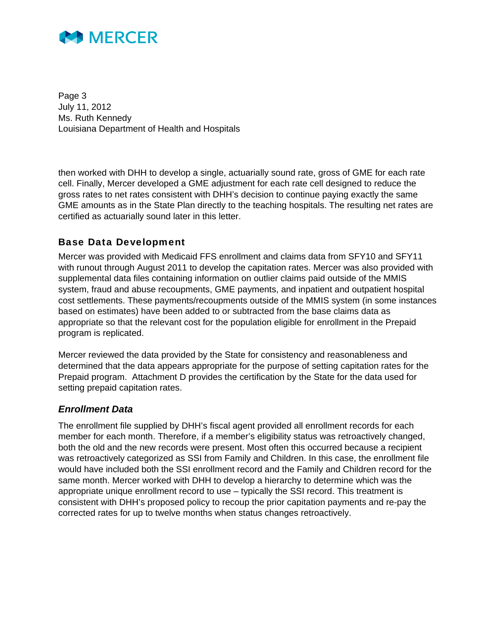

Page 3 July 11, 2012 Ms. Ruth Kennedy Louisiana Department of Health and Hospitals

then worked with DHH to develop a single, actuarially sound rate, gross of GME for each rate cell. Finally, Mercer developed a GME adjustment for each rate cell designed to reduce the gross rates to net rates consistent with DHH's decision to continue paying exactly the same GME amounts as in the State Plan directly to the teaching hospitals. The resulting net rates are certified as actuarially sound later in this letter.

### Base Data Development

Mercer was provided with Medicaid FFS enrollment and claims data from SFY10 and SFY11 with runout through August 2011 to develop the capitation rates. Mercer was also provided with supplemental data files containing information on outlier claims paid outside of the MMIS system, fraud and abuse recoupments, GME payments, and inpatient and outpatient hospital cost settlements. These payments/recoupments outside of the MMIS system (in some instances based on estimates) have been added to or subtracted from the base claims data as appropriate so that the relevant cost for the population eligible for enrollment in the Prepaid program is replicated.

Mercer reviewed the data provided by the State for consistency and reasonableness and determined that the data appears appropriate for the purpose of setting capitation rates for the Prepaid program. Attachment D provides the certification by the State for the data used for setting prepaid capitation rates.

#### *Enrollment Data*

The enrollment file supplied by DHH's fiscal agent provided all enrollment records for each member for each month. Therefore, if a member's eligibility status was retroactively changed, both the old and the new records were present. Most often this occurred because a recipient was retroactively categorized as SSI from Family and Children. In this case, the enrollment file would have included both the SSI enrollment record and the Family and Children record for the same month. Mercer worked with DHH to develop a hierarchy to determine which was the appropriate unique enrollment record to use – typically the SSI record. This treatment is consistent with DHH's proposed policy to recoup the prior capitation payments and re-pay the corrected rates for up to twelve months when status changes retroactively.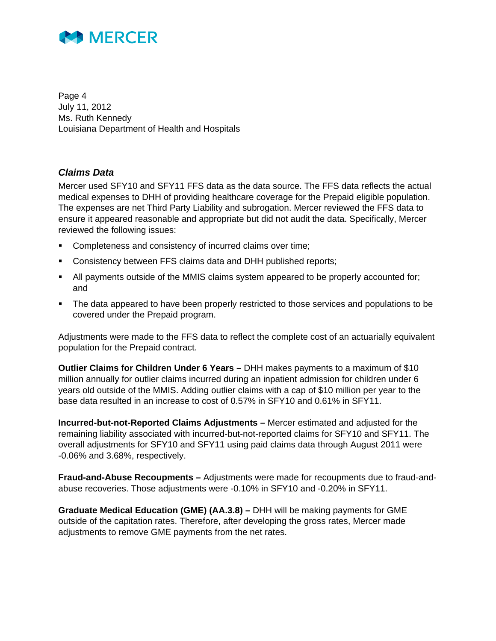

Page 4 July 11, 2012 Ms. Ruth Kennedy Louisiana Department of Health and Hospitals

### *Claims Data*

Mercer used SFY10 and SFY11 FFS data as the data source. The FFS data reflects the actual medical expenses to DHH of providing healthcare coverage for the Prepaid eligible population. The expenses are net Third Party Liability and subrogation. Mercer reviewed the FFS data to ensure it appeared reasonable and appropriate but did not audit the data. Specifically, Mercer reviewed the following issues:

- Completeness and consistency of incurred claims over time;
- Consistency between FFS claims data and DHH published reports;
- All payments outside of the MMIS claims system appeared to be properly accounted for; and
- The data appeared to have been properly restricted to those services and populations to be covered under the Prepaid program.

Adjustments were made to the FFS data to reflect the complete cost of an actuarially equivalent population for the Prepaid contract.

**Outlier Claims for Children Under 6 Years –** DHH makes payments to a maximum of \$10 million annually for outlier claims incurred during an inpatient admission for children under 6 years old outside of the MMIS. Adding outlier claims with a cap of \$10 million per year to the base data resulted in an increase to cost of 0.57% in SFY10 and 0.61% in SFY11.

**Incurred-but-not-Reported Claims Adjustments –** Mercer estimated and adjusted for the remaining liability associated with incurred-but-not-reported claims for SFY10 and SFY11. The overall adjustments for SFY10 and SFY11 using paid claims data through August 2011 were -0.06% and 3.68%, respectively.

**Fraud-and-Abuse Recoupments –** Adjustments were made for recoupments due to fraud-andabuse recoveries. Those adjustments were -0.10% in SFY10 and -0.20% in SFY11.

**Graduate Medical Education (GME) (AA.3.8) –** DHH will be making payments for GME outside of the capitation rates. Therefore, after developing the gross rates, Mercer made adjustments to remove GME payments from the net rates.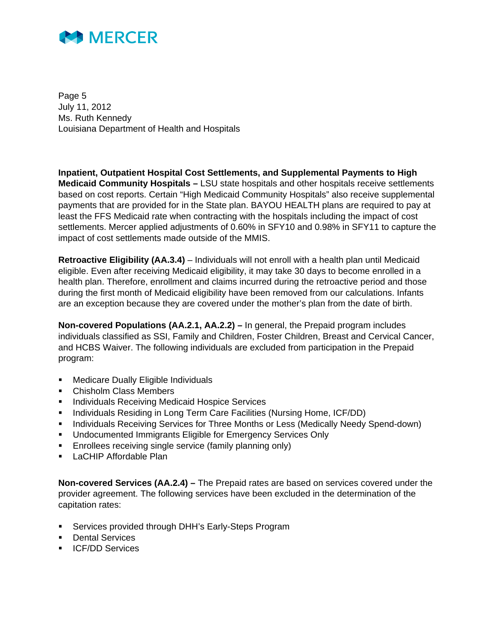

Page 5 July 11, 2012 Ms. Ruth Kennedy Louisiana Department of Health and Hospitals

**Inpatient, Outpatient Hospital Cost Settlements, and Supplemental Payments to High Medicaid Community Hospitals –** LSU state hospitals and other hospitals receive settlements based on cost reports. Certain "High Medicaid Community Hospitals" also receive supplemental payments that are provided for in the State plan. BAYOU HEALTH plans are required to pay at least the FFS Medicaid rate when contracting with the hospitals including the impact of cost settlements. Mercer applied adjustments of 0.60% in SFY10 and 0.98% in SFY11 to capture the impact of cost settlements made outside of the MMIS.

**Retroactive Eligibility (AA.3.4)** – Individuals will not enroll with a health plan until Medicaid eligible. Even after receiving Medicaid eligibility, it may take 30 days to become enrolled in a health plan. Therefore, enrollment and claims incurred during the retroactive period and those during the first month of Medicaid eligibility have been removed from our calculations. Infants are an exception because they are covered under the mother's plan from the date of birth.

**Non-covered Populations (AA.2.1, AA.2.2) –** In general, the Prepaid program includes individuals classified as SSI, Family and Children, Foster Children, Breast and Cervical Cancer, and HCBS Waiver. The following individuals are excluded from participation in the Prepaid program:

- Medicare Dually Eligible Individuals
- Chisholm Class Members
- **Individuals Receiving Medicaid Hospice Services**
- Individuals Residing in Long Term Care Facilities (Nursing Home, ICF/DD)
- **Individuals Receiving Services for Three Months or Less (Medically Needy Spend-down)**
- **Undocumented Immigrants Eligible for Emergency Services Only**
- Enrollees receiving single service (family planning only)
- **LaCHIP Affordable Plan**

**Non-covered Services (AA.2.4) –** The Prepaid rates are based on services covered under the provider agreement. The following services have been excluded in the determination of the capitation rates:

- Services provided through DHH's Early-Steps Program
- **Dental Services**
- **ICF/DD Services**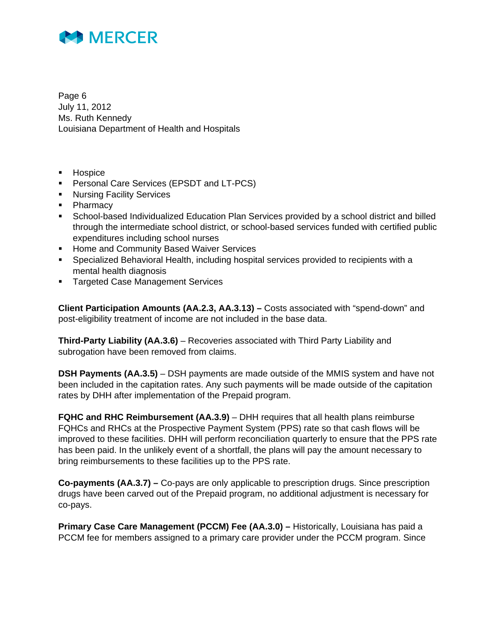

Page 6 July 11, 2012 Ms. Ruth Kennedy Louisiana Department of Health and Hospitals

- **Hospice**
- **Personal Care Services (EPSDT and LT-PCS)**
- **Nursing Facility Services**
- Pharmacy
- School-based Individualized Education Plan Services provided by a school district and billed through the intermediate school district, or school-based services funded with certified public expenditures including school nurses
- **Home and Community Based Waiver Services**
- Specialized Behavioral Health, including hospital services provided to recipients with a mental health diagnosis
- **Targeted Case Management Services**

**Client Participation Amounts (AA.2.3, AA.3.13) –** Costs associated with "spend-down" and post-eligibility treatment of income are not included in the base data.

**Third-Party Liability (AA.3.6)** – Recoveries associated with Third Party Liability and subrogation have been removed from claims.

**DSH Payments (AA.3.5)** – DSH payments are made outside of the MMIS system and have not been included in the capitation rates. Any such payments will be made outside of the capitation rates by DHH after implementation of the Prepaid program.

**FQHC and RHC Reimbursement (AA.3.9)** – DHH requires that all health plans reimburse FQHCs and RHCs at the Prospective Payment System (PPS) rate so that cash flows will be improved to these facilities. DHH will perform reconciliation quarterly to ensure that the PPS rate has been paid. In the unlikely event of a shortfall, the plans will pay the amount necessary to bring reimbursements to these facilities up to the PPS rate.

**Co-payments (AA.3.7) –** Co-pays are only applicable to prescription drugs. Since prescription drugs have been carved out of the Prepaid program, no additional adjustment is necessary for co-pays.

**Primary Case Care Management (PCCM) Fee (AA.3.0) – Historically, Louisiana has paid a** PCCM fee for members assigned to a primary care provider under the PCCM program. Since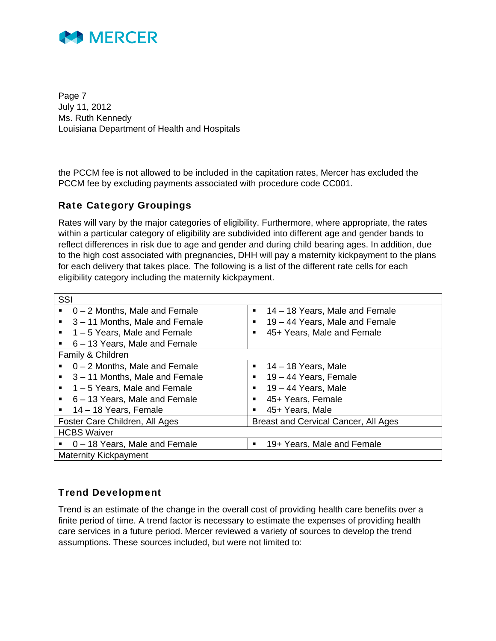

Page 7 July 11, 2012 Ms. Ruth Kennedy Louisiana Department of Health and Hospitals

the PCCM fee is not allowed to be included in the capitation rates, Mercer has excluded the PCCM fee by excluding payments associated with procedure code CC001.

### Rate Category Groupings

Rates will vary by the major categories of eligibility. Furthermore, where appropriate, the rates within a particular category of eligibility are subdivided into different age and gender bands to reflect differences in risk due to age and gender and during child bearing ages. In addition, due to the high cost associated with pregnancies, DHH will pay a maternity kickpayment to the plans for each delivery that takes place. The following is a list of the different rate cells for each eligibility category including the maternity kickpayment.

| SSI |                                 |   |                                      |
|-----|---------------------------------|---|--------------------------------------|
|     | $0 - 2$ Months, Male and Female | ٠ | 14 – 18 Years, Male and Female       |
| ٠   | 3-11 Months, Male and Female    | ٠ | 19 – 44 Years, Male and Female       |
|     | 1-5 Years, Male and Female      | ■ | 45+ Years, Male and Female           |
|     | 6 – 13 Years, Male and Female   |   |                                      |
|     | Family & Children               |   |                                      |
|     | $0 - 2$ Months, Male and Female | ٠ | $14 - 18$ Years, Male                |
|     | 3 – 11 Months, Male and Female  | п | 19 - 44 Years, Female                |
|     | 1-5 Years, Male and Female      | ٠ | $19 - 44$ Years, Male                |
|     | 6 – 13 Years, Male and Female   | ■ | 45+ Years, Female                    |
| ٠   | 14 – 18 Years, Female           |   | 45+ Years, Male                      |
|     | Foster Care Children, All Ages  |   | Breast and Cervical Cancer, All Ages |
|     | <b>HCBS Waiver</b>              |   |                                      |
|     | 0 - 18 Years, Male and Female   | ٠ | 19+ Years, Male and Female           |
|     | <b>Maternity Kickpayment</b>    |   |                                      |

### Trend Development

Trend is an estimate of the change in the overall cost of providing health care benefits over a finite period of time. A trend factor is necessary to estimate the expenses of providing health care services in a future period. Mercer reviewed a variety of sources to develop the trend assumptions. These sources included, but were not limited to: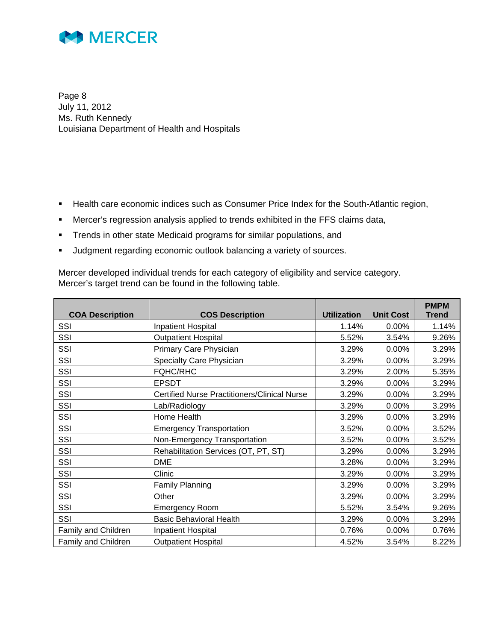

Page 8 July 11, 2012 Ms. Ruth Kennedy Louisiana Department of Health and Hospitals

- **Health care economic indices such as Consumer Price Index for the South-Atlantic region,**
- Mercer's regression analysis applied to trends exhibited in the FFS claims data,
- **Trends in other state Medicaid programs for similar populations, and**
- **Judgment regarding economic outlook balancing a variety of sources.**

Mercer developed individual trends for each category of eligibility and service category. Mercer's target trend can be found in the following table.

|                        |                                                     |                    |                  | <b>PMPM</b>  |
|------------------------|-----------------------------------------------------|--------------------|------------------|--------------|
| <b>COA Description</b> | <b>COS Description</b>                              | <b>Utilization</b> | <b>Unit Cost</b> | <b>Trend</b> |
| SSI                    | Inpatient Hospital                                  | 1.14%              | 0.00%            | 1.14%        |
| SSI                    | <b>Outpatient Hospital</b>                          | 5.52%              | 3.54%            | 9.26%        |
| SSI                    | Primary Care Physician                              | 3.29%              | 0.00%            | 3.29%        |
| SSI                    | Specialty Care Physician                            | 3.29%              | 0.00%            | 3.29%        |
| SSI                    | <b>FQHC/RHC</b>                                     | 3.29%              | 2.00%            | 5.35%        |
| SSI                    | <b>EPSDT</b>                                        | 3.29%              | 0.00%            | 3.29%        |
| SSI                    | <b>Certified Nurse Practitioners/Clinical Nurse</b> | 3.29%              | 0.00%            | 3.29%        |
| SSI                    | Lab/Radiology                                       | 3.29%              | 0.00%            | 3.29%        |
| SSI                    | Home Health                                         | 3.29%              | 0.00%            | 3.29%        |
| SSI                    | <b>Emergency Transportation</b>                     | 3.52%              | 0.00%            | 3.52%        |
| SSI                    | Non-Emergency Transportation                        | 3.52%              | 0.00%            | 3.52%        |
| SSI                    | Rehabilitation Services (OT, PT, ST)                | 3.29%              | 0.00%            | 3.29%        |
| SSI                    | <b>DME</b>                                          | 3.28%              | 0.00%            | 3.29%        |
| SSI                    | Clinic                                              | 3.29%              | 0.00%            | 3.29%        |
| SSI                    | Family Planning                                     | 3.29%              | 0.00%            | 3.29%        |
| SSI                    | Other                                               | 3.29%              | 0.00%            | 3.29%        |
| SSI                    | <b>Emergency Room</b>                               | 5.52%              | 3.54%            | 9.26%        |
| SSI                    | <b>Basic Behavioral Health</b>                      | 3.29%              | 0.00%            | 3.29%        |
| Family and Children    | Inpatient Hospital                                  | 0.76%              | 0.00%            | 0.76%        |
| Family and Children    | <b>Outpatient Hospital</b>                          | 4.52%              | 3.54%            | 8.22%        |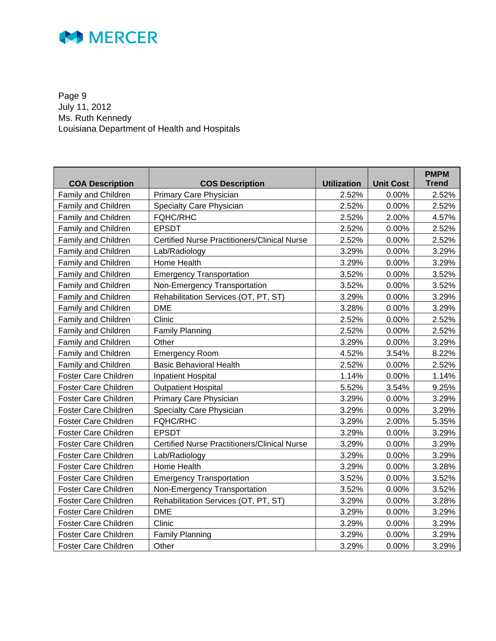

Page 9 July 11, 2012 Ms. Ruth Kennedy Louisiana Department of Health and Hospitals

| <b>COA Description</b>      | <b>COS Description</b>                              | <b>Utilization</b> | <b>Unit Cost</b> | <b>PMPM</b><br><b>Trend</b> |
|-----------------------------|-----------------------------------------------------|--------------------|------------------|-----------------------------|
| Family and Children         | Primary Care Physician                              | 2.52%              | 0.00%            | 2.52%                       |
| Family and Children         | <b>Specialty Care Physician</b>                     | 2.52%              | 0.00%            | 2.52%                       |
| Family and Children         | <b>FQHC/RHC</b>                                     | 2.52%              | 2.00%            | 4.57%                       |
| Family and Children         | <b>EPSDT</b>                                        | 2.52%              | 0.00%            | 2.52%                       |
| Family and Children         | <b>Certified Nurse Practitioners/Clinical Nurse</b> | 2.52%              | 0.00%            | 2.52%                       |
| Family and Children         | Lab/Radiology                                       | 3.29%              | 0.00%            | 3.29%                       |
| Family and Children         | Home Health                                         | 3.29%              | 0.00%            | 3.29%                       |
| Family and Children         | <b>Emergency Transportation</b>                     | 3.52%              | 0.00%            | 3.52%                       |
| Family and Children         | Non-Emergency Transportation                        | 3.52%              | 0.00%            | 3.52%                       |
| Family and Children         | Rehabilitation Services (OT, PT, ST)                | 3.29%              | 0.00%            | 3.29%                       |
| Family and Children         | <b>DME</b>                                          | 3.28%              | 0.00%            | 3.29%                       |
| Family and Children         | Clinic                                              | 2.52%              | 0.00%            | 2.52%                       |
| Family and Children         | <b>Family Planning</b>                              | 2.52%              | 0.00%            | 2.52%                       |
| Family and Children         | Other                                               | 3.29%              | 0.00%            | 3.29%                       |
| Family and Children         | <b>Emergency Room</b>                               | 4.52%              | 3.54%            | 8.22%                       |
| Family and Children         | <b>Basic Behavioral Health</b>                      | 2.52%              | 0.00%            | 2.52%                       |
| Foster Care Children        | <b>Inpatient Hospital</b>                           | 1.14%              | 0.00%            | 1.14%                       |
| <b>Foster Care Children</b> | <b>Outpatient Hospital</b>                          | 5.52%              | 3.54%            | 9.25%                       |
| <b>Foster Care Children</b> | Primary Care Physician                              | 3.29%              | 0.00%            | 3.29%                       |
| Foster Care Children        | Specialty Care Physician                            | 3.29%              | 0.00%            | 3.29%                       |
| <b>Foster Care Children</b> | <b>FQHC/RHC</b>                                     | 3.29%              | 2.00%            | 5.35%                       |
| Foster Care Children        | <b>EPSDT</b>                                        | 3.29%              | 0.00%            | 3.29%                       |
| Foster Care Children        | <b>Certified Nurse Practitioners/Clinical Nurse</b> | 3.29%              | 0.00%            | 3.29%                       |
| Foster Care Children        | Lab/Radiology                                       | 3.29%              | 0.00%            | 3.29%                       |
| Foster Care Children        | Home Health                                         | 3.29%              | 0.00%            | 3.28%                       |
| Foster Care Children        | <b>Emergency Transportation</b>                     | 3.52%              | 0.00%            | 3.52%                       |
| <b>Foster Care Children</b> | Non-Emergency Transportation                        | 3.52%              | 0.00%            | 3.52%                       |
| Foster Care Children        | Rehabilitation Services (OT, PT, ST)                | 3.29%              | 0.00%            | 3.28%                       |
| <b>Foster Care Children</b> | <b>DME</b>                                          | 3.29%              | 0.00%            | 3.29%                       |
| Foster Care Children        | Clinic                                              | 3.29%              | 0.00%            | 3.29%                       |
| Foster Care Children        | <b>Family Planning</b>                              | 3.29%              | 0.00%            | 3.29%                       |
| <b>Foster Care Children</b> | Other                                               | 3.29%              | 0.00%            | 3.29%                       |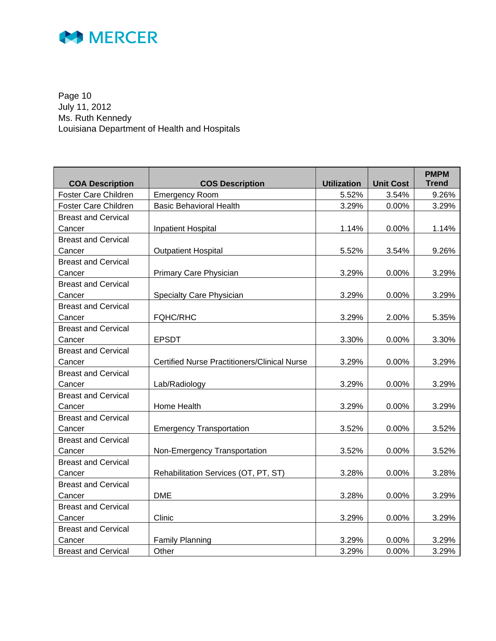

Page 10 July 11, 2012 Ms. Ruth Kennedy Louisiana Department of Health and Hospitals

| <b>COA Description</b>     | <b>COS Description</b>                              | <b>Utilization</b> | <b>Unit Cost</b> | <b>PMPM</b><br><b>Trend</b> |
|----------------------------|-----------------------------------------------------|--------------------|------------------|-----------------------------|
| Foster Care Children       | <b>Emergency Room</b>                               | 5.52%              | 3.54%            | 9.26%                       |
| Foster Care Children       | <b>Basic Behavioral Health</b>                      | 3.29%              | 0.00%            | 3.29%                       |
| <b>Breast and Cervical</b> |                                                     |                    |                  |                             |
| Cancer                     | <b>Inpatient Hospital</b>                           | 1.14%              | 0.00%            | 1.14%                       |
| <b>Breast and Cervical</b> |                                                     |                    |                  |                             |
| Cancer                     | <b>Outpatient Hospital</b>                          | 5.52%              | 3.54%            | 9.26%                       |
| <b>Breast and Cervical</b> |                                                     |                    |                  |                             |
| Cancer                     | Primary Care Physician                              | 3.29%              | 0.00%            | 3.29%                       |
| <b>Breast and Cervical</b> |                                                     |                    |                  |                             |
| Cancer                     | <b>Specialty Care Physician</b>                     | 3.29%              | 0.00%            | 3.29%                       |
| <b>Breast and Cervical</b> |                                                     |                    |                  |                             |
| Cancer                     | <b>FQHC/RHC</b>                                     | 3.29%              | 2.00%            | 5.35%                       |
| <b>Breast and Cervical</b> |                                                     |                    |                  |                             |
| Cancer                     | <b>EPSDT</b>                                        | 3.30%              | 0.00%            | 3.30%                       |
| <b>Breast and Cervical</b> |                                                     |                    |                  |                             |
| Cancer                     | <b>Certified Nurse Practitioners/Clinical Nurse</b> | 3.29%              | 0.00%            | 3.29%                       |
| <b>Breast and Cervical</b> |                                                     |                    |                  |                             |
| Cancer                     | Lab/Radiology                                       | 3.29%              | 0.00%            | 3.29%                       |
| <b>Breast and Cervical</b> |                                                     |                    |                  |                             |
| Cancer                     | Home Health                                         | 3.29%              | 0.00%            | 3.29%                       |
| <b>Breast and Cervical</b> |                                                     |                    |                  |                             |
| Cancer                     | <b>Emergency Transportation</b>                     | 3.52%              | 0.00%            | 3.52%                       |
| <b>Breast and Cervical</b> |                                                     |                    |                  |                             |
| Cancer                     | Non-Emergency Transportation                        | 3.52%              | 0.00%            | 3.52%                       |
| <b>Breast and Cervical</b> |                                                     |                    |                  |                             |
| Cancer                     | Rehabilitation Services (OT, PT, ST)                | 3.28%              | 0.00%            | 3.28%                       |
| <b>Breast and Cervical</b> |                                                     |                    |                  |                             |
| Cancer                     | <b>DME</b>                                          | 3.28%              | 0.00%            | 3.29%                       |
| <b>Breast and Cervical</b> |                                                     |                    |                  |                             |
| Cancer                     | Clinic                                              | 3.29%              | $0.00\%$         | 3.29%                       |
| <b>Breast and Cervical</b> |                                                     |                    |                  |                             |
| Cancer                     | <b>Family Planning</b>                              | 3.29%              | 0.00%            | 3.29%                       |
| <b>Breast and Cervical</b> | Other                                               | 3.29%              | 0.00%            | 3.29%                       |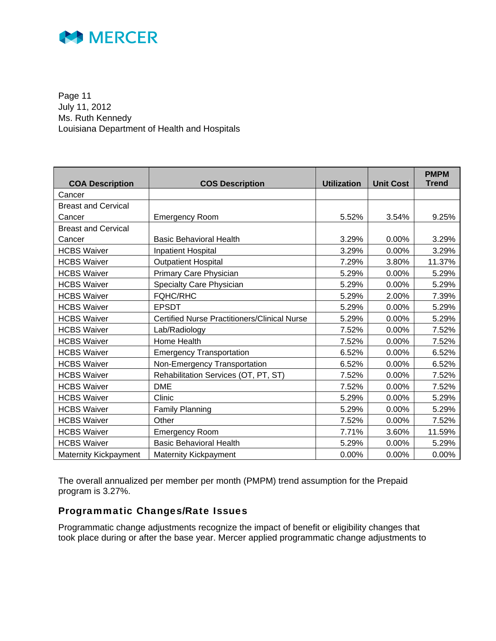

Page 11 July 11, 2012 Ms. Ruth Kennedy Louisiana Department of Health and Hospitals

| <b>COA Description</b>     | <b>COS Description</b>                              | <b>Utilization</b> | <b>Unit Cost</b> | <b>PMPM</b><br><b>Trend</b> |
|----------------------------|-----------------------------------------------------|--------------------|------------------|-----------------------------|
| Cancer                     |                                                     |                    |                  |                             |
| <b>Breast and Cervical</b> |                                                     |                    |                  |                             |
| Cancer                     | <b>Emergency Room</b>                               | 5.52%              | 3.54%            | 9.25%                       |
| <b>Breast and Cervical</b> |                                                     |                    |                  |                             |
| Cancer                     | <b>Basic Behavioral Health</b>                      | 3.29%              | 0.00%            | 3.29%                       |
| <b>HCBS Waiver</b>         | Inpatient Hospital                                  | 3.29%              | 0.00%            | 3.29%                       |
| <b>HCBS Waiver</b>         | <b>Outpatient Hospital</b>                          | 7.29%              | 3.80%            | 11.37%                      |
| <b>HCBS Waiver</b>         | Primary Care Physician                              | 5.29%              | 0.00%            | 5.29%                       |
| <b>HCBS Waiver</b>         | Specialty Care Physician                            | 5.29%              | 0.00%            | 5.29%                       |
| <b>HCBS Waiver</b>         | <b>FQHC/RHC</b>                                     | 5.29%              | 2.00%            | 7.39%                       |
| <b>HCBS Waiver</b>         | <b>EPSDT</b>                                        | 5.29%              | 0.00%            | 5.29%                       |
| <b>HCBS Waiver</b>         | <b>Certified Nurse Practitioners/Clinical Nurse</b> | 5.29%              | 0.00%            | 5.29%                       |
| <b>HCBS Waiver</b>         | Lab/Radiology                                       | 7.52%              | 0.00%            | 7.52%                       |
| <b>HCBS Waiver</b>         | Home Health                                         | 7.52%              | 0.00%            | 7.52%                       |
| <b>HCBS Waiver</b>         | <b>Emergency Transportation</b>                     | 6.52%              | 0.00%            | 6.52%                       |
| <b>HCBS Waiver</b>         | Non-Emergency Transportation                        | 6.52%              | 0.00%            | 6.52%                       |
| <b>HCBS Waiver</b>         | Rehabilitation Services (OT, PT, ST)                | 7.52%              | 0.00%            | 7.52%                       |
| <b>HCBS Waiver</b>         | <b>DME</b>                                          | 7.52%              | 0.00%            | 7.52%                       |
| <b>HCBS Waiver</b>         | Clinic                                              | 5.29%              | 0.00%            | 5.29%                       |
| <b>HCBS Waiver</b>         | <b>Family Planning</b>                              | 5.29%              | 0.00%            | 5.29%                       |
| <b>HCBS Waiver</b>         | Other                                               | 7.52%              | 0.00%            | 7.52%                       |
| <b>HCBS Waiver</b>         | <b>Emergency Room</b>                               | 7.71%              | 3.60%            | 11.59%                      |
| <b>HCBS Waiver</b>         | <b>Basic Behavioral Health</b>                      | 5.29%              | 0.00%            | 5.29%                       |
| Maternity Kickpayment      | <b>Maternity Kickpayment</b>                        | 0.00%              | 0.00%            | 0.00%                       |

The overall annualized per member per month (PMPM) trend assumption for the Prepaid program is 3.27%.

### Programmatic Changes/Rate Issues

Programmatic change adjustments recognize the impact of benefit or eligibility changes that took place during or after the base year. Mercer applied programmatic change adjustments to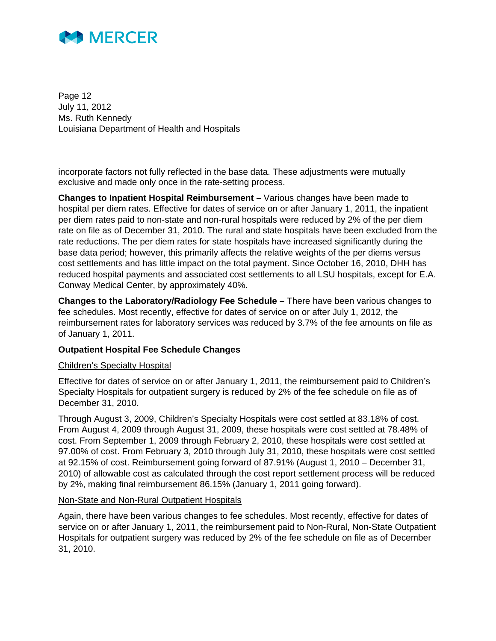

Page 12 July 11, 2012 Ms. Ruth Kennedy Louisiana Department of Health and Hospitals

incorporate factors not fully reflected in the base data. These adjustments were mutually exclusive and made only once in the rate-setting process.

**Changes to Inpatient Hospital Reimbursement –** Various changes have been made to hospital per diem rates. Effective for dates of service on or after January 1, 2011, the inpatient per diem rates paid to non-state and non-rural hospitals were reduced by 2% of the per diem rate on file as of December 31, 2010. The rural and state hospitals have been excluded from the rate reductions. The per diem rates for state hospitals have increased significantly during the base data period; however, this primarily affects the relative weights of the per diems versus cost settlements and has little impact on the total payment. Since October 16, 2010, DHH has reduced hospital payments and associated cost settlements to all LSU hospitals, except for E.A. Conway Medical Center, by approximately 40%.

**Changes to the Laboratory/Radiology Fee Schedule –** There have been various changes to fee schedules. Most recently, effective for dates of service on or after July 1, 2012, the reimbursement rates for laboratory services was reduced by 3.7% of the fee amounts on file as of January 1, 2011.

#### **Outpatient Hospital Fee Schedule Changes**

#### Children's Specialty Hospital

Effective for dates of service on or after January 1, 2011, the reimbursement paid to Children's Specialty Hospitals for outpatient surgery is reduced by 2% of the fee schedule on file as of December 31, 2010.

Through August 3, 2009, Children's Specialty Hospitals were cost settled at 83.18% of cost. From August 4, 2009 through August 31, 2009, these hospitals were cost settled at 78.48% of cost. From September 1, 2009 through February 2, 2010, these hospitals were cost settled at 97.00% of cost. From February 3, 2010 through July 31, 2010, these hospitals were cost settled at 92.15% of cost. Reimbursement going forward of 87.91% (August 1, 2010 – December 31, 2010) of allowable cost as calculated through the cost report settlement process will be reduced by 2%, making final reimbursement 86.15% (January 1, 2011 going forward).

#### Non-State and Non-Rural Outpatient Hospitals

Again, there have been various changes to fee schedules. Most recently, effective for dates of service on or after January 1, 2011, the reimbursement paid to Non-Rural, Non-State Outpatient Hospitals for outpatient surgery was reduced by 2% of the fee schedule on file as of December 31, 2010.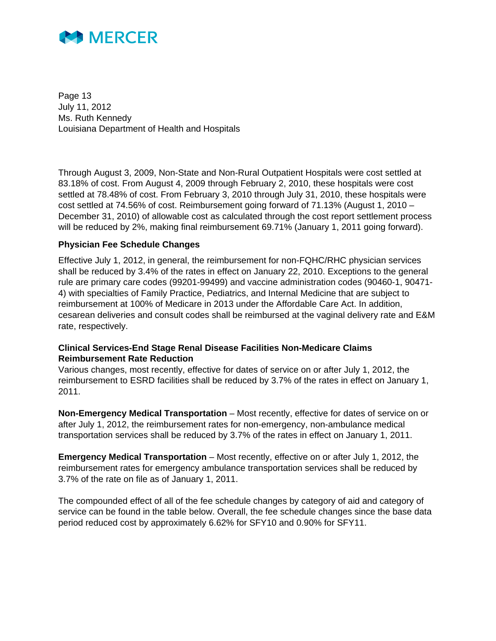

Page 13 July 11, 2012 Ms. Ruth Kennedy Louisiana Department of Health and Hospitals

Through August 3, 2009, Non-State and Non-Rural Outpatient Hospitals were cost settled at 83.18% of cost. From August 4, 2009 through February 2, 2010, these hospitals were cost settled at 78.48% of cost. From February 3, 2010 through July 31, 2010, these hospitals were cost settled at 74.56% of cost. Reimbursement going forward of 71.13% (August 1, 2010 – December 31, 2010) of allowable cost as calculated through the cost report settlement process will be reduced by 2%, making final reimbursement 69.71% (January 1, 2011 going forward).

#### **Physician Fee Schedule Changes**

Effective July 1, 2012, in general, the reimbursement for non-FQHC/RHC physician services shall be reduced by 3.4% of the rates in effect on January 22, 2010. Exceptions to the general rule are primary care codes (99201-99499) and vaccine administration codes (90460-1, 90471- 4) with specialties of Family Practice, Pediatrics, and Internal Medicine that are subject to reimbursement at 100% of Medicare in 2013 under the Affordable Care Act. In addition, cesarean deliveries and consult codes shall be reimbursed at the vaginal delivery rate and E&M rate, respectively.

#### **Clinical Services-End Stage Renal Disease Facilities Non-Medicare Claims Reimbursement Rate Reduction**

Various changes, most recently, effective for dates of service on or after July 1, 2012, the reimbursement to ESRD facilities shall be reduced by 3.7% of the rates in effect on January 1, 2011.

**Non-Emergency Medical Transportation** – Most recently, effective for dates of service on or after July 1, 2012, the reimbursement rates for non-emergency, non-ambulance medical transportation services shall be reduced by 3.7% of the rates in effect on January 1, 2011.

**Emergency Medical Transportation** – Most recently, effective on or after July 1, 2012, the reimbursement rates for emergency ambulance transportation services shall be reduced by 3.7% of the rate on file as of January 1, 2011.

The compounded effect of all of the fee schedule changes by category of aid and category of service can be found in the table below. Overall, the fee schedule changes since the base data period reduced cost by approximately 6.62% for SFY10 and 0.90% for SFY11.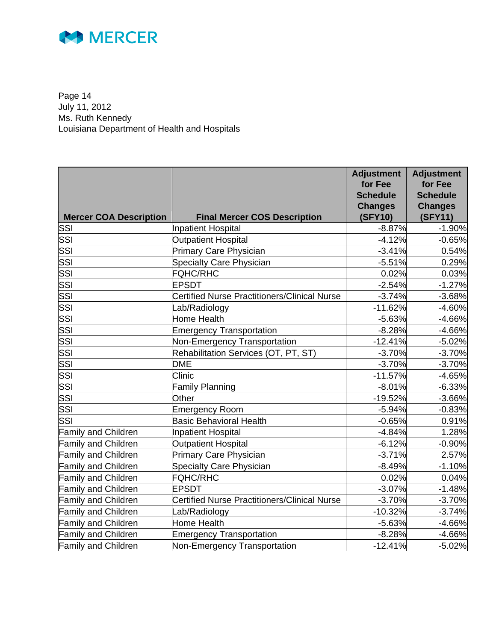

Page 14 July 11, 2012 Ms. Ruth Kennedy Louisiana Department of Health and Hospitals

| <b>Mercer COA Description</b> | <b>Final Mercer COS Description</b>                 | <b>Adjustment</b><br>for Fee<br><b>Schedule</b><br><b>Changes</b><br>(SFY10) | <b>Adjustment</b><br>for Fee<br><b>Schedule</b><br><b>Changes</b><br>(SFY11) |
|-------------------------------|-----------------------------------------------------|------------------------------------------------------------------------------|------------------------------------------------------------------------------|
| SSI                           | Inpatient Hospital                                  | $-8.87%$                                                                     | $-1.90%$                                                                     |
| SSI                           | <b>Outpatient Hospital</b>                          | $-4.12%$                                                                     | $-0.65%$                                                                     |
| SSI                           | <b>Primary Care Physician</b>                       | $-3.41%$                                                                     | 0.54%                                                                        |
| SSI                           | <b>Specialty Care Physician</b>                     | $-5.51%$                                                                     | 0.29%                                                                        |
| SSI                           | <b>FQHC/RHC</b>                                     | 0.02%                                                                        | 0.03%                                                                        |
| SSI                           | <b>EPSDT</b>                                        | $-2.54%$                                                                     | $-1.27%$                                                                     |
| SSI                           | <b>Certified Nurse Practitioners/Clinical Nurse</b> | $-3.74%$                                                                     | $-3.68%$                                                                     |
| SSI                           | Lab/Radiology                                       | $-11.62%$                                                                    | $-4.60%$                                                                     |
| SSI                           | <b>Home Health</b>                                  | $-5.63%$                                                                     | $-4.66%$                                                                     |
| SSI                           | <b>Emergency Transportation</b>                     | $-8.28%$                                                                     | $-4.66%$                                                                     |
| SSI                           | Non-Emergency Transportation                        | $-12.41%$                                                                    | $-5.02%$                                                                     |
| SSI                           | Rehabilitation Services (OT, PT, ST)                | $-3.70%$                                                                     | $-3.70%$                                                                     |
| SSI                           | <b>DME</b>                                          | $-3.70%$                                                                     | $-3.70%$                                                                     |
| SSI                           | Clinic                                              | $-11.57%$                                                                    | $-4.65%$                                                                     |
| SSI                           | <b>Family Planning</b>                              | $-8.01%$                                                                     | $-6.33%$                                                                     |
| SSI                           | Other                                               | $-19.52%$                                                                    | $-3.66%$                                                                     |
| SSI                           | <b>Emergency Room</b>                               | $-5.94%$                                                                     | $-0.83%$                                                                     |
| SSI                           | <b>Basic Behavioral Health</b>                      | $-0.65%$                                                                     | 0.91%                                                                        |
| <b>Family and Children</b>    | <b>Inpatient Hospital</b>                           | $-4.84%$                                                                     | 1.28%                                                                        |
| <b>Family and Children</b>    | <b>Outpatient Hospital</b>                          | $-6.12%$                                                                     | $-0.90%$                                                                     |
| <b>Family and Children</b>    | Primary Care Physician                              | $-3.71%$                                                                     | 2.57%                                                                        |
| <b>Family and Children</b>    | <b>Specialty Care Physician</b>                     | $-8.49%$                                                                     | $-1.10%$                                                                     |
| <b>Family and Children</b>    | <b>FQHC/RHC</b>                                     | 0.02%                                                                        | 0.04%                                                                        |
| <b>Family and Children</b>    | EPSDT                                               | $-3.07%$                                                                     | $-1.48%$                                                                     |
| <b>Family and Children</b>    | <b>Certified Nurse Practitioners/Clinical Nurse</b> | $-3.70%$                                                                     | $-3.70%$                                                                     |
| <b>Family and Children</b>    | _ab/Radiology                                       | $-10.32%$                                                                    | $-3.74%$                                                                     |
| <b>Family and Children</b>    | Home Health                                         | $-5.63%$                                                                     | $-4.66%$                                                                     |
| <b>Family and Children</b>    | <b>Emergency Transportation</b>                     | $-8.28%$                                                                     | $-4.66%$                                                                     |
| <b>Family and Children</b>    | Non-Emergency Transportation                        | $-12.41%$                                                                    | $-5.02%$                                                                     |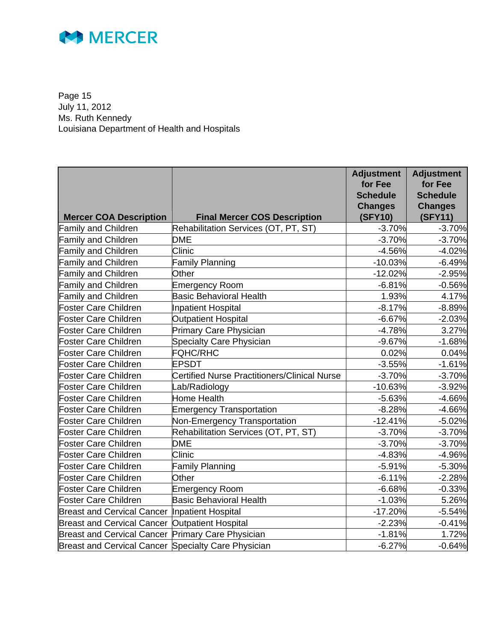

Page 15 July 11, 2012 Ms. Ruth Kennedy Louisiana Department of Health and Hospitals

| <b>Mercer COA Description</b>                              | <b>Final Mercer COS Description</b>                 | <b>Adjustment</b><br>for Fee<br><b>Schedule</b><br><b>Changes</b><br>(SFY10) | <b>Adjustment</b><br>for Fee<br><b>Schedule</b><br><b>Changes</b><br>(SFY11) |
|------------------------------------------------------------|-----------------------------------------------------|------------------------------------------------------------------------------|------------------------------------------------------------------------------|
| amily and Children                                         | Rehabilitation Services (OT, PT, ST)                | $-3.70%$                                                                     | $-3.70%$                                                                     |
| <b>Family and Children</b>                                 | <b>DME</b>                                          | $-3.70%$                                                                     | $-3.70%$                                                                     |
| <b>Family and Children</b>                                 | Clinic                                              | $-4.56%$                                                                     | $-4.02%$                                                                     |
| <b>Family and Children</b>                                 | <b>Family Planning</b>                              | $-10.03%$                                                                    | $-6.49%$                                                                     |
| <b>Family and Children</b>                                 | Other                                               | $-12.02%$                                                                    | $-2.95%$                                                                     |
| <b>Family and Children</b>                                 | Emergency Room                                      | $-6.81%$                                                                     | $-0.56%$                                                                     |
| <b>Family and Children</b>                                 | <b>Basic Behavioral Health</b>                      | 1.93%                                                                        | 4.17%                                                                        |
| <b>Foster Care Children</b>                                | <b>Inpatient Hospital</b>                           | $-8.17%$                                                                     | $-8.89%$                                                                     |
| Foster Care Children                                       | <b>Outpatient Hospital</b>                          | $-6.67%$                                                                     | $-2.03%$                                                                     |
| Foster Care Children                                       | <b>Primary Care Physician</b>                       | $-4.78%$                                                                     | 3.27%                                                                        |
| oster Care Children                                        | <b>Specialty Care Physician</b>                     | $-9.67%$                                                                     | $-1.68%$                                                                     |
| Foster Care Children                                       | <b>FQHC/RHC</b>                                     | 0.02%                                                                        | 0.04%                                                                        |
| <b>Foster Care Children</b>                                | <b>EPSDT</b>                                        | $-3.55%$                                                                     | $-1.61%$                                                                     |
| Foster Care Children                                       | <b>Certified Nurse Practitioners/Clinical Nurse</b> | $-3.70%$                                                                     | $-3.70%$                                                                     |
| Foster Care Children                                       | _ab/Radiology                                       | $-10.63%$                                                                    | $-3.92%$                                                                     |
| Foster Care Children                                       | Home Health                                         | $-5.63%$                                                                     | $-4.66%$                                                                     |
| <b>Foster Care Children</b>                                | <b>Emergency Transportation</b>                     | $-8.28%$                                                                     | $-4.66%$                                                                     |
| <b>Foster Care Children</b>                                | Non-Emergency Transportation                        | $-12.41%$                                                                    | $-5.02%$                                                                     |
| Foster Care Children                                       | Rehabilitation Services (OT, PT, ST)                | $-3.70%$                                                                     | $-3.70%$                                                                     |
| Foster Care Children                                       | <b>DME</b>                                          | $-3.70%$                                                                     | $-3.70%$                                                                     |
| Foster Care Children                                       | Clinic                                              | $-4.83%$                                                                     | -4.96%                                                                       |
| <b>Foster Care Children</b>                                | <b>Family Planning</b>                              | $-5.91%$                                                                     | $-5.30%$                                                                     |
| <b>Foster Care Children</b>                                | Other                                               | $-6.11%$                                                                     | $-2.28%$                                                                     |
| <b>Foster Care Children</b>                                | <b>Emergency Room</b>                               | $-6.68%$                                                                     | $-0.33%$                                                                     |
| <b>Foster Care Children</b>                                | <b>Basic Behavioral Health</b>                      | $-1.03%$                                                                     | 5.26%                                                                        |
| <b>Breast and Cervical Cancer Inpatient Hospital</b>       |                                                     | $-17.20%$                                                                    | $-5.54%$                                                                     |
| <b>Breast and Cervical Cancer</b>                          | <b>Outpatient Hospital</b>                          | $-2.23%$                                                                     | $-0.41%$                                                                     |
| Breast and Cervical Cancer Primary Care Physician          |                                                     | $-1.81%$                                                                     | 1.72%                                                                        |
| <b>Breast and Cervical Cancer Specialty Care Physician</b> |                                                     | $-6.27%$                                                                     | $-0.64%$                                                                     |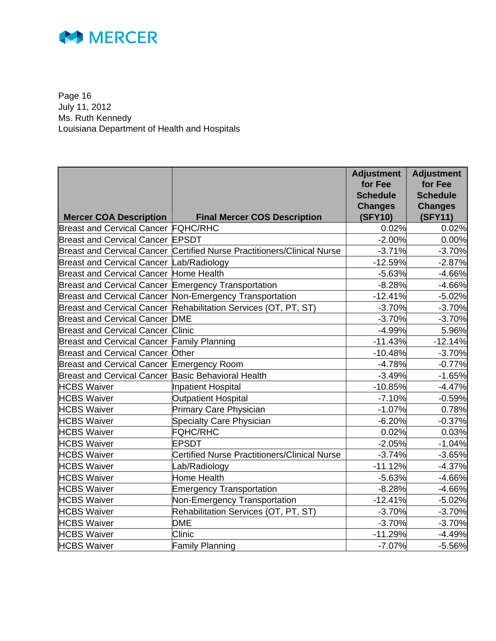

Page 16 July 11, 2012 Ms. Ruth Kennedy Louisiana Department of Health and Hospitals

|                                                     |                                                                         | <b>Adjustment</b><br>for Fee<br><b>Schedule</b><br><b>Changes</b> | <b>Adjustment</b><br>for Fee<br><b>Schedule</b><br><b>Changes</b> |
|-----------------------------------------------------|-------------------------------------------------------------------------|-------------------------------------------------------------------|-------------------------------------------------------------------|
| <b>Mercer COA Description</b>                       | <b>Final Mercer COS Description</b>                                     | (SFY10)                                                           | (SFY11)                                                           |
| <b>Breast and Cervical Cancer FQHC/RHC</b>          |                                                                         | 0.02%                                                             | 0.02%                                                             |
| <b>Breast and Cervical Cancer EPSDT</b>             |                                                                         | $-2.00%$                                                          | 0.00%                                                             |
|                                                     | Breast and Cervical Cancer Certified Nurse Practitioners/Clinical Nurse | $-3.71%$                                                          | $-3.70%$                                                          |
| Breast and Cervical Cancer Lab/Radiology            |                                                                         | $-12.59%$                                                         | $-2.87%$                                                          |
| <b>Breast and Cervical Cancer Home Health</b>       |                                                                         | $-5.63%$                                                          | $-4.66%$                                                          |
| Breast and Cervical Cancer Emergency Transportation |                                                                         | $-8.28%$                                                          | $-4.66%$                                                          |
|                                                     | Breast and Cervical Cancer Non-Emergency Transportation                 | $-12.41%$                                                         | $-5.02%$                                                          |
| <b>Breast and Cervical Cancer</b>                   | Rehabilitation Services (OT, PT, ST)                                    | $-3.70%$                                                          | $-3.70%$                                                          |
| <b>Breast and Cervical Cancer</b>                   | <b>DME</b>                                                              | $-3.70%$                                                          | $-3.70%$                                                          |
| <b>Breast and Cervical Cancer</b>                   | Clinic                                                                  | $-4.99%$                                                          | 5.96%                                                             |
| <b>Breast and Cervical Cancer</b>                   | <b>Family Planning</b>                                                  | $-11.43%$                                                         | $-12.14%$                                                         |
| <b>Breast and Cervical Cancer</b>                   | Other                                                                   | $-10.48%$                                                         | $-3.70%$                                                          |
| <b>Breast and Cervical Cancer</b>                   | Emergency Room                                                          | $-4.78%$                                                          | $-0.77%$                                                          |
| <b>Breast and Cervical Cancer</b>                   | <b>Basic Behavioral Health</b>                                          | $-3.49%$                                                          | $-1.65%$                                                          |
| <b>HCBS Waiver</b>                                  | <b>Inpatient Hospital</b>                                               | $-10.85%$                                                         | $-4.47%$                                                          |
| <b>HCBS Waiver</b>                                  | <b>Outpatient Hospital</b>                                              | $-7.10%$                                                          | $-0.59%$                                                          |
| <b>HCBS Waiver</b>                                  | <b>Primary Care Physician</b>                                           | $-1.07%$                                                          | 0.78%                                                             |
| <b>HCBS Waiver</b>                                  | <b>Specialty Care Physician</b>                                         | $-6.20%$                                                          | $-0.37%$                                                          |
| <b>HCBS Waiver</b>                                  | <b>FQHC/RHC</b>                                                         | 0.02%                                                             | 0.03%                                                             |
| <b>HCBS Waiver</b>                                  | <b>EPSDT</b>                                                            | $-2.05%$                                                          | $-1.04%$                                                          |
| <b>HCBS Waiver</b>                                  | <b>Certified Nurse Practitioners/Clinical Nurse</b>                     | $-3.74%$                                                          | $-3.65%$                                                          |
| <b>HCBS Waiver</b>                                  | Lab/Radiology                                                           | $-11.12%$                                                         | $-4.37%$                                                          |
| <b>HCBS Waiver</b>                                  | <b>Home Health</b>                                                      | $-5.63%$                                                          | $-4.66%$                                                          |
| <b>HCBS Waiver</b>                                  | <b>Emergency Transportation</b>                                         | $-8.28%$                                                          | $-4.66%$                                                          |
| <b>HCBS Waiver</b>                                  | Non-Emergency Transportation                                            | $-12.41%$                                                         | $-5.02%$                                                          |
| <b>HCBS Waiver</b>                                  | Rehabilitation Services (OT, PT, ST)                                    | $-3.70%$                                                          | $-3.70%$                                                          |
| <b>HCBS Waiver</b>                                  | <b>DME</b>                                                              | $-3.70%$                                                          | $-3.70%$                                                          |
| <b>HCBS Waiver</b>                                  | Clinic                                                                  | $-11.29%$                                                         | $-4.49%$                                                          |
| <b>HCBS Waiver</b>                                  | <b>Family Planning</b>                                                  | $-7.07%$                                                          | $-5.56%$                                                          |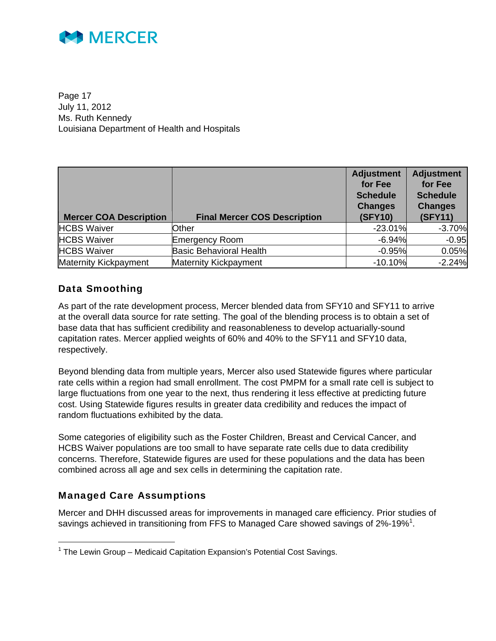

Page 17 July 11, 2012 Ms. Ruth Kennedy Louisiana Department of Health and Hospitals

| <b>Mercer COA Description</b> | <b>Final Mercer COS Description</b> | <b>Adjustment</b><br>for Fee<br><b>Schedule</b><br><b>Changes</b><br><b>(SFY10)</b> | <b>Adjustment</b><br>for Fee<br><b>Schedule</b><br><b>Changes</b><br>(SFY11) |
|-------------------------------|-------------------------------------|-------------------------------------------------------------------------------------|------------------------------------------------------------------------------|
| <b>HCBS Waiver</b>            | Other                               | $-23.01%$                                                                           | $-3.70%$                                                                     |
| <b>HCBS Waiver</b>            | <b>Emergency Room</b>               | $-6.94%$                                                                            | $-0.95$                                                                      |
| <b>HCBS Waiver</b>            | <b>Basic Behavioral Health</b>      | $-0.95%$                                                                            | 0.05%                                                                        |
| <b>Maternity Kickpayment</b>  | <b>Maternity Kickpayment</b>        | $-10.10%$                                                                           | $-2.24%$                                                                     |

### Data Smoothing

As part of the rate development process, Mercer blended data from SFY10 and SFY11 to arrive at the overall data source for rate setting. The goal of the blending process is to obtain a set of base data that has sufficient credibility and reasonableness to develop actuarially-sound capitation rates. Mercer applied weights of 60% and 40% to the SFY11 and SFY10 data, respectively.

Beyond blending data from multiple years, Mercer also used Statewide figures where particular rate cells within a region had small enrollment. The cost PMPM for a small rate cell is subject to large fluctuations from one year to the next, thus rendering it less effective at predicting future cost. Using Statewide figures results in greater data credibility and reduces the impact of random fluctuations exhibited by the data.

Some categories of eligibility such as the Foster Children, Breast and Cervical Cancer, and HCBS Waiver populations are too small to have separate rate cells due to data credibility concerns. Therefore, Statewide figures are used for these populations and the data has been combined across all age and sex cells in determining the capitation rate.

### Managed Care Assumptions

Mercer and DHH discussed areas for improvements in managed care efficiency. Prior studies of savings achieved in transitioning from FFS to Managed Care showed savings of 2%-19%<sup>1</sup>.

<sup>&</sup>lt;sup>1</sup> The Lewin Group – Medicaid Capitation Expansion's Potential Cost Savings.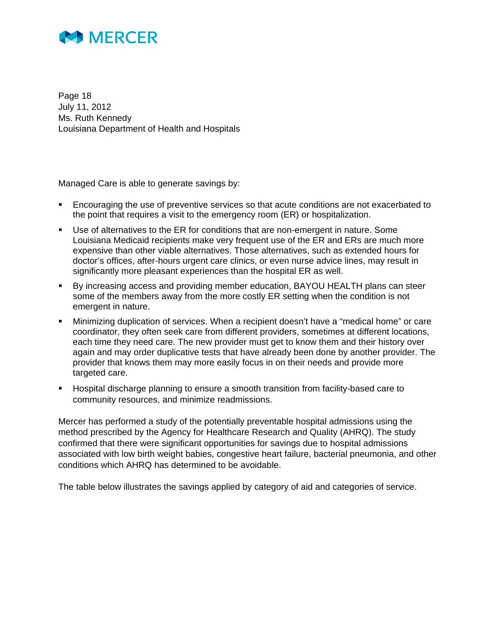

Page 18 July 11, 2012 Ms. Ruth Kennedy Louisiana Department of Health and Hospitals

Managed Care is able to generate savings by:

- Encouraging the use of preventive services so that acute conditions are not exacerbated to the point that requires a visit to the emergency room (ER) or hospitalization.
- Use of alternatives to the ER for conditions that are non-emergent in nature. Some Louisiana Medicaid recipients make very frequent use of the ER and ERs are much more expensive than other viable alternatives. Those alternatives, such as extended hours for doctor's offices, after-hours urgent care clinics, or even nurse advice lines, may result in significantly more pleasant experiences than the hospital ER as well.
- By increasing access and providing member education, BAYOU HEALTH plans can steer some of the members away from the more costly ER setting when the condition is not emergent in nature.
- Minimizing duplication of services. When a recipient doesn't have a "medical home" or care coordinator, they often seek care from different providers, sometimes at different locations, each time they need care. The new provider must get to know them and their history over again and may order duplicative tests that have already been done by another provider. The provider that knows them may more easily focus in on their needs and provide more targeted care.
- Hospital discharge planning to ensure a smooth transition from facility-based care to community resources, and minimize readmissions.

Mercer has performed a study of the potentially preventable hospital admissions using the method prescribed by the Agency for Healthcare Research and Quality (AHRQ). The study confirmed that there were significant opportunities for savings due to hospital admissions associated with low birth weight babies, congestive heart failure, bacterial pneumonia, and other conditions which AHRQ has determined to be avoidable.

The table below illustrates the savings applied by category of aid and categories of service.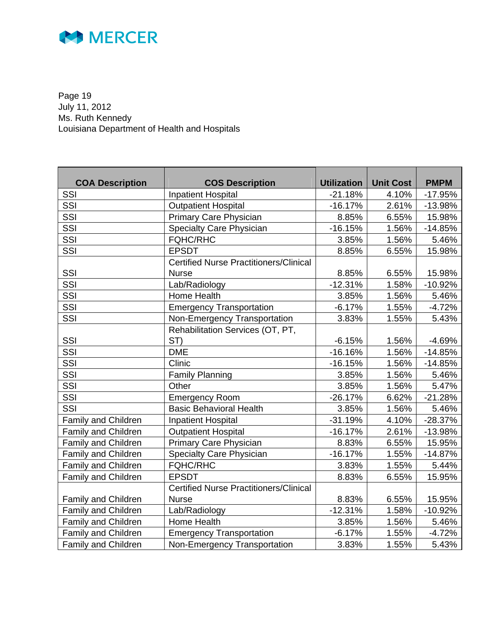

Page 19 July 11, 2012 Ms. Ruth Kennedy Louisiana Department of Health and Hospitals

| <b>COA Description</b> | <b>COS Description</b>                        | <b>Utilization</b> | <b>Unit Cost</b> | <b>PMPM</b> |
|------------------------|-----------------------------------------------|--------------------|------------------|-------------|
| SSI                    | <b>Inpatient Hospital</b>                     | $-21.18%$          | 4.10%            | $-17.95%$   |
| SSI                    | <b>Outpatient Hospital</b>                    | $-16.17%$          | 2.61%            | $-13.98%$   |
| SSI                    | Primary Care Physician                        | 8.85%              | 6.55%            | 15.98%      |
| SSI                    | Specialty Care Physician                      | $-16.15%$          | 1.56%            | $-14.85%$   |
| SSI                    | <b>FQHC/RHC</b>                               | 3.85%              | 1.56%            | 5.46%       |
| SSI                    | <b>EPSDT</b>                                  | 8.85%              | 6.55%            | 15.98%      |
|                        | <b>Certified Nurse Practitioners/Clinical</b> |                    |                  |             |
| SSI                    | <b>Nurse</b>                                  | 8.85%              | 6.55%            | 15.98%      |
| SSI                    | Lab/Radiology                                 | $-12.31%$          | 1.58%            | $-10.92%$   |
| SSI                    | Home Health                                   | 3.85%              | 1.56%            | 5.46%       |
| SSI                    | <b>Emergency Transportation</b>               | $-6.17%$           | 1.55%            | $-4.72%$    |
| SSI                    | Non-Emergency Transportation                  | 3.83%              | 1.55%            | 5.43%       |
|                        | Rehabilitation Services (OT, PT,              |                    |                  |             |
| SSI                    | ST)                                           | $-6.15%$           | 1.56%            | $-4.69%$    |
| SSI                    | <b>DME</b>                                    | $-16.16%$          | 1.56%            | $-14.85%$   |
| SSI                    | Clinic                                        | $-16.15%$          | 1.56%            | $-14.85%$   |
| SSI                    | <b>Family Planning</b>                        | 3.85%              | 1.56%            | 5.46%       |
| SSI                    | Other                                         | 3.85%              | 1.56%            | 5.47%       |
| SSI                    | <b>Emergency Room</b>                         | $-26.17%$          | 6.62%            | $-21.28%$   |
| <b>SSI</b>             | <b>Basic Behavioral Health</b>                | 3.85%              | 1.56%            | 5.46%       |
| Family and Children    | <b>Inpatient Hospital</b>                     | $-31.19%$          | 4.10%            | $-28.37%$   |
| Family and Children    | <b>Outpatient Hospital</b>                    | $-16.17%$          | 2.61%            | $-13.98%$   |
| Family and Children    | Primary Care Physician                        | 8.83%              | 6.55%            | 15.95%      |
| Family and Children    | Specialty Care Physician                      | $-16.17%$          | 1.55%            | $-14.87%$   |
| Family and Children    | <b>FQHC/RHC</b>                               | 3.83%              | 1.55%            | 5.44%       |
| Family and Children    | <b>EPSDT</b>                                  | 8.83%              | 6.55%            | 15.95%      |
|                        | <b>Certified Nurse Practitioners/Clinical</b> |                    |                  |             |
| Family and Children    | <b>Nurse</b>                                  | 8.83%              | 6.55%            | 15.95%      |
| Family and Children    | Lab/Radiology                                 | $-12.31%$          | 1.58%            | $-10.92%$   |
| Family and Children    | Home Health                                   | 3.85%              | 1.56%            | 5.46%       |
| Family and Children    | <b>Emergency Transportation</b>               | $-6.17%$           | 1.55%            | $-4.72%$    |
| Family and Children    | Non-Emergency Transportation                  | 3.83%              | 1.55%            | 5.43%       |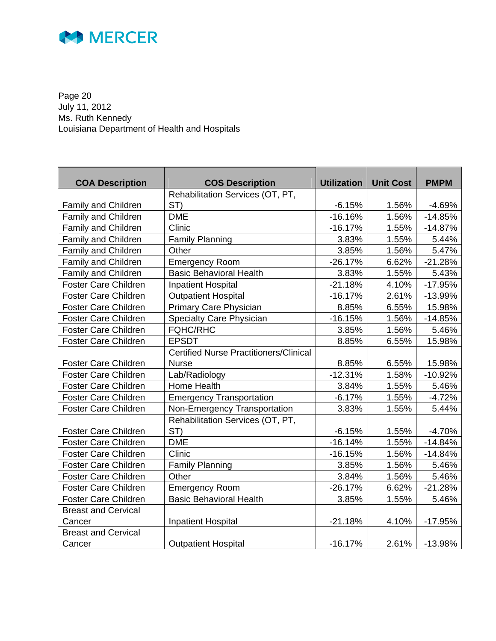

Page 20 July 11, 2012 Ms. Ruth Kennedy Louisiana Department of Health and Hospitals

| <b>COA Description</b>      | <b>COS Description</b>                        | <b>Utilization</b> | <b>Unit Cost</b> | <b>PMPM</b> |
|-----------------------------|-----------------------------------------------|--------------------|------------------|-------------|
|                             | Rehabilitation Services (OT, PT,              |                    |                  |             |
| Family and Children         | ST)                                           | $-6.15%$           | 1.56%            | $-4.69%$    |
| Family and Children         | <b>DME</b>                                    | $-16.16%$          | 1.56%            | $-14.85%$   |
| Family and Children         | Clinic                                        | $-16.17%$          | 1.55%            | $-14.87%$   |
| Family and Children         | <b>Family Planning</b>                        | 3.83%              | 1.55%            | 5.44%       |
| Family and Children         | Other                                         | 3.85%              | 1.56%            | 5.47%       |
| Family and Children         | <b>Emergency Room</b>                         | $-26.17%$          | 6.62%            | $-21.28%$   |
| Family and Children         | <b>Basic Behavioral Health</b>                | 3.83%              | 1.55%            | 5.43%       |
| <b>Foster Care Children</b> | <b>Inpatient Hospital</b>                     | $-21.18%$          | 4.10%            | $-17.95%$   |
| <b>Foster Care Children</b> | <b>Outpatient Hospital</b>                    | $-16.17%$          | 2.61%            | $-13.99%$   |
| <b>Foster Care Children</b> | Primary Care Physician                        | 8.85%              | 6.55%            | 15.98%      |
| <b>Foster Care Children</b> | Specialty Care Physician                      | $-16.15%$          | 1.56%            | $-14.85%$   |
| <b>Foster Care Children</b> | <b>FQHC/RHC</b>                               | 3.85%              | 1.56%            | 5.46%       |
| <b>Foster Care Children</b> | <b>EPSDT</b>                                  | 8.85%              | 6.55%            | 15.98%      |
|                             | <b>Certified Nurse Practitioners/Clinical</b> |                    |                  |             |
| <b>Foster Care Children</b> | <b>Nurse</b>                                  | 8.85%              | 6.55%            | 15.98%      |
| <b>Foster Care Children</b> | Lab/Radiology                                 | $-12.31%$          | 1.58%            | $-10.92%$   |
| <b>Foster Care Children</b> | Home Health                                   | 3.84%              | 1.55%            | 5.46%       |
| <b>Foster Care Children</b> | <b>Emergency Transportation</b>               | $-6.17%$           | 1.55%            | $-4.72%$    |
| <b>Foster Care Children</b> | Non-Emergency Transportation                  | 3.83%              | 1.55%            | 5.44%       |
|                             | Rehabilitation Services (OT, PT,              |                    |                  |             |
| <b>Foster Care Children</b> | ST)                                           | $-6.15%$           | 1.55%            | $-4.70%$    |
| <b>Foster Care Children</b> | <b>DME</b>                                    | $-16.14%$          | 1.55%            | $-14.84%$   |
| Foster Care Children        | Clinic                                        | $-16.15%$          | 1.56%            | $-14.84%$   |
| <b>Foster Care Children</b> | <b>Family Planning</b>                        | 3.85%              | 1.56%            | 5.46%       |
| <b>Foster Care Children</b> | Other                                         | 3.84%              | 1.56%            | 5.46%       |
| <b>Foster Care Children</b> | <b>Emergency Room</b>                         | $-26.17%$          | 6.62%            | $-21.28%$   |
| <b>Foster Care Children</b> | <b>Basic Behavioral Health</b>                | 3.85%              | 1.55%            | 5.46%       |
| <b>Breast and Cervical</b>  |                                               |                    |                  |             |
| Cancer                      | <b>Inpatient Hospital</b>                     | $-21.18%$          | 4.10%            | $-17.95%$   |
| <b>Breast and Cervical</b>  |                                               |                    |                  |             |
| Cancer                      | <b>Outpatient Hospital</b>                    | $-16.17%$          | 2.61%            | $-13.98%$   |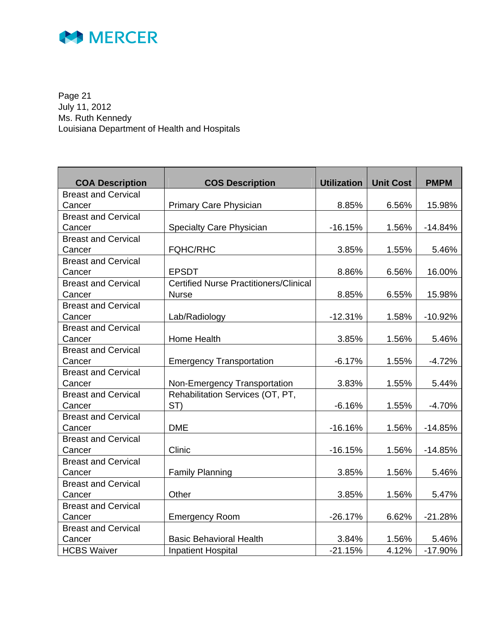

Page 21 July 11, 2012 Ms. Ruth Kennedy Louisiana Department of Health and Hospitals

| <b>COA Description</b>     | <b>COS Description</b>                        | <b>Utilization</b> | <b>Unit Cost</b> | <b>PMPM</b> |
|----------------------------|-----------------------------------------------|--------------------|------------------|-------------|
| <b>Breast and Cervical</b> |                                               |                    |                  |             |
| Cancer                     | Primary Care Physician                        | 8.85%              | 6.56%            | 15.98%      |
| <b>Breast and Cervical</b> |                                               |                    |                  |             |
| Cancer                     | <b>Specialty Care Physician</b>               | $-16.15%$          | 1.56%            | $-14.84%$   |
| <b>Breast and Cervical</b> |                                               |                    |                  |             |
| Cancer                     | <b>FQHC/RHC</b>                               | 3.85%              | 1.55%            | 5.46%       |
| <b>Breast and Cervical</b> |                                               |                    |                  |             |
| Cancer                     | <b>EPSDT</b>                                  | 8.86%              | 6.56%            | 16.00%      |
| <b>Breast and Cervical</b> | <b>Certified Nurse Practitioners/Clinical</b> |                    |                  |             |
| Cancer                     | <b>Nurse</b>                                  | 8.85%              | 6.55%            | 15.98%      |
| <b>Breast and Cervical</b> |                                               |                    |                  |             |
| Cancer                     | Lab/Radiology                                 | $-12.31%$          | 1.58%            | $-10.92%$   |
| <b>Breast and Cervical</b> |                                               |                    |                  |             |
| Cancer                     | Home Health                                   | 3.85%              | 1.56%            | 5.46%       |
| <b>Breast and Cervical</b> |                                               |                    |                  |             |
| Cancer                     | <b>Emergency Transportation</b>               | $-6.17%$           | 1.55%            | $-4.72%$    |
| <b>Breast and Cervical</b> |                                               |                    |                  |             |
| Cancer                     | Non-Emergency Transportation                  | 3.83%              | 1.55%            | 5.44%       |
| <b>Breast and Cervical</b> | Rehabilitation Services (OT, PT,              |                    |                  |             |
| Cancer                     | ST)                                           | $-6.16%$           | 1.55%            | $-4.70%$    |
| <b>Breast and Cervical</b> |                                               |                    |                  |             |
| Cancer                     | <b>DME</b>                                    | $-16.16%$          | 1.56%            | $-14.85%$   |
| <b>Breast and Cervical</b> |                                               |                    |                  |             |
| Cancer                     | Clinic                                        | $-16.15%$          | 1.56%            | $-14.85%$   |
| <b>Breast and Cervical</b> |                                               |                    |                  |             |
| Cancer                     | <b>Family Planning</b>                        | 3.85%              | 1.56%            | 5.46%       |
| <b>Breast and Cervical</b> |                                               |                    |                  |             |
| Cancer                     | Other                                         | 3.85%              | 1.56%            | 5.47%       |
| <b>Breast and Cervical</b> |                                               |                    |                  |             |
| Cancer                     | <b>Emergency Room</b>                         | $-26.17%$          | 6.62%            | $-21.28%$   |
| <b>Breast and Cervical</b> |                                               |                    |                  |             |
| Cancer                     | <b>Basic Behavioral Health</b>                | 3.84%              | 1.56%            | 5.46%       |
| <b>HCBS Waiver</b>         | <b>Inpatient Hospital</b>                     | $-21.15%$          | 4.12%            | $-17.90%$   |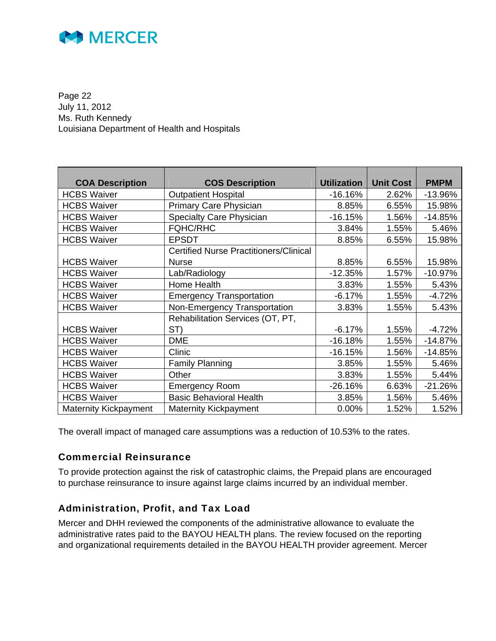

Page 22 July 11, 2012 Ms. Ruth Kennedy Louisiana Department of Health and Hospitals

| <b>COA Description</b>       | <b>COS Description</b>                        | <b>Utilization</b> | <b>Unit Cost</b> | <b>PMPM</b> |
|------------------------------|-----------------------------------------------|--------------------|------------------|-------------|
| <b>HCBS Waiver</b>           | <b>Outpatient Hospital</b>                    | $-16.16%$          | 2.62%            | $-13.96%$   |
| <b>HCBS Waiver</b>           | Primary Care Physician                        | 8.85%              | 6.55%            | 15.98%      |
| <b>HCBS Waiver</b>           | <b>Specialty Care Physician</b>               | $-16.15%$          | 1.56%            | $-14.85%$   |
| <b>HCBS Waiver</b>           | <b>FQHC/RHC</b>                               | 3.84%              | 1.55%            | 5.46%       |
| <b>HCBS Waiver</b>           | <b>EPSDT</b>                                  | 8.85%              | 6.55%            | 15.98%      |
|                              | <b>Certified Nurse Practitioners/Clinical</b> |                    |                  |             |
| <b>HCBS Waiver</b>           | <b>Nurse</b>                                  | 8.85%              | 6.55%            | 15.98%      |
| <b>HCBS Waiver</b>           | Lab/Radiology                                 | $-12.35%$          | 1.57%            | $-10.97%$   |
| <b>HCBS Waiver</b>           | Home Health                                   | 3.83%              | 1.55%            | 5.43%       |
| <b>HCBS Waiver</b>           | <b>Emergency Transportation</b>               | $-6.17%$           | 1.55%            | $-4.72%$    |
| <b>HCBS Waiver</b>           | Non-Emergency Transportation                  | 3.83%              | 1.55%            | 5.43%       |
|                              | Rehabilitation Services (OT, PT,              |                    |                  |             |
| <b>HCBS Waiver</b>           | ST)                                           | $-6.17%$           | 1.55%            | $-4.72%$    |
| <b>HCBS Waiver</b>           | <b>DME</b>                                    | $-16.18%$          | 1.55%            | $-14.87%$   |
| <b>HCBS Waiver</b>           | Clinic                                        | $-16.15%$          | 1.56%            | $-14.85%$   |
| <b>HCBS Waiver</b>           | <b>Family Planning</b>                        | 3.85%              | 1.55%            | 5.46%       |
| <b>HCBS Waiver</b>           | Other                                         | 3.83%              | 1.55%            | 5.44%       |
| <b>HCBS Waiver</b>           | <b>Emergency Room</b>                         | $-26.16%$          | 6.63%            | $-21.26%$   |
| <b>HCBS Waiver</b>           | <b>Basic Behavioral Health</b>                | 3.85%              | 1.56%            | 5.46%       |
| <b>Maternity Kickpayment</b> | <b>Maternity Kickpayment</b>                  | 0.00%              | 1.52%            | 1.52%       |

The overall impact of managed care assumptions was a reduction of 10.53% to the rates.

### Commercial Reinsurance

To provide protection against the risk of catastrophic claims, the Prepaid plans are encouraged to purchase reinsurance to insure against large claims incurred by an individual member.

### Administration, Profit, and Tax Load

Mercer and DHH reviewed the components of the administrative allowance to evaluate the administrative rates paid to the BAYOU HEALTH plans. The review focused on the reporting and organizational requirements detailed in the BAYOU HEALTH provider agreement. Mercer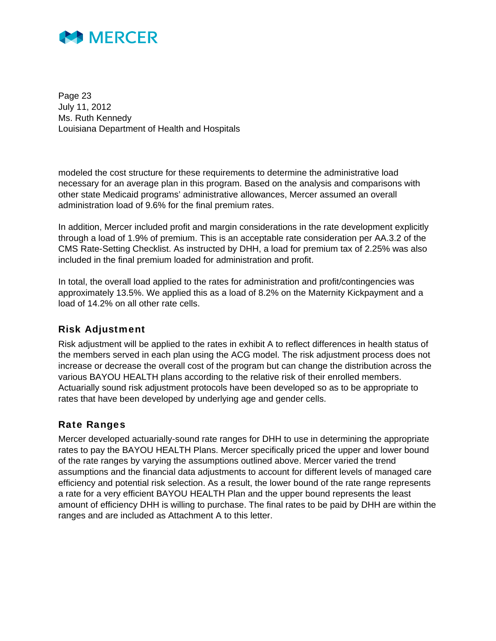

Page 23 July 11, 2012 Ms. Ruth Kennedy Louisiana Department of Health and Hospitals

modeled the cost structure for these requirements to determine the administrative load necessary for an average plan in this program. Based on the analysis and comparisons with other state Medicaid programs' administrative allowances, Mercer assumed an overall administration load of 9.6% for the final premium rates.

In addition, Mercer included profit and margin considerations in the rate development explicitly through a load of 1.9% of premium. This is an acceptable rate consideration per AA.3.2 of the CMS Rate-Setting Checklist. As instructed by DHH, a load for premium tax of 2.25% was also included in the final premium loaded for administration and profit.

In total, the overall load applied to the rates for administration and profit/contingencies was approximately 13.5%. We applied this as a load of 8.2% on the Maternity Kickpayment and a load of 14.2% on all other rate cells.

### Risk Adjustment

Risk adjustment will be applied to the rates in exhibit A to reflect differences in health status of the members served in each plan using the ACG model. The risk adjustment process does not increase or decrease the overall cost of the program but can change the distribution across the various BAYOU HEALTH plans according to the relative risk of their enrolled members. Actuarially sound risk adjustment protocols have been developed so as to be appropriate to rates that have been developed by underlying age and gender cells.

### Rate Ranges

Mercer developed actuarially-sound rate ranges for DHH to use in determining the appropriate rates to pay the BAYOU HEALTH Plans. Mercer specifically priced the upper and lower bound of the rate ranges by varying the assumptions outlined above. Mercer varied the trend assumptions and the financial data adjustments to account for different levels of managed care efficiency and potential risk selection. As a result, the lower bound of the rate range represents a rate for a very efficient BAYOU HEALTH Plan and the upper bound represents the least amount of efficiency DHH is willing to purchase. The final rates to be paid by DHH are within the ranges and are included as Attachment A to this letter.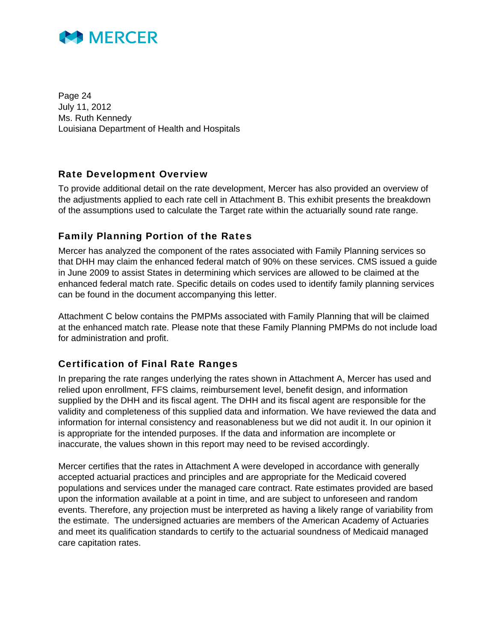

Page 24 July 11, 2012 Ms. Ruth Kennedy Louisiana Department of Health and Hospitals

### Rate Development Overview

To provide additional detail on the rate development, Mercer has also provided an overview of the adjustments applied to each rate cell in Attachment B. This exhibit presents the breakdown of the assumptions used to calculate the Target rate within the actuarially sound rate range.

### Family Planning Portion of the Rates

Mercer has analyzed the component of the rates associated with Family Planning services so that DHH may claim the enhanced federal match of 90% on these services. CMS issued a guide in June 2009 to assist States in determining which services are allowed to be claimed at the enhanced federal match rate. Specific details on codes used to identify family planning services can be found in the document accompanying this letter.

Attachment C below contains the PMPMs associated with Family Planning that will be claimed at the enhanced match rate. Please note that these Family Planning PMPMs do not include load for administration and profit.

### Certification of Final Rate Ranges

In preparing the rate ranges underlying the rates shown in Attachment A, Mercer has used and relied upon enrollment, FFS claims, reimbursement level, benefit design, and information supplied by the DHH and its fiscal agent. The DHH and its fiscal agent are responsible for the validity and completeness of this supplied data and information. We have reviewed the data and information for internal consistency and reasonableness but we did not audit it. In our opinion it is appropriate for the intended purposes. If the data and information are incomplete or inaccurate, the values shown in this report may need to be revised accordingly.

Mercer certifies that the rates in Attachment A were developed in accordance with generally accepted actuarial practices and principles and are appropriate for the Medicaid covered populations and services under the managed care contract. Rate estimates provided are based upon the information available at a point in time, and are subject to unforeseen and random events. Therefore, any projection must be interpreted as having a likely range of variability from the estimate. The undersigned actuaries are members of the American Academy of Actuaries and meet its qualification standards to certify to the actuarial soundness of Medicaid managed care capitation rates.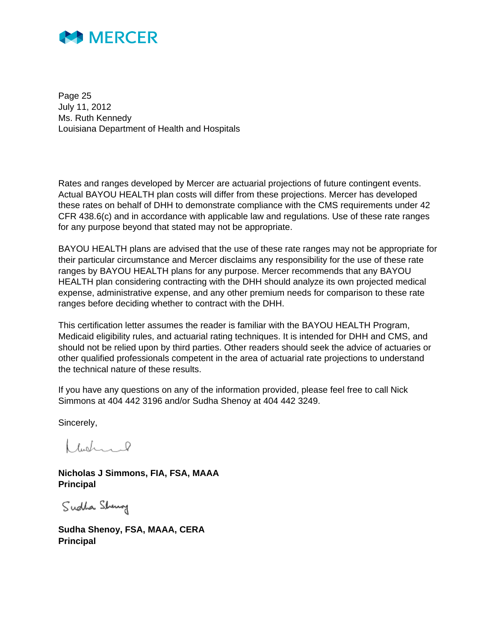

Page 25 July 11, 2012 Ms. Ruth Kennedy Louisiana Department of Health and Hospitals

Rates and ranges developed by Mercer are actuarial projections of future contingent events. Actual BAYOU HEALTH plan costs will differ from these projections. Mercer has developed these rates on behalf of DHH to demonstrate compliance with the CMS requirements under 42 CFR 438.6(c) and in accordance with applicable law and regulations. Use of these rate ranges for any purpose beyond that stated may not be appropriate.

BAYOU HEALTH plans are advised that the use of these rate ranges may not be appropriate for their particular circumstance and Mercer disclaims any responsibility for the use of these rate ranges by BAYOU HEALTH plans for any purpose. Mercer recommends that any BAYOU HEALTH plan considering contracting with the DHH should analyze its own projected medical expense, administrative expense, and any other premium needs for comparison to these rate ranges before deciding whether to contract with the DHH.

This certification letter assumes the reader is familiar with the BAYOU HEALTH Program, Medicaid eligibility rules, and actuarial rating techniques. It is intended for DHH and CMS, and should not be relied upon by third parties. Other readers should seek the advice of actuaries or other qualified professionals competent in the area of actuarial rate projections to understand the technical nature of these results.

If you have any questions on any of the information provided, please feel free to call Nick Simmons at 404 442 3196 and/or Sudha Shenoy at 404 442 3249.

Sincerely,

 $lubc<sub>1</sub>$ 

**Nicholas J Simmons, FIA, FSA, MAAA Principal**

Sudha Sheng

**Sudha Shenoy, FSA, MAAA, CERA Principal**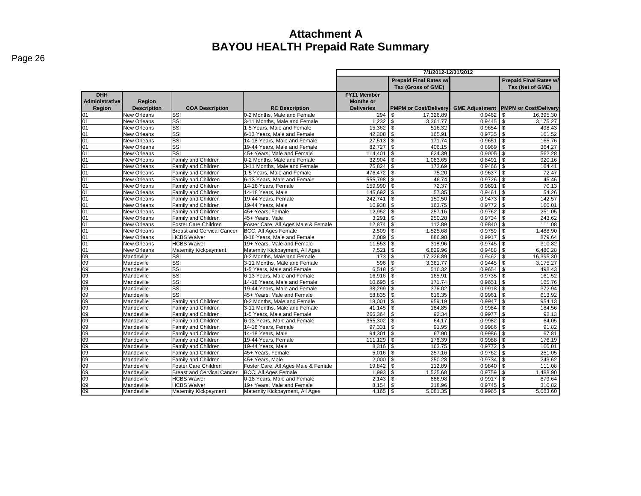|                       |                    |                                   |                                     | 7/1/2012-12/31/2012 |                                                     |                       |                              |  |  |  |  |
|-----------------------|--------------------|-----------------------------------|-------------------------------------|---------------------|-----------------------------------------------------|-----------------------|------------------------------|--|--|--|--|
|                       |                    |                                   |                                     |                     | <b>Prepaid Final Rates w/</b>                       |                       |                              |  |  |  |  |
|                       |                    |                                   |                                     |                     | <b>Prepaid Final Rates w/</b><br>Tax (Gross of GME) |                       | Tax (Net of GME)             |  |  |  |  |
| <b>DHH</b>            |                    |                                   |                                     | <b>FY11 Member</b>  |                                                     |                       |                              |  |  |  |  |
| <b>Administrative</b> | Region             |                                   |                                     | <b>Months or</b>    |                                                     |                       |                              |  |  |  |  |
| Region                | <b>Description</b> | <b>COA Description</b>            | <b>RC Description</b>               | <b>Deliveries</b>   | <b>PMPM or Cost/Delivery</b>                        | <b>GME Adjustment</b> | <b>PMPM or Cost/Delivery</b> |  |  |  |  |
| 01                    | <b>New Orleans</b> | SSI                               | 0-2 Months, Male and Female         | 294                 | 17.326.89<br>\$                                     | 0.9462                | 16,395.30<br>\$              |  |  |  |  |
| 01                    | New Orleans        | SSI                               | 3-11 Months. Male and Female        | 1.232               | \$<br>3,361.77                                      | 0.9445                | \$<br>3,175.27               |  |  |  |  |
| 01                    | <b>New Orleans</b> | SSI                               | 1-5 Years. Male and Female          | 15.362              | \$<br>516.32                                        | 0.9654                | \$<br>498.43                 |  |  |  |  |
| 01                    | New Orleans        | SSI                               | 6-13 Years, Male and Female         | 42,308              | <b>\$</b><br>165.91                                 | 0.9735                | \$<br>161.52                 |  |  |  |  |
| 01                    | <b>New Orleans</b> | SSI                               | 14-18 Years, Male and Female        | 27,513              | $\sqrt{3}$<br>171.74                                | 0.9651                | \$<br>165.76                 |  |  |  |  |
| 01                    | New Orleans        | SSI                               | 19-44 Years, Male and Female        | 82.727              | l \$<br>406.15                                      | $0.8969$ \$           | 364.27                       |  |  |  |  |
| 01                    | New Orleans        | SSI                               | 45+ Years. Male and Female          | 114.401             | $\sqrt{3}$<br>624.39                                | $0.9005$ \$           | 562.28                       |  |  |  |  |
| 01                    | <b>New Orleans</b> | Family and Children               | 0-2 Months, Male and Female         | $32,904$ \$         | 1,083.65                                            | $0.8491$ \$           | 920.16                       |  |  |  |  |
| 01                    | New Orleans        | Family and Children               | 3-11 Months. Male and Female        | 75.824              | l \$<br>173.69                                      | $0.9466$ \$           | 164.41                       |  |  |  |  |
| 01                    | New Orleans        | Family and Children               | 1-5 Years, Male and Female          | 476,472             | <b>  \$</b><br>75.20                                | 0.9637                | \$<br>72.47                  |  |  |  |  |
| 01                    | <b>New Orleans</b> | <b>Family and Children</b>        | 6-13 Years, Male and Female         | 555.798             | \$<br>46.74                                         | 0.9726                | \$<br>45.46                  |  |  |  |  |
| 01                    | New Orleans        | <b>Family and Children</b>        | 14-18 Years, Female                 | 159,990             | \$<br>72.37                                         | 0.9691                | \$<br>70.13                  |  |  |  |  |
| 01                    | <b>New Orleans</b> | Family and Children               | 14-18 Years, Male                   | 145,692             | \$<br>57.35                                         | 0.9461                | \$<br>54.26                  |  |  |  |  |
| 01                    | <b>New Orleans</b> | <b>Family and Children</b>        | 19-44 Years, Female                 | 242.741             | \$<br>150.50                                        | 0.9473                | \$<br>142.57                 |  |  |  |  |
| 01                    | New Orleans        | <b>Family and Children</b>        | 19-44 Years, Male                   | 10,938              | $\sqrt{3}$<br>163.75                                |                       | 160.01                       |  |  |  |  |
| 01                    | New Orleans        | <b>Family and Children</b>        | 45+ Years, Female                   | 12,952              | <b>S</b><br>257.16                                  | $0.9762$ \$           | 251.05                       |  |  |  |  |
| 01                    | New Orleans        | <b>Family and Children</b>        | 45+ Years, Male                     | 3.291               | l \$<br>250.28                                      | 0.9734                | \$<br>243.62                 |  |  |  |  |
| 01                    | <b>New Orleans</b> | Foster Care Children              | Foster Care, All Ages Male & Female | 12,874              | $\sqrt{3}$<br>112.89                                | $0.9840$ \$           | 111.08                       |  |  |  |  |
| 01                    | <b>New Orleans</b> | <b>Breast and Cervical Cancer</b> | <b>BCC, All Ages Female</b>         | 2,509               | <b>S</b><br>1,525.68                                | $0.9759$ \$           | 1,488.90                     |  |  |  |  |
| 01                    | <b>New Orleans</b> | <b>HCBS Waiver</b>                | 0-18 Years, Male and Female         | 2.089               | 886.98<br>\$                                        | 0.9917                | $\mathbf{s}$<br>879.64       |  |  |  |  |
| 01                    | <b>New Orleans</b> | <b>HCBS Waiver</b>                | 19+ Years, Male and Female          | 11,553              | <b>S</b><br>318.96                                  | 0.9745                | \$<br>310.82                 |  |  |  |  |
| 01                    | <b>New Orleans</b> | Maternity Kickpayment             | Maternity Kickpayment, All Ages     | 7,521               | \$<br>6.829.96                                      | 0.9488                | \$<br>6.480.28               |  |  |  |  |
| 09                    | Mandeville         | SSI                               | 0-2 Months, Male and Female         | 173                 | <b>\$</b><br>17,326.89                              | 0.9462                | \$<br>16,395.30              |  |  |  |  |
| 60                    | Mandeville         | SSI                               | 3-11 Months, Male and Female        | 596                 | <b>S</b><br>3,361.77                                | $0.9445$ \$           | 3,175.27                     |  |  |  |  |
| 09                    | Mandeville         | SSI                               | 1-5 Years, Male and Female          | $6,518$ \$          | 516.32                                              | $0.9654$ \$           | 498.43                       |  |  |  |  |
| 09                    | Mandeville         | SSI                               | 6-13 Years. Male and Female         | $16.916$ \$         | 165.91                                              | $0.9735$ \$           | 161.52                       |  |  |  |  |
| 09                    | Mandeville         | SSI                               | 14-18 Years. Male and Female        | $10,695$ \$         | 171.74                                              | 0.9651                | \$<br>165.76                 |  |  |  |  |
| 09                    | Mandeville         | SSI                               | 19-44 Years, Male and Female        | 38.299              | 376.02<br>l \$                                      | 0.9918                | \$<br>372.94                 |  |  |  |  |
| 09                    | Mandeville         | SSI                               | 45+ Years, Male and Female          | 58,835              | <b>  \$</b><br>616.35                               | 0.9961                | \$<br>613.92                 |  |  |  |  |
| 09                    | Mandeville         | Family and Children               | 0-2 Months. Male and Female         | 18.001              | \$<br>959.19                                        | 0.9947                | \$<br>954.13                 |  |  |  |  |
| 09                    | Mandeville         | Family and Children               | 3-11 Months, Male and Female        | 41.145              | <b>S</b><br>184.85                                  | 0.9984                | \$<br>184.56                 |  |  |  |  |
| 09                    | Mandeville         | <b>Family and Children</b>        | 1-5 Years. Male and Female          | 266,364             | \$<br>92.34                                         | 0.9977                | \$<br>92.13                  |  |  |  |  |
| 60                    | Mandeville         | <b>Family and Children</b>        | 6-13 Years. Male and Female         | 355,302             | <b>S</b><br>64.17                                   | 0.9982                | \$<br>64.05                  |  |  |  |  |
| 09                    | Mandeville         | <b>Family and Children</b>        | 14-18 Years, Female                 | 97,331              | l \$<br>91.95                                       | 0.9986                | \$<br>91.82                  |  |  |  |  |
| 09                    | Mandeville         | <b>Family and Children</b>        | 14-18 Years, Male                   | 94.301              | \$<br>67.90                                         | 0.9986                | \$<br>67.81                  |  |  |  |  |
| 09                    | Mandeville         | <b>Family and Children</b>        | 19-44 Years, Female                 | $111,129$ \ \$      | 176.39                                              | 0.9988                | \$<br>176.19                 |  |  |  |  |
| 09                    | Mandeville         | Family and Children               | 19-44 Years, Male                   | 8,316               | $\overline{\mathcal{S}}$<br>163.75                  | 0.9772                | $\mathbf{s}$<br>160.01       |  |  |  |  |
| 60                    | Mandeville         | <b>Family and Children</b>        | 45+ Years, Female                   | 5,016               | l \$<br>257.16                                      | 0.9762                | \$<br>251.05                 |  |  |  |  |
| $\overline{09}$       | Mandeville         | <b>Family and Children</b>        | 45+ Years, Male                     | 2.000               | \$<br>250.28                                        | 0.9734                | \$<br>243.62                 |  |  |  |  |
| $\overline{09}$       | Mandeville         | Foster Care Children              | Foster Care, All Ages Male & Female | 19,842              | \$<br>112.89                                        | 0.9840                | \$<br>111.08                 |  |  |  |  |
| $\overline{09}$       | Mandeville         | <b>Breast and Cervical Cancer</b> | BCC, All Ages Female                | 1.993               | $\mathbf{s}$<br>1,525.68                            | $0.9759$ \$           | 1.488.90                     |  |  |  |  |
| 09                    | Mandeville         | <b>HCBS Waiver</b>                | 0-18 Years, Male and Female         | $2,143$ \$          | 886.98                                              | $0.9917$ \$           | 879.64                       |  |  |  |  |
| 60                    | Mandeville         | <b>HCBS</b> Waiver                | 19+ Years. Male and Female          | 8.154               | l \$<br>318.96                                      |                       | 310.82                       |  |  |  |  |
| 09                    | Mandeville         | Maternity Kickpayment             | Maternity Kickpayment, All Ages     | $4,165$ \$          | 5,081.35                                            | $0.9965$ \$           | 5,063.60                     |  |  |  |  |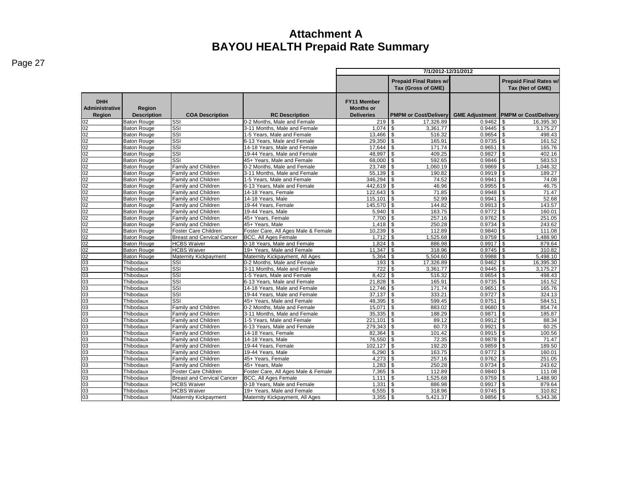|                                               |                              |                                   |                                     | 7/1/2012-12/31/2012                                         |                                                     |                 |                                                   |  |  |  |  |
|-----------------------------------------------|------------------------------|-----------------------------------|-------------------------------------|-------------------------------------------------------------|-----------------------------------------------------|-----------------|---------------------------------------------------|--|--|--|--|
|                                               |                              |                                   |                                     |                                                             | <b>Prepaid Final Rates w/</b><br>Tax (Gross of GME) |                 | <b>Prepaid Final Rates w/</b><br>Tax (Net of GME) |  |  |  |  |
| <b>DHH</b><br><b>Administrative</b><br>Region | Region<br><b>Description</b> | <b>COA Description</b>            | <b>RC Description</b>               | <b>FY11 Member</b><br><b>Months or</b><br><b>Deliveries</b> | <b>PMPM or Cost/Delivery</b>                        |                 | <b>GME Adjustment PMPM or Cost/Delivery</b>       |  |  |  |  |
| 02                                            | <b>Baton Rouge</b>           | SSI                               | 0-2 Months. Male and Female         | 219                                                         | 17.326.89<br>\$                                     | 0.9462          | 16,395.30<br>\$                                   |  |  |  |  |
| 02                                            | <b>Baton Rouge</b>           | SSI                               | 3-11 Months. Male and Female        | 1.074                                                       | \$<br>3,361.77                                      | 0.9445          | \$<br>3,175.27                                    |  |  |  |  |
| 02                                            | <b>Baton Rouge</b>           | SSI                               | 1-5 Years. Male and Female          | 13.466                                                      | \$<br>516.32                                        | $0.9654$ \$     | 498.43                                            |  |  |  |  |
| 02                                            | <b>Baton Rouge</b>           | SSI                               | 6-13 Years, Male and Female         | 29,350 \$                                                   | 165.91                                              | $0.9735$ \$     | 161.52                                            |  |  |  |  |
| 02                                            | <b>Baton Rouge</b>           | SSI                               | 14-18 Years, Male and Female        | 17.644                                                      | \$<br>171.74                                        | 0.9651          | \$<br>165.76                                      |  |  |  |  |
| 02                                            | <b>Baton Rouge</b>           | SSI                               | 19-44 Years, Male and Female        | 48.997                                                      | \$<br>409.25                                        | 0.9827          | \$<br>402.16                                      |  |  |  |  |
| 02                                            | <b>Baton Rouge</b>           | SSI                               | 45+ Years. Male and Female          | 68,000 \$                                                   | 592.65                                              | 0.9846          | \$<br>583.53                                      |  |  |  |  |
| 02                                            | <b>Baton Rouge</b>           | <b>Family and Children</b>        | 0-2 Months. Male and Female         | 23.748                                                      | \$<br>1.060.19                                      | 0.9869          | \$<br>1,046.32                                    |  |  |  |  |
| 02                                            | <b>Baton Rouge</b>           | Family and Children               | 3-11 Months, Male and Female        | 55,139                                                      | \$<br>190.82                                        | 0.9919          | \$<br>189.27                                      |  |  |  |  |
| 02                                            | <b>Baton Rouge</b>           | Family and Children               | 1-5 Years, Male and Female          | 346,294                                                     | \$<br>74.52                                         | 0.9941          | \$<br>74.08                                       |  |  |  |  |
| 02                                            | <b>Baton Rouge</b>           | Family and Children               | 6-13 Years. Male and Female         | 442,619 \$                                                  | 46.96                                               | 0.9955          | \$<br>46.75                                       |  |  |  |  |
| 02                                            | <b>Baton Rouge</b>           | Family and Children               | 14-18 Years, Female                 | 122,643                                                     | \$<br>71.85                                         | 0.9948          | $\mathsf{s}$<br>71.47                             |  |  |  |  |
| 02                                            | <b>Baton Rouge</b>           | Family and Children               | 14-18 Years, Male                   | $115,101$ \$                                                | 52.99                                               |                 | 52.68                                             |  |  |  |  |
| 02                                            | <b>Baton Rouge</b>           | Family and Children               | 19-44 Years, Female                 | 145,570                                                     | \$<br>144.82                                        | $0.9913$ \$     | 143.57                                            |  |  |  |  |
| 02                                            | <b>Baton Rouge</b>           | <b>Family and Children</b>        | 19-44 Years, Male                   | 5,940                                                       | \$<br>163.75                                        | $0.9772$ \$     | 160.01                                            |  |  |  |  |
| 02                                            | <b>Baton Rouge</b>           | Family and Children               | 45+ Years, Female                   | $7,700$ \$                                                  | 257.16                                              | $0.9762$ \$     | 251.05                                            |  |  |  |  |
| 02                                            | <b>Baton Rouge</b>           | Family and Children               | 45+ Years, Male                     | $1,418$ \$                                                  | 250.28                                              | $0.9734$ \$     | 243.62                                            |  |  |  |  |
| 02                                            | <b>Baton Rouge</b>           | Foster Care Children              | Foster Care, All Ages Male & Female | 10.239                                                      | \$<br>112.89                                        | $0.9840$ \$     | 111.08                                            |  |  |  |  |
| 02                                            | <b>Baton Rouge</b>           | <b>Breast and Cervical Cancer</b> | <b>BCC, All Ages Female</b>         | 1.712                                                       | $\overline{\mathbf{s}}$<br>1,525.68                 | $0.9759$ \$     | 1,488.90                                          |  |  |  |  |
| 02                                            | <b>Baton Rouge</b>           | <b>HCBS Waiver</b>                | 0-18 Years, Male and Female         | 1,824                                                       | \$<br>886.98                                        | 0.9917          | $\mathsf{s}$<br>879.64                            |  |  |  |  |
| 02                                            | <b>Baton Rouge</b>           | <b>HCBS Waiver</b>                | 19+ Years. Male and Female          | 11.347                                                      | \$<br>318.96                                        |                 | 310.82                                            |  |  |  |  |
| 02                                            | <b>Baton Rouge</b>           | Maternity Kickpayment             | Maternity Kickpayment, All Ages     | $5,364$ \$                                                  | 5,504.60                                            | $0.9988$ \ \ \$ | 5,498.10                                          |  |  |  |  |
| 03                                            | Thibodaux                    | SSI                               | 0-2 Months, Male and Female         | 193                                                         | \$<br>17,326.89                                     | $0.9462$ \$     | 16,395.30                                         |  |  |  |  |
| 03                                            | Thibodaux                    | SSI                               | 3-11 Months, Male and Female        | 722                                                         | \$<br>3,361.77                                      | $0.9445$ \$     | 3,175.27                                          |  |  |  |  |
| 03                                            | Thibodaux                    | SSI                               | 1-5 Years, Male and Female          | 8,422                                                       | \$<br>516.32                                        | $0.9654$ \$     | 498.43                                            |  |  |  |  |
| 03                                            | Thibodaux                    | SSI                               | 6-13 Years, Male and Female         | 21,828                                                      | \$<br>165.91                                        | $0.9735$ \$     | 161.52                                            |  |  |  |  |
| 03                                            | Thibodaux                    | SSI                               | 14-18 Years, Male and Female        | 12,746                                                      | \$<br>171.74                                        | 0.9651          | $\sqrt{3}$<br>165.76                              |  |  |  |  |
| 03                                            | Thibodaux                    | SSI                               | 19-44 Years, Male and Female        | 37,137                                                      | \$<br>333.21                                        | 0.9727          | $\mathsf{s}$<br>324.13                            |  |  |  |  |
| 03                                            | Thibodaux                    | SSI                               | 45+ Years, Male and Female          | 48,395 \$                                                   | 599.45                                              | 0.9751          | \$<br>584.51                                      |  |  |  |  |
| 03                                            | Thibodaux                    | Family and Children               | 0-2 Months, Male and Female         | $15,071$ \$                                                 | 883.02                                              | $0.9680$ \ \$   | 854.74                                            |  |  |  |  |
| 03                                            | Thibodaux                    | Family and Children               | 3-11 Months, Male and Female        | $35,335$ \$                                                 | 188.29                                              | $0.9871$ \$     | 185.87                                            |  |  |  |  |
| 03                                            | Thibodaux                    | Family and Children               | 1-5 Years, Male and Female          | $221,101$ \\$                                               | 89.12                                               | $0.9912$ \$     | 88.34                                             |  |  |  |  |
| 03                                            | Thibodaux                    | Family and Children               | 6-13 Years, Male and Female         | 279,343                                                     | \$<br>60.73                                         | 0.9921          | s,<br>60.25                                       |  |  |  |  |
| 03                                            | Thibodaux                    | Family and Children               | 14-18 Years, Female                 | 82,364                                                      | \$<br>101.42                                        | $0.9915$ \$     | 100.56                                            |  |  |  |  |
| 03                                            | Thibodaux                    | <b>Family and Children</b>        | 14-18 Years, Male                   | 76,550                                                      | \$<br>72.35                                         | $0.9878$ \ \ \$ | 71.47                                             |  |  |  |  |
| 03                                            | Thibodaux                    | <b>Family and Children</b>        | 19-44 Years, Female                 | 102.127                                                     | \$<br>192.20                                        | $0.9859$ \$     | 189.50                                            |  |  |  |  |
| 03                                            | Thibodaux                    | <b>Family and Children</b>        | 19-44 Years, Male                   | 6.290                                                       | \$<br>163.75                                        | 0.9772          | \$<br>160.01                                      |  |  |  |  |
| 03                                            | Thibodaux                    | Family and Children               | 45+ Years, Female                   | 4.273                                                       | \$<br>257.16                                        | 0.9762          | \$<br>251.05                                      |  |  |  |  |
| 03                                            | Thibodaux                    | Family and Children               | 45+ Years, Male                     | 1.283                                                       | \$<br>250.28                                        | $0.9734$ \$     | 243.62                                            |  |  |  |  |
| 03                                            | Thibodaux                    | Foster Care Children              | Foster Care, All Ages Male & Female |                                                             | 112.89                                              | $0.9840$ \$     | 111.08                                            |  |  |  |  |
| 03                                            | Thibodaux                    | <b>Breast and Cervical Cancer</b> | <b>BCC, All Ages Female</b>         | 1.111                                                       | \$<br>1,525.68                                      | $0.9759$ \$     | 1.488.90                                          |  |  |  |  |
| 03                                            | Thibodaux                    | <b>HCBS Waiver</b>                | 0-18 Years, Male and Female         | 1,331                                                       | \$<br>886.98                                        | $0.9917$ \$     | 879.64                                            |  |  |  |  |
| 03                                            | Thibodaux                    | <b>HCBS Waiver</b>                | 19+ Years. Male and Female          | 6,555                                                       | \$<br>318.96                                        | $0.9745$ \$     | 310.82                                            |  |  |  |  |
| 03                                            | Thibodaux                    | <b>Maternity Kickpayment</b>      | Maternity Kickpayment, All Ages     | 3,355                                                       | \$<br>5,421.37                                      | $0.9856$ \$     | 5,343.36                                          |  |  |  |  |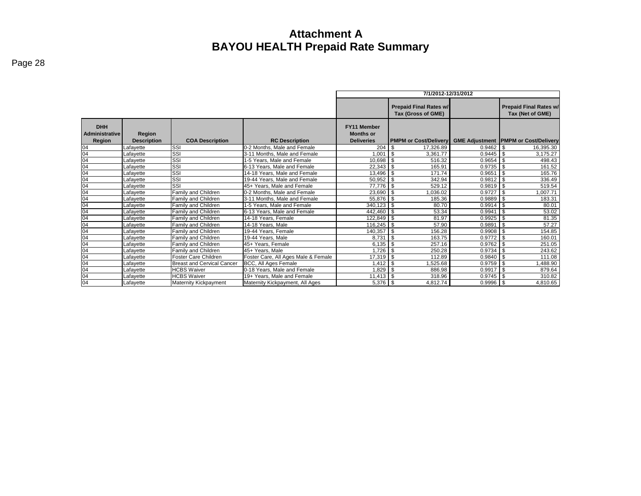|                                               |                              |                                   |                                     | 7/1/2012-12/31/2012                                         |                                                     |             |                                                   |  |  |  |  |  |  |
|-----------------------------------------------|------------------------------|-----------------------------------|-------------------------------------|-------------------------------------------------------------|-----------------------------------------------------|-------------|---------------------------------------------------|--|--|--|--|--|--|
|                                               |                              |                                   |                                     |                                                             | <b>Prepaid Final Rates w/</b><br>Tax (Gross of GME) |             | <b>Prepaid Final Rates w/</b><br>Tax (Net of GME) |  |  |  |  |  |  |
| <b>DHH</b><br><b>Administrative</b><br>Region | Region<br><b>Description</b> | <b>COA Description</b>            | <b>RC Description</b>               | <b>FY11 Member</b><br><b>Months or</b><br><b>Deliveries</b> | <b>PMPM or Cost/Delivery</b>                        |             | <b>GME Adjustment PMPM or Cost/Delivery</b>       |  |  |  |  |  |  |
| 04                                            | Lafavette                    | SSI                               | 0-2 Months. Male and Female         | 204                                                         | 17,326.89<br>\$                                     | $0.9462$ \$ | 16,395.30                                         |  |  |  |  |  |  |
| 04                                            | Lafavette                    | SSI                               | 3-11 Months. Male and Female        | 1.001                                                       | ا \$<br>3.361.77                                    | $0.9445$ \$ | 3.175.27                                          |  |  |  |  |  |  |
| 04                                            | Lafayette                    | SSI                               | 1-5 Years, Male and Female          | $10,698$ \$                                                 | 516.32                                              | $0.9654$ \$ | 498.43                                            |  |  |  |  |  |  |
| 04                                            | Lafayette                    | SSI                               | 6-13 Years, Male and Female         | $22,343$ \$                                                 | 165.91                                              | $0.9735$ \$ | 161.52                                            |  |  |  |  |  |  |
| 04                                            | Lafayette                    | SSI                               | 14-18 Years, Male and Female        | 13,496                                                      | \$<br>171.74                                        | 0.9651      | $\overline{1}$ \$<br>165.76                       |  |  |  |  |  |  |
| 04                                            | Lafayette                    | SSI                               | 19-44 Years, Male and Female        | 50,952                                                      | 342.94<br>- \$                                      | $0.9812$ \$ | 336.49                                            |  |  |  |  |  |  |
| 04                                            | Lafayette                    | SSI                               | 45+ Years, Male and Female          | 77,776 \$                                                   | 529.12                                              | $0.9819$ \$ | 519.54                                            |  |  |  |  |  |  |
| 04                                            | Lafayette                    | Family and Children               | 0-2 Months. Male and Female         | $23,690$ \$                                                 | 1,036.02                                            | $0.9727$ \$ | 1.007.71                                          |  |  |  |  |  |  |
| 04                                            | Lafayette                    | Family and Children               | 3-11 Months, Male and Female        | 55,876 \$                                                   | 185.36                                              | $0.9889$ \$ | 183.31                                            |  |  |  |  |  |  |
| 04                                            | Lafayette                    | <b>Family and Children</b>        | 1-5 Years, Male and Female          | $340,123$ \$                                                | 80.70                                               | $0.9914$ \$ | 80.01                                             |  |  |  |  |  |  |
| 04                                            | Lafayette                    | Family and Children               | 6-13 Years, Male and Female         | 442,460 \$                                                  | 53.34                                               | 0.9941      | $\overline{1}$ \$<br>53.02                        |  |  |  |  |  |  |
| 04                                            | Lafayette                    | Family and Children               | 14-18 Years, Female                 | 122,849 \$                                                  | 81.97                                               | $0.9925$ \$ | 81.35                                             |  |  |  |  |  |  |
| 04                                            | Lafayette                    | Family and Children               | 14-18 Years, Male                   | 116,245 \$                                                  | 57.90                                               | 0.9891      | - \$<br>57.27                                     |  |  |  |  |  |  |
| 04                                            | Lafavette                    | <b>Family and Children</b>        | 19-44 Years, Female                 | 140,357 \$                                                  | 156.28                                              | $0.9908$ \$ | 154.85                                            |  |  |  |  |  |  |
| 04                                            | Lafavette                    | <b>Family and Children</b>        | 19-44 Years, Male                   | 8.731                                                       | 163.75<br>- \$                                      | $0.9772$ \$ | 160.01                                            |  |  |  |  |  |  |
| 04                                            | Lafayette                    | Family and Children               | 45+ Years, Female                   |                                                             | 257.16                                              | $0.9762$ \$ | 251.05                                            |  |  |  |  |  |  |
| 04                                            | Lafayette                    | Family and Children               | 45+ Years, Male                     | 1.726                                                       | 250.28<br>-\$                                       | 0.9734      | $\mathbf{\hat{S}}$<br>243.62                      |  |  |  |  |  |  |
| 04                                            | Lafavette                    | Foster Care Children              | Foster Care, All Ages Male & Female | $17,319$ \$                                                 | 112.89                                              | $0.9840$ \$ | 111.08                                            |  |  |  |  |  |  |
| 04                                            | Lafayette                    | <b>Breast and Cervical Cancer</b> | BCC, All Ages Female                | $1,412$ \$                                                  | 1,525.68                                            | $0.9759$ \$ | ,488.90                                           |  |  |  |  |  |  |
| 04                                            | Lafayette                    | <b>HCBS Waiver</b>                | 0-18 Years, Male and Female         | $1,829$ \$                                                  | 886.98                                              | $0.9917$ \$ | 879.64                                            |  |  |  |  |  |  |
| 04                                            | Lafayette                    | <b>HCBS Waiver</b>                | 19+ Years, Male and Female          | $11,413$ \$                                                 | 318.96                                              | $0.9745$ \$ | 310.82                                            |  |  |  |  |  |  |
| 04                                            | Lafayette                    | <b>Maternity Kickpayment</b>      | Maternity Kickpayment, All Ages     |                                                             | 4,812.74                                            | $0.9996$ \$ | 4,810.65                                          |  |  |  |  |  |  |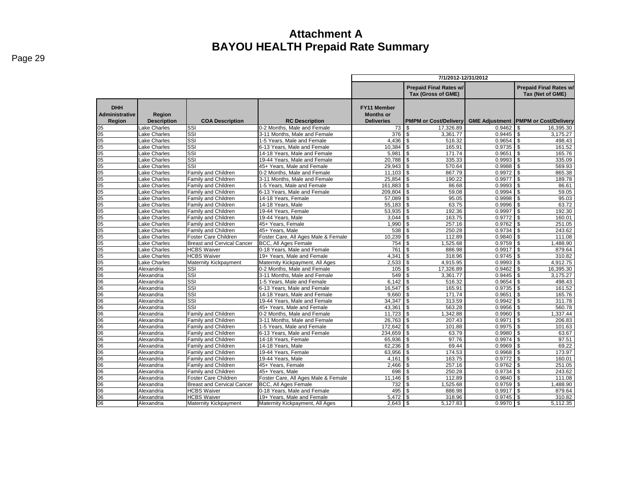|                                               |                              |                                   |                                                             | 7/1/2012-12/31/2012                                  |                                                     |                       |                                                   |  |  |  |  |
|-----------------------------------------------|------------------------------|-----------------------------------|-------------------------------------------------------------|------------------------------------------------------|-----------------------------------------------------|-----------------------|---------------------------------------------------|--|--|--|--|
|                                               |                              |                                   |                                                             |                                                      | <b>Prepaid Final Rates w/</b><br>Tax (Gross of GME) |                       | <b>Prepaid Final Rates w/</b><br>Tax (Net of GME) |  |  |  |  |
| <b>DHH</b><br><b>Administrative</b><br>Region | Region<br><b>Description</b> | <b>COA Description</b>            | <b>RC Description</b>                                       | FY11 Member<br><b>Months or</b><br><b>Deliveries</b> | <b>PMPM or Cost/Delivery</b>                        | <b>GME Adjustment</b> | <b>PMPM or Cost/Delivery</b>                      |  |  |  |  |
| 05                                            | Lake Charles                 | SSI                               | 0-2 Months, Male and Female                                 | 73                                                   | l \$<br>17.326.89                                   | 0.9462                | 16,395.30<br>\$.                                  |  |  |  |  |
| 05                                            | Lake Charles                 | SSI                               | 3-11 Months. Male and Female                                | 376                                                  | \$<br>3.361.77                                      | 0.9445                | l \$<br>3.175.27                                  |  |  |  |  |
| 05                                            | ake Charles                  | SSI                               | 1-5 Years, Male and Female                                  | 4,436                                                | <b>S</b><br>516.32                                  | 0.9654                | 498.43<br>\$                                      |  |  |  |  |
| 05                                            | ake Charles                  | SSI                               | 6-13 Years, Male and Female                                 | 10,384                                               | \$<br>165.91                                        | 0.9735                | \$<br>161.52                                      |  |  |  |  |
| 05                                            | Lake Charles                 | SSI                               | 14-18 Years, Male and Female                                | 5,981                                                | $\sqrt{3}$<br>171.74                                | 0.9651                | $\sqrt{3}$<br>165.76                              |  |  |  |  |
| 05                                            | Lake Charles                 | SSI                               | 19-44 Years, Male and Female                                | 20,788                                               | <b>S</b><br>335.33                                  | 0.9993                | $\mathbf{s}$<br>335.09                            |  |  |  |  |
| $\overline{05}$                               | Lake Charles                 | SSI                               | 45+ Years, Male and Female                                  | 29,943                                               | 570.64<br>$\sqrt{3}$                                | 0.9988                | 569.93<br><b>S</b>                                |  |  |  |  |
| 05                                            | Lake Charles                 | Family and Children               | 0-2 Months, Male and Female                                 | $11,103$ \$                                          | 867.79                                              | 0.9972                | <b>S</b><br>865.38                                |  |  |  |  |
| 05                                            | Lake Charles                 | Family and Children               | 3-11 Months, Male and Female                                | 25.854                                               | $\sqrt{3}$<br>190.22                                | 0.9977                | $\mathbf{s}$<br>189.78                            |  |  |  |  |
| 05                                            | Lake Charles                 | Family and Children               | 1-5 Years, Male and Female                                  | 161,883                                              | <b>S</b><br>86.68                                   | 0.9993                | l \$<br>86.61                                     |  |  |  |  |
| 05                                            | Lake Charles                 | Family and Children               | 6-13 Years, Male and Female                                 | 209,804                                              | 59.08<br>\$                                         | 0.9994                | 59.05<br>\$                                       |  |  |  |  |
| 05                                            | ake Charles                  | Family and Children               | 14-18 Years, Female                                         | 57,089                                               | \$<br>95.05                                         | 0.9998                | \$<br>95.03                                       |  |  |  |  |
| 05                                            | Lake Charles                 | Family and Children               | 14-18 Years, Male                                           | 55,183                                               | \$<br>63.75                                         | 0.9996                | \$<br>63.72                                       |  |  |  |  |
| 05                                            | Lake Charles                 | Family and Children               | 19-44 Years, Female                                         | 53.935                                               | \$<br>192.36                                        | 0.9997                | l \$<br>192.30                                    |  |  |  |  |
| 05                                            | Lake Charles                 | Family and Children               | 19-44 Years, Male                                           | 3.044                                                | l \$<br>163.75                                      | 0.9772                | \$<br>160.01                                      |  |  |  |  |
| 05                                            | Lake Charles                 | Family and Children               | 45+ Years, Female                                           | 1.990                                                | \$<br>257.16                                        | 0.9762                | \$<br>251.05                                      |  |  |  |  |
| 05                                            | Lake Charles                 | Family and Children               | 45+ Years, Male                                             | 538                                                  | l \$<br>250.28                                      | 0.9734                | <b>S</b><br>243.62                                |  |  |  |  |
| $\overline{05}$                               | Lake Charles                 | Foster Care Children              | Foster Care, All Ages Male & Female                         | 10,239                                               | \$<br>112.89                                        | 0.9840                | 111.08<br>\$                                      |  |  |  |  |
| 05                                            | Lake Charles                 | <b>Breast and Cervical Cancer</b> | <b>BCC. All Ages Female</b>                                 | 754                                                  | 1.525.68<br>l \$                                    | 0.9759                | 1.488.90<br>l \$                                  |  |  |  |  |
| 05                                            | Lake Charles                 | <b>HCBS Waiver</b>                | 0-18 Years, Male and Female                                 | 761                                                  | \$<br>886.98                                        | 0.9917                | l \$<br>879.64                                    |  |  |  |  |
| 05                                            | ake Charles                  | <b>HCBS Waiver</b>                | 19+ Years, Male and Female                                  | 4,341                                                | 318.96<br>\$                                        | 0.9745                | $\sqrt{3}$<br>310.82                              |  |  |  |  |
| 05                                            | Lake Charles                 | Maternity Kickpayment             | Maternity Kickpayment, All Ages                             | 2,533                                                | 4,915.95<br>\$                                      | 0.9993                | $\mathbf{s}$<br>4,912.75                          |  |  |  |  |
| 06                                            | Alexandria                   | SSI<br>SSI                        | 0-2 Months, Male and Female                                 | 105                                                  | 17,326.89<br>\$                                     | 0.9462                | \$<br>16,395.30                                   |  |  |  |  |
| 06                                            | Alexandria                   | SSI                               | 3-11 Months, Male and Female                                | 549<br>6.142                                         | $\sqrt{3}$<br>3,361.77<br>\$                        | 0.9445<br>0.9654      | \$<br>3,175.27<br>\$                              |  |  |  |  |
| 06<br>06                                      | Alexandria                   | SSI                               | 1-5 Years, Male and Female                                  | $16,547$ \$                                          | 516.32<br>165.91                                    | 0.9735                | 498.43<br>l \$<br>161.52                          |  |  |  |  |
| 06                                            | Alexandria<br>Alexandria     | SSI                               | 6-13 Years, Male and Female<br>14-18 Years, Male and Female | 9,660                                                | \$<br>171.74                                        | 0.9651                | 165.76<br>\$                                      |  |  |  |  |
| 06                                            | Alexandria                   | SSI                               | 19-44 Years, Male and Female                                | 34,347                                               | 313.59<br>\$                                        | 0.9942                | \$<br>311.78                                      |  |  |  |  |
| 06                                            | Alexandria                   | SSI                               | 45+ Years. Male and Female                                  | 43,361                                               | 563.28<br>\$                                        | 0.9956                | \$<br>560.78                                      |  |  |  |  |
| 06                                            | Alexandria                   | <b>Family and Children</b>        | 0-2 Months. Male and Female                                 | 11,723                                               | <b>S</b><br>1,342.88                                | 0.9960                | $\mathbf{s}$<br>1,337.44                          |  |  |  |  |
| 06                                            | Alexandria                   | <b>Family and Children</b>        | 3-11 Months, Male and Female                                | 26.763                                               | l \$<br>207.43                                      | 0.9971                | \$<br>206.83                                      |  |  |  |  |
| 06                                            | Alexandria                   | Family and Children               | 1-5 Years. Male and Female                                  | 172.642                                              | 101.88<br>\$                                        | 0.9975                | \$<br>101.63                                      |  |  |  |  |
| 06                                            | Alexandria                   | Family and Children               | 6-13 Years, Male and Female                                 | 234,659                                              | $\sqrt{3}$<br>63.79                                 | 0.9980                | \$<br>63.67                                       |  |  |  |  |
| 06                                            | Alexandria                   | Family and Children               | 14-18 Years, Female                                         | 65,936                                               | \$<br>97.76                                         | 0.9974                | 97.51<br>\$                                       |  |  |  |  |
| 06                                            | Alexandria                   | Family and Children               | 14-18 Years, Male                                           | 62,236                                               | 69.44<br>$\sqrt{3}$                                 | 0.9969                | 69.22<br>l \$                                     |  |  |  |  |
| 06                                            | Alexandria                   | Family and Children               | 19-44 Years, Female                                         | 63,956                                               | $\overline{\mathcal{S}}$<br>174.53                  | 0.9968                | 173.97<br>\$                                      |  |  |  |  |
| 06                                            | Alexandria                   | Family and Children               | 19-44 Years, Male                                           | 4,161                                                | \$<br>163.75                                        | 0.9772                | \$<br>160.01                                      |  |  |  |  |
| 06                                            | Alexandria                   | Family and Children               | 45+ Years, Female                                           | 2,466                                                | \$<br>257.16                                        | 0.9762                | $\mathbf{s}$<br>251.05                            |  |  |  |  |
| 06                                            | Alexandria                   | Family and Children               | 45+ Years, Male                                             | 698                                                  | 250.28<br>\$                                        | 0.9734                | $\mathbf{s}$<br>243.62                            |  |  |  |  |
| 06                                            | Alexandria                   | Foster Care Children              | Foster Care, All Ages Male & Female                         | 11,146                                               | 112.89<br>$\sqrt{3}$                                | 0.9840                | $\sqrt{3}$<br>111.08                              |  |  |  |  |
| 06                                            | Alexandria                   | <b>Breast and Cervical Cancer</b> | <b>BCC, All Ages Female</b>                                 | 732                                                  | 1,525.68<br>\$                                      | 0.9759                | 1,488.90<br>l \$                                  |  |  |  |  |
| 06                                            | Alexandria                   | <b>HCBS Waiver</b>                | 0-18 Years, Male and Female                                 | 495                                                  | 886.98<br>$\sqrt{3}$                                | $0.9917$ \$           | 879.64                                            |  |  |  |  |
| 06                                            | Alexandria                   | <b>HCBS Waiver</b>                | 19+ Years, Male and Female                                  | 5.472                                                | $\sqrt{3}$<br>318.96                                | $0.9745$ \$           | 310.82                                            |  |  |  |  |
| 06                                            | Alexandria                   | <b>Maternity Kickpayment</b>      | Maternity Kickpayment, All Ages                             | $2,643$ \$                                           | 5,127.83                                            | $0.9970$ \$           | 5,112.35                                          |  |  |  |  |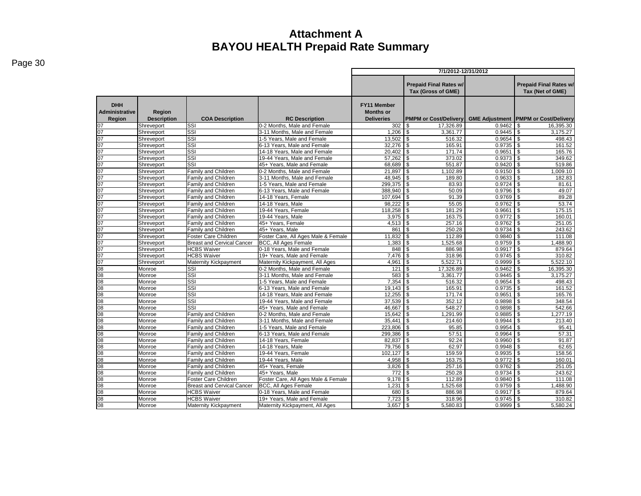|                                               |                              |                                   |                                                             | 7/1/2012-12/31/2012                                         |                                                     |               |                                                   |  |  |  |
|-----------------------------------------------|------------------------------|-----------------------------------|-------------------------------------------------------------|-------------------------------------------------------------|-----------------------------------------------------|---------------|---------------------------------------------------|--|--|--|
|                                               |                              |                                   |                                                             |                                                             | <b>Prepaid Final Rates w/</b><br>Tax (Gross of GME) |               | <b>Prepaid Final Rates w/</b><br>Tax (Net of GME) |  |  |  |
| <b>DHH</b><br><b>Administrative</b><br>Region | Region<br><b>Description</b> | <b>COA Description</b>            | <b>RC Description</b>                                       | <b>FY11 Member</b><br><b>Months or</b><br><b>Deliveries</b> | <b>PMPM or Cost/Delivery</b>                        |               | <b>GME Adjustment PMPM or Cost/Delivery</b>       |  |  |  |
| 07                                            | Shreveport                   | SSI                               | 0-2 Months. Male and Female                                 | 302                                                         | 17.326.89<br>\$                                     | 0.9462        | 16,395.30<br>\$                                   |  |  |  |
| $\overline{07}$                               | Shreveport                   | SSI                               | 3-11 Months, Male and Female                                | 1.206                                                       | \$<br>3,361.77                                      | $0.9445$ \$   | 3,175.27                                          |  |  |  |
| 07                                            | Shreveport                   | SSI                               | 1-5 Years. Male and Female                                  | $13,502$ \$                                                 | 516.32                                              | 0.9654        | \$<br>498.43                                      |  |  |  |
| 07                                            | Shreveport                   | SSI                               | 6-13 Years. Male and Female                                 | $32,276$ \$                                                 | 165.91                                              | $0.9735$ \$   | 161.52                                            |  |  |  |
| 07                                            | Shreveport                   | SSI                               | 14-18 Years, Male and Female                                | $20,402$ \$                                                 | 171.74                                              | $0.9651$ \$   | 165.76                                            |  |  |  |
| 07                                            | Shreveport                   | $\overline{\text{SSI}}$           | 19-44 Years, Male and Female                                | 57,262                                                      | $\mathsf{\$}$<br>373.02                             | $0.9373$ \$   | 349.62                                            |  |  |  |
| 07                                            | Shreveport                   | SSI                               | 45+ Years. Male and Female                                  | 68.689                                                      | \$<br>551.87                                        | $0.9420$ \$   | 519.86                                            |  |  |  |
| 07                                            | Shreveport                   | Family and Children               | 0-2 Months, Male and Female                                 | 21,897 \$                                                   | 1,102.89                                            | $0.9150$ \$   | 1,009.10                                          |  |  |  |
| 07                                            | Shreveport                   | Family and Children               | 3-11 Months, Male and Female                                | 48,945                                                      | \$<br>189.80                                        | 0.9633        | $\overline{1}$<br>182.83                          |  |  |  |
| 07                                            | Shreveport                   | <b>Family and Children</b>        | 1-5 Years, Male and Female                                  | 299,375 \$                                                  | 83.93                                               | $0.9724$ \$   | 81.61                                             |  |  |  |
| 07                                            | Shreveport                   | Family and Children               | 6-13 Years, Male and Female                                 | 388,940 \$                                                  | 50.09                                               | $0.9796$ \$   | 49.07                                             |  |  |  |
| 07                                            | Shreveport                   | <b>Family and Children</b>        | 14-18 Years, Female                                         | 107.694                                                     | \$<br>91.39                                         | $0.9769$ \$   | 89.28                                             |  |  |  |
| 07                                            | Shreveport                   | Family and Children               | 14-18 Years, Male                                           | 98,222                                                      | \$<br>55.05                                         | $0.9762$ \$   | 53.74                                             |  |  |  |
| 07                                            | Shreveport                   | <b>Family and Children</b>        | 19-44 Years, Female                                         | 118,258                                                     | $\overline{\mathbf{s}}$<br>181.29                   | 0.9661        | T\$<br>175.15                                     |  |  |  |
| 07                                            | Shreveport                   | <b>Family and Children</b>        | 19-44 Years, Male                                           | $3,975$ \$                                                  | 163.75                                              | $0.9772$ \$   | 160.01                                            |  |  |  |
| $\overline{07}$                               | Shreveport                   | <b>Family and Children</b>        | 45+ Years. Female                                           | 4.513                                                       | $\overline{\mathbf{s}}$<br>257.16                   | 0.9762        | G)<br>251.05                                      |  |  |  |
| 07                                            | Shreveport                   | Family and Children               | 45+ Years, Male                                             | 861                                                         | \$<br>250.28                                        | 0.9734        | \$<br>243.62                                      |  |  |  |
| 07                                            | Shreveport                   | Foster Care Children              | Foster Care, All Ages Male & Female                         | 11.832                                                      | <b>S</b><br>112.89                                  | $0.9840$ \ \$ | 111.08                                            |  |  |  |
| 07                                            | Shreveport                   | <b>Breast and Cervical Cancer</b> | BCC, All Ages Female                                        |                                                             | 1,525.68                                            | $0.9759$ \$   | ,488.90                                           |  |  |  |
| 07                                            | Shreveport                   | <b>HCBS Waiver</b>                | 0-18 Years. Male and Female                                 | 848                                                         | \$<br>886.98                                        | 0.9917        | \$<br>879.64                                      |  |  |  |
| 07<br>07                                      | Shreveport                   | <b>HCBS Waiver</b>                | 19+ Years, Male and Female                                  | 7.476                                                       | \$<br>318.96                                        | 0.9745        | \$<br>310.82                                      |  |  |  |
| 08                                            | Shreveport                   | Maternity Kickpayment             | Maternity Kickpayment, All Ages                             | 4.961                                                       | \$<br>5.522.71                                      | 0.9999        | 5.522.10<br>l \$                                  |  |  |  |
|                                               | Monroe                       | SSI                               | 0-2 Months, Male and Female                                 | 121                                                         | $\mathbb{S}$<br>17,326.89                           | 0.9462        | \$<br>16,395.30                                   |  |  |  |
| 08<br>08                                      | Monroe                       | SSI<br>SSI                        | 3-11 Months, Male and Female<br>1-5 Years, Male and Female  | 583<br>7.354                                                | \$<br>3,361.77<br>\$<br>516.32                      | 0.9445        | \$<br>3,175.27<br>498.43                          |  |  |  |
| 08                                            | Monroe                       | SSI                               |                                                             |                                                             |                                                     | $0.9735$ \$   |                                                   |  |  |  |
| $\overline{08}$                               | Monroe<br>Monroe             | SSI                               | 6-13 Years, Male and Female<br>14-18 Years, Male and Female | $19.143$ \\$<br>12,255                                      | 165.91<br>$\overline{\mathcal{S}}$<br>171.74        | 0.9651        | 161.52<br>\$<br>165.76                            |  |  |  |
| 08                                            | Monroe                       | SSI                               | 19-44 Years, Male and Female                                | 37,539                                                      | \$<br>352.12                                        | 0.9898        | \$<br>348.54                                      |  |  |  |
| 08                                            | Monroe                       | SSI                               | 45+ Years. Male and Female                                  | 46,667 \$                                                   | 548.27                                              | 0.9898        | 542.66<br>\$                                      |  |  |  |
| 08                                            | Monroe                       | Family and Children               | 0-2 Months, Male and Female                                 | 15,642                                                      | \$<br>1,291.99                                      | 0.9885        | \$<br>1,277.19                                    |  |  |  |
| 08                                            | Monroe                       | <b>Family and Children</b>        | 3-11 Months, Male and Female                                | 35.441                                                      | \$<br>214.60                                        | 0.9944        | \$<br>213.40                                      |  |  |  |
| 08                                            | Monroe                       | Family and Children               | 1-5 Years, Male and Female                                  | 223,806                                                     | \$<br>95.85                                         |               | 95.41                                             |  |  |  |
| 08                                            | Monroe                       | Family and Children               | 6-13 Years, Male and Female                                 | 299,386 \$                                                  | 57.51                                               | $0.9964$ \$   | 57.31                                             |  |  |  |
| $\overline{08}$                               | Monroe                       | Family and Children               | 14-18 Years, Female                                         | 82,837                                                      | $\overline{\mathcal{S}}$<br>92.24                   | $0.9960$ \$   | 91.87                                             |  |  |  |
| 08                                            | Monroe                       | <b>Family and Children</b>        | 14-18 Years, Male                                           | 79,756                                                      | \$<br>62.97                                         | 0.9948        | \$<br>62.65                                       |  |  |  |
| 08                                            | Monroe                       | <b>Family and Children</b>        | 19-44 Years, Female                                         | $102,127$ \$                                                | 159.59                                              | 0.9935        | l \$<br>158.56                                    |  |  |  |
| 08                                            | Monroe                       | Family and Children               | 19-44 Years, Male                                           | 4.958                                                       | \$<br>163.75                                        | 0.9772        | l \$<br>160.01                                    |  |  |  |
| 80                                            | Monroe                       | Family and Children               | 45+ Years, Female                                           | $3,826$ \ \$                                                | 257.16                                              | 0.9762        | $\mathbf{s}$<br>251.05                            |  |  |  |
| 08                                            | Monroe                       | Family and Children               | 45+ Years, Male                                             | $772$ \$                                                    | 250.28                                              | $0.9734$ \$   | 243.62                                            |  |  |  |
| 08                                            | Monroe                       | Foster Care Children              | Foster Care, All Ages Male & Female                         | $9,178$ \$                                                  | 112.89                                              | $0.9840$ \$   | 111.08                                            |  |  |  |
| 08                                            | Monroe                       | <b>Breast and Cervical Cancer</b> | <b>BCC, All Ages Female</b>                                 | 1,231                                                       | $\overline{\mathcal{S}}$<br>1,525.68                | $0.9759$ \$   | 1,488.90                                          |  |  |  |
| 08                                            | Monroe                       | <b>HCBS Waiver</b>                | 0-18 Years, Male and Female                                 | 680                                                         | \$<br>886.98                                        | $0.9917$ \$   | 879.64                                            |  |  |  |
| $\overline{08}$                               | Monroe                       | <b>HCBS Waiver</b>                | 19+ Years. Male and Female                                  | 7,723                                                       | l \$<br>318.96                                      | $0.9745$ \$   | 310.82                                            |  |  |  |
| 08                                            | Monroe                       | <b>Maternity Kickpayment</b>      | Maternity Kickpayment, All Ages                             | 3,657                                                       | \$<br>5,580.83                                      | $0.9999$ \$   | 5,580.24                                          |  |  |  |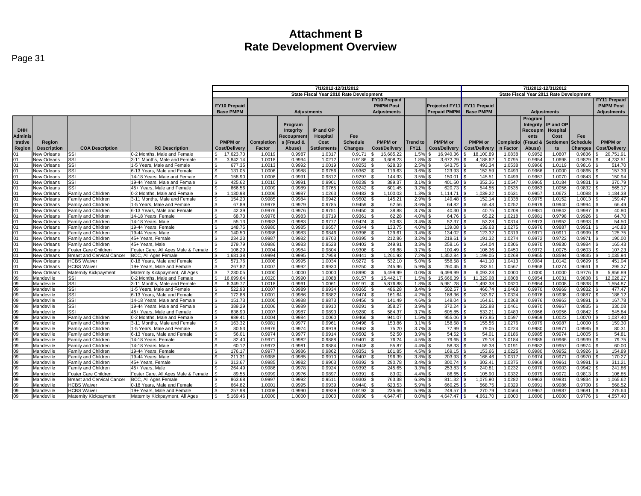|                       |                    |                                   |                                     | 7/1/2012-12/31/2012 |            |            |                                         |                 |                     | 7/1/2012-12/31/2012 |                             |                                         |                  |          |                     |                    |                      |
|-----------------------|--------------------|-----------------------------------|-------------------------------------|---------------------|------------|------------|-----------------------------------------|-----------------|---------------------|---------------------|-----------------------------|-----------------------------------------|------------------|----------|---------------------|--------------------|----------------------|
|                       |                    |                                   |                                     |                     |            |            | State Fiscal Year 2010 Rate Development |                 |                     |                     |                             | State Fiscal Year 2011 Rate Development |                  |          |                     |                    |                      |
|                       |                    |                                   |                                     |                     |            |            |                                         |                 | <b>FY10 Prepaid</b> |                     |                             |                                         |                  |          |                     |                    | <b>FY11 Prepaid</b>  |
|                       |                    |                                   |                                     | <b>FY10 Prepaid</b> |            |            |                                         |                 | <b>PMPM Post</b>    |                     | Projected FY11 FY11 Prepaid |                                         |                  |          |                     | <b>PMPM Post</b>   |                      |
|                       |                    |                                   |                                     | <b>Base PMPM</b>    |            |            |                                         |                 |                     |                     | <b>Prepaid PMPM</b>         | <b>Base PMPM</b>                        |                  |          |                     |                    |                      |
|                       |                    |                                   |                                     |                     |            |            | <b>Adiustments</b>                      |                 | <b>Adiustments</b>  |                     |                             | <b>Adjustments</b>                      |                  |          |                     | <b>Adjustments</b> |                      |
|                       |                    |                                   |                                     |                     |            |            |                                         |                 |                     |                     |                             |                                         | Program          |          |                     |                    |                      |
|                       |                    |                                   |                                     |                     |            | Program    |                                         |                 |                     |                     |                             |                                         |                  |          | Integrity IP and OP |                    |                      |
| <b>DHH</b>            |                    |                                   |                                     |                     |            | Integrity  | IP and OP                               |                 |                     |                     |                             |                                         |                  | Recoupm  | <b>Hospital</b>     |                    |                      |
| <b>Adminis</b>        |                    |                                   |                                     |                     |            | Recoupmen  | <b>Hospital</b>                         | Fee             |                     |                     |                             |                                         |                  | ents     | Cost                | Fee                |                      |
| trative               | Region             |                                   |                                     | <b>PMPM</b> or      | Completion | s (Fraud & | Cost                                    | <b>Schedule</b> | <b>PMPM</b> or      | <b>Trend to</b>     | <b>PMPM</b> or              | <b>PMPM</b> or                          | <b>Completio</b> | (Fraud & | <b>Settlemer</b>    | <b>Schedule</b>    | <b>PMPM</b> or       |
| Region                | <b>Description</b> | <b>COA Description</b>            | <b>RC Description</b>               | Cost/Delivery       | Factor     | Abuse)     | Settlements                             | <b>Changes</b>  | Cost/Delivery       | <b>FY11</b>         | Cost/Delivery               | Cost/Delivery                           | n Factor         | Abuse)   | ts                  | <b>Changes</b>     | <b>Cost/Delivery</b> |
|                       | New Orleans        | SSI                               | 0-2 Months. Male and Female         | 17,623.70           | 1.0019     | 0.9987     | 1.0317                                  | 0.9171          | 16,685.22           | 1.5%                | 16.940.36                   | 18.100.89                               | 1.0838           | 0.9952   | 1.0807              | 0.9836             | 20,751.91            |
| 01                    | <b>New Orleans</b> | SSI                               | 3-11 Months. Male and Female        | 3,842.14            | 1.0018     | 0.9994     | 1.0212                                  | 0.9186          | 3,608.23            | 1.8%                | 3.672.29                    | 4.188.62                                | 1.0795           | 0.9954   | 1.0698              | 0.9829             | 4,732.51             |
| 01                    | New Orleans        | SSI                               | 1-5 Years, Male and Female          | 677.35              | 1.001      | 0.9992     | 1.0019                                  | 0.9253          | 628.33              | 2.5%                | 643.75                      | 493.34                                  | 1.0538           | 0.9966   | 1.0119              | 0.9816             | 514.70               |
| 01                    | <b>New Orleans</b> | SSI                               | 6-13 Years, Male and Female         | 131.05<br>ፍ         | 1.0006     | 0.9988     | 0.9756                                  | 0.9362          | 119.63              | 3.6%                | 123.93                      | 152.59                                  | 1.0493           | 0.9966   | 1.0000              | 0.9865             | 157.39               |
| 01                    | New Orleans        | SSI                               | 14-18 Years, Male and Female        | 158.90              | 1.0008     | 0.9991     | 0.9812                                  | 0.9297          | 144.93              | 3.5%                | 150.01                      | 145.51                                  | 1.0499           | 0.9967   | 1.0070              | 0.9843             | 150.94               |
| 01                    | New Orleans        | SSI                               | 19-44 Years. Male and Female        | 425.62<br>\$.       | 1.0010     | 0.9991     | 0.9901                                  | 0.9239          | 389.37              | 3.1%                | 401.60                      | 352.36                                  | 1.0547           | 0.9965   | 1.0184              | 0.9831             | 370.79               |
| 01                    | New Orleans        | SSI                               | 45+ Years, Male and Female          | 666.56<br>. ድ       | 1.0009     | 0.9989     | 0.9765                                  | 0.9242          | 601.45              | 3.2%                | 620.73                      | 544.55                                  | 1.0535           | 0.9963   | 1.0056              | 0.9832             | 565.17               |
| 01                    | New Orleans        | Family and Children               | 0-2 Months, Male and Female         | .130.98             | 1.0006     | 0.9987     | 1.0263                                  | 0.9483          | 1.100.03            | 1.3%                | 1.114.71                    | .039.22                                 | 1.0631           | 0.9957   | 1.0673              | 1.0088             | 1,184.38             |
| 01                    | New Orleans        | Family and Children               | 3-11 Months, Male and Female        | 154.20              | 0.9985     | 0.9984     | 0.9942                                  | 0.9502          | 145.21              | 2.9%                | 149.48                      | 152.14                                  | 1.0338           | 0.9975   | 1.0152              | 1.0013             | 159.47               |
| 01                    | New Orleans        | Family and Children               | 1-5 Years, Male and Female          | 67.89               | 0.9978     | 0.9979     | 0.9785                                  | 0.9459          | 62.56               | 3.6%                | 64.82                       | 65.43                                   | 1.0252           | 0.9979   | 0.9940              | 0.9994             | 66.49                |
| 01                    | New Orleans        | Family and Children               | 6-13 Years, Male and Female         | 42.39               | 0.9976     | 0.9976     | 0.9751                                  | 0.9450          | 38.88               | 3.7%                | 40.30                       | 40.75                                   | 1.0208           | 0.9981   | 0.9842              | 0.9987             | 40.80                |
| 01                    | New Orleans        | <b>Family and Children</b>        | 14-18 Years, Female                 | 68.73<br>£.         | 0.9976     | 0.9983     | 0.9719                                  | 0.9361          | 62.28               | 4.0%                | 64.76                       | 65.22                                   | 1.0218           | 0.9981   | 0.9798              | 0.9926             | 64.70                |
| 01                    | <b>New Orleans</b> | <b>Family and Children</b>        | 14-18 Years, Male                   | 55.13               | 0.9983     | 0.9983     | 0.9777                                  | 0.9424          | 50.63               | 3.4%                | 52.37                       | 53.28                                   | 1.0314           | 0.9973   | 0.9952              | 0.9993             | 54.50                |
| 01                    | New Orleans        | Family and Children               | 19-44 Years, Female                 | 148.75              | 0.9980     | 0.9985     | 0.9657                                  | 0.9344          | 133.75              | 4.0%                | 139.08                      | 139.63                                  | 1.0275           | 0.9976   | 0.9887              | 0.9951             | 140.83               |
| 01                    | New Orleans        | Family and Children               | 19-44 Years, Male                   | 140.50              | 0.9986     | 0.9983     | 0.9846                                  | 0.9398          | 129.61              | 3.4%                | 134.02                      | 123.32                                  | 1.0319           | 0.9971   | 0.9911              | 0.9999             | 125.75               |
| 01                    | New Orleans        | Family and Children               | 45+ Years, Female                   | 234.23              | 0.9987     | 0.9982     | 0.9703                                  | 0.9395          | 212.86              | 3.2%                | 219.61                      | 191.32                                  | 1.0274           | 0.9972   | 0.9722              | 0.9971             | 190.00               |
| 01                    | New Orleans        | Family and Children               | 45+ Years, Male                     | 279.79              | 0.9986     | 0.9983     | 0.9528                                  | 0.9403          | 249.91              | 3.3%                | 258.16                      | 164.04                                  | 1.0306           | 0.9970   | 0.9830              | 0.9984             | 165.43               |
| 01                    | New Orleans        | Foster Care Children              | Foster Care, All Ages Male & Female | 106.29              | 1.0004     | 0.9984     | 0.9804                                  | 0.9308          | 96.88               | 3.7%                | 100.49                      | 106.36                                  | 1.0450           | 0.9972   | 1.0075              | 0.9603             | 107.23               |
| 01                    | <b>New Orleans</b> | <b>Breast and Cervical Cancer</b> | BCC, All Ages Female                | 1,681.38            | 0.9994     | 0.9995     | 0.7958                                  | 0.9441          | 1,261.93            | 7.2%                | 1.352.84                    | 1.199.05                                | 1.0268           | 0.9955   | 0.8594              | 0.9835             | 1,035.94             |
| 01                    | New Orleans        | <b>HCBS Waiver</b>                | 0-18 Years, Male and Female         | 571.76              | 1.0008     | 0.9995     | 1.0034                                  | 0.9272          | 532.10              | 5.0%                | 558.58                      | 441.10                                  | 1.041            | 0.9984   | 1.0142              | 0.9699             | 451.04               |
| 01                    | New Orleans        | <b>HCBS Waiver</b>                | 19+ Years. Male and Female          | 267.82<br>\$        | 1.0007     | 0.9992     | 0.9930                                  | 0.9250          | 245.96              | 5.9%                | 260.45                      | 282.5                                   | 1.0567           | 0.9968   | 1.0274              | 0.9661             | 295.37               |
| 01                    | <b>New Orleans</b> | Maternity Kickpayment             | Maternity Kickpayment. All Ages     | 7.230.05            | 1.0000     | 1.0000     | 1.0000                                  | 0.8990          | 6.499.99            | 0.0%                | 6.499.99                    | 6.093.23                                | 1.0000           | 1.0000   | 1.0000              | 0.9776             | 5.956.89             |
|                       | Mandeville         | SSI                               | -2 Months, Male and Female          | 16,699.64           | 1.0020     | 0.9990     | 1.0088                                  | 0.9157          | 15,442.17           | 1.5%                | 15,666.39                   | 11,329.08                               | 1.0808           | 0.9954   | 1.003'              | 0.9838             | 12,028.27            |
| $\frac{09}{09}$       | Mandeville         | SSI                               | 3-11 Months, Male and Female        | 6,349.77            | 1.0018     | 0.9991     | 1.0061                                  | 0.9191          | 5,876.88            | 1.8%                | 5,981.28                    | 1,492.38                                | 1.0620           | 0.9964   | 1.0008              | 0.9838             | 1,554.87             |
| 09                    | Mandeville         | SSI                               | 1-5 Years, Male and Female          | 522.93              | 1.0007     | 0.9989     | 0.9934                                  | 0.9365          | 486.28              | 3.4%                | 502.57                      | 466.74                                  | 1.0468           | 0.9970   | 0.9969              | 0.9832             | 477.47               |
|                       | Mandeville         | SSI                               | 6-13 Years, Male and Female         | 172.88              | 1.0001     | 0.9986     | 0.9882                                  | 0.9474          | 161.64              | 4.2%                | 168.36                      | 183.97                                  | 1.0324           | 0.9976   | 0.9936              | 0.9887             | 186.12               |
|                       | Mandeville         | SSI                               | 14-18 Years. Male and Female        | \$<br>151.73        | 1.0000     | 0.9988     | 0.9873                                  | 0.9456          | 141.49              | 4.6%                | 148.04                      | 164.61                                  | 1.0368           | 0.9976   | 0.9963              | 0.9891             | 167.78               |
| 8<br>88               | Mandeville         | SSI                               | 19-44 Years. Male and Female        | 389.29<br>ፍ         | 1.0006     | 0.9989     | 0.9910                                  | 0.9291          | 358.27              | 3.9%                | 372.24                      | 322.88                                  | 1.0461           | 0.9970   | 0.9967              | 0.9835             | 330.08               |
| $\frac{1}{100}$       | Mandeville         | SSI                               | 45+ Years, Male and Female          | 636.90<br>\$.       | 1.0007     | 0.9987     | 0.9893                                  | 0.9280          | 584.37              | 3.7%                | 605.85                      | 533.21                                  | 1.0483           | 0.9966   | 0.9956              | 0.9842             | 545.84               |
|                       | Mandeville         | Family and Children               | 0-2 Months, Male and Female         | 989.41<br>£.        | 1.0004     | 0.9984     | 1.0060                                  | 0.9466          | 941.07              | 1.5%                | 955.06                      | 973.85                                  | 1.0597           | 0.9959   | 1.0023              | 1.0070             | 1,037.40             |
|                       | Mandeville         | <b>Family and Children</b>        | 3-11 Months, Male and Female        | 163.32<br>. ድ       | 0.998'     | 0.9977     | 0.9961                                  | 0.9498          | 153.86              | 3.1%                | 158.68                      | 155.55                                  | 1.0276           | 0.9979   | 0.9987              | 1.0000             | 159.30               |
| 8<br>8<br>8           | Mandeville         | Family and Children               | 1-5 Years, Male and Female          | 80.53               | 0.9976     | 0.9974     | 0.9919                                  | 0.9462          | 75.20               | 3.7%                | 77.99                       | 79.05                                   | 1.0224           | 0.9980   | 0.997'              | 0.9985             | 80.31                |
|                       | Mandeville         | Family and Children               | 6-13 Years, Male and Female         | 56.01<br>S.         | 0.9974     | 0.9977     | 0.9914                                  | 0.9502          | 52.50               | 3.9%                | 54.52                       | 54.01                                   | 1.0186           | 0.9985   | 0.9974              | 1.0005             | 54.81                |
|                       | Mandeville         | <b>Family and Children</b>        | 14-18 Years, Female                 | 82.40<br>\$         | 0.9971     | 0.9982     | 0.9888                                  | 0.9401          | 76.24               | 4.5%                | 79.65                       | 79.18                                   | 1.0184           | 0.9985   | 0.9966              | 0.9939             | 79.75                |
|                       | Mandeville         | Family and Children               | 14-18 Years, Male                   | 60.12               | 0.9973     | 0.9981     | 0.9884                                  | 0.9448          | 55.87               | 4.4%                | 58.33                       | 59.38                                   | 1.0191           | 0.9982   | 0.9957              | 0.9974             | 60.00                |
| 09<br>09              | Mandeville         | Family and Children               | 19-44 Years, Female                 | 176.17<br>ፍ         | 0.9977     | 0.9986     | 0.9862                                  | 0.9351          | 161.85              | 4.5%                | 169.15                      | 153.66                                  | 1.0225           | 0.9980   | 0.9952              | 0.9926             | 154.89               |
|                       | Mandeville         | Family and Children               | 19-44 Years, Male                   | 211.31              | 0.9985     | 0.9985     | 0.9910                                  | 0.9407          | 196.39              | 3.8%                | 203.93                      | 166.46                                  | 1.0317           | 0.9974   | 0.9971              | 0.9970             | 170.27               |
| $\frac{1}{100}$       | Mandeville         | Family and Children               | 45+ Years, Female                   | 313.67              | 0.9985     | 0.9982     | 0.9903                                  | 0.9392          | 290.78              | 3.4%                | 300.74                      | 302.41                                  | 1.0375           | 0.9968   | 0.996'              | 0.9991             | 311.21               |
|                       | Mandeville         | Family and Children               | 45+ Years, Male                     | 264.49              | 0.9986     | 0.9978     | 0.9924                                  | 0.9393          | 245.65              | 3.3%                | 253.83                      | $240.8^{\circ}$                         | 1.0232           | 0.9970   | 0.9903              | 0.9942             | 241.86               |
|                       | Mandeville         | Foster Care Children              | Foster Care, All Ages Male & Female | 89.55               | 0.9999     | 0.9976     | 0.9897                                  | 0.9391          | 83.02               | 4.4%                | 86.65                       | 105.90                                  | 1.0332           | 0.9979   | 0.9972              | 0.9813             | 106.85               |
|                       | Mandeville         | <b>Breast and Cervical Cancer</b> | <b>BCC. All Ages Female</b>         | 863.68              | 0.9997     | 0.9992     | 0.9511                                  | 0.9303          | 763.38              | 6.3%                | 811.32                      | 1.075.90                                | 1.0282           | 0.9963   | 0.983'              | 0.9834             | 1,065.62             |
| 8<br>8<br>8<br>8<br>8 | Mandeville         | <b>HCBS</b> Waiver                | 0-18 Years, Male and Female         | 664.82              | 1.0001     | 0.9995     | 0.9939                                  | 0.9440          | 623.53              | 5.9%                | 660.25                      | 568.75                                  | 1.0329           | 0.9991   | 0.9986              | 0.9700             | 568.52               |
|                       | Mandeville         | <b>HCBS Waiver</b>                | 19+ Years. Male and Female          | 257.98              | 1.0008     | 0.9990     | 0.9939                                  | 0.9193          | 235.66              | 5.9%                | 249.57                      | 270.79                                  | 1.0564           | 0.9967   | 0.9987              | 0.9681             | 275.64               |
|                       | Mandeville         | Maternity Kickpayment             | Maternity Kickpayment, All Ages     | 5.169.46            | 1.0000     | 1.0000     | 1.0000                                  | 0.8990          | 4.647.47<br>I S     | 0.0%                | 4.647.47                    | 4.661.70                                | 1.0000           | 1.0000   | 1.0000              | 0.9776             | 4.557.40             |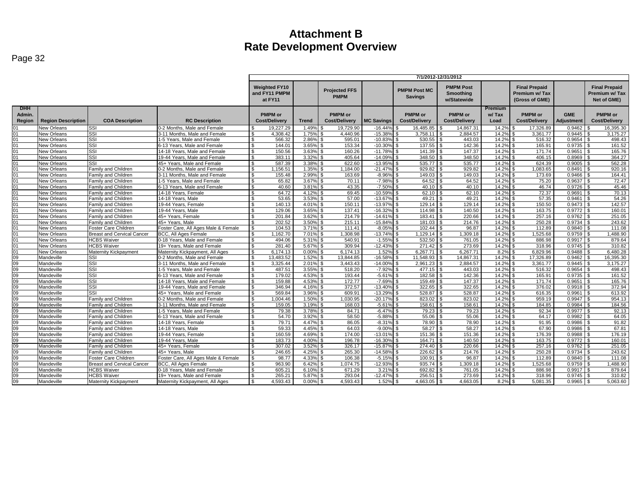| Page |  |
|------|--|
|------|--|

| <b>PMPM Post</b><br><b>Weighted FY10</b><br><b>Final Prepaid</b><br><b>Final Prepaid</b><br><b>PMPM Post MC</b><br><b>Projected FFS</b><br>and FY11 PMPM<br><b>Smoothing</b><br>Premium w/Tax<br>Premium w/Tax<br><b>PMPM</b><br><b>Savings</b><br>at FY11<br>Net of GME)<br>w/Statewide<br>(Gross of GME)<br>Premium<br><b>DHH</b><br><b>PMPM</b> or<br><b>PMPM</b> or<br><b>PMPM</b> or<br><b>PMPM</b> or<br><b>PMPM</b> or<br><b>PMPM</b> or<br><b>GME</b><br>Admin.<br>w/Tax<br>Region<br><b>Region Description</b><br><b>COA Description</b><br><b>RC</b> Description<br><b>Cost/Delivery</b><br><b>Trend</b><br><b>Cost/Delivery</b><br><b>MC Savings</b><br><b>Cost/Delivery</b><br><b>Cost/Delivery</b><br>Load<br><b>Cost/Delivery</b><br><b>Adiustment</b><br><b>Cost/Delivery</b><br><b>New Orleans</b><br>SSI<br>0-2 Months, Male and Female<br>19.227.29<br>19.729.90<br>$-16.44%$<br>16.485.85<br>14.867.31<br>14.2%<br>17.326.89<br>0.9462<br>16.395.30<br>1.49%<br>01<br>01<br>SSI<br>1.75%<br>4.440.96<br>$-15.38%$<br>3,758.11<br>2.884.57<br>14.2%<br>3,361.77<br>0.9445<br>3.175.27<br><b>New Orleans</b><br>3-11 Months, Male and Female<br>4.308.42<br>\$.<br>£.<br>SSI<br>566.32<br>2.86%<br>595.01<br>$-10.83%$<br>530.55<br>14.2%<br>516.32<br>0.9654<br>01<br><b>New Orleans</b><br>1-5 Years, Male and Female<br>$\mathcal{L}$<br>443.03<br>498.43<br>142.36<br>New Orleans<br>Issi<br>144.01<br>3.65%<br>153.34<br>$-10.30%$<br>137.55<br>14.2%<br>165.91<br>0.9735<br>161.52<br>01<br>6-13 Years, Male and Female<br>\$.<br>l \$<br>\$<br>-S<br>01<br><b>SSI</b><br>150.56<br>3.63%<br>160.26<br>$-11.78%$<br>141.39<br>147.37<br>14.2%<br>0.9651<br>165.76<br>New Orleans<br>14-18 Years, Male and Female<br>$\mathfrak{L}$<br>171.74<br>01<br>SSI<br>19-44 Years, Male and Female<br>383.11<br>3.32%<br>405.64<br>$-14.09%$<br>348.50<br>348.50<br>14.2%<br>406.15<br>0.8969<br>364.27<br>New Orleans<br>\$.<br>-\$<br>\$<br>$-13.95%$<br>14.2%<br>562.28<br>01<br>Issi<br>45+ Years. Male and Female<br>587.39<br>3.38%<br>622.60<br>535.77<br>535.77<br>624.39<br>0.9005<br><b>New Orleans</b><br>£.<br>l \$<br>01<br>Family and Children<br>1.35%<br>1.184.00<br>$-21.47%$<br>929.82<br>929.82<br>14.2%<br>1,083.65<br>0.8491<br>920.16<br><b>New Orleans</b><br>0-2 Months, Male and Female<br>1.156.51<br>Λ.<br>£.<br>2.99%<br>163.69<br>$-8.96%$<br>149.03<br>14.2%<br>0.9466<br>164.41<br>01<br><b>New Orleans</b><br>Family and Children<br>3-11 Months, Male and Female<br>155.48<br>149.03<br>173.69<br>Λ.<br>$-7.98%$<br>64.52<br>72.47<br>01<br>New Orleans<br>1-5 Years, Male and Female<br>65.82<br>3.67%<br>70.11<br>64.52<br>14.2%<br>75.20<br>0.9637<br>Family and Children<br>-S<br>01<br>43.35<br>$-7.50%$<br>45.46<br>Family and Children<br>6-13 Years, Male and Female<br>40.60<br>3.81%<br>40.10<br>40.10<br>14.2%<br>46.74<br>0.9726<br>New Orleans<br>\$.<br>l \$<br>69.45<br>$-10.59%$<br>62.10<br>14.2%<br>72.37<br>0.9691<br>70.13<br>01<br>New Orleans<br><b>Family and Children</b><br>14-18 Years, Female<br>64.72<br>4.12%<br>l \$<br>62.10<br>3.53%<br>57.00<br>$-13.67$<br>49.21<br>14.2%<br>54.26<br>01<br><b>New Orleans</b><br>Family and Children<br>14-18 Years, Male<br>53.65<br>49.21<br>57.35<br>0.9461<br>Λ.<br>142.57<br>01<br>4.01%<br>150.11<br>129.14<br>129.14<br>14.2%<br>0.9473<br><b>New Orleans</b><br><b>Family and Children</b><br>19-44 Years, Female<br>140.13<br>$-13.97%$<br>150.50<br><b>R</b><br>New Orleans<br>Family and Children<br>19-44 Years, Male<br>129.06<br>3.65%<br>137.41<br>$-16.329$<br>114.98<br>140.50<br>14.2%<br>163.75<br>0.9772<br>160.01<br>01<br>Λ.<br>- \$<br>251.05<br><b>New Orleans</b><br>Family and Children<br>45+ Years. Female<br>201.84<br>3.62%<br>214.79<br>$-14.619$<br>183.41<br>220.66<br>14.2%<br>257.16<br>0.9762<br>01<br>01<br>3.50%<br>215.11<br>$-15.84%$<br>14.2%<br>0.9734<br>243.62<br>45+ Years, Male<br>202.52<br>181.03<br>214.76<br>250.28<br><b>New Orleans</b><br>Family and Children<br>104.53<br>3.71%<br>111.41<br>$-8.05^{\circ}$<br>102.44<br>96.87<br>14.2%<br>112.89<br>0.9840<br>111.08<br>01<br><b>New Orleans</b><br>Foster Care Children<br>Foster Care, All Ages Male & Female<br>\$.<br>l \$<br>\$<br>$-13.74%$<br>1,129.14<br>14.2%<br>1,525.68<br>1,488.90<br>01<br>1.162.70<br>7.01%<br>1,308.98<br>1.309.18<br>0.9759<br><b>New Orleans</b><br><b>Breast and Cervical Cancer</b><br><b>BCC. All Ages Female</b><br>01<br>New Orleans<br><b>HCBS Waiver</b><br>0-18 Years, Male and Female<br>494.06<br>5.31%<br>540.91<br>$-1.55%$<br>532.50<br>761.05<br>14.2%<br>886.98<br>0.9917<br>879.64<br>Λ.<br>- 93<br>5.67% \$<br>309.94<br>$-12.43%$<br>$\overline{271.42}$ \$<br>273.69<br>14.2%<br>318.96<br>310.82<br>01<br><b>New Orleans</b><br><b>HCBS Waiver</b><br>19+ Years, Male and Female<br>\$.<br>281.40<br>\$<br>0.9745<br>-S<br>6.480.28<br>01<br>Maternity Kickpayment, All Ages<br>6.174.13<br>6.267.71<br>6.267.71<br>8.2%<br>6.829.96<br>0.9488<br>New Orleans<br>Maternity Kickpayment<br>6.174.13<br>0.00%<br>1.52%<br>09<br>1.52%<br>14,867.31<br>14.2%<br>SSI<br>13,483.52<br>13,844.85<br>$-16.58%$<br>11.548.93<br>17.326.89<br>0.9462<br>16,395.30<br>Mandeville<br>0-2 Months, Male and Female<br>09<br><b>SSI</b><br>3-11 Months, Male and Female<br>3.325.44<br>2.01%<br>3.443.43<br>$-14.00%$<br>2.961.23<br>2.884.57<br>14.2%<br>3.361.77<br>0.9445<br>3.175.27<br>Mandeville<br>£.<br>l \$<br>$\mathfrak{L}$<br>09<br>SSI<br>3.55%<br>$-7.92%$<br>498.43<br>1-5 Years. Male and Female<br>487.51<br>518.20<br>477.15<br>443.03<br>14.2%<br>516.32<br>0.9654<br>Mandeville<br>Λ.<br>09<br>SSI<br>4.53%<br>193.44<br>$-5.61%$<br>182.58<br>142.36<br>14.2%<br>161.52<br>6-13 Years, Male and Female<br>179.02<br>165.91<br>0.9735<br>Mandeville<br>-S.<br>09<br><b>SSI</b><br>14-18 Years, Male and Female<br>159.88<br>4.53%<br>172.77<br>$-7.69%$<br>159.49<br>147.37<br>14.2%<br>171.74<br>0.9651<br>165.76<br>Mandeville<br>\$.<br>l \$<br>\$.<br>09<br>SSI<br>346.94<br>372.57<br>$-13.40%$<br>322.65<br>322.65<br>14.2%<br>376.02<br>372.94<br>19-44 Years, Male and Female<br>4.16%<br>0.9918<br>Mandeville<br>09<br>SSI<br>569.84<br>3.96%<br>609.91<br>$-13.299$<br>528.87<br>528.87<br>14.2%<br>616.35<br>0.9961<br>613.92<br>Mandeville<br>45+ Years. Male and Female<br>£.<br>l \$<br>09<br>1.004.46<br>1.50%<br>1.030.95<br>$-20.17%$<br>823.02<br>823.02<br>14.2%<br>959.19<br>0.9947<br>954.13<br>Mandeville<br>Family and Children<br>0-2 Months, Male and Female<br>$\mathbf{s}$<br>$\sim$<br>ፍ<br>$\overline{09}$<br>$-5.61%$<br>158.61<br>14.2%<br>184.56<br>Family and Children<br>3-11 Months, Male and Female<br>159.05<br>3.19%<br>168.03<br>158.61<br>184.85<br>0.9984<br>Mandeville<br>\$.<br>09<br>Family and Children<br>79.38<br>3.78%<br>84.71<br>$-6.47%$<br>79.23<br>79.23<br>14.2%<br>92.34<br>0.9977<br>92.13<br>Mandeville<br>1-5 Years, Male and Female<br>Λ.<br>55.06<br>09<br>6-13 Years. Male and Female<br>54.70<br>3.92%<br>58.50<br>$-5.88%$<br>55.06<br>14.2%<br>64.17<br>0.9982<br>64.05<br>Mandeville<br><b>Family and Children</b><br>\$.<br>- \$<br>09<br>$-8.31%$<br>78.90<br>14.2%<br>91.82<br>79.71<br>4.47%<br>86.05<br>78.90<br>91.95<br>0.9986<br>Mandeville<br>Family and Children<br>14-18 Years, Female<br>58.27<br>58.27<br>09<br>Family and Children<br>14-18 Years, Male<br>59.33<br>4.45%<br>64.03<br>$-9.009$<br>14.2%<br>67.90<br>0.9986<br>67.81<br>Mandeville<br>09<br>$-13.01%$<br>151.36<br>151.36<br>14.2%<br>176.19<br>Family and Children<br>19-44 Years, Female<br>160.59<br>4.69%<br>174.00<br>176.39<br>0.9988<br>Mandeville<br>\$.<br>09<br>183.73<br>4.00%<br>196.78<br>164.71<br>140.50<br>14.2%<br>160.01<br>Family and Children<br>19-44 Years, Male<br>$-16.30%$<br>163.75<br>0.9772<br>Mandeville<br><b>R</b><br>09<br>3.52%<br>326.17<br>$-15.87%$<br>274.40<br>220.66<br>14.2%<br>257.16<br>0.9762<br>251.05<br>Family and Children<br>45+ Years, Female<br>307.02<br>Mandeville<br>Λ.<br>226.62<br>09<br>246.65<br>4.25%<br>265.30<br>$-14.58%$<br>14.2%<br>250.28<br>243.62<br>Mandeville<br>Family and Children<br>45+ Years, Male<br>214.76<br>0.9734<br>09<br>Foster Care, All Ages Male & Female<br>98.77<br>4.33%<br>106.38<br>$-5.15%$<br>100.91<br>96.87<br>14.2%<br>112.89<br>0.9840<br>111.08<br>Foster Care Children<br>Mandeville<br>09<br>1.074.75<br>$-12.93%$<br>935.74<br>1.309.18<br>14.2%<br>1,525.68<br>0.9759<br>1.488.90<br>Mandeville<br><b>Breast and Cervical Cancer</b><br><b>BCC, All Ages Female</b><br>963.90<br>6.42%<br>$\mathcal{R}$<br>09<br>692.82<br>14.2%<br><b>HCBS Waiver</b><br>0-18 Years, Male and Female<br>605.21<br>6.10%<br>671.29<br>3.219<br>761.05<br>886.98<br>0.9917<br>879.64<br>Mandeville<br>09<br>293.04<br>$-12.47%$<br>256.51<br>273.69<br>318.96<br>310.82<br><b>HCBS Waiver</b><br>19+ Years, Male and Female<br>265.21<br>5.87%<br>14.2%<br>0.9745<br>Mandeville<br>-S.<br>ا .<br>09<br>4.593.43<br>0.00%<br>4.593.43<br>1.52%<br>4.663.05<br>8.2%<br>5.081.35<br>0.9965<br>5.063.60<br>Mandeville<br><b>Maternity Kickpayment</b><br>Maternity Kickpayment, All Ages<br>\$.<br>- \$<br>4.663.05 |  |  | 7/1/2012-12/31/2012 |  |  |  |  |  |  |  |  |  |
|--------------------------------------------------------------------------------------------------------------------------------------------------------------------------------------------------------------------------------------------------------------------------------------------------------------------------------------------------------------------------------------------------------------------------------------------------------------------------------------------------------------------------------------------------------------------------------------------------------------------------------------------------------------------------------------------------------------------------------------------------------------------------------------------------------------------------------------------------------------------------------------------------------------------------------------------------------------------------------------------------------------------------------------------------------------------------------------------------------------------------------------------------------------------------------------------------------------------------------------------------------------------------------------------------------------------------------------------------------------------------------------------------------------------------------------------------------------------------------------------------------------------------------------------------------------------------------------------------------------------------------------------------------------------------------------------------------------------------------------------------------------------------------------------------------------------------------------------------------------------------------------------------------------------------------------------------------------------------------------------------------------------------------------------------------------------------------------------------------------------------------------------------------------------------------------------------------------------------------------------------------------------------------------------------------------------------------------------------------------------------------------------------------------------------------------------------------------------------------------------------------------------------------------------------------------------------------------------------------------------------------------------------------------------------------------------------------------------------------------------------------------------------------------------------------------------------------------------------------------------------------------------------------------------------------------------------------------------------------------------------------------------------------------------------------------------------------------------------------------------------------------------------------------------------------------------------------------------------------------------------------------------------------------------------------------------------------------------------------------------------------------------------------------------------------------------------------------------------------------------------------------------------------------------------------------------------------------------------------------------------------------------------------------------------------------------------------------------------------------------------------------------------------------------------------------------------------------------------------------------------------------------------------------------------------------------------------------------------------------------------------------------------------------------------------------------------------------------------------------------------------------------------------------------------------------------------------------------------------------------------------------------------------------------------------------------------------------------------------------------------------------------------------------------------------------------------------------------------------------------------------------------------------------------------------------------------------------------------------------------------------------------------------------------------------------------------------------------------------------------------------------------------------------------------------------------------------------------------------------------------------------------------------------------------------------------------------------------------------------------------------------------------------------------------------------------------------------------------------------------------------------------------------------------------------------------------------------------------------------------------------------------------------------------------------------------------------------------------------------------------------------------------------------------------------------------------------------------------------------------------------------------------------------------------------------------------------------------------------------------------------------------------------------------------------------------------------------------------------------------------------------------------------------------------------------------------------------------------------------------------------------------------------------------------------------------------------------------------------------------------------------------------------------------------------------------------------------------------------------------------------------------------------------------------------------------------------------------------------------------------------------------------------------------------------------------------------------------------------------------------------------------------------------------------------------------------------------------------------------------------------------------------------------------------------------------------------------------------------------------------------------------------------------------------------------------------------------------------------------------------------------------------------------------------------------------------------------------------------------------------------------------------------------------------------------------------------------------------------------------------------------------------------------------------------------------------------------------------------------------------------------------------------------------------------------------------------------------------------------------------------------------------------------------------------------------------------------------------------------------------------------------------------------------------------------------------------------------------------------------------------------------------------------------------------------------------------------------------------------------------------------------------------------------------------------------------------------------------------------------------------------------------------------------------------------------------------------------------------------------------------------------------------------------------------------------------------------------------------------------------------------------------------------------------------------------------------------------------------------------------------------------------------------------------------------------------------------------------------------------------------------------------------------------------------------------------------------------------------------------------------------------------------------------------------------------------------------------------------------------------------------------------------------------------------------------------------------------------------------------------------------------------------------------------------------------------------------------------------------------------------------------------------------------------------------------------------------------------------------------------------------------------------------------------------------------------------------------------------------------------------------------------------------------------------------------------------------------------------------------------------------------------------------------------------------------------------------------------------------|--|--|---------------------|--|--|--|--|--|--|--|--|--|
|                                                                                                                                                                                                                                                                                                                                                                                                                                                                                                                                                                                                                                                                                                                                                                                                                                                                                                                                                                                                                                                                                                                                                                                                                                                                                                                                                                                                                                                                                                                                                                                                                                                                                                                                                                                                                                                                                                                                                                                                                                                                                                                                                                                                                                                                                                                                                                                                                                                                                                                                                                                                                                                                                                                                                                                                                                                                                                                                                                                                                                                                                                                                                                                                                                                                                                                                                                                                                                                                                                                                                                                                                                                                                                                                                                                                                                                                                                                                                                                                                                                                                                                                                                                                                                                                                                                                                                                                                                                                                                                                                                                                                                                                                                                                                                                                                                                                                                                                                                                                                                                                                                                                                                                                                                                                                                                                                                                                                                                                                                                                                                                                                                                                                                                                                                                                                                                                                                                                                                                                                                                                                                                                                                                                                                                                                                                                                                                                                                                                                                                                                                                                                                                                                                                                                                                                                                                                                                                                                                                                                                                                                                                                                                                                                                                                                                                                                                                                                                                                                                                                                                                                                                                                                                                                                                                                                                                                                                                                                                                                                                                                                                                                                                                                                                                                                                                                                                                                                                                                                                                                                                                                                                                                                                                                                                                                                                                                                                                                                                                                                                                                                                                                                                                                                                      |  |  |                     |  |  |  |  |  |  |  |  |  |
|                                                                                                                                                                                                                                                                                                                                                                                                                                                                                                                                                                                                                                                                                                                                                                                                                                                                                                                                                                                                                                                                                                                                                                                                                                                                                                                                                                                                                                                                                                                                                                                                                                                                                                                                                                                                                                                                                                                                                                                                                                                                                                                                                                                                                                                                                                                                                                                                                                                                                                                                                                                                                                                                                                                                                                                                                                                                                                                                                                                                                                                                                                                                                                                                                                                                                                                                                                                                                                                                                                                                                                                                                                                                                                                                                                                                                                                                                                                                                                                                                                                                                                                                                                                                                                                                                                                                                                                                                                                                                                                                                                                                                                                                                                                                                                                                                                                                                                                                                                                                                                                                                                                                                                                                                                                                                                                                                                                                                                                                                                                                                                                                                                                                                                                                                                                                                                                                                                                                                                                                                                                                                                                                                                                                                                                                                                                                                                                                                                                                                                                                                                                                                                                                                                                                                                                                                                                                                                                                                                                                                                                                                                                                                                                                                                                                                                                                                                                                                                                                                                                                                                                                                                                                                                                                                                                                                                                                                                                                                                                                                                                                                                                                                                                                                                                                                                                                                                                                                                                                                                                                                                                                                                                                                                                                                                                                                                                                                                                                                                                                                                                                                                                                                                                                                                      |  |  |                     |  |  |  |  |  |  |  |  |  |
|                                                                                                                                                                                                                                                                                                                                                                                                                                                                                                                                                                                                                                                                                                                                                                                                                                                                                                                                                                                                                                                                                                                                                                                                                                                                                                                                                                                                                                                                                                                                                                                                                                                                                                                                                                                                                                                                                                                                                                                                                                                                                                                                                                                                                                                                                                                                                                                                                                                                                                                                                                                                                                                                                                                                                                                                                                                                                                                                                                                                                                                                                                                                                                                                                                                                                                                                                                                                                                                                                                                                                                                                                                                                                                                                                                                                                                                                                                                                                                                                                                                                                                                                                                                                                                                                                                                                                                                                                                                                                                                                                                                                                                                                                                                                                                                                                                                                                                                                                                                                                                                                                                                                                                                                                                                                                                                                                                                                                                                                                                                                                                                                                                                                                                                                                                                                                                                                                                                                                                                                                                                                                                                                                                                                                                                                                                                                                                                                                                                                                                                                                                                                                                                                                                                                                                                                                                                                                                                                                                                                                                                                                                                                                                                                                                                                                                                                                                                                                                                                                                                                                                                                                                                                                                                                                                                                                                                                                                                                                                                                                                                                                                                                                                                                                                                                                                                                                                                                                                                                                                                                                                                                                                                                                                                                                                                                                                                                                                                                                                                                                                                                                                                                                                                                                                      |  |  |                     |  |  |  |  |  |  |  |  |  |
|                                                                                                                                                                                                                                                                                                                                                                                                                                                                                                                                                                                                                                                                                                                                                                                                                                                                                                                                                                                                                                                                                                                                                                                                                                                                                                                                                                                                                                                                                                                                                                                                                                                                                                                                                                                                                                                                                                                                                                                                                                                                                                                                                                                                                                                                                                                                                                                                                                                                                                                                                                                                                                                                                                                                                                                                                                                                                                                                                                                                                                                                                                                                                                                                                                                                                                                                                                                                                                                                                                                                                                                                                                                                                                                                                                                                                                                                                                                                                                                                                                                                                                                                                                                                                                                                                                                                                                                                                                                                                                                                                                                                                                                                                                                                                                                                                                                                                                                                                                                                                                                                                                                                                                                                                                                                                                                                                                                                                                                                                                                                                                                                                                                                                                                                                                                                                                                                                                                                                                                                                                                                                                                                                                                                                                                                                                                                                                                                                                                                                                                                                                                                                                                                                                                                                                                                                                                                                                                                                                                                                                                                                                                                                                                                                                                                                                                                                                                                                                                                                                                                                                                                                                                                                                                                                                                                                                                                                                                                                                                                                                                                                                                                                                                                                                                                                                                                                                                                                                                                                                                                                                                                                                                                                                                                                                                                                                                                                                                                                                                                                                                                                                                                                                                                                                      |  |  |                     |  |  |  |  |  |  |  |  |  |
|                                                                                                                                                                                                                                                                                                                                                                                                                                                                                                                                                                                                                                                                                                                                                                                                                                                                                                                                                                                                                                                                                                                                                                                                                                                                                                                                                                                                                                                                                                                                                                                                                                                                                                                                                                                                                                                                                                                                                                                                                                                                                                                                                                                                                                                                                                                                                                                                                                                                                                                                                                                                                                                                                                                                                                                                                                                                                                                                                                                                                                                                                                                                                                                                                                                                                                                                                                                                                                                                                                                                                                                                                                                                                                                                                                                                                                                                                                                                                                                                                                                                                                                                                                                                                                                                                                                                                                                                                                                                                                                                                                                                                                                                                                                                                                                                                                                                                                                                                                                                                                                                                                                                                                                                                                                                                                                                                                                                                                                                                                                                                                                                                                                                                                                                                                                                                                                                                                                                                                                                                                                                                                                                                                                                                                                                                                                                                                                                                                                                                                                                                                                                                                                                                                                                                                                                                                                                                                                                                                                                                                                                                                                                                                                                                                                                                                                                                                                                                                                                                                                                                                                                                                                                                                                                                                                                                                                                                                                                                                                                                                                                                                                                                                                                                                                                                                                                                                                                                                                                                                                                                                                                                                                                                                                                                                                                                                                                                                                                                                                                                                                                                                                                                                                                                                      |  |  |                     |  |  |  |  |  |  |  |  |  |
|                                                                                                                                                                                                                                                                                                                                                                                                                                                                                                                                                                                                                                                                                                                                                                                                                                                                                                                                                                                                                                                                                                                                                                                                                                                                                                                                                                                                                                                                                                                                                                                                                                                                                                                                                                                                                                                                                                                                                                                                                                                                                                                                                                                                                                                                                                                                                                                                                                                                                                                                                                                                                                                                                                                                                                                                                                                                                                                                                                                                                                                                                                                                                                                                                                                                                                                                                                                                                                                                                                                                                                                                                                                                                                                                                                                                                                                                                                                                                                                                                                                                                                                                                                                                                                                                                                                                                                                                                                                                                                                                                                                                                                                                                                                                                                                                                                                                                                                                                                                                                                                                                                                                                                                                                                                                                                                                                                                                                                                                                                                                                                                                                                                                                                                                                                                                                                                                                                                                                                                                                                                                                                                                                                                                                                                                                                                                                                                                                                                                                                                                                                                                                                                                                                                                                                                                                                                                                                                                                                                                                                                                                                                                                                                                                                                                                                                                                                                                                                                                                                                                                                                                                                                                                                                                                                                                                                                                                                                                                                                                                                                                                                                                                                                                                                                                                                                                                                                                                                                                                                                                                                                                                                                                                                                                                                                                                                                                                                                                                                                                                                                                                                                                                                                                                                      |  |  |                     |  |  |  |  |  |  |  |  |  |
|                                                                                                                                                                                                                                                                                                                                                                                                                                                                                                                                                                                                                                                                                                                                                                                                                                                                                                                                                                                                                                                                                                                                                                                                                                                                                                                                                                                                                                                                                                                                                                                                                                                                                                                                                                                                                                                                                                                                                                                                                                                                                                                                                                                                                                                                                                                                                                                                                                                                                                                                                                                                                                                                                                                                                                                                                                                                                                                                                                                                                                                                                                                                                                                                                                                                                                                                                                                                                                                                                                                                                                                                                                                                                                                                                                                                                                                                                                                                                                                                                                                                                                                                                                                                                                                                                                                                                                                                                                                                                                                                                                                                                                                                                                                                                                                                                                                                                                                                                                                                                                                                                                                                                                                                                                                                                                                                                                                                                                                                                                                                                                                                                                                                                                                                                                                                                                                                                                                                                                                                                                                                                                                                                                                                                                                                                                                                                                                                                                                                                                                                                                                                                                                                                                                                                                                                                                                                                                                                                                                                                                                                                                                                                                                                                                                                                                                                                                                                                                                                                                                                                                                                                                                                                                                                                                                                                                                                                                                                                                                                                                                                                                                                                                                                                                                                                                                                                                                                                                                                                                                                                                                                                                                                                                                                                                                                                                                                                                                                                                                                                                                                                                                                                                                                                                      |  |  |                     |  |  |  |  |  |  |  |  |  |
|                                                                                                                                                                                                                                                                                                                                                                                                                                                                                                                                                                                                                                                                                                                                                                                                                                                                                                                                                                                                                                                                                                                                                                                                                                                                                                                                                                                                                                                                                                                                                                                                                                                                                                                                                                                                                                                                                                                                                                                                                                                                                                                                                                                                                                                                                                                                                                                                                                                                                                                                                                                                                                                                                                                                                                                                                                                                                                                                                                                                                                                                                                                                                                                                                                                                                                                                                                                                                                                                                                                                                                                                                                                                                                                                                                                                                                                                                                                                                                                                                                                                                                                                                                                                                                                                                                                                                                                                                                                                                                                                                                                                                                                                                                                                                                                                                                                                                                                                                                                                                                                                                                                                                                                                                                                                                                                                                                                                                                                                                                                                                                                                                                                                                                                                                                                                                                                                                                                                                                                                                                                                                                                                                                                                                                                                                                                                                                                                                                                                                                                                                                                                                                                                                                                                                                                                                                                                                                                                                                                                                                                                                                                                                                                                                                                                                                                                                                                                                                                                                                                                                                                                                                                                                                                                                                                                                                                                                                                                                                                                                                                                                                                                                                                                                                                                                                                                                                                                                                                                                                                                                                                                                                                                                                                                                                                                                                                                                                                                                                                                                                                                                                                                                                                                                                      |  |  |                     |  |  |  |  |  |  |  |  |  |
|                                                                                                                                                                                                                                                                                                                                                                                                                                                                                                                                                                                                                                                                                                                                                                                                                                                                                                                                                                                                                                                                                                                                                                                                                                                                                                                                                                                                                                                                                                                                                                                                                                                                                                                                                                                                                                                                                                                                                                                                                                                                                                                                                                                                                                                                                                                                                                                                                                                                                                                                                                                                                                                                                                                                                                                                                                                                                                                                                                                                                                                                                                                                                                                                                                                                                                                                                                                                                                                                                                                                                                                                                                                                                                                                                                                                                                                                                                                                                                                                                                                                                                                                                                                                                                                                                                                                                                                                                                                                                                                                                                                                                                                                                                                                                                                                                                                                                                                                                                                                                                                                                                                                                                                                                                                                                                                                                                                                                                                                                                                                                                                                                                                                                                                                                                                                                                                                                                                                                                                                                                                                                                                                                                                                                                                                                                                                                                                                                                                                                                                                                                                                                                                                                                                                                                                                                                                                                                                                                                                                                                                                                                                                                                                                                                                                                                                                                                                                                                                                                                                                                                                                                                                                                                                                                                                                                                                                                                                                                                                                                                                                                                                                                                                                                                                                                                                                                                                                                                                                                                                                                                                                                                                                                                                                                                                                                                                                                                                                                                                                                                                                                                                                                                                                                                      |  |  |                     |  |  |  |  |  |  |  |  |  |
|                                                                                                                                                                                                                                                                                                                                                                                                                                                                                                                                                                                                                                                                                                                                                                                                                                                                                                                                                                                                                                                                                                                                                                                                                                                                                                                                                                                                                                                                                                                                                                                                                                                                                                                                                                                                                                                                                                                                                                                                                                                                                                                                                                                                                                                                                                                                                                                                                                                                                                                                                                                                                                                                                                                                                                                                                                                                                                                                                                                                                                                                                                                                                                                                                                                                                                                                                                                                                                                                                                                                                                                                                                                                                                                                                                                                                                                                                                                                                                                                                                                                                                                                                                                                                                                                                                                                                                                                                                                                                                                                                                                                                                                                                                                                                                                                                                                                                                                                                                                                                                                                                                                                                                                                                                                                                                                                                                                                                                                                                                                                                                                                                                                                                                                                                                                                                                                                                                                                                                                                                                                                                                                                                                                                                                                                                                                                                                                                                                                                                                                                                                                                                                                                                                                                                                                                                                                                                                                                                                                                                                                                                                                                                                                                                                                                                                                                                                                                                                                                                                                                                                                                                                                                                                                                                                                                                                                                                                                                                                                                                                                                                                                                                                                                                                                                                                                                                                                                                                                                                                                                                                                                                                                                                                                                                                                                                                                                                                                                                                                                                                                                                                                                                                                                                                      |  |  |                     |  |  |  |  |  |  |  |  |  |
|                                                                                                                                                                                                                                                                                                                                                                                                                                                                                                                                                                                                                                                                                                                                                                                                                                                                                                                                                                                                                                                                                                                                                                                                                                                                                                                                                                                                                                                                                                                                                                                                                                                                                                                                                                                                                                                                                                                                                                                                                                                                                                                                                                                                                                                                                                                                                                                                                                                                                                                                                                                                                                                                                                                                                                                                                                                                                                                                                                                                                                                                                                                                                                                                                                                                                                                                                                                                                                                                                                                                                                                                                                                                                                                                                                                                                                                                                                                                                                                                                                                                                                                                                                                                                                                                                                                                                                                                                                                                                                                                                                                                                                                                                                                                                                                                                                                                                                                                                                                                                                                                                                                                                                                                                                                                                                                                                                                                                                                                                                                                                                                                                                                                                                                                                                                                                                                                                                                                                                                                                                                                                                                                                                                                                                                                                                                                                                                                                                                                                                                                                                                                                                                                                                                                                                                                                                                                                                                                                                                                                                                                                                                                                                                                                                                                                                                                                                                                                                                                                                                                                                                                                                                                                                                                                                                                                                                                                                                                                                                                                                                                                                                                                                                                                                                                                                                                                                                                                                                                                                                                                                                                                                                                                                                                                                                                                                                                                                                                                                                                                                                                                                                                                                                                                                      |  |  |                     |  |  |  |  |  |  |  |  |  |
|                                                                                                                                                                                                                                                                                                                                                                                                                                                                                                                                                                                                                                                                                                                                                                                                                                                                                                                                                                                                                                                                                                                                                                                                                                                                                                                                                                                                                                                                                                                                                                                                                                                                                                                                                                                                                                                                                                                                                                                                                                                                                                                                                                                                                                                                                                                                                                                                                                                                                                                                                                                                                                                                                                                                                                                                                                                                                                                                                                                                                                                                                                                                                                                                                                                                                                                                                                                                                                                                                                                                                                                                                                                                                                                                                                                                                                                                                                                                                                                                                                                                                                                                                                                                                                                                                                                                                                                                                                                                                                                                                                                                                                                                                                                                                                                                                                                                                                                                                                                                                                                                                                                                                                                                                                                                                                                                                                                                                                                                                                                                                                                                                                                                                                                                                                                                                                                                                                                                                                                                                                                                                                                                                                                                                                                                                                                                                                                                                                                                                                                                                                                                                                                                                                                                                                                                                                                                                                                                                                                                                                                                                                                                                                                                                                                                                                                                                                                                                                                                                                                                                                                                                                                                                                                                                                                                                                                                                                                                                                                                                                                                                                                                                                                                                                                                                                                                                                                                                                                                                                                                                                                                                                                                                                                                                                                                                                                                                                                                                                                                                                                                                                                                                                                                                                      |  |  |                     |  |  |  |  |  |  |  |  |  |
|                                                                                                                                                                                                                                                                                                                                                                                                                                                                                                                                                                                                                                                                                                                                                                                                                                                                                                                                                                                                                                                                                                                                                                                                                                                                                                                                                                                                                                                                                                                                                                                                                                                                                                                                                                                                                                                                                                                                                                                                                                                                                                                                                                                                                                                                                                                                                                                                                                                                                                                                                                                                                                                                                                                                                                                                                                                                                                                                                                                                                                                                                                                                                                                                                                                                                                                                                                                                                                                                                                                                                                                                                                                                                                                                                                                                                                                                                                                                                                                                                                                                                                                                                                                                                                                                                                                                                                                                                                                                                                                                                                                                                                                                                                                                                                                                                                                                                                                                                                                                                                                                                                                                                                                                                                                                                                                                                                                                                                                                                                                                                                                                                                                                                                                                                                                                                                                                                                                                                                                                                                                                                                                                                                                                                                                                                                                                                                                                                                                                                                                                                                                                                                                                                                                                                                                                                                                                                                                                                                                                                                                                                                                                                                                                                                                                                                                                                                                                                                                                                                                                                                                                                                                                                                                                                                                                                                                                                                                                                                                                                                                                                                                                                                                                                                                                                                                                                                                                                                                                                                                                                                                                                                                                                                                                                                                                                                                                                                                                                                                                                                                                                                                                                                                                                                      |  |  |                     |  |  |  |  |  |  |  |  |  |
|                                                                                                                                                                                                                                                                                                                                                                                                                                                                                                                                                                                                                                                                                                                                                                                                                                                                                                                                                                                                                                                                                                                                                                                                                                                                                                                                                                                                                                                                                                                                                                                                                                                                                                                                                                                                                                                                                                                                                                                                                                                                                                                                                                                                                                                                                                                                                                                                                                                                                                                                                                                                                                                                                                                                                                                                                                                                                                                                                                                                                                                                                                                                                                                                                                                                                                                                                                                                                                                                                                                                                                                                                                                                                                                                                                                                                                                                                                                                                                                                                                                                                                                                                                                                                                                                                                                                                                                                                                                                                                                                                                                                                                                                                                                                                                                                                                                                                                                                                                                                                                                                                                                                                                                                                                                                                                                                                                                                                                                                                                                                                                                                                                                                                                                                                                                                                                                                                                                                                                                                                                                                                                                                                                                                                                                                                                                                                                                                                                                                                                                                                                                                                                                                                                                                                                                                                                                                                                                                                                                                                                                                                                                                                                                                                                                                                                                                                                                                                                                                                                                                                                                                                                                                                                                                                                                                                                                                                                                                                                                                                                                                                                                                                                                                                                                                                                                                                                                                                                                                                                                                                                                                                                                                                                                                                                                                                                                                                                                                                                                                                                                                                                                                                                                                                                      |  |  |                     |  |  |  |  |  |  |  |  |  |
|                                                                                                                                                                                                                                                                                                                                                                                                                                                                                                                                                                                                                                                                                                                                                                                                                                                                                                                                                                                                                                                                                                                                                                                                                                                                                                                                                                                                                                                                                                                                                                                                                                                                                                                                                                                                                                                                                                                                                                                                                                                                                                                                                                                                                                                                                                                                                                                                                                                                                                                                                                                                                                                                                                                                                                                                                                                                                                                                                                                                                                                                                                                                                                                                                                                                                                                                                                                                                                                                                                                                                                                                                                                                                                                                                                                                                                                                                                                                                                                                                                                                                                                                                                                                                                                                                                                                                                                                                                                                                                                                                                                                                                                                                                                                                                                                                                                                                                                                                                                                                                                                                                                                                                                                                                                                                                                                                                                                                                                                                                                                                                                                                                                                                                                                                                                                                                                                                                                                                                                                                                                                                                                                                                                                                                                                                                                                                                                                                                                                                                                                                                                                                                                                                                                                                                                                                                                                                                                                                                                                                                                                                                                                                                                                                                                                                                                                                                                                                                                                                                                                                                                                                                                                                                                                                                                                                                                                                                                                                                                                                                                                                                                                                                                                                                                                                                                                                                                                                                                                                                                                                                                                                                                                                                                                                                                                                                                                                                                                                                                                                                                                                                                                                                                                                                      |  |  |                     |  |  |  |  |  |  |  |  |  |
|                                                                                                                                                                                                                                                                                                                                                                                                                                                                                                                                                                                                                                                                                                                                                                                                                                                                                                                                                                                                                                                                                                                                                                                                                                                                                                                                                                                                                                                                                                                                                                                                                                                                                                                                                                                                                                                                                                                                                                                                                                                                                                                                                                                                                                                                                                                                                                                                                                                                                                                                                                                                                                                                                                                                                                                                                                                                                                                                                                                                                                                                                                                                                                                                                                                                                                                                                                                                                                                                                                                                                                                                                                                                                                                                                                                                                                                                                                                                                                                                                                                                                                                                                                                                                                                                                                                                                                                                                                                                                                                                                                                                                                                                                                                                                                                                                                                                                                                                                                                                                                                                                                                                                                                                                                                                                                                                                                                                                                                                                                                                                                                                                                                                                                                                                                                                                                                                                                                                                                                                                                                                                                                                                                                                                                                                                                                                                                                                                                                                                                                                                                                                                                                                                                                                                                                                                                                                                                                                                                                                                                                                                                                                                                                                                                                                                                                                                                                                                                                                                                                                                                                                                                                                                                                                                                                                                                                                                                                                                                                                                                                                                                                                                                                                                                                                                                                                                                                                                                                                                                                                                                                                                                                                                                                                                                                                                                                                                                                                                                                                                                                                                                                                                                                                                                      |  |  |                     |  |  |  |  |  |  |  |  |  |
|                                                                                                                                                                                                                                                                                                                                                                                                                                                                                                                                                                                                                                                                                                                                                                                                                                                                                                                                                                                                                                                                                                                                                                                                                                                                                                                                                                                                                                                                                                                                                                                                                                                                                                                                                                                                                                                                                                                                                                                                                                                                                                                                                                                                                                                                                                                                                                                                                                                                                                                                                                                                                                                                                                                                                                                                                                                                                                                                                                                                                                                                                                                                                                                                                                                                                                                                                                                                                                                                                                                                                                                                                                                                                                                                                                                                                                                                                                                                                                                                                                                                                                                                                                                                                                                                                                                                                                                                                                                                                                                                                                                                                                                                                                                                                                                                                                                                                                                                                                                                                                                                                                                                                                                                                                                                                                                                                                                                                                                                                                                                                                                                                                                                                                                                                                                                                                                                                                                                                                                                                                                                                                                                                                                                                                                                                                                                                                                                                                                                                                                                                                                                                                                                                                                                                                                                                                                                                                                                                                                                                                                                                                                                                                                                                                                                                                                                                                                                                                                                                                                                                                                                                                                                                                                                                                                                                                                                                                                                                                                                                                                                                                                                                                                                                                                                                                                                                                                                                                                                                                                                                                                                                                                                                                                                                                                                                                                                                                                                                                                                                                                                                                                                                                                                                                      |  |  |                     |  |  |  |  |  |  |  |  |  |
|                                                                                                                                                                                                                                                                                                                                                                                                                                                                                                                                                                                                                                                                                                                                                                                                                                                                                                                                                                                                                                                                                                                                                                                                                                                                                                                                                                                                                                                                                                                                                                                                                                                                                                                                                                                                                                                                                                                                                                                                                                                                                                                                                                                                                                                                                                                                                                                                                                                                                                                                                                                                                                                                                                                                                                                                                                                                                                                                                                                                                                                                                                                                                                                                                                                                                                                                                                                                                                                                                                                                                                                                                                                                                                                                                                                                                                                                                                                                                                                                                                                                                                                                                                                                                                                                                                                                                                                                                                                                                                                                                                                                                                                                                                                                                                                                                                                                                                                                                                                                                                                                                                                                                                                                                                                                                                                                                                                                                                                                                                                                                                                                                                                                                                                                                                                                                                                                                                                                                                                                                                                                                                                                                                                                                                                                                                                                                                                                                                                                                                                                                                                                                                                                                                                                                                                                                                                                                                                                                                                                                                                                                                                                                                                                                                                                                                                                                                                                                                                                                                                                                                                                                                                                                                                                                                                                                                                                                                                                                                                                                                                                                                                                                                                                                                                                                                                                                                                                                                                                                                                                                                                                                                                                                                                                                                                                                                                                                                                                                                                                                                                                                                                                                                                                                                      |  |  |                     |  |  |  |  |  |  |  |  |  |
|                                                                                                                                                                                                                                                                                                                                                                                                                                                                                                                                                                                                                                                                                                                                                                                                                                                                                                                                                                                                                                                                                                                                                                                                                                                                                                                                                                                                                                                                                                                                                                                                                                                                                                                                                                                                                                                                                                                                                                                                                                                                                                                                                                                                                                                                                                                                                                                                                                                                                                                                                                                                                                                                                                                                                                                                                                                                                                                                                                                                                                                                                                                                                                                                                                                                                                                                                                                                                                                                                                                                                                                                                                                                                                                                                                                                                                                                                                                                                                                                                                                                                                                                                                                                                                                                                                                                                                                                                                                                                                                                                                                                                                                                                                                                                                                                                                                                                                                                                                                                                                                                                                                                                                                                                                                                                                                                                                                                                                                                                                                                                                                                                                                                                                                                                                                                                                                                                                                                                                                                                                                                                                                                                                                                                                                                                                                                                                                                                                                                                                                                                                                                                                                                                                                                                                                                                                                                                                                                                                                                                                                                                                                                                                                                                                                                                                                                                                                                                                                                                                                                                                                                                                                                                                                                                                                                                                                                                                                                                                                                                                                                                                                                                                                                                                                                                                                                                                                                                                                                                                                                                                                                                                                                                                                                                                                                                                                                                                                                                                                                                                                                                                                                                                                                                                      |  |  |                     |  |  |  |  |  |  |  |  |  |
|                                                                                                                                                                                                                                                                                                                                                                                                                                                                                                                                                                                                                                                                                                                                                                                                                                                                                                                                                                                                                                                                                                                                                                                                                                                                                                                                                                                                                                                                                                                                                                                                                                                                                                                                                                                                                                                                                                                                                                                                                                                                                                                                                                                                                                                                                                                                                                                                                                                                                                                                                                                                                                                                                                                                                                                                                                                                                                                                                                                                                                                                                                                                                                                                                                                                                                                                                                                                                                                                                                                                                                                                                                                                                                                                                                                                                                                                                                                                                                                                                                                                                                                                                                                                                                                                                                                                                                                                                                                                                                                                                                                                                                                                                                                                                                                                                                                                                                                                                                                                                                                                                                                                                                                                                                                                                                                                                                                                                                                                                                                                                                                                                                                                                                                                                                                                                                                                                                                                                                                                                                                                                                                                                                                                                                                                                                                                                                                                                                                                                                                                                                                                                                                                                                                                                                                                                                                                                                                                                                                                                                                                                                                                                                                                                                                                                                                                                                                                                                                                                                                                                                                                                                                                                                                                                                                                                                                                                                                                                                                                                                                                                                                                                                                                                                                                                                                                                                                                                                                                                                                                                                                                                                                                                                                                                                                                                                                                                                                                                                                                                                                                                                                                                                                                                                      |  |  |                     |  |  |  |  |  |  |  |  |  |
|                                                                                                                                                                                                                                                                                                                                                                                                                                                                                                                                                                                                                                                                                                                                                                                                                                                                                                                                                                                                                                                                                                                                                                                                                                                                                                                                                                                                                                                                                                                                                                                                                                                                                                                                                                                                                                                                                                                                                                                                                                                                                                                                                                                                                                                                                                                                                                                                                                                                                                                                                                                                                                                                                                                                                                                                                                                                                                                                                                                                                                                                                                                                                                                                                                                                                                                                                                                                                                                                                                                                                                                                                                                                                                                                                                                                                                                                                                                                                                                                                                                                                                                                                                                                                                                                                                                                                                                                                                                                                                                                                                                                                                                                                                                                                                                                                                                                                                                                                                                                                                                                                                                                                                                                                                                                                                                                                                                                                                                                                                                                                                                                                                                                                                                                                                                                                                                                                                                                                                                                                                                                                                                                                                                                                                                                                                                                                                                                                                                                                                                                                                                                                                                                                                                                                                                                                                                                                                                                                                                                                                                                                                                                                                                                                                                                                                                                                                                                                                                                                                                                                                                                                                                                                                                                                                                                                                                                                                                                                                                                                                                                                                                                                                                                                                                                                                                                                                                                                                                                                                                                                                                                                                                                                                                                                                                                                                                                                                                                                                                                                                                                                                                                                                                                                                      |  |  |                     |  |  |  |  |  |  |  |  |  |
|                                                                                                                                                                                                                                                                                                                                                                                                                                                                                                                                                                                                                                                                                                                                                                                                                                                                                                                                                                                                                                                                                                                                                                                                                                                                                                                                                                                                                                                                                                                                                                                                                                                                                                                                                                                                                                                                                                                                                                                                                                                                                                                                                                                                                                                                                                                                                                                                                                                                                                                                                                                                                                                                                                                                                                                                                                                                                                                                                                                                                                                                                                                                                                                                                                                                                                                                                                                                                                                                                                                                                                                                                                                                                                                                                                                                                                                                                                                                                                                                                                                                                                                                                                                                                                                                                                                                                                                                                                                                                                                                                                                                                                                                                                                                                                                                                                                                                                                                                                                                                                                                                                                                                                                                                                                                                                                                                                                                                                                                                                                                                                                                                                                                                                                                                                                                                                                                                                                                                                                                                                                                                                                                                                                                                                                                                                                                                                                                                                                                                                                                                                                                                                                                                                                                                                                                                                                                                                                                                                                                                                                                                                                                                                                                                                                                                                                                                                                                                                                                                                                                                                                                                                                                                                                                                                                                                                                                                                                                                                                                                                                                                                                                                                                                                                                                                                                                                                                                                                                                                                                                                                                                                                                                                                                                                                                                                                                                                                                                                                                                                                                                                                                                                                                                                                      |  |  |                     |  |  |  |  |  |  |  |  |  |
|                                                                                                                                                                                                                                                                                                                                                                                                                                                                                                                                                                                                                                                                                                                                                                                                                                                                                                                                                                                                                                                                                                                                                                                                                                                                                                                                                                                                                                                                                                                                                                                                                                                                                                                                                                                                                                                                                                                                                                                                                                                                                                                                                                                                                                                                                                                                                                                                                                                                                                                                                                                                                                                                                                                                                                                                                                                                                                                                                                                                                                                                                                                                                                                                                                                                                                                                                                                                                                                                                                                                                                                                                                                                                                                                                                                                                                                                                                                                                                                                                                                                                                                                                                                                                                                                                                                                                                                                                                                                                                                                                                                                                                                                                                                                                                                                                                                                                                                                                                                                                                                                                                                                                                                                                                                                                                                                                                                                                                                                                                                                                                                                                                                                                                                                                                                                                                                                                                                                                                                                                                                                                                                                                                                                                                                                                                                                                                                                                                                                                                                                                                                                                                                                                                                                                                                                                                                                                                                                                                                                                                                                                                                                                                                                                                                                                                                                                                                                                                                                                                                                                                                                                                                                                                                                                                                                                                                                                                                                                                                                                                                                                                                                                                                                                                                                                                                                                                                                                                                                                                                                                                                                                                                                                                                                                                                                                                                                                                                                                                                                                                                                                                                                                                                                                                      |  |  |                     |  |  |  |  |  |  |  |  |  |
|                                                                                                                                                                                                                                                                                                                                                                                                                                                                                                                                                                                                                                                                                                                                                                                                                                                                                                                                                                                                                                                                                                                                                                                                                                                                                                                                                                                                                                                                                                                                                                                                                                                                                                                                                                                                                                                                                                                                                                                                                                                                                                                                                                                                                                                                                                                                                                                                                                                                                                                                                                                                                                                                                                                                                                                                                                                                                                                                                                                                                                                                                                                                                                                                                                                                                                                                                                                                                                                                                                                                                                                                                                                                                                                                                                                                                                                                                                                                                                                                                                                                                                                                                                                                                                                                                                                                                                                                                                                                                                                                                                                                                                                                                                                                                                                                                                                                                                                                                                                                                                                                                                                                                                                                                                                                                                                                                                                                                                                                                                                                                                                                                                                                                                                                                                                                                                                                                                                                                                                                                                                                                                                                                                                                                                                                                                                                                                                                                                                                                                                                                                                                                                                                                                                                                                                                                                                                                                                                                                                                                                                                                                                                                                                                                                                                                                                                                                                                                                                                                                                                                                                                                                                                                                                                                                                                                                                                                                                                                                                                                                                                                                                                                                                                                                                                                                                                                                                                                                                                                                                                                                                                                                                                                                                                                                                                                                                                                                                                                                                                                                                                                                                                                                                                                                      |  |  |                     |  |  |  |  |  |  |  |  |  |
|                                                                                                                                                                                                                                                                                                                                                                                                                                                                                                                                                                                                                                                                                                                                                                                                                                                                                                                                                                                                                                                                                                                                                                                                                                                                                                                                                                                                                                                                                                                                                                                                                                                                                                                                                                                                                                                                                                                                                                                                                                                                                                                                                                                                                                                                                                                                                                                                                                                                                                                                                                                                                                                                                                                                                                                                                                                                                                                                                                                                                                                                                                                                                                                                                                                                                                                                                                                                                                                                                                                                                                                                                                                                                                                                                                                                                                                                                                                                                                                                                                                                                                                                                                                                                                                                                                                                                                                                                                                                                                                                                                                                                                                                                                                                                                                                                                                                                                                                                                                                                                                                                                                                                                                                                                                                                                                                                                                                                                                                                                                                                                                                                                                                                                                                                                                                                                                                                                                                                                                                                                                                                                                                                                                                                                                                                                                                                                                                                                                                                                                                                                                                                                                                                                                                                                                                                                                                                                                                                                                                                                                                                                                                                                                                                                                                                                                                                                                                                                                                                                                                                                                                                                                                                                                                                                                                                                                                                                                                                                                                                                                                                                                                                                                                                                                                                                                                                                                                                                                                                                                                                                                                                                                                                                                                                                                                                                                                                                                                                                                                                                                                                                                                                                                                                                      |  |  |                     |  |  |  |  |  |  |  |  |  |
|                                                                                                                                                                                                                                                                                                                                                                                                                                                                                                                                                                                                                                                                                                                                                                                                                                                                                                                                                                                                                                                                                                                                                                                                                                                                                                                                                                                                                                                                                                                                                                                                                                                                                                                                                                                                                                                                                                                                                                                                                                                                                                                                                                                                                                                                                                                                                                                                                                                                                                                                                                                                                                                                                                                                                                                                                                                                                                                                                                                                                                                                                                                                                                                                                                                                                                                                                                                                                                                                                                                                                                                                                                                                                                                                                                                                                                                                                                                                                                                                                                                                                                                                                                                                                                                                                                                                                                                                                                                                                                                                                                                                                                                                                                                                                                                                                                                                                                                                                                                                                                                                                                                                                                                                                                                                                                                                                                                                                                                                                                                                                                                                                                                                                                                                                                                                                                                                                                                                                                                                                                                                                                                                                                                                                                                                                                                                                                                                                                                                                                                                                                                                                                                                                                                                                                                                                                                                                                                                                                                                                                                                                                                                                                                                                                                                                                                                                                                                                                                                                                                                                                                                                                                                                                                                                                                                                                                                                                                                                                                                                                                                                                                                                                                                                                                                                                                                                                                                                                                                                                                                                                                                                                                                                                                                                                                                                                                                                                                                                                                                                                                                                                                                                                                                                                      |  |  |                     |  |  |  |  |  |  |  |  |  |
|                                                                                                                                                                                                                                                                                                                                                                                                                                                                                                                                                                                                                                                                                                                                                                                                                                                                                                                                                                                                                                                                                                                                                                                                                                                                                                                                                                                                                                                                                                                                                                                                                                                                                                                                                                                                                                                                                                                                                                                                                                                                                                                                                                                                                                                                                                                                                                                                                                                                                                                                                                                                                                                                                                                                                                                                                                                                                                                                                                                                                                                                                                                                                                                                                                                                                                                                                                                                                                                                                                                                                                                                                                                                                                                                                                                                                                                                                                                                                                                                                                                                                                                                                                                                                                                                                                                                                                                                                                                                                                                                                                                                                                                                                                                                                                                                                                                                                                                                                                                                                                                                                                                                                                                                                                                                                                                                                                                                                                                                                                                                                                                                                                                                                                                                                                                                                                                                                                                                                                                                                                                                                                                                                                                                                                                                                                                                                                                                                                                                                                                                                                                                                                                                                                                                                                                                                                                                                                                                                                                                                                                                                                                                                                                                                                                                                                                                                                                                                                                                                                                                                                                                                                                                                                                                                                                                                                                                                                                                                                                                                                                                                                                                                                                                                                                                                                                                                                                                                                                                                                                                                                                                                                                                                                                                                                                                                                                                                                                                                                                                                                                                                                                                                                                                                                      |  |  |                     |  |  |  |  |  |  |  |  |  |
|                                                                                                                                                                                                                                                                                                                                                                                                                                                                                                                                                                                                                                                                                                                                                                                                                                                                                                                                                                                                                                                                                                                                                                                                                                                                                                                                                                                                                                                                                                                                                                                                                                                                                                                                                                                                                                                                                                                                                                                                                                                                                                                                                                                                                                                                                                                                                                                                                                                                                                                                                                                                                                                                                                                                                                                                                                                                                                                                                                                                                                                                                                                                                                                                                                                                                                                                                                                                                                                                                                                                                                                                                                                                                                                                                                                                                                                                                                                                                                                                                                                                                                                                                                                                                                                                                                                                                                                                                                                                                                                                                                                                                                                                                                                                                                                                                                                                                                                                                                                                                                                                                                                                                                                                                                                                                                                                                                                                                                                                                                                                                                                                                                                                                                                                                                                                                                                                                                                                                                                                                                                                                                                                                                                                                                                                                                                                                                                                                                                                                                                                                                                                                                                                                                                                                                                                                                                                                                                                                                                                                                                                                                                                                                                                                                                                                                                                                                                                                                                                                                                                                                                                                                                                                                                                                                                                                                                                                                                                                                                                                                                                                                                                                                                                                                                                                                                                                                                                                                                                                                                                                                                                                                                                                                                                                                                                                                                                                                                                                                                                                                                                                                                                                                                                                                      |  |  |                     |  |  |  |  |  |  |  |  |  |
|                                                                                                                                                                                                                                                                                                                                                                                                                                                                                                                                                                                                                                                                                                                                                                                                                                                                                                                                                                                                                                                                                                                                                                                                                                                                                                                                                                                                                                                                                                                                                                                                                                                                                                                                                                                                                                                                                                                                                                                                                                                                                                                                                                                                                                                                                                                                                                                                                                                                                                                                                                                                                                                                                                                                                                                                                                                                                                                                                                                                                                                                                                                                                                                                                                                                                                                                                                                                                                                                                                                                                                                                                                                                                                                                                                                                                                                                                                                                                                                                                                                                                                                                                                                                                                                                                                                                                                                                                                                                                                                                                                                                                                                                                                                                                                                                                                                                                                                                                                                                                                                                                                                                                                                                                                                                                                                                                                                                                                                                                                                                                                                                                                                                                                                                                                                                                                                                                                                                                                                                                                                                                                                                                                                                                                                                                                                                                                                                                                                                                                                                                                                                                                                                                                                                                                                                                                                                                                                                                                                                                                                                                                                                                                                                                                                                                                                                                                                                                                                                                                                                                                                                                                                                                                                                                                                                                                                                                                                                                                                                                                                                                                                                                                                                                                                                                                                                                                                                                                                                                                                                                                                                                                                                                                                                                                                                                                                                                                                                                                                                                                                                                                                                                                                                                                      |  |  |                     |  |  |  |  |  |  |  |  |  |
|                                                                                                                                                                                                                                                                                                                                                                                                                                                                                                                                                                                                                                                                                                                                                                                                                                                                                                                                                                                                                                                                                                                                                                                                                                                                                                                                                                                                                                                                                                                                                                                                                                                                                                                                                                                                                                                                                                                                                                                                                                                                                                                                                                                                                                                                                                                                                                                                                                                                                                                                                                                                                                                                                                                                                                                                                                                                                                                                                                                                                                                                                                                                                                                                                                                                                                                                                                                                                                                                                                                                                                                                                                                                                                                                                                                                                                                                                                                                                                                                                                                                                                                                                                                                                                                                                                                                                                                                                                                                                                                                                                                                                                                                                                                                                                                                                                                                                                                                                                                                                                                                                                                                                                                                                                                                                                                                                                                                                                                                                                                                                                                                                                                                                                                                                                                                                                                                                                                                                                                                                                                                                                                                                                                                                                                                                                                                                                                                                                                                                                                                                                                                                                                                                                                                                                                                                                                                                                                                                                                                                                                                                                                                                                                                                                                                                                                                                                                                                                                                                                                                                                                                                                                                                                                                                                                                                                                                                                                                                                                                                                                                                                                                                                                                                                                                                                                                                                                                                                                                                                                                                                                                                                                                                                                                                                                                                                                                                                                                                                                                                                                                                                                                                                                                                                      |  |  |                     |  |  |  |  |  |  |  |  |  |
|                                                                                                                                                                                                                                                                                                                                                                                                                                                                                                                                                                                                                                                                                                                                                                                                                                                                                                                                                                                                                                                                                                                                                                                                                                                                                                                                                                                                                                                                                                                                                                                                                                                                                                                                                                                                                                                                                                                                                                                                                                                                                                                                                                                                                                                                                                                                                                                                                                                                                                                                                                                                                                                                                                                                                                                                                                                                                                                                                                                                                                                                                                                                                                                                                                                                                                                                                                                                                                                                                                                                                                                                                                                                                                                                                                                                                                                                                                                                                                                                                                                                                                                                                                                                                                                                                                                                                                                                                                                                                                                                                                                                                                                                                                                                                                                                                                                                                                                                                                                                                                                                                                                                                                                                                                                                                                                                                                                                                                                                                                                                                                                                                                                                                                                                                                                                                                                                                                                                                                                                                                                                                                                                                                                                                                                                                                                                                                                                                                                                                                                                                                                                                                                                                                                                                                                                                                                                                                                                                                                                                                                                                                                                                                                                                                                                                                                                                                                                                                                                                                                                                                                                                                                                                                                                                                                                                                                                                                                                                                                                                                                                                                                                                                                                                                                                                                                                                                                                                                                                                                                                                                                                                                                                                                                                                                                                                                                                                                                                                                                                                                                                                                                                                                                                                                      |  |  |                     |  |  |  |  |  |  |  |  |  |
|                                                                                                                                                                                                                                                                                                                                                                                                                                                                                                                                                                                                                                                                                                                                                                                                                                                                                                                                                                                                                                                                                                                                                                                                                                                                                                                                                                                                                                                                                                                                                                                                                                                                                                                                                                                                                                                                                                                                                                                                                                                                                                                                                                                                                                                                                                                                                                                                                                                                                                                                                                                                                                                                                                                                                                                                                                                                                                                                                                                                                                                                                                                                                                                                                                                                                                                                                                                                                                                                                                                                                                                                                                                                                                                                                                                                                                                                                                                                                                                                                                                                                                                                                                                                                                                                                                                                                                                                                                                                                                                                                                                                                                                                                                                                                                                                                                                                                                                                                                                                                                                                                                                                                                                                                                                                                                                                                                                                                                                                                                                                                                                                                                                                                                                                                                                                                                                                                                                                                                                                                                                                                                                                                                                                                                                                                                                                                                                                                                                                                                                                                                                                                                                                                                                                                                                                                                                                                                                                                                                                                                                                                                                                                                                                                                                                                                                                                                                                                                                                                                                                                                                                                                                                                                                                                                                                                                                                                                                                                                                                                                                                                                                                                                                                                                                                                                                                                                                                                                                                                                                                                                                                                                                                                                                                                                                                                                                                                                                                                                                                                                                                                                                                                                                                                                      |  |  |                     |  |  |  |  |  |  |  |  |  |
|                                                                                                                                                                                                                                                                                                                                                                                                                                                                                                                                                                                                                                                                                                                                                                                                                                                                                                                                                                                                                                                                                                                                                                                                                                                                                                                                                                                                                                                                                                                                                                                                                                                                                                                                                                                                                                                                                                                                                                                                                                                                                                                                                                                                                                                                                                                                                                                                                                                                                                                                                                                                                                                                                                                                                                                                                                                                                                                                                                                                                                                                                                                                                                                                                                                                                                                                                                                                                                                                                                                                                                                                                                                                                                                                                                                                                                                                                                                                                                                                                                                                                                                                                                                                                                                                                                                                                                                                                                                                                                                                                                                                                                                                                                                                                                                                                                                                                                                                                                                                                                                                                                                                                                                                                                                                                                                                                                                                                                                                                                                                                                                                                                                                                                                                                                                                                                                                                                                                                                                                                                                                                                                                                                                                                                                                                                                                                                                                                                                                                                                                                                                                                                                                                                                                                                                                                                                                                                                                                                                                                                                                                                                                                                                                                                                                                                                                                                                                                                                                                                                                                                                                                                                                                                                                                                                                                                                                                                                                                                                                                                                                                                                                                                                                                                                                                                                                                                                                                                                                                                                                                                                                                                                                                                                                                                                                                                                                                                                                                                                                                                                                                                                                                                                                                                      |  |  |                     |  |  |  |  |  |  |  |  |  |
|                                                                                                                                                                                                                                                                                                                                                                                                                                                                                                                                                                                                                                                                                                                                                                                                                                                                                                                                                                                                                                                                                                                                                                                                                                                                                                                                                                                                                                                                                                                                                                                                                                                                                                                                                                                                                                                                                                                                                                                                                                                                                                                                                                                                                                                                                                                                                                                                                                                                                                                                                                                                                                                                                                                                                                                                                                                                                                                                                                                                                                                                                                                                                                                                                                                                                                                                                                                                                                                                                                                                                                                                                                                                                                                                                                                                                                                                                                                                                                                                                                                                                                                                                                                                                                                                                                                                                                                                                                                                                                                                                                                                                                                                                                                                                                                                                                                                                                                                                                                                                                                                                                                                                                                                                                                                                                                                                                                                                                                                                                                                                                                                                                                                                                                                                                                                                                                                                                                                                                                                                                                                                                                                                                                                                                                                                                                                                                                                                                                                                                                                                                                                                                                                                                                                                                                                                                                                                                                                                                                                                                                                                                                                                                                                                                                                                                                                                                                                                                                                                                                                                                                                                                                                                                                                                                                                                                                                                                                                                                                                                                                                                                                                                                                                                                                                                                                                                                                                                                                                                                                                                                                                                                                                                                                                                                                                                                                                                                                                                                                                                                                                                                                                                                                                                                      |  |  |                     |  |  |  |  |  |  |  |  |  |
|                                                                                                                                                                                                                                                                                                                                                                                                                                                                                                                                                                                                                                                                                                                                                                                                                                                                                                                                                                                                                                                                                                                                                                                                                                                                                                                                                                                                                                                                                                                                                                                                                                                                                                                                                                                                                                                                                                                                                                                                                                                                                                                                                                                                                                                                                                                                                                                                                                                                                                                                                                                                                                                                                                                                                                                                                                                                                                                                                                                                                                                                                                                                                                                                                                                                                                                                                                                                                                                                                                                                                                                                                                                                                                                                                                                                                                                                                                                                                                                                                                                                                                                                                                                                                                                                                                                                                                                                                                                                                                                                                                                                                                                                                                                                                                                                                                                                                                                                                                                                                                                                                                                                                                                                                                                                                                                                                                                                                                                                                                                                                                                                                                                                                                                                                                                                                                                                                                                                                                                                                                                                                                                                                                                                                                                                                                                                                                                                                                                                                                                                                                                                                                                                                                                                                                                                                                                                                                                                                                                                                                                                                                                                                                                                                                                                                                                                                                                                                                                                                                                                                                                                                                                                                                                                                                                                                                                                                                                                                                                                                                                                                                                                                                                                                                                                                                                                                                                                                                                                                                                                                                                                                                                                                                                                                                                                                                                                                                                                                                                                                                                                                                                                                                                                                                      |  |  |                     |  |  |  |  |  |  |  |  |  |
|                                                                                                                                                                                                                                                                                                                                                                                                                                                                                                                                                                                                                                                                                                                                                                                                                                                                                                                                                                                                                                                                                                                                                                                                                                                                                                                                                                                                                                                                                                                                                                                                                                                                                                                                                                                                                                                                                                                                                                                                                                                                                                                                                                                                                                                                                                                                                                                                                                                                                                                                                                                                                                                                                                                                                                                                                                                                                                                                                                                                                                                                                                                                                                                                                                                                                                                                                                                                                                                                                                                                                                                                                                                                                                                                                                                                                                                                                                                                                                                                                                                                                                                                                                                                                                                                                                                                                                                                                                                                                                                                                                                                                                                                                                                                                                                                                                                                                                                                                                                                                                                                                                                                                                                                                                                                                                                                                                                                                                                                                                                                                                                                                                                                                                                                                                                                                                                                                                                                                                                                                                                                                                                                                                                                                                                                                                                                                                                                                                                                                                                                                                                                                                                                                                                                                                                                                                                                                                                                                                                                                                                                                                                                                                                                                                                                                                                                                                                                                                                                                                                                                                                                                                                                                                                                                                                                                                                                                                                                                                                                                                                                                                                                                                                                                                                                                                                                                                                                                                                                                                                                                                                                                                                                                                                                                                                                                                                                                                                                                                                                                                                                                                                                                                                                                                      |  |  |                     |  |  |  |  |  |  |  |  |  |
|                                                                                                                                                                                                                                                                                                                                                                                                                                                                                                                                                                                                                                                                                                                                                                                                                                                                                                                                                                                                                                                                                                                                                                                                                                                                                                                                                                                                                                                                                                                                                                                                                                                                                                                                                                                                                                                                                                                                                                                                                                                                                                                                                                                                                                                                                                                                                                                                                                                                                                                                                                                                                                                                                                                                                                                                                                                                                                                                                                                                                                                                                                                                                                                                                                                                                                                                                                                                                                                                                                                                                                                                                                                                                                                                                                                                                                                                                                                                                                                                                                                                                                                                                                                                                                                                                                                                                                                                                                                                                                                                                                                                                                                                                                                                                                                                                                                                                                                                                                                                                                                                                                                                                                                                                                                                                                                                                                                                                                                                                                                                                                                                                                                                                                                                                                                                                                                                                                                                                                                                                                                                                                                                                                                                                                                                                                                                                                                                                                                                                                                                                                                                                                                                                                                                                                                                                                                                                                                                                                                                                                                                                                                                                                                                                                                                                                                                                                                                                                                                                                                                                                                                                                                                                                                                                                                                                                                                                                                                                                                                                                                                                                                                                                                                                                                                                                                                                                                                                                                                                                                                                                                                                                                                                                                                                                                                                                                                                                                                                                                                                                                                                                                                                                                                                                      |  |  |                     |  |  |  |  |  |  |  |  |  |
|                                                                                                                                                                                                                                                                                                                                                                                                                                                                                                                                                                                                                                                                                                                                                                                                                                                                                                                                                                                                                                                                                                                                                                                                                                                                                                                                                                                                                                                                                                                                                                                                                                                                                                                                                                                                                                                                                                                                                                                                                                                                                                                                                                                                                                                                                                                                                                                                                                                                                                                                                                                                                                                                                                                                                                                                                                                                                                                                                                                                                                                                                                                                                                                                                                                                                                                                                                                                                                                                                                                                                                                                                                                                                                                                                                                                                                                                                                                                                                                                                                                                                                                                                                                                                                                                                                                                                                                                                                                                                                                                                                                                                                                                                                                                                                                                                                                                                                                                                                                                                                                                                                                                                                                                                                                                                                                                                                                                                                                                                                                                                                                                                                                                                                                                                                                                                                                                                                                                                                                                                                                                                                                                                                                                                                                                                                                                                                                                                                                                                                                                                                                                                                                                                                                                                                                                                                                                                                                                                                                                                                                                                                                                                                                                                                                                                                                                                                                                                                                                                                                                                                                                                                                                                                                                                                                                                                                                                                                                                                                                                                                                                                                                                                                                                                                                                                                                                                                                                                                                                                                                                                                                                                                                                                                                                                                                                                                                                                                                                                                                                                                                                                                                                                                                                                      |  |  |                     |  |  |  |  |  |  |  |  |  |
|                                                                                                                                                                                                                                                                                                                                                                                                                                                                                                                                                                                                                                                                                                                                                                                                                                                                                                                                                                                                                                                                                                                                                                                                                                                                                                                                                                                                                                                                                                                                                                                                                                                                                                                                                                                                                                                                                                                                                                                                                                                                                                                                                                                                                                                                                                                                                                                                                                                                                                                                                                                                                                                                                                                                                                                                                                                                                                                                                                                                                                                                                                                                                                                                                                                                                                                                                                                                                                                                                                                                                                                                                                                                                                                                                                                                                                                                                                                                                                                                                                                                                                                                                                                                                                                                                                                                                                                                                                                                                                                                                                                                                                                                                                                                                                                                                                                                                                                                                                                                                                                                                                                                                                                                                                                                                                                                                                                                                                                                                                                                                                                                                                                                                                                                                                                                                                                                                                                                                                                                                                                                                                                                                                                                                                                                                                                                                                                                                                                                                                                                                                                                                                                                                                                                                                                                                                                                                                                                                                                                                                                                                                                                                                                                                                                                                                                                                                                                                                                                                                                                                                                                                                                                                                                                                                                                                                                                                                                                                                                                                                                                                                                                                                                                                                                                                                                                                                                                                                                                                                                                                                                                                                                                                                                                                                                                                                                                                                                                                                                                                                                                                                                                                                                                                                      |  |  |                     |  |  |  |  |  |  |  |  |  |
|                                                                                                                                                                                                                                                                                                                                                                                                                                                                                                                                                                                                                                                                                                                                                                                                                                                                                                                                                                                                                                                                                                                                                                                                                                                                                                                                                                                                                                                                                                                                                                                                                                                                                                                                                                                                                                                                                                                                                                                                                                                                                                                                                                                                                                                                                                                                                                                                                                                                                                                                                                                                                                                                                                                                                                                                                                                                                                                                                                                                                                                                                                                                                                                                                                                                                                                                                                                                                                                                                                                                                                                                                                                                                                                                                                                                                                                                                                                                                                                                                                                                                                                                                                                                                                                                                                                                                                                                                                                                                                                                                                                                                                                                                                                                                                                                                                                                                                                                                                                                                                                                                                                                                                                                                                                                                                                                                                                                                                                                                                                                                                                                                                                                                                                                                                                                                                                                                                                                                                                                                                                                                                                                                                                                                                                                                                                                                                                                                                                                                                                                                                                                                                                                                                                                                                                                                                                                                                                                                                                                                                                                                                                                                                                                                                                                                                                                                                                                                                                                                                                                                                                                                                                                                                                                                                                                                                                                                                                                                                                                                                                                                                                                                                                                                                                                                                                                                                                                                                                                                                                                                                                                                                                                                                                                                                                                                                                                                                                                                                                                                                                                                                                                                                                                                                      |  |  |                     |  |  |  |  |  |  |  |  |  |
|                                                                                                                                                                                                                                                                                                                                                                                                                                                                                                                                                                                                                                                                                                                                                                                                                                                                                                                                                                                                                                                                                                                                                                                                                                                                                                                                                                                                                                                                                                                                                                                                                                                                                                                                                                                                                                                                                                                                                                                                                                                                                                                                                                                                                                                                                                                                                                                                                                                                                                                                                                                                                                                                                                                                                                                                                                                                                                                                                                                                                                                                                                                                                                                                                                                                                                                                                                                                                                                                                                                                                                                                                                                                                                                                                                                                                                                                                                                                                                                                                                                                                                                                                                                                                                                                                                                                                                                                                                                                                                                                                                                                                                                                                                                                                                                                                                                                                                                                                                                                                                                                                                                                                                                                                                                                                                                                                                                                                                                                                                                                                                                                                                                                                                                                                                                                                                                                                                                                                                                                                                                                                                                                                                                                                                                                                                                                                                                                                                                                                                                                                                                                                                                                                                                                                                                                                                                                                                                                                                                                                                                                                                                                                                                                                                                                                                                                                                                                                                                                                                                                                                                                                                                                                                                                                                                                                                                                                                                                                                                                                                                                                                                                                                                                                                                                                                                                                                                                                                                                                                                                                                                                                                                                                                                                                                                                                                                                                                                                                                                                                                                                                                                                                                                                                                      |  |  |                     |  |  |  |  |  |  |  |  |  |
|                                                                                                                                                                                                                                                                                                                                                                                                                                                                                                                                                                                                                                                                                                                                                                                                                                                                                                                                                                                                                                                                                                                                                                                                                                                                                                                                                                                                                                                                                                                                                                                                                                                                                                                                                                                                                                                                                                                                                                                                                                                                                                                                                                                                                                                                                                                                                                                                                                                                                                                                                                                                                                                                                                                                                                                                                                                                                                                                                                                                                                                                                                                                                                                                                                                                                                                                                                                                                                                                                                                                                                                                                                                                                                                                                                                                                                                                                                                                                                                                                                                                                                                                                                                                                                                                                                                                                                                                                                                                                                                                                                                                                                                                                                                                                                                                                                                                                                                                                                                                                                                                                                                                                                                                                                                                                                                                                                                                                                                                                                                                                                                                                                                                                                                                                                                                                                                                                                                                                                                                                                                                                                                                                                                                                                                                                                                                                                                                                                                                                                                                                                                                                                                                                                                                                                                                                                                                                                                                                                                                                                                                                                                                                                                                                                                                                                                                                                                                                                                                                                                                                                                                                                                                                                                                                                                                                                                                                                                                                                                                                                                                                                                                                                                                                                                                                                                                                                                                                                                                                                                                                                                                                                                                                                                                                                                                                                                                                                                                                                                                                                                                                                                                                                                                                                      |  |  |                     |  |  |  |  |  |  |  |  |  |
|                                                                                                                                                                                                                                                                                                                                                                                                                                                                                                                                                                                                                                                                                                                                                                                                                                                                                                                                                                                                                                                                                                                                                                                                                                                                                                                                                                                                                                                                                                                                                                                                                                                                                                                                                                                                                                                                                                                                                                                                                                                                                                                                                                                                                                                                                                                                                                                                                                                                                                                                                                                                                                                                                                                                                                                                                                                                                                                                                                                                                                                                                                                                                                                                                                                                                                                                                                                                                                                                                                                                                                                                                                                                                                                                                                                                                                                                                                                                                                                                                                                                                                                                                                                                                                                                                                                                                                                                                                                                                                                                                                                                                                                                                                                                                                                                                                                                                                                                                                                                                                                                                                                                                                                                                                                                                                                                                                                                                                                                                                                                                                                                                                                                                                                                                                                                                                                                                                                                                                                                                                                                                                                                                                                                                                                                                                                                                                                                                                                                                                                                                                                                                                                                                                                                                                                                                                                                                                                                                                                                                                                                                                                                                                                                                                                                                                                                                                                                                                                                                                                                                                                                                                                                                                                                                                                                                                                                                                                                                                                                                                                                                                                                                                                                                                                                                                                                                                                                                                                                                                                                                                                                                                                                                                                                                                                                                                                                                                                                                                                                                                                                                                                                                                                                                                      |  |  |                     |  |  |  |  |  |  |  |  |  |
|                                                                                                                                                                                                                                                                                                                                                                                                                                                                                                                                                                                                                                                                                                                                                                                                                                                                                                                                                                                                                                                                                                                                                                                                                                                                                                                                                                                                                                                                                                                                                                                                                                                                                                                                                                                                                                                                                                                                                                                                                                                                                                                                                                                                                                                                                                                                                                                                                                                                                                                                                                                                                                                                                                                                                                                                                                                                                                                                                                                                                                                                                                                                                                                                                                                                                                                                                                                                                                                                                                                                                                                                                                                                                                                                                                                                                                                                                                                                                                                                                                                                                                                                                                                                                                                                                                                                                                                                                                                                                                                                                                                                                                                                                                                                                                                                                                                                                                                                                                                                                                                                                                                                                                                                                                                                                                                                                                                                                                                                                                                                                                                                                                                                                                                                                                                                                                                                                                                                                                                                                                                                                                                                                                                                                                                                                                                                                                                                                                                                                                                                                                                                                                                                                                                                                                                                                                                                                                                                                                                                                                                                                                                                                                                                                                                                                                                                                                                                                                                                                                                                                                                                                                                                                                                                                                                                                                                                                                                                                                                                                                                                                                                                                                                                                                                                                                                                                                                                                                                                                                                                                                                                                                                                                                                                                                                                                                                                                                                                                                                                                                                                                                                                                                                                                                      |  |  |                     |  |  |  |  |  |  |  |  |  |
|                                                                                                                                                                                                                                                                                                                                                                                                                                                                                                                                                                                                                                                                                                                                                                                                                                                                                                                                                                                                                                                                                                                                                                                                                                                                                                                                                                                                                                                                                                                                                                                                                                                                                                                                                                                                                                                                                                                                                                                                                                                                                                                                                                                                                                                                                                                                                                                                                                                                                                                                                                                                                                                                                                                                                                                                                                                                                                                                                                                                                                                                                                                                                                                                                                                                                                                                                                                                                                                                                                                                                                                                                                                                                                                                                                                                                                                                                                                                                                                                                                                                                                                                                                                                                                                                                                                                                                                                                                                                                                                                                                                                                                                                                                                                                                                                                                                                                                                                                                                                                                                                                                                                                                                                                                                                                                                                                                                                                                                                                                                                                                                                                                                                                                                                                                                                                                                                                                                                                                                                                                                                                                                                                                                                                                                                                                                                                                                                                                                                                                                                                                                                                                                                                                                                                                                                                                                                                                                                                                                                                                                                                                                                                                                                                                                                                                                                                                                                                                                                                                                                                                                                                                                                                                                                                                                                                                                                                                                                                                                                                                                                                                                                                                                                                                                                                                                                                                                                                                                                                                                                                                                                                                                                                                                                                                                                                                                                                                                                                                                                                                                                                                                                                                                                                                      |  |  |                     |  |  |  |  |  |  |  |  |  |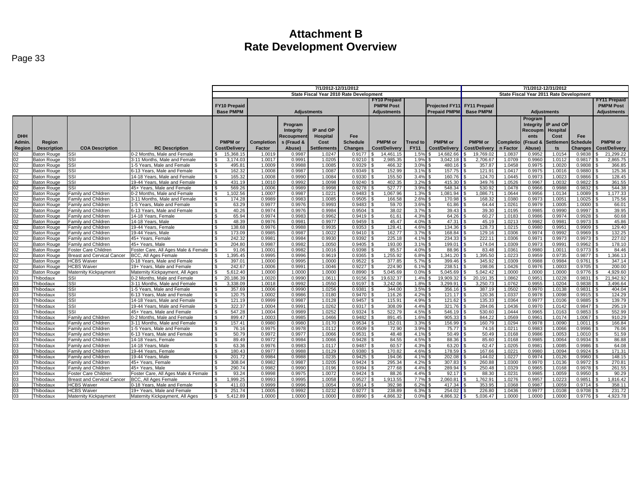|                 |                            |                                                          |                                                             | 7/1/2012-12/31/2012                     |                  |                  |                    |                  |                     |                 |                                         | 7/1/2012-12/31/2012 |                    |                  |                     |                    |                     |  |
|-----------------|----------------------------|----------------------------------------------------------|-------------------------------------------------------------|-----------------------------------------|------------------|------------------|--------------------|------------------|---------------------|-----------------|-----------------------------------------|---------------------|--------------------|------------------|---------------------|--------------------|---------------------|--|
|                 |                            |                                                          |                                                             | State Fiscal Year 2010 Rate Development |                  |                  |                    |                  |                     |                 | State Fiscal Year 2011 Rate Development |                     |                    |                  |                     |                    |                     |  |
|                 |                            |                                                          |                                                             |                                         |                  |                  |                    |                  | <b>FY10 Prepaid</b> |                 |                                         |                     |                    |                  |                     |                    | <b>FY11 Prepaid</b> |  |
|                 |                            |                                                          |                                                             | <b>FY10 Prepaid</b>                     |                  |                  |                    |                  | <b>PMPM Post</b>    |                 | Projected FY11 FY11 Prepaid             |                     |                    |                  |                     |                    | <b>PMPM Post</b>    |  |
|                 |                            |                                                          |                                                             | <b>Base PMPM</b>                        |                  |                  | <b>Adiustments</b> |                  | <b>Adiustments</b>  |                 | <b>Prepaid PMPM</b>                     | <b>Base PMPM</b>    | <b>Adjustments</b> |                  |                     | <b>Adjustments</b> |                     |  |
|                 |                            |                                                          |                                                             |                                         |                  |                  |                    |                  |                     |                 |                                         |                     |                    |                  |                     |                    |                     |  |
|                 |                            |                                                          |                                                             |                                         |                  |                  |                    |                  |                     |                 |                                         |                     |                    | Program          |                     |                    |                     |  |
|                 |                            |                                                          |                                                             |                                         |                  | Program          |                    |                  |                     |                 |                                         |                     |                    |                  | Integrity IP and OP |                    |                     |  |
|                 |                            |                                                          |                                                             |                                         |                  | Integrity        | IP and OP          |                  |                     |                 |                                         |                     |                    | Recoupm Hospital |                     |                    |                     |  |
| <b>DHH</b>      |                            |                                                          |                                                             |                                         |                  | Recoupmen        | <b>Hospital</b>    | Fee              |                     |                 |                                         |                     |                    | ents             | Cost                | Fee                |                     |  |
| Admin.          | Region                     |                                                          |                                                             | <b>PMPM</b> or                          | Completion       | s (Fraud &       | Cost               | <b>Schedule</b>  | <b>PMPM</b> or      | <b>Trend to</b> | <b>PMPM</b> or                          | PMPM or             | <b>Completio</b>   | (Fraud &         | <b>Settlemer</b>    | <b>Schedule</b>    | <b>PMPM</b> or      |  |
| Region          | <b>Description</b>         | <b>COA Description</b>                                   | <b>RC Description</b>                                       | Cost/Delivery                           | Factor           | Abuse)           | Settlements        | <b>Changes</b>   | Cost/Delivery       | <b>FY11</b>     | Cost/Delivery                           | Cost/Delivery       | n Factor           | Abuse)           | ts                  | Changes            | Cost/Delivery       |  |
|                 | Baton Rouge                | <b>SSI</b>                                               | 0-2 Months, Male and Female                                 | 15,368.15                               | 1.0019           | 0.9987           | 1.0247             | 0.9177           | 14.461.15           | 1.5%            | 14.682.66                               | 19,769.02           | 1.0837             | 0.9952           | 1.0154              | 0.9838             | 21,299.22           |  |
|                 | Baton Rouge                | SSI                                                      | 3-11 Months, Male and Female                                | 3.174.03                                | 1.0017           | 0.9991           | 1.0205             | 0.9210           | 2,985.35            | 1.9%            | 3.042.18                                | 2,706.67            | 1.0709             | 0.9960           | 1.0112              | 0.9817             | 2,865.75            |  |
| 02              | Baton Rouge                | SSI                                                      | 1-5 Years, Male and Female                                  | 495.81                                  | 1.0009           | 0.9988           | 1.0085             | 0.9329           | 466.32              | 3.0%            | 480.16                                  | 357.87              | 1.0458             | 0.9975           | 1.0020              | 0.9808             | 366.85              |  |
| 02              | Baton Rouge                | SSI                                                      | 6-13 Years, Male and Female                                 | 162.32<br>£.                            | 1.0008           | 0.9987           | 1.0087             | 0.9349           | 152.99              | 3.1%            | 157.75                                  | 121.91              | 1.0417             | 0.9975           | 1.0016              | 0.9880             | 125.36              |  |
| 02              | Baton Rouge                | SSI                                                      | 14-18 Years, Male and Female                                | 165.32                                  | 1.0008           | 0.9990           | 1.0084             | 0.9330           | 155.50              | 3.4%            | 160.76                                  | 124.70              | 1.0445             | 0.9973           | 1.0023              | 0.9866             | 128.45              |  |
| 02              | Baton Rouge                | SSI                                                      | 19-44 Years, Male and Female                                | \$<br>431.19                            | 1.0010           | 0.9992           | 1.0098             | 0.9240           | 402.35              | 3.2%            | 415.30                                  | 349.76              | 1.0526             | 0.9967           | 1.0032              | 0.9822             | 361.55              |  |
| $02\,$          | Baton Rouge                | SSI                                                      | 45+ Years, Male and Female                                  | 569.26<br>\$                            | 1.0006           | 0.9989           | 0.9998             | 0.9278           | 527.77              | 3.9%            | 548.34                                  | 530.92              | 1.0478             | 0.9966           | 0.9988              | 0.9832             | 544.38              |  |
| 02<br>02        | Baton Rouge<br>Baton Rouge | <b>Family and Children</b><br><b>Family and Children</b> | 0-2 Months, Male and Female<br>3-11 Months, Male and Female | .102.56<br>174.28                       | 1.0007<br>0.9989 | 0.9987<br>0.9983 | 1.0221<br>1.0085   | 0.9483<br>0.9505 | 1.067.96<br>166.58  | 1.3%<br>2.6%    | .081.94<br>170.98                       | .086.71<br>168.32   | 1.0644<br>1.0380   | 0.9956<br>0.9973 | 1.0134<br>1.005     | 1.0089<br>1.0025   | 1.177.33<br>175.56  |  |
|                 |                            |                                                          |                                                             | $\mathfrak{L}$                          |                  |                  |                    |                  |                     |                 |                                         |                     |                    |                  |                     |                    |                     |  |
| 02              | Baton Rouge                | Family and Children                                      | 1-5 Years, Male and Female                                  | 63.29                                   | 0.9977           | 0.9976           | 0.9993             | 0.9483           | 59.70               | 3.6%            | 61.86                                   | 64.44               | 1.0261             | 0.9979           | 1.0005              | 1.0000             | 66.01               |  |
| $\frac{02}{02}$ | Baton Rouge<br>Baton Rouge | Family and Children                                      | 6-13 Years, Male and Female<br>14-18 Years, Female          | 40.26<br>\$<br>65.94                    | 0.9974<br>0.9974 | 0.9976<br>0.9983 | 0.9984<br>0.9962   | 0.9504<br>0.9419 | 38.02<br>61.61      | 3.7%<br>4.3%    | 39.43<br>64.26                          | 39.30<br>60.27      | 1.0195<br>1.0183   | 0.9985<br>0.9986 | 0.9990<br>0.9974    | 0.9997<br>0.9928   | 39.95<br>60.68      |  |
|                 |                            | <b>Family and Children</b>                               |                                                             | ፍ                                       | 0.9976           | 0.9981           | 0.9977             | 0.9459           |                     | 4.0%            | 47.31                                   |                     |                    | 0.9982           | 0.998               |                    | 45.86               |  |
| 02              | Baton Rouge<br>Baton Rouge | Family and Children<br>Family and Children               | 14-18 Years, Male<br>19-44 Years, Female                    | 48.39<br>138.68                         | 0.9976           | 0.9988           | 0.9935             | 0.9353           | 45.47<br>128.41     | 4.6%            | 134.36                                  | 45.19<br>128.73     | 1.0213<br>1.0215   | 0.9980           | 0.9951              | 0.9973<br>0.9909   | 129.40              |  |
| $\frac{02}{02}$ | Baton Rouge                | <b>Family and Children</b>                               | 19-44 Years, Male                                           | 173.09                                  | 0.9985           | 0.9987           | 1.0022             | 0.9410           | 162.77              | 3.7%            | 168.84                                  | 129.16              | 1.0306             | 0.9974           | 0.9992              | 0.9969             | 132.25              |  |
| 02              | Baton Rouge                | Family and Children                                      | 45+ Years, Female                                           | 242.32                                  | 0.9981           | 0.9984           | 0.9930             | 0.9392           | 225.18              | 4.1%            | 234.33                                  | 222.11              | 1.0306             | 0.9971           | 0.9973              | 0.9973             | 227.02              |  |
| 02              | Baton Rouge                | Family and Children                                      | 45+ Years, Male                                             | 204.80                                  | 0.9987           | 0.9982           | 1.0050             | 0.9405           | 193.00              | 3.1%            | 199.01                                  | 174.04              | 1.0309             | 0.9973           | 0.9991              | 0.9962             | 178.10              |  |
| 02              | Baton Rouge                | Foster Care Children                                     | Foster Care, All Ages Male & Female                         | 91.06                                   | 1.0001           | 0.9982           | 1.0016             | 0.9398           | 85.57               | 4.0%            | 88.96                                   | 83.48               | 1.0361             | 0.9980           | 1.001               | 0.9773             | 84.46               |  |
| 02              | Baton Rouge                | <b>Breast and Cervical Cancer</b>                        | <b>BCC. All Ages Female</b>                                 | 1,395.45                                | 0.9995           | 0.9996           | 0.9619             | 0.9365           | 1,255.92            | 6.8%            | 1.341.20                                | 1.395.50            | 1.0223             | 0.9959           | 0.9735              | 0.9877             | 1,366.13            |  |
| $\overline{02}$ | Baton Rouge                | <b>HCBS Waiver</b>                                       | 0-18 Years, Male and Female                                 | 397.01                                  | 1.0000           | 0.9995           | 1.0000             | 0.9522           | 377.85              | 5.7%            | 399.46                                  | 345.92              | 1.0309             | 0.9988           | 0.9984              | 0.9761             | 347.14              |  |
| 02              | Baton Rouge                | <b>HCBS Waiver</b>                                       | 19+ Years, Male and Female                                  | 242.67                                  | 1.0006           | 0.9991           | 1.0046             | 0.9227           | 224.90              | 6.1%            | 238.51                                  | 198.06              | 1.0426             | 0.9976           | 1.0003              | 0.9705             | 200.00              |  |
| 02              | <b>Baton Rouge</b>         | <b>Maternity Kickpayment</b>                             | Maternity Kickpayment, All Ages                             | \$<br>5,612.40                          | 1.0000           | 1.0000           | 1.0000             | 0.8990           | 5,045.69            | 0.0%            | 5,045.69                                | 5,042.42            | 1.0000             | 1.0000           | 1.0000              | 0.9776             | 4,929.60            |  |
|                 | Thibodaux                  | SSI                                                      | 0-2 Months, Male and Female                                 | 20,186.39                               | 1.0020           | 0.9990           | 1.0611             | 0.9156           | 19.632.37           | 1.4%            | 19.909.32                               | 20.191.35           | 1.0862             | 0.9951           | 1.0228              | 0.9831             | 21,942.92           |  |
| 03<br>03        | Thibodaux                  | SSI                                                      | 3-11 Months, Male and Female                                | 3,338.09                                | 1.0018           | 0.9992           | 1.0550             | 0.9197           | 3,242.06            | 1.8%            | 3,299.91                                | 3,250.73            | 1.0762             | 0.9955           | 1.0204              | 0.9838             | 3,496.64            |  |
| 03              | Thibodaux                  | SSI                                                      | 1-5 Years, Male and Female                                  | 357.69                                  | 1.0006           | 0.9990           | 1.0256             | 0.9381           | 344.00              | 3.5%            | 356.16                                  | 387.19              | 1.0502             | 0.9970           | 1.0138              | 0.9831             | 404.04              |  |
| 03              | Thibodaux                  | SSI                                                      | 6-13 Years, Male and Female                                 | 120.75                                  | 1.0002           | 0.9986           | 1.0180             | 0.9470           | 116.26              | 4.2%            | 121.17                                  | 120.36              | 1.0337             | 0.9978           | 1.0098              | 0.9915             | 124.29              |  |
| 03              | Thibodaux                  | SSI                                                      | 14-18 Years, Male and Female                                | 121.19<br>\$                            | 0.9999           | 0.9987           | 1.0128             | 0.9457           | 115.91              | 4.9%            | 121.62                                  | 135.33              | 1.0364             | 0.9977           | 1.0106              | 0.9885             | 139.79              |  |
| 03              | Thibodaux                  | SSI                                                      | 19-44 Years. Male and Female                                | 322.37<br>$\mathcal{L}$                 | 1.0004           | 0.9991           | 1.0262             | 0.9317           | 308.09              | 4.4%            | 321.76                                  | 284.06              | 1.0436             | 0.9970           | 1.0142              | 0.9847             | 295.19              |  |
|                 | Thibodaux                  | SSI                                                      | 45+ Years, Male and Female                                  | 547.28                                  | 1.0004           | 0.9989           | 1.0252             | 0.9324           | 522.79              | 4.5%            | 546.19                                  | 530.60              | 1.0444             | 0.9965           | 1.0163              | 0.9853             | 552.99              |  |
| 03<br>03        | Thibodaux                  | <b>Family and Children</b>                               | 0-2 Months, Male and Female                                 | $\mathfrak{L}$<br>899.47                | 1.0003           | 0.9985           | 1.0466             | 0.9482           | 891.45              | 1.6%            | 905.33                                  | 844.22              | 1.0569             | 0.9961           | 1.0174              | 1.0067             | 910.29              |  |
| 03              | Thibodaux                  | Family and Children                                      | 3-11 Months, Male and Female                                | 157.41<br>ς.                            | 0.9980           | 0.9980           | 1.0170             | 0.9534           | 152.01              | 3.3%            | 156.99                                  | 160.79              | 1.0294             | 0.9978           | 1.0090              | 1.0011             | 166.84              |  |
|                 | Thibodaux                  | <b>Family and Children</b>                               | 1-5 Years, Male and Female                                  | 76.16                                   | 0.9975           | 0.9978           | 1.0112             | 0.9509           | 72.90               | 3.9%            | 75.77                                   | 74.16               | 1.0211             | 0.9983           | 1.0066              | 0.9996             | 76.06               |  |
| 03<br>03        | Thibodaux                  | Family and Children                                      | 6-13 Years, Male and Female                                 | 50.79                                   | 0.9972           | 0.9977           | 1.0066             | 0.9531           | 48.48               | 4.1%            | 50.49                                   | 50.49               | 1.0168             | 0.9986           | 1.0053              | 1.0010             | 51.59               |  |
| 03              | Thibodaux                  | Family and Children                                      | 14-18 Years, Female                                         | 89.49<br>\$.                            | 0.9972           | 0.9984           | 1.0066             | 0.9428           | 84.55               | 4.5%            | 88.36                                   | 85.60               | 1.0168             | 0.9985           | 1.0064              | 0.9934             | 86.88               |  |
|                 | Thibodaux                  | <b>Family and Children</b>                               | 14-18 Years, Male                                           | 63.36                                   | 0.9976           | 0.9983           | 1.0117             | 0.9487           | 60.57               | 4.3%            | 63.20                                   | 62.47               | 1.0205             | 0.9981           | 1.0085              | 0.9986             | 64.08               |  |
| 03<br>03        | Thibodaux                  | <b>Family and Children</b>                               | 19-44 Years, Female                                         | £.<br>180.43                            | 0.9977           | 0.9988           | 1.0129             | 0.9380           | 170.82              | 4.6%            | 178.59                                  | 167.66              | 1.0221             | 0.9980           | 1.0094              | 0.9924             | 171.31              |  |
| 03              | Thibodaux                  | Family and Children                                      | 19-44 Years, Male                                           | 201.72                                  | 0.9984           | 0.9988           | 1.0235             | 0.9425           | 194.06              | 4.1%            | 202.08                                  | 144.02              | 1.0227             | 0.9974           | 1.0126              | 0.9960             | 148.15              |  |
| $\overline{03}$ | Thibodaux                  | Family and Children                                      | 45+ Years, Female                                           | 308.04                                  | 0.9982           | 0.9987           | 1.0205             | 0.9424           | 295.34              | 4.2%            | 307.83                                  | 260.88              | 1.0300             | 0.9970           | 1.0136              | 0.9972             | 270.81              |  |
| 03              | Thibodaux                  | <b>Family and Children</b>                               | 45+ Years, Male                                             | 290.74                                  | 0.9982           | 0.9990           | 1.0196             | 0.9394           | 277.68              | 4.4%            | 289.94                                  | 250.48              | 1.0329             | 0.9965           | 1.0168              | 0.9978             | 261.55              |  |
| 03              | Thibodaux                  | Foster Care Children                                     | Foster Care, All Ages Male & Female                         | 93.24                                   | 0.9998           | 0.9975           | 1.0072             | 0.9424           | 88.26               | 4.4%            | 92.17                                   | 88.30               | 1.0231             | 0.9985           | 1.0059              | 0.9950             | 90.29               |  |
| 03<br>03        | Thibodaux                  | <b>Breast and Cervical Cancer</b>                        | <b>BCC. All Ages Female</b>                                 | .999.25                                 | 0.9993           | 0.9995           | 1.0058             | 0.9527           | 1.913.55            | 7.7%            | 2.060.81                                | .762.91             | 1.0276             | 0.9957           | 1.0223              | 0.9851             | 1,816.42            |  |
|                 | Thibodaux                  | <b>HCBS Waiver</b>                                       | 0-18 Years, Male and Female                                 | 411.03                                  | 0.9999           | 0.9996           | 1.0054             | 0.9514           | 392.98              | 6.2%            | 417.34                                  | 353.95              | 1.0368             | 0.9987           | 1.0059              | 0.9714             | 358.11              |  |
| 03<br>03        | Thibodaux                  | <b>HCBS Waiver</b>                                       | 19+ Years. Male and Female                                  | 251.74                                  | 1.0005           | 0.9992           | 1.0232             | 0.9277           | 238.89              | 6.3%            | 254.02                                  | 226.80              | 1.0436             | 0.9977           | 1.0108              | 0.9708             | 231.72              |  |
|                 | Thibodaux                  | Maternity Kickpayment                                    | Maternity Kickpayment, All Ages                             | 5.412.89<br>\$                          | 1.0000           | 1.0000           | 1.0000             | 0.8990           | 4.866.32            | 0.0%            | 4.866.32<br>- \$                        | 5.036.47            | 1.0000             | 1.0000           | 1.0000              | $0.9776$ \$        | 4.923.78            |  |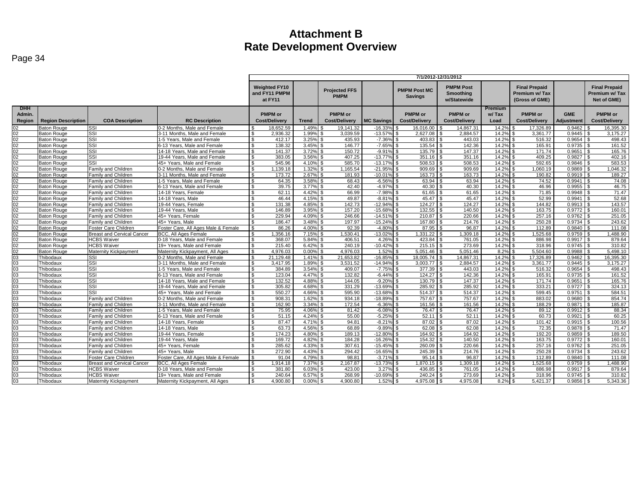| Page 34 |  |
|---------|--|
|---------|--|

|                                |                           |                                                   |                                                           | 7/1/2012-12/31/2012                              |                |                                        |                       |                                        |                                              |                                 |                                                         |                          |                                                      |
|--------------------------------|---------------------------|---------------------------------------------------|-----------------------------------------------------------|--------------------------------------------------|----------------|----------------------------------------|-----------------------|----------------------------------------|----------------------------------------------|---------------------------------|---------------------------------------------------------|--------------------------|------------------------------------------------------|
|                                |                           |                                                   |                                                           | <b>Weighted FY10</b><br>and FY11 PMPM<br>at FY11 |                | <b>Projected FFS</b><br><b>PMPM</b>    |                       | <b>PMPM Post MC</b><br><b>Savings</b>  | <b>PMPM Post</b><br>Smoothing<br>w/Statewide |                                 | <b>Final Prepaid</b><br>Premium w/Tax<br>(Gross of GME) |                          | <b>Final Prepaid</b><br>Premium w/Tax<br>Net of GME) |
| <b>DHH</b><br>Admin.<br>Region | <b>Region Description</b> | <b>COA Description</b>                            | <b>RC</b> Description                                     | <b>PMPM</b> or<br><b>Cost/Delivery</b>           | <b>Trend</b>   | <b>PMPM</b> or<br><b>Cost/Delivery</b> | <b>MC Savings</b>     | <b>PMPM</b> or<br><b>Cost/Delivery</b> | <b>PMPM</b> or<br><b>Cost/Delivery</b>       | <b>Premium</b><br>w/Tax<br>Load | <b>PMPM</b> or<br><b>Cost/Delivery</b>                  | <b>GME</b><br>Adjustment | <b>PMPM or</b><br><b>Cost/Delivery</b>               |
| 02                             | <b>Baton Rouge</b>        | <b>SSI</b>                                        | 0-2 Months. Male and Female                               | 18.652.59                                        | 1.49%          | 19.141.32                              | $-16.339$             | 16.016.00                              | 14.867.31                                    | 14.2%                           | 17.326.89                                               | 0.9462                   | 16.395.30                                            |
| 02                             | <b>Baton Rouge</b>        | SSI                                               | 3-11 Months, Male and Female                              | $\mathbf{\$}$<br>2.936.32                        | 1.99%          | 3,039.59                               | $-13.57%$             | 2,627.08                               | 2.884.57                                     | 14.2%                           | 3.361.77                                                | 0.9445                   | 3,175.27<br>. ድ                                      |
| 02                             | <b>Baton Rouge</b>        | SSI                                               | 1-5 Years. Male and Female                                | S.<br>412.17                                     | 3.25%          | 435.93                                 | $-7.36%$              | $403.83$ \$                            | 443.03                                       | 14.2% \$                        | 516.32                                                  | 0.9654                   | 498.43<br>-\$                                        |
| 02                             | <b>Baton Rouge</b>        | SSI                                               | 6-13 Years, Male and Female                               | 138.32<br>-S                                     | 3.45%          | 146.77<br>l \$                         | $-7.65%$              | 135.54                                 | 142.36                                       | 14.2%                           | \$.<br>165.91                                           | 0.9735                   | 161.52<br>-\$                                        |
| 02                             | <b>Baton Rouge</b>        | SSI                                               | 14-18 Years, Male and Female                              | $\mathfrak{s}$<br>141.37                         | 3.72%          | 150.72<br><b>S</b>                     | $-9.919$              | 135.79                                 | 147.37                                       | 14.2%                           | 171.74<br>\$                                            | 0.9651                   | 165.76                                               |
| 02                             | <b>Baton Rouge</b>        | SSI                                               | 19-44 Years. Male and Female                              | 383.05                                           | 3.56%          | 407.25                                 | $-13.77%$             | 351.16                                 | 351.16                                       | 14.2%                           | 409.25                                                  | 0.9827                   | 402.16                                               |
| 02                             | Baton Rouge               | SSI                                               | 45+ Years, Male and Female                                | 545.96<br>. ድ                                    | 4.10%          | 585.70                                 | $-13.17%$             | 508.53                                 | 508.53                                       | 14.2%                           | 592.65                                                  | 0.9846                   | 583.53                                               |
| 02                             | <b>Baton Rouge</b>        | Family and Children                               | 0-2 Months, Male and Female                               | 1,139.18<br>-S                                   | 1.32%          | 1,165.54                               | $-21.959$             | 909.69                                 | 909.69                                       | 14.2%                           | 1,060.19<br>\$.                                         | 0.9869                   | 1,046.32<br>£.                                       |
| 02                             | <b>Baton Rouge</b>        | Family and Children                               | 3-11 Months, Male and Female                              | 173.72<br>$\mathfrak{L}$                         | 2.67%          | 181.93                                 | $-10.019$             | 163.73                                 | 163.73<br>$\mathfrak{L}$                     | 14.2%                           | 190.82                                                  | 0.9919                   | 189.27                                               |
| 02                             | <b>Baton Rouge</b>        | Family and Children                               | 1-5 Years, Male and Female                                | 64.35                                            | 3.58%          | 68.43                                  | $-6.569$              | 63.94                                  | 63.94                                        | 14.2%                           | 74.52                                                   | 0.9941                   | 74.08                                                |
| 02                             | <b>Baton Rouge</b>        | Family and Children                               | 6-13 Years, Male and Female                               | 39.75                                            | 3.77%          | 42.40                                  | $-4.97%$              | 40.30                                  | 40.30                                        | 14.2%                           | 46.96                                                   | 0.9955                   | 46.75                                                |
| 02                             | <b>Baton Rouge</b>        | Family and Children                               | 14-18 Years, Female                                       | 62.11                                            | 4.42%          | 66.99                                  | $-7.98%$              | 61.65                                  | 61.65                                        | 14.2%                           | 71.85                                                   | 0.9948                   | 71.47                                                |
| 02                             | <b>Baton Rouge</b>        | Family and Children                               | 14-18 Years, Male                                         | 46.44<br>\$                                      | 4.15%          | 49.87                                  | $-8.819$              | 45.47                                  | 45.47                                        | 14.2%                           | 52.99                                                   | 0.9941                   | 52.68                                                |
| 02                             | <b>Baton Rouge</b>        | Family and Children                               | 19-44 Years, Female                                       | \$<br>131.38                                     | 4.85%          | 142.73                                 | $-12.94%$             | 124.27                                 | 124.27                                       | 14.2%                           | 144.82                                                  | 0.9913                   | 143.57                                               |
| 02                             | <b>Baton Rouge</b>        | Family and Children                               | 19-44 Years, Male                                         | 146.89<br>\$                                     | 3.95%          | 157.20                                 | $-15.689$             | 132.55                                 | 140.50                                       | 14.2%                           | 163.75                                                  | 0.9772                   | 160.01                                               |
| 02                             | <b>Baton Rouge</b>        | Family and Children                               | 45+ Years. Female                                         | 229.94                                           | 4.09%          | 246.66                                 | $-14.519$             | 210.87                                 | 220.66                                       | 14.2%                           | 257.16                                                  | 0.9762                   | 251.05                                               |
| 02                             | <b>Baton Rouge</b>        | <b>Family and Children</b>                        | 45+ Years, Male                                           | 186.47                                           | 3.48%          | 197.97                                 | $-15.249$             | 167.80                                 | 214.76                                       | 14.2%                           | 250.28                                                  | 0.9734                   | 243.62                                               |
| 02                             | <b>Baton Rouge</b>        | Foster Care Children                              | Foster Care, All Ages Male & Female                       | 86.26                                            | 4.00%          | 92.39                                  | $-4.80^{\circ}$       | 87.95                                  | 96.87                                        | 14.2%                           | 112.89                                                  | 0.9840                   | 111.08                                               |
| 02                             | <b>Baton Rouge</b>        | <b>Breast and Cervical Cancer</b>                 | BCC, All Ages Female                                      | 1.356.16                                         | 7.15%          | 1.530.41                               | $-13.029$             | 1.331.22                               | 1.309.18                                     | 14.2%                           | 1.525.68                                                | 0.9759                   | 1.488.90                                             |
| 02                             | <b>Baton Rouge</b>        | <b>HCBS Waiver</b>                                | 0-18 Years, Male and Female                               | $\mathcal{L}$<br>368.07                          | 5.84%          | 406.51                                 | 4.26%                 | 423.84                                 | 761.05                                       | 14.2%                           | 886.98                                                  | 0.9917                   | 879.64                                               |
| 02                             | <b>Baton Rouge</b>        | <b>HCBS Waiver</b>                                | 19+ Years. Male and Female                                | 215.40                                           | 6.42%          | 240.19                                 | $-10.429$             | 215.15                                 | 273.69                                       | 14.2%                           | 318.96                                                  | 0.9745                   | 310.82                                               |
| 02                             | <b>Baton Rouge</b>        | Maternity Kickpayment                             | Maternity Kickpayment. All Ages                           | 4.976.03                                         | 0.00%          | 4.976.03                               | 1.52%                 | 5.051.46                               | 5.051.46                                     | 8.2%                            | 5.504.60                                                | 0.9988                   | 5.498.10                                             |
| 03                             | Thibodaux                 | SSI                                               | 0-2 Months, Male and Female                               | 21.129.48<br>$\mathfrak{s}$                      | 1.41%          | 21,653.82                              | $-16.85$ <sup>c</sup> | 18.005.74                              | 14,867.31<br>l S                             | 14.2%                           | 17.326.89<br>\$                                         | 0.9462                   | 16,395.30<br>-\$                                     |
| 03                             | Thibodaux                 | SSI                                               | 3-11 Months, Male and Female                              | 3,417.95                                         | 1.89%          | 3,531.52                               | $-14.949$             | 3,003.77                               | 2,884.57                                     | 14.2%                           | 3,361.77                                                | 0.9445                   | 3,175.27                                             |
| 03                             | Thibodaux                 | SSI                                               | 1-5 Years, Male and Female                                | 384.89<br>. ድ                                    | 3.54%          | 409.07                                 | $-7.75%$              | 377.39                                 | 443.03                                       | 14.2%                           | 516.32                                                  | 0.9654                   | 498.43                                               |
| 03                             | Thibodaux                 | SSI                                               | 6-13 Years, Male and Female                               | $\mathbf{\$}$<br>123.04<br>$\mathcal{L}$         | 4.47%          | 132.82                                 | $-6.44%$              | 124.27                                 | 142.36                                       | 14.2%                           | 165.91                                                  | 0.9735                   | 161.52                                               |
| 03<br>03                       | Thibodaux                 | SSI                                               | 14-18 Years. Male and Female                              | 132.52                                           | 4.88%          | 144.05<br>331.29<br><b>S</b>           | $-9.20%$<br>$-13.69%$ | 130.79<br>285.92                       | 147.37<br>285.92                             | 14.2%                           | 171.74<br>333.21                                        | 0.9651                   | 165.76<br>324.13                                     |
| 03                             | Thibodaux                 | SSI<br>SSI                                        | 19-44 Years, Male and Female                              | 305.82<br>S.<br>550.27<br>£.                     | 4.68%<br>4.66% | 595.90                                 | $-13.68%$             | 514.37                                 | 514.37                                       | 14.2%<br>14.2%                  | \$<br>599.45                                            | 0.9727                   | -S<br>584.51                                         |
| 03                             | Thibodaux<br>Thibodaux    | Family and Children                               | 45+ Years. Male and Female<br>0-2 Months, Male and Female | 908.31                                           | 1.62%          | 934.18                                 | $-18.899$             | 757.67                                 | 757.67                                       | 14.2%                           | 883.02                                                  | 0.9751<br>0.9680         | 854.74                                               |
| 03                             | Thibodaux                 | Family and Children                               | 3-11 Months, Male and Female                              | 162.90<br>S.                                     | 3.34%          | 172.54                                 | $-6.36%$              | 161.56                                 | 161.56                                       | 14.2%                           | 188.29<br>\$                                            | 0.9871                   | 185.87                                               |
| 03                             |                           |                                                   | 1-5 Years, Male and Female                                | 75.95<br>\$                                      | 4.06%          | 81.42                                  | $-6.08%$              | 76.47                                  | 76.47                                        | 14.2%                           | 89.12                                                   | 0.9912                   | 88.34<br>ፍ                                           |
| 03                             | Thibodaux<br>Thibodaux    | Family and Children<br><b>Family and Children</b> | 6-13 Years. Male and Female                               | 51.15<br>-S                                      | 4.24%          | 55.00                                  | $-5.25^{\circ}$       | 52.11                                  | 52.11                                        | 14.2%                           | 60.73                                                   | 0.9921                   | 60.25                                                |
| 03                             | Thibodaux                 | Family and Children                               | 14-18 Years, Female                                       | 87.47<br>$\mathfrak{L}$                          | 4.71%          | 94.81                                  | $-8.21%$              | 87.02                                  | 87.02                                        | 14.2%                           | 101.42                                                  | 0.9915                   | 100.56                                               |
| 03                             |                           | <b>Family and Children</b>                        | 14-18 Years, Male                                         | 63.73                                            | 4.56%          | 68.89                                  | $-9.89%$              | 62.08                                  | 62.08                                        | 14.2%                           | 72.35                                                   | 0.9878                   | 71.47                                                |
| 03                             | Thibodaux<br>Thibodaux    | Family and Children                               | 19-44 Years, Female                                       | 174.23                                           | 4.80%          | 189.13                                 | $-12.809$             | 164.92                                 | 164.92                                       | 14.2%                           | 192.20                                                  | 0.9859                   | 189.50                                               |
| 03                             | Thibodaux                 | Family and Children                               | 19-44 Years, Male                                         | 169.72<br>$\mathfrak{L}$                         | 4.82%          | 184.28                                 | $-16.269$             | 154.32                                 | 140.50                                       | 14.2%                           | 163.75<br>\$                                            | 0.9772                   | 160.01<br>. ድ                                        |
| 03                             |                           |                                                   |                                                           | 285.62<br>\$                                     | 4.33%          | 307.61                                 | $-15.45%$             | 260.09                                 | 220.66                                       | 14.2%                           | 257.16                                                  | 0.9762                   | 251.05                                               |
| 03                             | Thibodaux<br>Thibodaux    | <b>Family and Children</b><br>Family and Children | 45+ Years, Female<br>45+ Years, Male                      | 272.90                                           | 4.43%          | 294.42                                 | $-16.659$             | 245.39                                 | 214.76                                       | 14.2%                           | 250.28                                                  | 0.9734                   | 243.62                                               |
| 03                             | Thibodaux                 | Foster Care Children                              | Foster Care, All Ages Male & Female                       | $\mathbf{s}$<br>91.04                            | 4.79%          | 98.81                                  | $-3.71%$              | 95.14                                  | 96.87                                        | 14.2%                           | $\mathfrak{s}$<br>112.89                                | $0.9840$ \$              | 111.08                                               |
| 03                             | Thibodaux                 | <b>Breast and Cervical Cancer</b>                 | BCC, All Ages Female                                      | 1.914.18                                         | 7.37%          | 2.167.87                               | $-13.73%$             | 1,870.15                               | 1,309.18                                     | 14.2%                           | ,525.68                                                 | 0.9759                   | .488.90                                              |
| 03                             | Thibodaux                 | <b>HCBS Waiver</b>                                | 0-18 Years, Male and Female                               | 381.80                                           | 6.03%          | 423.00                                 | 3.27%                 | 436.85                                 | 761.05                                       | 14.2%                           | 886.98                                                  | 0.9917                   | 879.64                                               |
| 03                             | Thibodaux                 | <b>HCBS Waiver</b>                                | 19+ Years. Male and Female                                | 240.64                                           | 6.57%          | 268.99                                 | $-10.69%$             | 240.24                                 | 273.69                                       | 14.2%                           | 318.96                                                  | 0.9745                   | 310.82                                               |
| 03                             | Thibodaux                 | Maternity Kickpayment                             | Maternity Kickpayment, All Ages                           | 4.900.80<br>$\mathbf{R}$                         | 0.00%          | 4.900.80                               | 1.52%                 | 4.975.08                               | 4.975.08                                     | 8.2%                            | 5.421.37                                                | 0.9856                   | 5.343.36                                             |
|                                |                           |                                                   |                                                           |                                                  |                |                                        |                       |                                        |                                              |                                 |                                                         |                          |                                                      |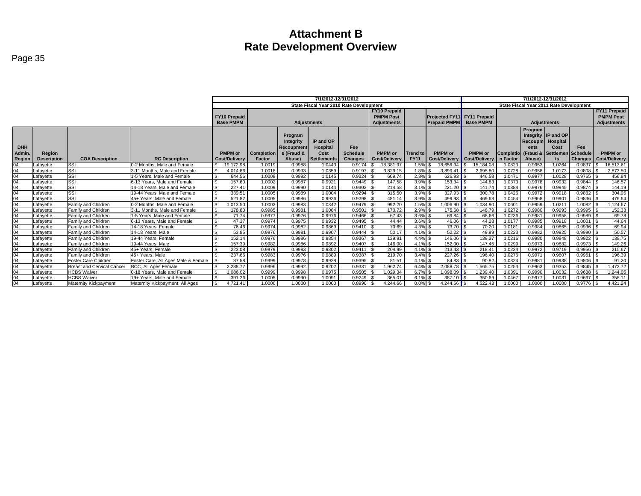|               |                    |                                   |                                     | 7/1/2012-12/31/2012 |            |                  |                    |                                         |                      | 7/1/2012-12/31/2012 |                               |                      |                              |           |                                         |                |                      |
|---------------|--------------------|-----------------------------------|-------------------------------------|---------------------|------------|------------------|--------------------|-----------------------------------------|----------------------|---------------------|-------------------------------|----------------------|------------------------------|-----------|-----------------------------------------|----------------|----------------------|
|               |                    |                                   |                                     |                     |            |                  |                    | State Fiscal Year 2010 Rate Development |                      |                     |                               |                      |                              |           | State Fiscal Year 2011 Rate Development |                |                      |
|               |                    |                                   |                                     |                     |            |                  |                    |                                         | <b>FY10 Prepaid</b>  |                     |                               |                      |                              |           |                                         |                | <b>FY11 Prepaid</b>  |
|               |                    |                                   |                                     | <b>FY10 Prepaid</b> |            |                  |                    |                                         | <b>PMPM Post</b>     |                     | Projected FY11 FY11 Prepaid   |                      |                              |           |                                         |                | <b>PMPM Post</b>     |
|               |                    |                                   |                                     | <b>Base PMPM</b>    |            |                  | <b>Adjustments</b> |                                         | <b>Adjustments</b>   |                     | <b>Prepaid PMPM</b> Base PMPM |                      |                              |           | <b>Adjustments</b>                      |                | Adjustments          |
|               |                    |                                   |                                     |                     |            |                  |                    |                                         |                      |                     |                               |                      |                              | Program   |                                         |                |                      |
|               |                    |                                   |                                     |                     |            | Program          |                    |                                         |                      |                     |                               |                      |                              |           | Integrity IP and OP                     |                |                      |
|               |                    |                                   |                                     |                     |            | <b>Integrity</b> | IP and OP          |                                         |                      |                     |                               |                      |                              | Recoupm I | Hospital                                |                |                      |
| <b>DHH</b>    |                    |                                   |                                     |                     |            | Recoupment       | Hospital           | Fee                                     |                      |                     |                               |                      |                              | ents      | Cost                                    | Fee            |                      |
| Admin.        | Region             |                                   |                                     | <b>PMPM</b> or      | Completion | s (Fraud &       | Cost               | <b>Schedule</b>                         | <b>PMPM</b> or       | <b>Trend to</b>     | <b>PMPM</b> or                | <b>PMPM</b> or       | Completio (Fraud & Settlemen |           |                                         | Schedule       | <b>PMPM</b> or       |
| <b>Region</b> | <b>Description</b> | <b>COA Description</b>            | <b>RC Description</b>               | Cost/Delivery       | Factor     | Abuse)           | <b>Settlements</b> | <b>Changes</b>                          | <b>Cost/Delivery</b> | <b>FY11</b>         | <b>Cost/Deliverv</b>          | <b>Cost/Delivery</b> | n Factor                     | Abuse)    |                                         | <b>Changes</b> | <b>Cost/Delivery</b> |
| $\Omega$ 4    | _afavette          | <b>SSI</b>                        | 0-2 Months. Male and Female         | 19.172.98           | 1.0019     | 0.9988           | 1.0443             | 0.9174                                  | 18.381.97            | 1.5%                | 18.656.94                     | 15.184.08            | 1.0823                       | 0.9953    | 1.0264                                  | 0.9837         | 16,513.61            |
| 04            | Lafavette          | <b>ISSI</b>                       | 3-11 Months, Male and Female        | 1.014.86            | 1.0018     | 0.9993           | 1.0359             | 0.9197                                  | 3,829.15             | 1.8%                | 3.899.41                      | 2.695.80             | 1.0728                       | 0.9958    | 1.0173                                  | 0.9808         | 2,873.50             |
| $\Omega$      | Lafavette          | <b>ISSI</b>                       | 1-5 Years, Male and Female          | 644.56              | 1.0008     | 0.9992           | 1.0145             | 0.9324                                  | 609.74               | $2.8\%$ \$          | 626.93                        | 446.58               | 1.0471                       | 0.9977    | 1.0028                                  | 0.9765         | 456.84               |
| 04            | Lafavette          | <b>ISSI</b>                       | 6-13 Years. Male and Female         | 157.60              | 1.0002     | 0.9987           | 0.9921             | 0.9449                                  | 147.58               | $3.9\%$ \$          | 153.34                        | 144.83               | 1.0373                       | 0.9978    | 0.9932                                  | 0.9844         | 146.57               |
| 04            | Lafavette          | <b>ISSI</b>                       | 14-18 Years. Male and Female        | 227.41              | 1.0009     | 0.9990           | 1.0144             | 0.9303                                  | 214.58               | $3.1\%$ \$          | 221.20                        | 141.74               | 1.0384                       | 0.9976    | 0.9945                                  | 0.9874         | 144.19               |
| 04            | afavette           | <b>ISSI</b>                       | 19-44 Years. Male and Female        | 339.51              | 1.0005     | 0.9989           | 1.0004             | 0.9294                                  | 315.50               | $3.9\%$ \$          | 327.93                        | 300.78               | 1.0426                       | 0.9972    | 0.9918                                  | 0.9832         | 304.96               |
| $\Omega$      | Lafavette          | SSI                               | 45+ Years. Male and Female          | 521.82              | 1.0005     | 0.9986           | 0.9926             | 0.9298                                  | 481.14               | $3.9\%$ \$          | 499.93                        | 469.68               | 1.0454                       | 0.9968    | 0.9901                                  | 0.9836         | 476.64               |
| $\Omega$      | Lafavette          | Family and Children               | 0-2 Months. Male and Female         | .013.50             | 1.0003     | 0.9983           | 1.0342             | 0.9479                                  | 992.20               | $1.5%$ \$           | .006.90                       | 034.90               | 1.060                        | 0.9959    | 1.0211                                  | 1.0082         | .124.67              |
| $\Omega$      | Lafavette          | Family and Children               | 3-11 Months, Male and Female        | 178.80              | 0.9985     | 0.9981           | 1.0084             | 0.9501                                  | 170.72               | $2.9\%$ \$          | 175.68                        | 148.79               | 1.0272                       | 0.9980    | 0.9993                                  | 0.9995         | 152.33               |
| 04            | Lafavette          | Family and Children               | 1-5 Years. Male and Female          | 71.74               | 0.9977     | 0.9976           | 0.9976             | 0.9466                                  | 67.43                | $3.6\%$ \$          |                               | 68.66                | 1.0236                       | 0.9981    | 0.9958                                  | 0.9989         | 69.78                |
| $\Omega$      | Lafavette          | Family and Children               | 6-13 Years. Male and Female         | 47.37               | 0.9974     | 0.9975           | 0.9932             | $0.9495$ \$                             | 44.44                | $3.6\%$ \$          | $46.06$ \ \ \$                | 44.28                | 1.017                        | 0.9985    | 0.9918                                  | 1.0001         | 44.64                |
| $\Omega$      | Lafavette          | Family and Children               | 14-18 Years, Female                 | 76.46               | 0.9974     | 0.9982           | 0.9869             | 0.9410                                  | 70.69                | $4.3\%$ \$          | 73.70                         | 70.20                | 1.018                        | 0.9984    | 0.9865                                  | 0.9936         | 69.94                |
| 04            | afavette           | Family and Children               | 14-18 Years, Male                   | 53.85               | 0.9976     | 0.9981           | 0.9907             | 0.9444                                  | 50.17                | $4.1\%$ \$          |                               | 49.99                | 1.0223                       | 0.9982    | 0.9925                                  | 0.9990         | 50.57                |
| 04            | Lafavette          | Family and Children               | 19-44 Years, Female                 | 152.14              | 0.9976     | 0.9986           | 0.9854             | 0.9367                                  | 139.91               | $4.4\%$ \$          | 146.06 $\sqrt{\ }}$           | 139.27               | 1.0216                       | 0.9980    | 0.9848                                  | 0.9922         | 138.75               |
| $\Omega$      | Lafavette          | Family and Children               | 19-44 Years, Male                   | 157.39              | 0.9982     | 0.9986           | 0.9892             | 0.9407                                  | 146.00               | $4.1\%$ \$          | 152.00                        | 147.45               | 1.0299                       | 0.9973    | 0.9882                                  | 0.9973         | 149.26               |
| $\Omega$      | Lafavette          | Family and Children               | 45+ Years, Female                   | 223.08              | 0.9979     | 0.9983           | 0.9802             | 0.9411                                  | 204.99               | 4.1% \$             | 213.43                        | 218.41               | 1.0234                       | 0.9972    | 0.9719                                  | 0.9956         | 215.67               |
| 04            | Lafavette          | Family and Children               | 45+ Years, Male                     | 237.66              | 0.9983     | 0.9976           | 0.9889             | 0.9387                                  | 219.70               | $3.4\%$ \$          | $\overline{227.26}$           | 196.40               | 1.0276                       | 0.997     | 0.9807                                  | 0.9951         | 196.39               |
| 04            | Lafavette          | Foster Care Children              | Foster Care, All Ages Male & Female | 87.58               | 0.9999     | 0.9978           | 0.9928             | 0.9395                                  | 81.51                | $4.1\%$ \$          | 84.83                         | 90.82                | 1.0324                       | 0.9981    | 0.9938                                  | 0.9806         | 91.20                |
| $\Omega$      | Lafavette          | <b>Breast and Cervical Cancer</b> | <b>BCC. All Ages Female</b>         | :288.77             | 0.9996     | 0.9992           | 0.9202             | 0.9331                                  | .962.74              | $6.4\%$ \$          | 2.088.78                      | .565.75              | 1.0253                       | 0.9963    | 0.9353                                  | 0.9845         | .472.72              |
| 04            | Lafavette          | <b>HCBS</b> Waiver                | 0-18 Years. Male and Female         | .086.02             | 0.9999     | 0.9998           | 0.9975             | $0.9505$ \$                             | .029.34              | $6.7\%$ \$          | 1.098.09                      | 1,239.40             | 1.039                        | 0.9990    | 1.0032                                  | 0.9638         | 1.244.05             |
| 04            | Lafavette          | <b>HCBS Waiver</b>                | 19+ Years. Male and Female          | 391.26              | 1.0005     | 0.9990           | 1.0091             | 0.9249                                  | 365.01               | $6.1\%$ \$          | 387.10                        | 350.69               | 1.0467                       | 0.9977    | 1.0031                                  | 0.9667         | 355.11               |
| 04            | Lafayette          | Maternity Kickpayment             | Maternity Kickpayment, All Ages     | 4.721.41            | 1.0000     | 1.0000           | 1.0000             | 0.8990                                  | 4.244.66             | $0.0\%$ \$          | 4.244.66                      | 4,522.43             | 1.0000                       | 1.0000    | 1.0000                                  | $0.9776$ \$    | 4,421.24             |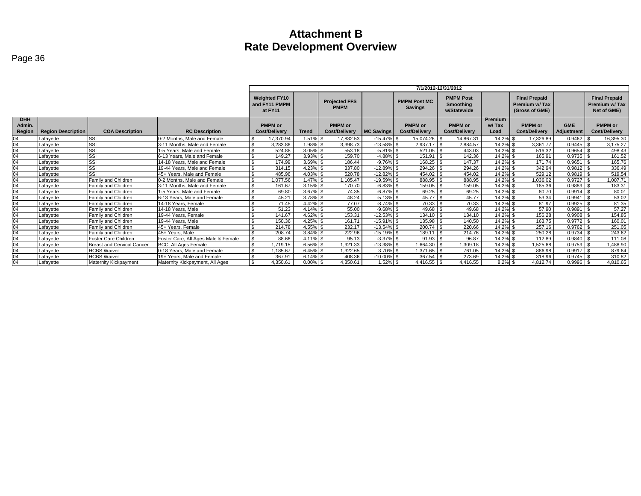|                                |                           |                                   |                                     | 7/1/2012-12/31/2012                                                                                                                                                                                                                                                                                   |              |                                        |                   |                                        |                                        |                                 |                                        |                          |                                        |  |  |
|--------------------------------|---------------------------|-----------------------------------|-------------------------------------|-------------------------------------------------------------------------------------------------------------------------------------------------------------------------------------------------------------------------------------------------------------------------------------------------------|--------------|----------------------------------------|-------------------|----------------------------------------|----------------------------------------|---------------------------------|----------------------------------------|--------------------------|----------------------------------------|--|--|
|                                |                           |                                   |                                     | <b>PMPM Post</b><br><b>Final Prepaid</b><br><b>Final Prepaid</b><br><b>Weighted FY10</b><br><b>PMPM Post MC</b><br><b>Projected FFS</b><br>and FY11 PMPM<br>Premium w/ Tax<br>Smoothing<br>Premium w/ Tax<br><b>PMPM</b><br><b>Savings</b><br>(Gross of GME)<br>Net of GME)<br>at FY11<br>w/Statewide |              |                                        |                   |                                        |                                        |                                 |                                        |                          |                                        |  |  |
| <b>DHH</b><br>Admin.<br>Region | <b>Region Description</b> | <b>COA Description</b>            | <b>RC Description</b>               | <b>PMPM</b> or<br><b>Cost/Delivery</b>                                                                                                                                                                                                                                                                | <b>Trend</b> | <b>PMPM</b> or<br><b>Cost/Delivery</b> | <b>MC Savings</b> | <b>PMPM</b> or<br><b>Cost/Delivery</b> | <b>PMPM</b> or<br><b>Cost/Delivery</b> | <b>Premium</b><br>w/Tax<br>Load | <b>PMPM</b> or<br><b>Cost/Delivery</b> | <b>GME</b><br>Adjustment | <b>PMPM</b> or<br><b>Cost/Delivery</b> |  |  |
| 04                             | Lafavette                 | SSI                               | 0-2 Months. Male and Female         | 17.370.94                                                                                                                                                                                                                                                                                             | .51%         | 17.832.53                              | $-15.47\%$ \$     | 15.074.26                              | 14.867.31                              | 14.2%                           | 17.326.89                              | 0.9462                   | 16,395.30                              |  |  |
| 04                             | Lafavette                 | SSI                               | 3-11 Months. Male and Female        | 3.283.86                                                                                                                                                                                                                                                                                              | 1.98% \$     | 3.398.73                               | $-13.58\%$ \$     | $2.937.17$ \$                          | 2.884.57                               | 14.2% \$                        | 3.361.77                               | 0.9445                   | 3.175.27                               |  |  |
| 04                             | Lafavette                 | SSI                               | 1-5 Years. Male and Female          | 524.88                                                                                                                                                                                                                                                                                                | $3.05\%$ \$  | 553.18                                 | $-5.81\%$ \$      | $521.05$ \$                            | 443.03                                 | 14.2% \$                        | 516.32                                 | 0.9654                   | 498.43                                 |  |  |
| 04                             | Lafavette                 | SSI                               | 6-13 Years. Male and Female         | 149.27                                                                                                                                                                                                                                                                                                | $3.93\%$ \$  | 159.70                                 | $-4.88\%$ \$      | 151.91                                 | 142.36                                 | 14.2% \$                        | 165.91                                 | 0.9735                   | 161.52                                 |  |  |
| 04                             | Lafavette                 | SSI                               | 14-18 Years. Male and Female        | 174.99                                                                                                                                                                                                                                                                                                | $3.69\%$ \$  | 186.44                                 | $-9.76\%$ \$      | 168.25                                 | 147.37                                 | 14.2% \$                        | 171.74                                 | 0.9651                   | 165.76                                 |  |  |
| 04                             | Lafavette                 | SSI                               | 19-44 Years. Male and Female        | ፍ<br>314.15                                                                                                                                                                                                                                                                                           | 4.23% \$     | 337.80                                 | $-12.89\%$ \$     | $294.26$ \$                            | 294.26                                 | 14.2% \$                        | 342.94                                 | $0.9812$ \$              | 336.49                                 |  |  |
| $\overline{04}$                | Lafavette                 | SSI                               | 45+ Years. Male and Female          | 485.96                                                                                                                                                                                                                                                                                                | 4.03% \$     | 520.78                                 | $-12.82\%$ \$     | $454.02$ \$                            | 454.02                                 | 14.2% \$                        | 529.12                                 | 0.9819                   | 519.54                                 |  |  |
| 04                             | Lafavette                 | Family and Children               | 0-2 Months, Male and Female         | 1.077.56                                                                                                                                                                                                                                                                                              | $.47\%$ \$   | .105.47                                | $-19.59\%$ \$     | 888.95                                 | 888.95                                 | 14.2% \$                        | .036.02                                | 0.9727                   | ,007.71                                |  |  |
| 04                             | Lafavette                 | Family and Children               | 3-11 Months, Male and Female        | 161.67<br>\$.                                                                                                                                                                                                                                                                                         | $3.15\%$ \$  | 170.70                                 | $-6.83\%$ \$      | 159.05                                 | 159.05                                 | 14.2% \$                        | 185.36                                 | 0.9889                   | 183.31                                 |  |  |
| 04                             | Lafavette                 | Family and Children               | 1-5 Years. Male and Female          | 69.80                                                                                                                                                                                                                                                                                                 | $3.67\%$ \$  | 74.35                                  | $-6.87\%$ \$      | 69.25                                  | 69.25                                  | 14.2% \$                        | 80.70                                  | 0.9914                   | 80.01                                  |  |  |
| 04                             | Lafavette                 | Family and Children               | 6-13 Years. Male and Female         | 45.21                                                                                                                                                                                                                                                                                                 | 3.78% \$     | 48.24                                  | $-5.13\%$ \$      | $45.77$ \\$                            | 45.77                                  | 14.2% \$                        | 53.34                                  | 0.9941                   | 53.02                                  |  |  |
| 04                             | Lafavette                 | <b>Family and Children</b>        | 14-18 Years, Female                 | 71.45                                                                                                                                                                                                                                                                                                 | 4.42% \$     | 77.07                                  | $-8.74\%$ \$      | 70.33                                  | 70.33                                  | 14.2% \$                        | 81.97                                  | 0.9925                   | 81.35                                  |  |  |
| 04                             | Lafavette                 | <b>Family and Children</b>        | 14-18 Years, Male                   | 51.23                                                                                                                                                                                                                                                                                                 | 4.14% \$     | 55.00                                  | $-9.68\%$ \$      | 49.68                                  | 49.68                                  | 14.2% \$                        | 57.90                                  | 0.9891                   | 57.27                                  |  |  |
| 04                             | Lafavette                 | Family and Children               | 19-44 Years, Female                 | 141.67                                                                                                                                                                                                                                                                                                | 4.62% \$     | 153.31                                 | $-12.53\%$ \$     | 134.10                                 | 134.10                                 | 14.2% \$                        | 156.28                                 | 0.9908                   | 154.85                                 |  |  |
| 04                             | Lafavette                 | Family and Children               | 19-44 Years, Male                   | 150.36                                                                                                                                                                                                                                                                                                | 4.25% \$     | 161.71                                 | $-15.91\%$ \$     | 135.98                                 | 140.50                                 | 14.2% \$                        | 163.75                                 | 0.9772                   | 160.01                                 |  |  |
| 04                             | Lafavette                 | Family and Children               | 45+ Years. Female                   | 214.78                                                                                                                                                                                                                                                                                                | 4.55% \$     | 232.17                                 | $-13.54\%$ \$     |                                        | 220.66                                 | 14.2% \$                        | 257.16                                 | 0.9762                   | 251.05                                 |  |  |
| 04                             | Lafavette                 | Family and Children               | 45+ Years, Male                     | 208.74                                                                                                                                                                                                                                                                                                | 3.84% \$     | 222.96                                 | $-15.19\%$ \$     | 189.11                                 | 214.76                                 | 14.2% \$                        | 250.28                                 | 0.9734                   | 243.62                                 |  |  |
| 04                             | Lafavette                 | <b>Foster Care Children</b>       | Foster Care, All Ages Male & Female | 88.66                                                                                                                                                                                                                                                                                                 | 4.11% \$     | 95.13                                  | $-3.37\%$ \$      |                                        | 96.87                                  | 14.2% \$                        | 112.89                                 | 0.9840                   | 111.08                                 |  |  |
| 04                             | Lafavette                 | <b>Breast and Cervical Cancer</b> | BCC, All Ages Female                | 1.719.15                                                                                                                                                                                                                                                                                              | 6.56% \$     | 1.921.33                               | $-13.38\%$ \$     | .664.30                                | .309.18                                | 14.2% \$                        | .525.68                                | 0.9759                   | .488.90                                |  |  |
| 04                             | Lafavette                 | <b>HCBS</b> Waiver                | 0-18 Years. Male and Female         | .185.67                                                                                                                                                                                                                                                                                               | $6.45\%$ \$  | 1.322.65                               | $3.70\%$ \$       | 1.371.65 \$                            | 761.05                                 | 14.2% \$                        | 886.98                                 | 0.9917                   | 879.64                                 |  |  |
| 04                             | Lafavette                 | <b>HCBS Waiver</b>                | 19+ Years. Male and Female          | 367.91                                                                                                                                                                                                                                                                                                | $6.14\%$ \$  | 408.36                                 | $-10.00\%$ \$     | $367.54$ \$                            | 273.69                                 | 14.2% \$                        | 318.96                                 | 0.9745                   | 310.82                                 |  |  |
| 04                             | Lafavette                 | Maternity Kickpayment             | Maternity Kickpayment. All Ages     | $\mathbf{\$}$<br>4.350.61                                                                                                                                                                                                                                                                             | $0.00\%$ \$  | 4,350.61                               | $1.52\%$ \$       | $4,416.55$ \$                          | 4,416.55                               | $8.2\%$ \$                      | 4.812.74                               | 0.9996                   | 4,810.65                               |  |  |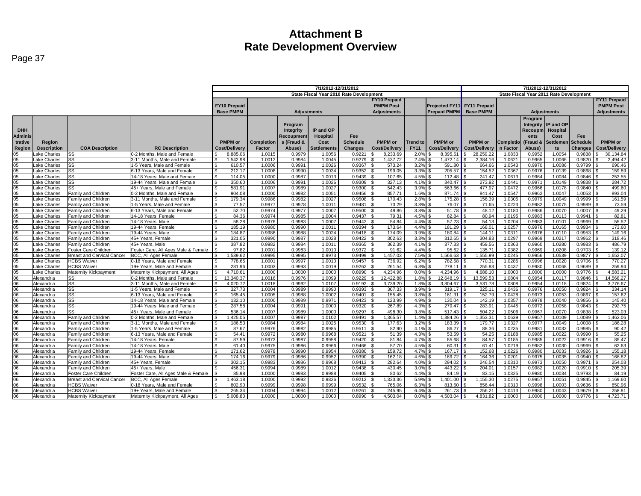|                 |                          |                                            |                                     | 7/1/2012-12/31/2012       |                                         |            |                    |                  |                     |                 | 7/1/2012-12/31/2012         |                  |                    |                                         |                    |                  |                      |  |
|-----------------|--------------------------|--------------------------------------------|-------------------------------------|---------------------------|-----------------------------------------|------------|--------------------|------------------|---------------------|-----------------|-----------------------------|------------------|--------------------|-----------------------------------------|--------------------|------------------|----------------------|--|
|                 |                          |                                            |                                     |                           | State Fiscal Year 2010 Rate Development |            |                    |                  |                     |                 |                             |                  |                    | State Fiscal Year 2011 Rate Development |                    |                  |                      |  |
|                 |                          |                                            |                                     |                           |                                         |            |                    |                  | <b>FY10 Prepaid</b> |                 |                             |                  |                    |                                         |                    |                  | <b>FY11 Prepaid</b>  |  |
|                 |                          |                                            |                                     | <b>FY10 Prepaid</b>       |                                         |            |                    |                  | <b>PMPM Post</b>    |                 | Projected FY11 FY11 Prepaid |                  |                    |                                         |                    |                  | <b>PMPM Post</b>     |  |
|                 |                          |                                            |                                     | <b>Base PMPM</b>          |                                         |            | <b>Adiustments</b> |                  | <b>Adiustments</b>  |                 | <b>Prepaid PMPM</b>         | <b>Base PMPM</b> |                    |                                         | <b>Adiustments</b> |                  | <b>Adjustments</b>   |  |
|                 |                          |                                            |                                     |                           |                                         |            |                    |                  |                     |                 |                             |                  |                    |                                         |                    |                  |                      |  |
|                 |                          |                                            |                                     |                           |                                         |            |                    |                  |                     |                 |                             |                  |                    | Program                                 |                    |                  |                      |  |
|                 |                          |                                            |                                     |                           |                                         | Program    |                    |                  |                     |                 |                             |                  |                    | Integrity                               | IP and OP          |                  |                      |  |
| <b>DHH</b>      |                          |                                            |                                     |                           |                                         | Integrity  | IP and OP          |                  |                     |                 |                             |                  |                    | Recoupm                                 | <b>Hospital</b>    |                  |                      |  |
| <b>Adminis</b>  |                          |                                            |                                     |                           |                                         | Recoupmen  | <b>Hospital</b>    | Fee              |                     |                 |                             |                  |                    | ents                                    | Cost               | Fee              |                      |  |
| trative         | Region                   |                                            |                                     | <b>PMPM</b> or            | Completion                              | s (Fraud & | Cost               | <b>Schedule</b>  | <b>PMPM</b> or      | <b>Trend to</b> | <b>PMPM</b> or              | <b>PMPM</b> or   | Completio (Fraud & |                                         | Settlemen          | <b>Schedule</b>  | <b>PMPM</b> or       |  |
| Region          | <b>Description</b>       | <b>COA Description</b>                     | <b>RC Description</b>               | Cost/Delivery             | Factor                                  | Abuse)     | Settlements        | <b>Changes</b>   | Cost/Delivery       | <b>FY11</b>     | Cost/Delivery               | Cost/Deliver     | n Factor           | Abuse)                                  | ts                 | <b>Changes</b>   | <b>Cost/Delivery</b> |  |
| 05              | ake Charles              | SSI                                        | 0-2 Months. Male and Female         | 8,885.06                  | 1.0015                                  | 0.9979     | 1.0056             | 0.9221           | 8,233.69            | 2.0%            | 8.395.51                    | 28.259.2         | 1.0833             | 0.9952                                  | 1.0054             | 0.9838           | 30,134.84            |  |
| 05              | ake Charles              | SSI                                        | 3-11 Months, Male and Female        | .542.98                   | 1.0012                                  | 0.9984     | 1.0045             | 0.9279           | 1.437.72            | 2.4%            | 1.472.14                    | 2.384.16         | 1.0621             | 0.9965                                  | 1.0066             | 0.9820           | 2.494.42             |  |
| 0 <sub>5</sub>  | ake Charles              | SSI                                        | 1-5 Years, Male and Female          | $\mathbf{s}$<br>610.57    | 1.0006                                  | 0.9991     | 1.0026             | 0.9367           | 573.24              | 3.2%            | 591.80                      | 664.66           | 1.0543             | 0.9970                                  | 1.0086             | 0.9799           | 690.46               |  |
| 05              | ake Charles              | SSI                                        | 3-13 Years, Male and Female         | 212.17<br><b>S</b>        | 1.0008                                  | 0.9990     | 1.0034             | 0.9352           | 199.05              | 3.3%            | 205.57                      | 154.52           | 1.0367             | 0.9976                                  | 1.0139             | 0.9868           | 159.89               |  |
|                 | ake Charles <b>.</b>     | SSI                                        | 14-18 Years, Male and Female        | 114.05                    | 1.0000                                  | 0.9987     | 1.0013             | 0.9439           | 107.65              | 4.5%            | 112.48                      | 241.47           | 1.0613             | 0.9964                                  | 1.0084             | 0.9846           | 253.55               |  |
| $\frac{05}{05}$ | ake Charles              | SSI                                        | 19-44 Years, Male and Female        | $\mathbf{s}$<br>350.60    | 1.0006                                  | 0.9991     | 1.0026             | 0.9309           | 327.13              | 4.1%            | 340.47                      | 273.92           | 1.0441             | 0.9971                                  | 1.0149             | 0.9838           | 284.72               |  |
| 05              | ake Charles <b>.</b>     | SSI.                                       | 45+ Years, Male and Female          | 581.91<br>l \$            | 1.0007                                  | 0.9989     | 1.0027             | 0.9300           | 542.43              | 3.9%            | 563.66                      | 477.97           | 1.0472             | 0.9966                                  | 1.0178             | 0.9840           | 499.60               |  |
|                 | ake Charles              | Family and Children                        | 0-2 Months, Male and Female         | 904.08                    | 1.0000                                  | 0.9982     | 1.0051             | 0.9456           | 857.71              | 1.6%            | 871.74                      | 841.47           | 1.0547             | 0.9962                                  | 1.0047             | 1.0053           | 893.04               |  |
| 05<br>05        | ake Charles              | Family and Children                        | 3-11 Months, Male and Female        | l \$<br>179.34            | 0.9986                                  | 0.9982     | 1.0027             | 0.9508           | 170.43              | 2.8%            | 175.28                      | 156.39           | 1.0305             | 0.9979                                  | 1.0049             | 0.9999           | 161.59               |  |
| 05              | ake Charles              | Family and Children                        | 1-5 Years, Male and Female          | 77.57<br>$\mathbf{s}$     | 0.9977                                  | 0.9978     | 1.0011             | 0.9481           | 73.29               | 3.8%            | 76.07                       | 71.65            | 1.0223             | 0.9982                                  | 1.0075             | 0.9989           | 73.59                |  |
|                 | ake Charles              | Family and Children                        | 6-13 Years, Male and Female         | 52.70<br>$\mathcal{S}$    | 0.9974                                  | 0.9977     | 1.0007             | 0.9500           | 49.86               | 3.8%            | 51.78                       | 48.12            | 1.0180             | 0.9986                                  | 1.0070             | 1.0007           | 49.29                |  |
| $\frac{05}{05}$ | ake Charles              | Family and Children                        | 14-18 Years, Female                 | $\mathbf{s}$<br>84.36     | 0.9974                                  | 0.9985     | 1.0004             | 0.9437           | 79.31               | 4.5%            | 82.84                       | 80.94            | 1.0195             | 0.9983                                  | 1.0113             | 0.9941           | 82.81                |  |
| 05              | ake Charles              | Family and Children                        | 14-18 Years, Male                   | 58.28<br>$\mathcal{F}$    | 0.9976                                  | 0.9983     | 1.0007             | 0.9442           | 54.84               | 4.4%            | 57.23                       | 54.13            | 1.0204             | 0.9983                                  | 1.010              | 0.9969           | 55.52                |  |
|                 | ake Charles              | Family and Children                        | 19-44 Years, Female                 | 185.19                    | 0.9980                                  | 0.9990     | 1.0011             | 0.9394           | 173.64              | 4.4%            | 181.29                      | 168.01           | 1.0257             | 0.9976                                  | 1.0165             | 0.9934           | 173.60               |  |
| $\frac{05}{05}$ | ake Charles              | Family and Children                        | 19-44 Years, Male                   | 184.87<br>$\mathcal{S}$   | 0.9986                                  | 0.9988     | 1.0024             | 0.9418           | 174.09              | 3.9%            | 180.84                      | 144.1'           | 1.0311             | 0.9976                                  | 1.011              | 0.9953           | 149.16               |  |
| 05              | ake Charles              | Family and Children                        | 45+ Years, Female                   | 321.05<br><b>S</b>        | 0.9990                                  | 0.9987     | 1.0028             | 0.9422           | 302.63              | 3.3%            | 312.65                      | 304.83           | 1.0297             | 0.9969                                  | 1.0217             | 0.9962           | 318.46               |  |
| 05              | ake Charles              | Family and Children                        | 45+ Years, Male                     | 387.82                    | 0.9982                                  | 0.9984     | 1.0011             | 0.9365           | 362.39              | 4.1%            | 377.33                      | 459.56           | 1.0363             | 0.9960                                  | 1.0280             | 0.9983           | 486.79               |  |
| 05              | ake Charles              | Foster Care Children                       | Foster Care, All Ages Male & Female | 97.82                     | 1.0001                                  | 0.9983     | 1.0010             | 0.9372           | 91.62               | 4.4%            | 95.62                       | 135.71           | 1.0382             | 0.9969                                  | 1.0208             | 0.9703           | 139.12               |  |
| 05              | ake Charles              | <b>Breast and Cervical Cancer</b>          | <b>BCC. All Ages Female</b>         | 1.539.62                  | 0.9995                                  | 0.9995     | 0.9973             | 0.9499           | 1.457.03            | 7.5%            | 1,566.63                    | 1.555.99         | 1.0245             | 0.9956                                  | 1.0539             | 0.9877           | 1,652.07             |  |
|                 | ake Charles              | <b>HCBS Waiver</b>                         | 0-18 Years. Male and Female         | 778.65                    | 1.0001                                  | 0.9997     | 1.0010             | 0.9457           | 736.92              | 6.2%            | 782.68                      | 770.3            | 1.0285             | 0.9996                                  | 1.0020             | 0.9706           | 770.27               |  |
| $\frac{05}{05}$ | ake Charles              | <b>ICBS</b> Waiver                         | 19+ Years, Male and Female          | 281.96<br>$\mathbf{s}$    | 1.0003                                  | 0.9993     | 1.0019             | 0.9262           | 261.54              | 6.3%            | 278.11                      | 255.83           | 1.0437             | 0.9980                                  | 1.0068             | 0.9689           | 259.94               |  |
| 05              | Lake Charles             | <b>Maternity Kickpayment</b>               | Maternity Kickpayment, All Ages     | 4,710.61<br>l \$          | 1.0000                                  | 1.0000     | 1.0000             | 0.8990           | 4,234.96            | 0.0%            | 4,234.96                    | 4,688.1          | 1.0000             | 1.0000                                  | 1.0000             | 0.9776           | 4,583.21             |  |
|                 | Alexandria               | SSI                                        | 0-2 Months, Male and Female         | 13,340.37                 | 1.0016                                  | 0.9976     | 1.0099             | 0.9229           | 12,422.88           | 1.8%            | 12,648.19                   | 13,599.53        | 1.0804             | 0.9954                                  | 1.0117             | 0.9846           | 14,568.27            |  |
| $\frac{06}{06}$ | Alexandria               | SSI                                        | 3-11 Months, Male and Female        | 4.020.72<br>$\mathcal{S}$ | 1.0018                                  | 0.9992     | 1.0107             | 0.9192           | 3.739.20            | 1.8%            | 3,804.67                    | 3,531.78         | 1.0808             | 0.9954                                  | 1.0118             | 0.9824           | 3.776.67             |  |
| 06              | Alexandria               | SSI                                        | 1-5 Years. Male and Female          | <b>1.</b> S<br>327.73     | 1.0004                                  | 0.9989     | 0.9990             | 0.9393           | 307.33              | 3.9%            | 319.17                      | 325.1            | 1.0436             | 0.9976                                  | 1.0050             | 0.9824           | 334.14               |  |
|                 | Alexandria               | SSI                                        | 3-13 Years, Male and Female         | 165.45<br>$\mathsf{R}$    | 1.0005                                  | 0.9988     | 1.0002             | 0.9401           | 155.45              | 3.8%            | 161.31                      | 152.79           | 1.0428             | 0.9973                                  | 1.0053             | 0.9867           | 157.62               |  |
| 06<br>06        | Alexandria               | SSI                                        | 14-18 Years, Male and Female        | 132.10<br>l \$            | 1.0000                                  | 0.9989     | 0.9971             | 0.9423           | 123.99              | 4.9%            | 130.04                      | 142.19           | 1.0357             | 0.9978                                  | 1.0040             | 0.9856           | 145.40               |  |
| 06              | Alexandria               | SSI                                        | 19-44 Years, Male and Female        | $\mathbb{R}$<br>287.58    | 1.0004                                  | 0.999'     | 1.0000             | 0.9320           | 267.89              | 4.3%            | 279.47                      | 283.91           | 1.0445             | 0.9972                                  | 1.0058             | 0.9843           | 292.75               |  |
|                 | Alexandria               | SSI                                        | 45+ Years, Male and Female          | 536.14                    | 1.0007                                  | 0.9989     | 1.0000             | 0.9297           | 498.30              | 3.8%            | 517.43                      | 504.22           | 1.0506             | 0.9967                                  | 1.0070             | 0.9838           | 523.03               |  |
| $\frac{06}{06}$ | Alexandria               | Family and Children                        | 0-2 Months, Male and Female         | 425.05<br>$\mathbf{s}$    | 1.0007                                  | 0.9987     | 1.0102             | 0.9491           | ,365.57             | 1.4%            | ,384.26                     | ,353.3           | 1.0639             | 0.9957                                  | 1.0109             | 1.0089           | ,462.06              |  |
| 06              | Alexandria               | Family and Children                        | 3-11 Months, Male and Female        | 186.53<br>∣\$.            | 0.9984                                  | 0.9984     | 1.0025             | 0.9530           | 177.63              | 3.2%            | 183.39                      | 179.77           | 1.0327             | 0.9977                                  | 1.0049             | 1.0008           | 186.28               |  |
|                 | Alexandria               | Family and Children                        | 1-5 Years, Male and Female          | 87.67<br>$\mathcal{S}$    | 0.9976                                  | 0.9982     | 0.9985             | 0.9511           | 82.90               | 4.1%            | 86.27                       | 88.36            | 1.0235             | 0.9981                                  | 1.0032             | 0.9985           | 90.42                |  |
| 06<br>06        | Alexandria               | Family and Children                        | 6-13 Years, Male and Female         | Γ\$<br>54.41              | 0.9972                                  | 0.9980     | 0.9968             | 0.9521           | 51.39               | 4.3%            | 53.59                       | 54.25            | 1.0188             | 0.9985                                  | 1.0022             | 0.9990           | 55.25                |  |
| 06              |                          |                                            | 14-18 Years, Female                 | $\mathbf{s}$              |                                         | 0.9987     |                    |                  |                     |                 |                             |                  |                    |                                         |                    |                  | 85.47                |  |
|                 | Alexandria<br>Alexandria | Family and Children<br>Family and Children | 14-18 Years, Male                   | 87.59<br>61.40            | 0.9973<br>0.9975                        | 0.9986     | 0.9958<br>0.9966   | 0.9420<br>0.9466 | 81.84<br>57.70      | 4.7%<br>4.5%    | 85.68<br>60.31              | 84.57<br>61.41   | 1.0185<br>1.0219   | 0.9985<br>0.9982                        | 1.0022<br>1.0030   | 0.9916<br>0.9969 | 62.63                |  |
| 06<br>06        |                          | Family and Children                        | 19-44 Years, Female                 | $\mathcal{S}$<br>171.62   | 0.9978                                  | 0.9990     | 0.9954             | 0.9380           | 159.72              | 4.7%            | 167.17                      | 152.68           | 1.0226             | 0.9980                                  | 1.0033             | 0.9926           | 155.18               |  |
|                 | Alexandria<br>Alexandria |                                            | 19-44 Years, Male                   | 174.16                    | 0.9979                                  | 0.9986     | 0.9952             | 0.9390           | 162.18              | 4.6%            | 169.72                      | 164.36           | 1.0201             | 0.9975                                  | 1.0035             | 0.9940           | 166.82               |  |
|                 | Alexandria               | Family and Children<br>Family and Children | 45+ Years. Female                   | 302.15                    | 0.9983                                  | 0.9986     | 0.9968             | 0.9413           | 282.64              | 4.0%            | 294.02                      | 246.54           | 1.0310             | 0.9973                                  | 1.0050             | 0.9971           | 254.03               |  |
| $\frac{06}{06}$ | Alexandria               | Family and Children                        | 45+ Years, Male                     | 456.31                    | 0.9994                                  | 0.9989     | 1.0012             | 0.9438           | 430.45              | 3.0%            | 443.22                      | 204.01           | 1.0157             | 0.9982                                  | 1.0020             | 0.9910           | 205.39               |  |
| 06              | Alexandria               | Foster Care Children                       | Foster Care, All Ages Male & Female | 85.98                     | 1.0000                                  | 0.9983     | 0.9988             | 0.9405           | 80.62               | 4.4%            | 84.19                       | 83.15            | 1.0325             | 0.9980                                  | 1.0034             | 0.9793           | 84.19                |  |
|                 | Alexandria               | <b>Breast and Cervical Cancer</b>          | <b>BCC. All Ages Female</b>         | 463.18                    | 1.0000                                  | 0.9992     | 0.9826             | 0.9212           | 1.323.36            | 5.9%            | 1.401.00                    | 1.155.3          | 1.0275             | 0.9957                                  | 1.005'             | 0.9845           | 1,169.60             |  |
| $\frac{06}{06}$ | Alexandria               | <b>HCBS Waiver</b>                         | 0-18 Years, Male and Female         | 802.90                    | 0.9999                                  | 0.9998     | 0.9999             | 0.9532           | 765.06              | 6.3%            | 813.60                      | 856.44           | 1.0310             | 0.9998                                  | 1.0003             | 0.9636           | 850.96               |  |
|                 | Alexandria               | <b>HCBS Waiver</b>                         | 19+ Years. Male and Female          | 265.34                    | 1.0004                                  | 0.9994     | 1.0012             | 0.9261           | 245.95              | 6.4%            | 261.73                      | 256.21           | 1.0413             | 0.9980                                  | 1.0043             | 0.9679           | 258.81               |  |
| $\frac{06}{06}$ | Alexandria               | <b>Maternity Kickpayment</b>               | Maternity Kickpayment. All Ages     | 5.008.80<br>l \$          | 1.0000                                  | 1.0000     | 1.0000             | 0.8990           | 4.503.04<br>IS.     | 0.0%            | \$                          | 4.831.82         | 1.0000             | 1.0000                                  | 1.0000             | $0.9776$ \$      | 4.723.71             |  |
|                 |                          |                                            |                                     |                           |                                         |            |                    |                  |                     |                 |                             |                  |                    |                                         |                    |                  |                      |  |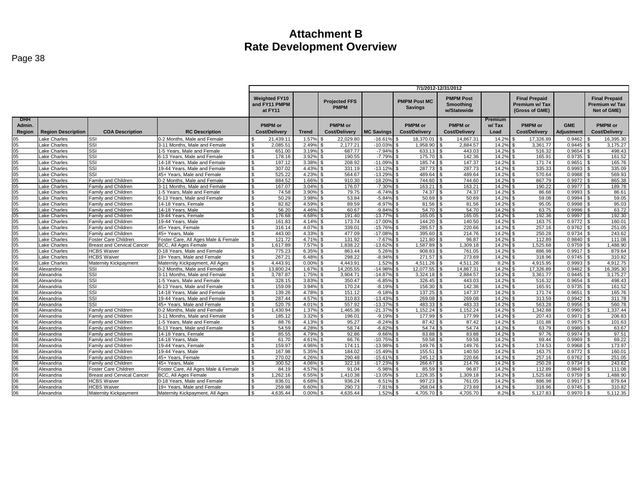|                 |                           |                                   |                                     | 7/1/2012-12/31/2012                                                                                                                                                              |              |                      |                   |                      |                      |         |                                                         |            |                                                       |
|-----------------|---------------------------|-----------------------------------|-------------------------------------|----------------------------------------------------------------------------------------------------------------------------------------------------------------------------------|--------------|----------------------|-------------------|----------------------|----------------------|---------|---------------------------------------------------------|------------|-------------------------------------------------------|
|                 |                           |                                   |                                     | <b>Weighted FY10</b><br><b>PMPM Post</b><br><b>PMPM Post MC</b><br><b>Projected FFS</b><br>and FY11 PMPM<br>Smoothing<br><b>PMPM</b><br><b>Savings</b><br>at FY11<br>w/Statewide |              |                      |                   |                      |                      |         | <b>Final Prepaid</b><br>Premium w/Tax<br>(Gross of GME) |            | <b>Final Prepaid</b><br>Premium w/ Tax<br>Net of GME) |
| <b>DHH</b>      |                           |                                   |                                     |                                                                                                                                                                                  |              |                      |                   |                      |                      | Premium |                                                         |            |                                                       |
| Admin.          |                           |                                   |                                     | <b>PMPM</b> or                                                                                                                                                                   |              | <b>PMPM</b> or       |                   | <b>PMPM</b> or       | <b>PMPM</b> or       | w/Tax   | <b>PMPM</b> or                                          | <b>GME</b> | <b>PMPM</b> or                                        |
| Region          | <b>Region Description</b> | <b>COA Description</b>            | <b>RC Description</b>               | <b>Cost/Delivery</b>                                                                                                                                                             | <b>Trend</b> | <b>Cost/Delivery</b> | <b>MC Savings</b> | <b>Cost/Delivery</b> | <b>Cost/Delivery</b> | Load    | <b>Cost/Delivery</b>                                    | Adjustment | <b>Cost/Delivery</b>                                  |
| 15              | Lake Charles              | SSI                               | 0-2 Months, Male and Female         | 21.439.1                                                                                                                                                                         | 1.57%        | 22.029.80            | $-16.619$         | 18.370.01            | 14.867.31            | 14.2%   | 17.326.89                                               | 0.9462     | 16,395.30                                             |
| 05              | ake Charles               | SSI                               | 3-11 Months, Male and Female        | 2,085.51<br>S.                                                                                                                                                                   | 2.49%        | 2,177.21             | $-10.03%$         | 1,958.90             | 2,884.57             | 14.2%   | 3,361.77                                                | 0.9445     | 3,175.27                                              |
| 05              | Lake Charles              | SSI                               | 1-5 Years. Male and Female          | S.<br>651.00                                                                                                                                                                     | 3.19%        | 687.77               | $-7.94%$          | 633.13<br>ፍ          | 443.03               | 14.2%   | 516.32                                                  | 0.9654     | 498.43                                                |
| 05              | Lake Charles              | SSI                               | 6-13 Years, Male and Female         | 178.16<br>-S                                                                                                                                                                     | 3.92%        | 190.55               | $-7.79$           | 175.70               | 142.36               | 14.2%   | 165.91                                                  | 0.9735     | 161.52                                                |
| 05              | Lake Charles              | SSI                               | 14-18 Years, Male and Female        | 197.12<br>-S                                                                                                                                                                     | 3.38%        | 208.92               | $-11.09%$         | 185.74               | 147.37               | 14.29   | 171.74                                                  | 0.9651     | 165.76                                                |
| 05              | Lake Charles              | SSI                               | 19-44 Years. Male and Female        | 307.02                                                                                                                                                                           | 4.43%        | 331.19               | $-13.129$         | 287.73               | 287.73               | 14.2%   | 335.33                                                  | 0.9993     | 335.09                                                |
| 05              | Lake Charles              | SSI                               | 45+ Years. Male and Female          | 525.22                                                                                                                                                                           | 4.23%        | 564.67               | $-13.299$         | 489.64               | 489.64               | 14.2%   | 570.64                                                  | 0.9988     | 569.93                                                |
| 05              | Lake Charles              | <b>Family and Children</b>        | 0-2 Months. Male and Female         | 884.52                                                                                                                                                                           | 1.66%        | 910.30               | $-18.20%$         | 744.60               | 744.60               | 14.2%   | 867.79                                                  | 0.9972     | 865.38                                                |
| 05              | Lake Charles              | <b>Family and Children</b>        | 3-11 Months, Male and Female        | 167.07<br>$\hat{\mathcal{F}}$                                                                                                                                                    | 3.04%        | 176.07               | $-7.30o$          | 163.21               | 163.21               | 14.2%   | 190.22                                                  | 0.9977     | 189.78                                                |
| 05              | Lake Charles              | Family and Children               | 1-5 Years, Male and Female          | $\mathbf{\$}$<br>74.58                                                                                                                                                           | 3.90%        | 79.75                | $-6.74%$          | 74.37                | 74.37                | 14.2%   | 86.68                                                   | 0.9993     | 86.61                                                 |
| 05              | Lake Charles              | Family and Children               | 6-13 Years, Male and Female         | $\mathbf{\$}$<br>50.29                                                                                                                                                           | 3.98%        | 53.84                | $-5.84%$          | 50.69                | 50.69                | 14.2%   | 59.08                                                   | 0.9994     | 59.05                                                 |
| 05              | Lake Charles              | Family and Children               | 14-18 Years, Female                 | 82.82                                                                                                                                                                            | 4.59%        | 89.59                | $-8.97%$          | 81.56                | 81.56                | 14.2%   | 95.05                                                   | 0.9998     | 95.03                                                 |
| 05              | Lake Charles              | Family and Children               | 14-18 Years, Male                   | 56.20                                                                                                                                                                            | 4.46%        | 60.67                | $-9.84%$          | 54.70                | 54.70                | 14.2%   | 63.75                                                   | 0.9996     | 63.72                                                 |
| 0 <sub>5</sub>  | Lake Charles              | Family and Children               | 19-44 Years, Female                 | 176.68                                                                                                                                                                           | 4.68%        | 191.40               | $-13.779$         | 165.05               | 165.05               | 14.2%   | 192.36                                                  | 0.9997     | 192.30                                                |
| 05              | Lake Charles              | Family and Children               | 19-44 Years, Male                   | 161.83<br>\$                                                                                                                                                                     | 4.14%        | 173.74               | $-17.009$         | 144.20               | 140.50               | 14.2%   | 163.75                                                  | 0.9772     | 160.01                                                |
| 05              | Lake Charles              | Family and Children               | 45+ Years, Female                   | 316.14<br>\$                                                                                                                                                                     | 4.07%        | 339.01               | $-15.769$         | 285.57               | 220.66               | 14.2%   | 257.16                                                  | 0.9762     | 251.05                                                |
| 05              | Lake Charles              | Family and Children               | 45+ Years, Male                     | 443.00<br>-S                                                                                                                                                                     | 4.33%        | 477.09               | $-17.08%$         | 395.60<br>. ጽ        | 214.76               | 14.2%   | 250.28                                                  | 0.9734     | 243.62<br>\$                                          |
| 05              | Lake Charles              | <b>Foster Care Children</b>       | Foster Care, All Ages Male & Female | 121.72<br>-S                                                                                                                                                                     | 4.71%        | 131.92               | $-7.67%$          | 121.80               | 96.87                | 14.2%   | 112.89                                                  | 0.9840     | 111.08                                                |
| 05              | Lake Charles              | <b>Breast and Cervical Cancer</b> | <b>BCC, All Ages Female</b>         | 1,617.89                                                                                                                                                                         | 7.57%        | 1,838.22             | $-13.62%$         | 1,587.89             | 1,309.18             | 14.2%   | 1,525.68                                                | 0.9759     | 1,488.90                                              |
| 05              | Lake Charles              | <b>HCBS Waiver</b>                | 0-18 Years. Male and Female         | 775.23<br>\$.                                                                                                                                                                    | 6.35%        | 863.44               | 5.26%             | 908.83               | 761.05               | 14.2%   | 886.98                                                  | 0.9917     | 879.64                                                |
| 05              | Lake Charles              | <b>HCBS Waiver</b>                | 19+ Years. Male and Female          | 267.21<br>$\hat{\mathcal{F}}$                                                                                                                                                    | 6.48%        | 298.22               | $-8.94%$          | 271.57               | 273.69               | 14.2%   | 318.96                                                  | 0.9745     | 310.82                                                |
| 05              | Lake Charles              | Maternity Kickpayment             | Maternity Kickpayment, All Ages     | 4.443.91<br>$\mathbf{\$}$                                                                                                                                                        | 0.00%        | 4,443.91             | 1.52%             | 4,511.26             | 4,511.26             | 8.2%    | 4,915.95                                                | 0.9993     | 4,912.75                                              |
| 06              | Alexandria                | SSI                               | 0-2 Months. Male and Female         | 13.800.24                                                                                                                                                                        | 1.67%        | 14.205.55            | $-14.989$         | 12.077.55            | 14.867.31            | 14.2%   | 17.326.89                                               | 0.9462     | 16.395.30                                             |
| 06              | Alexandria                | SSI                               | 3-11 Months, Male and Female        | 3,787.87<br>. ጽ                                                                                                                                                                  | 1.75%        | 3,904.71             | $-14.87%$         | 3,324.18             | 2,884.57             | 14.2%   | 3,361.77                                                | 0.9445     | 3,175.27                                              |
| 06              | Alexandria                | SSI                               | 1-5 Years, Male and Female          | 328.15                                                                                                                                                                           | 3.83%        | 350.47               | $-6.85%$          | 326.45               | 443.03               | 14.2%   | 516.32                                                  | 0.9654     | 498.43                                                |
| 06              | Alexandria                | SSI                               | 6-13 Years, Male and Female         | 159.09                                                                                                                                                                           | 3.94%        | 170.24               | $-8.19$           | 156.30               | 142.36               | 14.29   | 165.91                                                  | 0.9735     | 161.52                                                |
| 06              | Alexandria                | SSI                               | 14-18 Years, Male and Female        | S.<br>139.26                                                                                                                                                                     | 4.78%        | 151.12               | $-9.18%$          | 137.25               | 147.37               | 14.2%   | 171.74                                                  | 0.9651     | 165.76                                                |
| 06              | Alexandria                | SSI                               | 19-44 Years. Male and Female        | $\mathfrak{L}$<br>287.44                                                                                                                                                         | 4.57%        | 310.83               | $-13.439$         | 269.08               | 269.08               | 14.2%   | 313.59                                                  | 0.9942     | 311.78                                                |
| 06              | Alexandria                | SSI                               | 45+ Years, Male and Female          | 520.79<br>-S                                                                                                                                                                     | 4.01%        | 557.92               | $-13.37%$         | 483.33               | 483.33               | 14.2%   | 563.28                                                  | 0.9956     | 560.78                                                |
| 06              | Alexandria                | <b>Family and Children</b>        | 0-2 Months. Male and Female         | 1,430.94                                                                                                                                                                         | 1.37%        | 1,465.36             | $-21.37%$         | 1.152.24             | 1.152.24             | 14.2%   | .342.88                                                 | 0.9960     | .337.44                                               |
| 06              | Alexandria                | Family and Children               | 3-11 Months, Male and Female        | S.<br>185.12                                                                                                                                                                     | 3.32%        | 196.01               | $-9.19%$          | 177.99               | 177.99               | 14.2%   | 207.43                                                  | 0.9971     | 206.83                                                |
| 06              | Alexandria                | Family and Children               | 1-5 Years, Male and Female          | 88.76<br>-S                                                                                                                                                                      | 4.13%        | 95.27                | $-8.24%$          | 87.42                | 87.42                | 14.2%   | 101.88                                                  | 0.9975     | 101.63                                                |
| 06              | Alexandria                | Family and Children               | 6-13 Years, Male and Female         | 54.59                                                                                                                                                                            | 4.28%        | 58.74                | $-6.82%$          | 54.74                | 54.74                | 14.2%   | 63.79                                                   | 0.9980     | 63.67                                                 |
| 06              | Alexandria                | Family and Children               | 14-18 Years, Female                 | 85.55<br>\$.                                                                                                                                                                     | 4.79%        | 92.86                | $-9.66%$          | 83.88                | 83.88                | 14.2%   | 97.76                                                   | 0.9974     | 97.51                                                 |
| 06              | Alexandria                | <b>Family and Children</b>        | 14-18 Years, Male                   | 61.70                                                                                                                                                                            | 4.61%        | 66.76                | $-10.759$         | 59.58                | 59.58                | 14.2%   | 69.44                                                   | 0.9969     | 69.22                                                 |
| 06              | Alexandria                | Family and Children               | 19-44 Years, Female                 | 159.97                                                                                                                                                                           | 4.96%        | 174.11               | $-13.98%$         | 149.76               | 149.76               | 14.2%   | 174.53                                                  | 0.9968     | 173.97                                                |
| 06              | Alexandria                | Family and Children               | 19-44 Years, Male                   | 167.98<br>$\mathbf{\$}$                                                                                                                                                          | 5.35%        | 184.02               | $-15.499$         | 155.51               | 140.50               | 14.2%   | 163.75                                                  | 0.9772     | 160.01                                                |
| 06              | Alexandria                | Family and Children               | 45+ Years, Female                   | 270.02<br>$\mathbf{s}$                                                                                                                                                           | 4.26%        | 290.48               | $-15.61%$         | 245.12               | 220.66               | 14.2%   | 257.16                                                  | 0.9762     | 251.05<br>-R                                          |
| 06              | Alexandria                | Family and Children               | 45+ Years, Male                     | 300.52                                                                                                                                                                           | 4.06%        | 322.18               | $-17.23%$         | 266.67               | 214.76               | 14.29   | 250.28                                                  | 0.9734     | 243.62                                                |
| 06              | Alexandria                | Foster Care Children              | Foster Care, All Ages Male & Female | 84.19                                                                                                                                                                            | 4.57%        | 91.04                | $-5.98%$          | 85.59                | 96.87                | 14.2%   | 112.89                                                  | 0.9840     | 111.08                                                |
| $\overline{06}$ | Alexandria                | Breast and Cervical Cancer        | BCC, All Ages Female                | 1,262.16                                                                                                                                                                         | 6.55%        | 1,410.38             | $-13.05%$         | 1,226.35             | 1,309.18             | 14.2%   | 1,525.68                                                | 0.9759     | 1,488.90                                              |
| 06              | Alexandria                | <b>HCBS Waiver</b>                | 0-18 Years, Male and Female         | 836.01                                                                                                                                                                           | 6.68%        | 936.24               | 6.51%             | 997.23               | 761.05               | 14.2%   | 886.98                                                  | 0.9917     | 879.64                                                |
| 06              | Alexandria                | <b>HCBS Waiver</b>                | 19+ Years. Male and Female          | 259.98<br>-S                                                                                                                                                                     | 6.60%        | 290.73               | $-7.81%$          | 268.04               | 273.69               | 14.2%   | 318.96                                                  | 0.9745     | 310.82                                                |
| 06              | Alexandria                | Maternity Kickpayment             | Maternity Kickpayment, All Ages     | 4.635.44<br>$\mathbf{s}$                                                                                                                                                         | 0.00%        | 4.635.44             | 1.52%             | 4,705.70<br>՝ Գ      | 4,705.70             | 8.2%    | 5,127.83                                                | 0.9970     | 5,112.35                                              |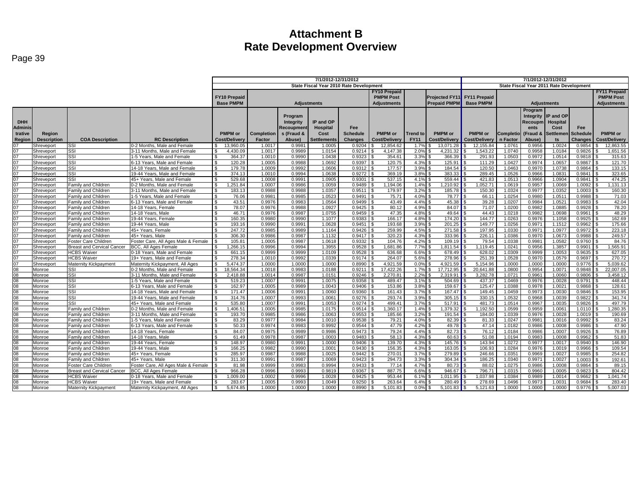|                                           |                          |                                   |                                                               | 7/1/2012-12/31/2012                            |                                         |                    |                    |                       |                    | 7/1/2012-12/31/2012 |                             |                      |                  |                                         |                            |                  |                      |
|-------------------------------------------|--------------------------|-----------------------------------|---------------------------------------------------------------|------------------------------------------------|-----------------------------------------|--------------------|--------------------|-----------------------|--------------------|---------------------|-----------------------------|----------------------|------------------|-----------------------------------------|----------------------------|------------------|----------------------|
|                                           |                          |                                   |                                                               |                                                | State Fiscal Year 2010 Rate Development |                    |                    |                       |                    |                     |                             |                      |                  | State Fiscal Year 2011 Rate Development |                            |                  |                      |
|                                           |                          |                                   |                                                               |                                                |                                         |                    |                    |                       | FY10 Prepaid       |                     |                             |                      |                  |                                         |                            |                  | <b>FY11 Prepaid</b>  |
|                                           |                          |                                   |                                                               | <b>FY10 Prepaid</b>                            |                                         |                    |                    |                       | <b>PMPM Post</b>   |                     | Projected FY11 FY11 Prepaid |                      |                  |                                         |                            |                  | <b>PMPM Post</b>     |
|                                           |                          |                                   |                                                               | <b>Base PMPM</b>                               |                                         | <b>Adjustments</b> |                    |                       | <b>Adjustments</b> |                     | <b>Prepaid PMPM</b>         | <b>Base PMPM</b>     |                  |                                         | <b>Adjustments</b>         |                  | <b>Adjustments</b>   |
|                                           |                          |                                   |                                                               |                                                |                                         |                    |                    |                       |                    |                     |                             |                      |                  |                                         |                            |                  |                      |
|                                           |                          |                                   |                                                               |                                                |                                         |                    |                    |                       |                    |                     |                             |                      |                  | Program                                 |                            |                  |                      |
|                                           |                          |                                   |                                                               |                                                |                                         | Program            |                    |                       |                    |                     |                             |                      |                  |                                         | Integrity <b>IP</b> and OP |                  |                      |
| <b>DHH</b>                                |                          |                                   |                                                               |                                                |                                         | Integrity          | IP and OP          |                       |                    |                     |                             |                      |                  |                                         | Recoupm Hospital           |                  |                      |
| <b>Adminis</b>                            |                          |                                   |                                                               |                                                |                                         | Recoupmen          | Hospital           | Fee                   |                    |                     |                             |                      |                  | ents                                    | Cost                       | Fee              |                      |
| trative                                   | Region                   |                                   |                                                               | <b>PMPM</b> or                                 | <b>Completion</b>                       | s (Fraud &         | Cost               | <b>Schedule</b>       | <b>PMPM</b> or     | <b>Trend to</b>     | <b>PMPM</b> or              | <b>PMPM</b> or       | <b>Completio</b> | (Fraud &                                | Settlemen                  | <b>Schedule</b>  | <b>PMPM</b> or       |
| Region                                    | <b>Description</b>       | <b>COA Description</b>            | <b>RC Description</b>                                         | Cost/Delivery                                  | Factor                                  | Abuse)             | <b>Settlements</b> | <b>Changes</b>        | Cost/Delivery      | <b>FY11</b>         | Cost/Delivery               | <b>Cost/Delivery</b> | n Factor         | Abuse)                                  | ts                         | <b>Changes</b>   | <b>Cost/Delivery</b> |
| 07                                        | Shreveport               | SSI                               | 0-2 Months, Male and Female                                   | 13.960.05<br>. ድ                               | 1.0017                                  | 0.998 <sup>2</sup> | 1.0005             | 0.9204                | 12.854.62          | 1.7%                | 13.071.28                   | 12.155.84            | 1.0761           | 0.9956                                  | 1.002                      | 0.9854           | 12,863.55            |
| $\frac{07}{07}$                           | Shreveport               | SSI<br>SSI                        | 3-11 Months, Male and Female<br>1-5 Years, Male and Female    | 4.430.09<br><b>S</b><br>364.37<br>$\mathbf{s}$ | 1.0017<br>1.0010                        | 0.9989<br>0.9990   | 1.0154<br>1.0438   | 0.9214<br>0.9323      | 4.147.38<br>354.61 | 2.0%                | 4,231.32<br>366.39          | 1,543.22<br>291.93   | 1.0740<br>1.0503 | 0.9958<br>0.9972                        | 1.0184<br>1.0514           | 0.9826<br>0.9818 | 1.651.56<br>315.63   |
|                                           | Shreveport               |                                   |                                                               | $\mathsf{R}$                                   |                                         | 0.9988             |                    | 0.9397                |                    | 3.3%                |                             |                      |                  |                                         |                            |                  |                      |
| 07<br>07<br>07                            | Shreveport<br>Shreveport | SSI<br>SSI                        | 6-13 Years, Male and Female<br>14-18 Years, Male and Female   | 120.28<br>179.78<br><b>S</b>                   | 1.0005<br>1.0009                        | 0.9992             | 1.0692<br>1.0606   | 0.9312                | 120.75<br>177.57   | 4.3%<br>3.9%        | 125.91<br>184.54            | 111.29<br>120.50     | 1.0427<br>1.0463 | 0.9974<br>0.9970                        | 1.0657<br>1.0738           | 0.9867<br>0.9864 | 121.70<br>133.15     |
|                                           | Shreveport               | SSI                               | 19-44 Years, Male and Female                                  | 374.13<br>$\mathbf{s}$                         | 1.0010                                  | 0.9994             | 1.0638             | 0.9272                | 369.19             | 3.8%                | 383.33                      | 289.45               | 1.0526           | 0.9966                                  | 1.083                      | 0.9841           | 323.65               |
| 07                                        | Shreveport               | SSI                               | 45+ Years, Male and Female                                    | 529.68<br>l \$                                 | 1.0008                                  | 0.9991             | 1.0905             | 0.9301                | 537.15             | 4.1%                | 559.44                      | 421.83               | 1.051            | 0.9966                                  | 1.0904                     | 0.9841           | 474.25               |
|                                           | Shreveport               | Family and Children               | 0-2 Months, Male and Female                                   | 1.251.84<br>$\mathbf{s}$                       | 1.0007                                  | 0.9986             | 1.0059             | 0.9489                | 1.194.06           | $1.4\%$ \$          | 1.210.92                    | 1.052.71             | 1.061            | 0.9957                                  | 1.0069                     | 1.0092           | 1.131.13             |
| $\frac{07}{07}$                           | Shreveport               | Family and Children               | 3-11 Months, Male and Female                                  | 183.13<br><b>S</b>                             | 0.9988                                  | 0.9988             | 1.0357             | 0.9511                | 179.97             | 3.2%                | 185.78                      | 150.30               | 1.0324           | 0.9977                                  | 1.0352                     | 1.0003           | 160.30               |
| 07                                        | Shreveport               | Family and Children               | 1-5 Years, Male and Female                                    | <b>S</b><br>76.06                              | 0.9981                                  | 0.9985             | 1.0523             | 0.9491                | 75.71              | 4.0%                | 78.77                       | 66.11                | 1.0254           | 0.9980                                  | 1.051                      | 0.9988           | 71.03                |
|                                           | Shreveport               | <b>Family and Children</b>        | 6-13 Years, Male and Female                                   | $\mathcal{S}$<br>43.51                         | 0.9976                                  | 0.9983             | 1.0564             | 0.9499                | 43.49              | $4.4\%$ \$          | 45.38                       | 39.28                | 1.0207           | 0.9984                                  | 1.052'                     | 0.9983           | 42.04                |
| 07<br>07                                  | Shreveport               | <b>Family and Children</b>        | 14-18 Years, Female                                           | $\overline{\mathbf{s}}$<br>78.07               | 0.9976                                  | 0.9988             | 1.0927             | 0.9425                | 80.12              | 4.9%                | 84.07<br>I \$               | 71.07                | 1.0200           | 0.9982                                  | 1.0885                     | 0.9928           | 78.20                |
| 07                                        | Shreveport               | Family and Children               | 14-18 Years, Male                                             | 46.71<br>$\mathbf{s}$                          | 0.9976                                  | 0.9987             | 1.0755             | 0.9459                | 47.35              | 4.8%                | 49.64<br>$\mathsf{R}$       | 44.43                | 1.0218           | 0.9982                                  | 1.0698                     | 0.9961           | 48.29                |
| $\frac{07}{07}$                           | Shreveport               | Family and Children               | 9-44 Years, Female                                            | 160.35<br><b>S</b>                             | 0.9980                                  | 0.9990             | 1.1077             | 0.9383                | 166.17             | 4.8% \$             | 174.20                      | 144.77               | 1.0263           | 0.9976                                  | 1.1058                     | 0.9925           | 162.69               |
|                                           | Shreveport               | Family and Children               | 19-44 Years, Male                                             | 193.16<br><b>S</b>                             | 0.9990                                  | 0.9991             | 1.0628             | 0.9451                | 193.68             | 3.9%                | $201.25$ \$<br>I \$         | 149.77               | 1.0256           | 0.9971                                  | 1.1512                     | 0.9962           | 175.66               |
| 07                                        | Shreveport               | Family and Children               | 45+ Years, Female                                             | 247.72<br>∣ \$                                 | 0.9985                                  | 0.9989             | 1.1164             | 0.9426                | 259.99             | 4.5%                | 271.58                      | 197.95               | 1.0330           | 0.9971                                  | 1.097                      | 0.9972           | 223.18               |
| 07<br>07                                  | Shreveport               | <b>Family and Children</b>        | 45+ Years, Male                                               | 306.30                                         | 0.9986                                  | 0.9987             | 1.1132             | 0.9417                | 320.23             | $4.3\%$ \$          | 333.96                      | 226.1                | 1.0386           | 0.9970                                  | 1.067                      | 0.9988           | 249.57               |
|                                           | Shreveport               | Foster Care Children              | Foster Care, All Ages Male & Female                           | 105.81                                         | 1.0005                                  | 0.9987             | 1.0618             | 0.9332                | 104.76             | 4.2%                | 109.19                      | 79.54                | 1.0338           | 0.9981                                  | 1.0582                     | 0.9760           | 84.76                |
|                                           | Shreveport               | <b>Breast and Cervical Cancer</b> | <b>BCC. All Ages Female</b>                                   | 1.266.15<br>$\mathsf{R}$                       | 0.9996                                  | 0.9994             | 1.3955             | 0.9528                | 1.681.86           | 7.7%                | 1.811.54                    | 1.119.45             | 1.0241           | 0.9956                                  | 1.3857                     | 0.9901           | 1.565.91             |
|                                           | Shreveport               | <b>HCBS Waiver</b>                | 0-18 Years, Male and Female                                   | 661.15<br>l \$                                 | 0.9999                                  | 0.9999             | 1.0109             | 0.9528                | 636.68             | $6.6\%$ \$          | 678.49                      | 628.02               | 1.0309           | 0.9999                                  | 1.0053                     | 0.9635           | 627.05               |
|                                           | Shrevepor                | <b>HCBS Waiver</b>                | 19+ Years, Male and Female                                    | $\mathbf{s}$<br>278.34                         | 1.0010                                  | 0.9992             | 1.0339             | 0.9174                | 264.07             | 5.6%                | 278.96                      | 251.39               | 1.0528           | 0.9970                                  | 1.0579                     | 0.9697           | 270.72               |
|                                           | Shreveport               | Maternity Kickpayment             | Maternity Kickpayment, All Ages                               | 5.474.37<br>$\mathsf{R}$                       | 1.0000                                  | 1.0000             | 1.0000             | 0.8990                | 4,921.59           | 0.0%                | 4.921.59                    | 5.154.96             | 1.0000           | 1.0000                                  | 1.0000                     | 0.9776           | 5.039.62             |
|                                           | Monroe                   | SSI                               | 0-2 Months, Male and Female                                   | $\mathbf{s}$<br>18.564.34                      | 1.0018                                  | 0.9983             | 1.0188             | 0.9211                | 17.422.26          | $1.7\%$ \$          | 17.712.95                   | 20.641.88            | 1.0800           | 0.9954                                  | 1.007                      | 0.9848           | 22.007.05            |
|                                           | Monroe                   | SSI                               | 3-11 Months, Male and Female                                  | 2.418.88<br>$\mathbf{s}$<br>$\mathsf{R}$       | 1.0014                                  | 0.9987<br>0.9991   | 1.0151             | 0.9246<br>0.9358      | 2.270.81           | 2.2%                | 2,319.91                    | 3,282.78             | 1.0721           | 0.9961                                  | 1.0060                     | 0.9806           | 3.458.12             |
|                                           | Monroe<br>Monroe         | SSI<br>SSI                        | 1-5 Years, Male and Female                                    | 519.23<br>162.97<br>l \$                       | 1.0007                                  | 0.9989             | 1.0075<br>1.0043   | 0.9406                | 489.47<br>153.86   | 3.1%<br>3.8%        | 504.69<br>159.67            | 437.37<br>125.47     | 1.0469<br>1.0388 | 0.9976<br>0.9978                        | 1.0028<br>1.002'           | 0.9791<br>0.9868 | 448.44<br>128.61     |
|                                           | Monroe                   | SSI                               | 6-13 Years, Male and Female<br>14-18 Years, Male and Female   | 171.47<br><b>S</b>                             | 1.0005<br>1.0006                        | 0.9991             | 1.0060             | 0.9360                | 161.43             | 3.7%                | 167.47                      | 149.45               | 1.0459           | 0.9973                                  | 1.0030                     | 0.9846           | 153.95               |
|                                           | Monroe                   | SSI                               | 19-44 Years, Male and Female                                  | 314.76<br>$\mathcal{S}$                        | 1.0007                                  | 0.9993             | 1.0061             | 0.9276                | 293.74             | 3.9%                | 305.15                      | 330.15               | 1.053            | 0.9968                                  | 1.0039                     | 0.9822           | 341.74               |
|                                           | Monroe                   | SSI                               | 45+ Years, Male and Female                                    | 535.80<br><b>S</b>                             | 1.0007                                  | 0.9991             | 1.0053             | 0.9274                | 499.41             | $3.7\%$ \$          | 517.91                      | 481.73               | 1.0514           | 0.9967                                  | 1.0035                     | 0.9826           | 497.79               |
|                                           | Monroe                   | Family and Children               | 0-2 Months, Male and Female                                   | ,406.51<br>$\mathbf{s}$                        | 1.0005                                  | 0.9985             | 1.0175             | 0.9514                | 360.17             | 1.4%                | 379.32                      | 1,192.50             | 1.0599           | 0.9959                                  | 1.006'                     | 1.0110           | 1,280.35             |
|                                           | Monroe                   | Family and Children               | 3-11 Months, Male and Female                                  | 193.70<br>l \$                                 | 0.9985                                  | 0.9986             | 1.0063             | 0.9553                | 185.66             | 3.2%                | 191.54                      | 184.00               | 1.0339           | 0.9976                                  | 1.0028                     | 1.0019           | 190.69               |
|                                           | Monroe                   | Family and Children               | -5 Years, Male and Female                                     | 83.29<br><b>S</b>                              | 0.9977                                  | 0.9984             | 1.0010             | 0.9538                | $79.2^{\circ}$     | $4.0\%$ \$          | 82.39                       | 81.33                | 1.0247           | 0.9981                                  | 1.001                      | 0.9992           | 83.24                |
|                                           | Monroe                   | Family and Children               | 6-13 Years, Male and Female                                   | 50.33<br>$\mathbf{s}$                          | 0.9974                                  | 0.9983             | 0.9992             | 0.9544                | 47.79              | 4.2%                | 49.78<br>-96                | 47.14                | 1.0182           | 0.9986                                  | 1.0008                     | 0.9986           | 47.90                |
|                                           | Monroe                   | Family and Children               | 14-18 Years, Female                                           | 84.07<br>$\mathbf{s}$                          | 0.9975                                  | 0.9989             | 0.9986             | 0.9473                | 79.24              | 4.4%                | 82.73                       | 76.12                | 1.0184           | 0.9986                                  | 1.0007                     | 0.9926           | 76.89                |
|                                           | Monroe                   | Family and Children               | 14-18 Years, Male                                             | $\mathcal{S}$<br>61.49                         | 0.9978                                  | 0.9987             | 1.0003             | 0.9483                | 58.13              | $4.3\%$ \$          | 60.63                       | 51.08                | 1.0194           | 0.9983                                  | 1.0008                     | 0.9962           | 51.83                |
|                                           | Monroe                   | <b>Family and Children</b>        | 19-44 Years, Female                                           | 148.97<br><b>S</b>                             | 0.9980                                  | 0.9991             | 1.0000             | 0.9406                | 139.70             | 4.3%                | 145.76<br>l \$              | 143.94               | 1.0272           | 0.9977                                  | 1.0017                     | 0.9940           | 146.90               |
|                                           | Monroe                   | Family and Children               | 19-44 Years, Male                                             | 166.25<br>$\mathsf{R}$                         | 0.9982                                  | 0.9990             | 1.0001             | 0.9430                | 156.35             | 4.3%                | 163.05                      | 106.93               | 1.0284           | 0.9976                                  | 1.0019                     | 0.9966           | 109.54               |
|                                           | Monroe                   | Family and Children               | 45+ Years, Female                                             | $\mathbf{s}$<br>285.97                         | 0.9987                                  | 0.9988             | 1.0025             | $0.9442$ \$           | 270.01             | $3.7\%$ \$          | 279.89                      | 246.66               | 1.0351           | 0.9969                                  | 1.0027                     | 0.9985           | 254.82               |
|                                           | Monroe                   | Family and Children               | 45+ Years, Male                                               | 311.30<br>$\mathsf{R}$                         | 0.9991                                  | 0.9987             | 1.0069             | 0.9423                | 294.73             | $3.3\%$ \$          |                             | 186.25               | 1.0340           | 0.9971                                  | 1.0027                     | 1.0003           | 192.61               |
|                                           | Monroe                   | Foster Care Children              | Foster Care, All Ages Male & Female                           | 81.98                                          | 0.9999                                  | 0.9983             | 0.9994             | 0.9433                | 77.14              | 4.7%                | 80.73                       | 88.02                | 1.0275           | 0.9986                                  | 1.0008                     | 0.9864           | 89.15                |
| <u> 능능 등 영영 영영 영영 영영 영영 영영 영영 영영 영영 영</u> | Monroe                   | <b>Breast and Cervical Cancer</b> | <b>BCC. All Ages Female</b>                                   | 966.28<br>$\mathsf{R}$                         | 0.9996                                  | 0.9993             | 0.9819             | 0.9367                | 887.75             | $6.6\%$ \$          | 946.67                      | 796.71               | 1.0315           | 0.9960                                  | 1.0005                     | 0.9823           | 804.42               |
|                                           | Monroe                   | HCBS Waiver                       | 0-18 Years, Male and Female                                   | 1,009.00<br><b>S</b>                           | 1.0002                                  | 0.9996             | 1.0028             | 0.9425                | 953.44             | 6.1%                | $1,011.95$ \$<br>∣\$S       | 1,037.98             | 1.0384           | 0.9989                                  | 1.0014                     | 0.9662           | 1.041.74             |
|                                           | Monroe<br>Monroe         | <b>HCBS Waiver</b>                | 19+ Years, Male and Female<br>Maternity Kickpayment, All Ages | 283.67<br>5.674.85<br><b>S</b>                 | 1.0005<br>1.0000                        | 0.9993<br>1.0000   | 1.0049<br>1.0000   | 0.9250<br>$0.8990$ \$ | 263.64<br>5.101.83 | 6.4%<br>$0.0\%$ \$  | 280.49<br>$5.101.83$ S      | 278.69<br>5.121.63   | 1.0496           | 0.9973<br>1.0000                        | 1.003'<br>1.0000           | 0.9684<br>0.9776 | 283.40<br>5.007.03   |
|                                           |                          | Maternity Kickpayment             |                                                               |                                                |                                         |                    |                    |                       |                    |                     |                             |                      | 1.0000           |                                         |                            |                  |                      |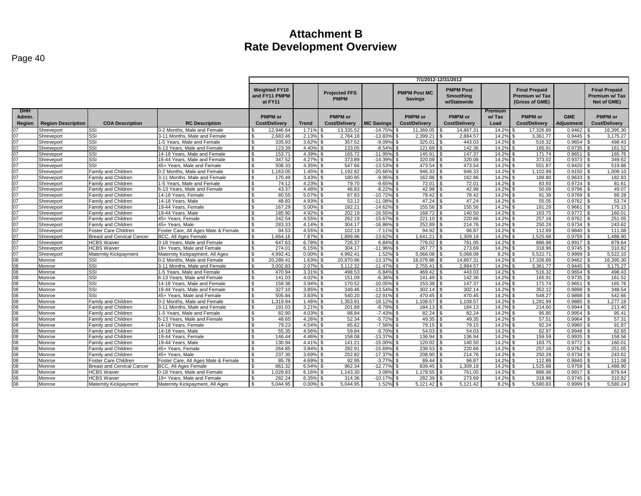| Page 40 |  |
|---------|--|
|---------|--|

|                                |                           |                                   |                                     | 7/1/2012-12/31/2012                                                                                                                                                                     |                |                                        |                   |                                        |                                        |                          |                                                                |                         |                                                       |
|--------------------------------|---------------------------|-----------------------------------|-------------------------------------|-----------------------------------------------------------------------------------------------------------------------------------------------------------------------------------------|----------------|----------------------------------------|-------------------|----------------------------------------|----------------------------------------|--------------------------|----------------------------------------------------------------|-------------------------|-------------------------------------------------------|
|                                |                           |                                   |                                     | <b>Weighted FY10</b><br><b>PMPM Post</b><br><b>PMPM Post MC</b><br><b>Projected FFS</b><br>and FY11 PMPM<br><b>Smoothing</b><br><b>PMPM</b><br><b>Savings</b><br>at FY11<br>w/Statewide |                |                                        |                   |                                        |                                        |                          | <b>Final Prepaid</b><br><b>Premium w/Tax</b><br>(Gross of GME) |                         | <b>Final Prepaid</b><br>Premium w/ Tax<br>Net of GME) |
| <b>DHH</b><br>Admin.<br>Region | <b>Region Description</b> | <b>COA Description</b>            | <b>RC Description</b>               | <b>PMPM or</b><br><b>Cost/Delivery</b>                                                                                                                                                  | <b>Trend</b>   | <b>PMPM</b> or<br><b>Cost/Delivery</b> | <b>MC Savings</b> | <b>PMPM</b> or<br><b>Cost/Delivery</b> | <b>PMPM</b> or<br><b>Cost/Delivery</b> | Premium<br>w/Tax<br>Load | <b>PMPM</b> or<br><b>Cost/Delivery</b>                         | <b>GME</b><br>Adjustmen | <b>PMPM</b> or<br><b>Cost/Delivery</b>                |
|                                | Shreveport                | SSI                               | 0-2 Months, Male and Female         | 12.946.64                                                                                                                                                                               | 1.71%          | 13.335.52                              | $-14.75%$         | 11.369.05                              | 14.867.31                              | 14.2%                    | 17.326.89                                                      | 0.9462                  | 16,395.30                                             |
| 07                             | Shreveport                | SSI                               | 3-11 Months, Male and Female        | 2,683.46                                                                                                                                                                                | 2.13%          | 2,784.18                               | $-13.83%$         | 2,399.21                               | 2,884.57                               | 14.2%                    | 3,361.77                                                       | 0.9445                  | 3,175.27                                              |
| 07                             | Shreveport                | SSI                               | 1-5 Years. Male and Female          | $\mathbf{\$}$<br>335.93                                                                                                                                                                 | 3.62%          | 357.52                                 | $-9.09%$          | 325.01                                 | 443.03                                 | 14.2%                    | 516.32                                                         | 0.9654                  | 498.43                                                |
| 07                             | Shreveport                | SSI                               | 6-13 Years, Male and Female         | -S<br>123.39                                                                                                                                                                            | 4.40%          | 133.05                                 | $-8.54%$          | 121.69                                 | 142.36                                 | 14.29                    | 165.91                                                         | 0.9735                  | 161.52                                                |
| 07                             | Shreveport                | SSI                               | 14-18 Years, Male and Female        | 153.71<br>. ጽ                                                                                                                                                                           | 4.39%          | 165.72                                 | $-11.95%$         | 145.91                                 | 147.37                                 | 14.2%                    | 171.74                                                         | 0.9651                  | 165.76                                                |
| 07                             | Shreveport                | SSI                               | 19-44 Years, Male and Female        | 347.52<br>-S                                                                                                                                                                            | 4.27%          | 373.89                                 | $-14.39%$         | 320.08                                 | 320.08                                 | 14.2%                    | 373.02                                                         | 0.9373                  | 349.62                                                |
| 07                             | Shreveport                | SSI                               | 45+ Years. Male and Female          | 508.33                                                                                                                                                                                  | 4.35%          | 547.66                                 | $-13.53%$         | 473.54                                 | 473.54                                 | 14.2%                    | 551.87                                                         | 0.9420                  | 519.86                                                |
| 07                             | Shreveport                | <b>Family and Children</b>        | 0-2 Months, Male and Female         | 1,163.05                                                                                                                                                                                | 1.45%          | 1,192.82                               | $-20.669$         | 946.33                                 | 946.33                                 | 14.2%                    | 1,102.89                                                       | 0.9150                  | 1,009.10                                              |
| 07                             | Shreveport                | <b>Family and Children</b>        | 3-11 Months, Male and Female        | S.<br>170.49                                                                                                                                                                            | 3.43%          | 180.85                                 | $-9.95%$          | 162.86                                 | 162.86                                 | 14.2%                    | 189.80                                                         | 0.9633                  | 182.83                                                |
| 07                             | Shreveport                | Family and Children               | 1-5 Years. Male and Female          | 74.12<br>$\mathcal{L}$                                                                                                                                                                  | 4.23%          | 79.70                                  | $-9.65%$          | 72.01                                  | 72.01                                  | 14.2%                    | 83.93                                                          | 0.9724                  | 81.61<br>¢                                            |
| 07                             | Shreveport                | Family and Children               | 6-13 Years. Male and Female         | S.<br>43.37                                                                                                                                                                             | 4.48%          | 46.83                                  | $-8.22%$          | 42.98                                  | 42.98                                  | 14.2%                    | 50.09                                                          | 0.9796                  | 49.07                                                 |
| 07                             | Shreveport                | Family and Children               | 14-18 Years, Female                 | 80.55                                                                                                                                                                                   | 5.07%          | 87.83                                  | $-10.729$         | 78.42                                  | 78.42                                  | 14.2%                    | 91.39                                                          | 0.9769                  | 89.28                                                 |
| 07                             | Shreveport                | <b>Family and Children</b>        | 14-18 Years, Male                   | 48.83                                                                                                                                                                                   | 4.93%          | 53.12                                  | $-11.08%$         | 47.24                                  | 47.24                                  | 14.2%                    | 55.05                                                          | 0.9762                  | 53.74                                                 |
| 07                             | Shreveport                | Family and Children               | 19-44 Years, Female                 | 167.29                                                                                                                                                                                  | 5.00%          | 182.21                                 | $-14.629$         | 155.56                                 | 155.56                                 | 14.2%                    | 181.29                                                         | 0.9661                  | 175.15                                                |
| 07                             | Shreveport                | Family and Children               | 19-44 Years, Male                   | 185.90                                                                                                                                                                                  | 4.92%          | 202.19                                 | $-16.55^{\circ}$  | 168.72                                 | 140.50                                 | 14.2%                    | 163.75                                                         | 0.9772                  | 160.01                                                |
| 07                             | Shreveport                | Family and Children               | 45+ Years, Female                   | 242.54<br>-S                                                                                                                                                                            | 4.55%          | 262.19                                 | $-15.67%$         | 221.10                                 | 220.66                                 | 14.2%                    | 257.16                                                         | 0.9762                  | 251.05                                                |
| 07                             | Shreveport                | Family and Children               | 45+ Years, Male                     | 283.33                                                                                                                                                                                  | 4.14%          | 304.17                                 | $-16.86%$         | 252.89                                 | 214.76                                 | 14.2%                    | 250.28                                                         | 0.9734                  | 243.62                                                |
| 07                             | Shreveport                | Foster Care Children              | Foster Care, All Ages Male & Female | 94.53<br>- \$                                                                                                                                                                           | 4.55%          | 102.19                                 | $-7.11%$          | 94.92                                  | 96.87                                  | 14.2%                    | 112.89                                                         | 0.9840                  | 111.08                                                |
| 07                             | Shreveport                | <b>Breast and Cervical Cancer</b> | <b>BCC. All Ages Female</b>         | 1.664.16                                                                                                                                                                                | 7.87%          | 1,899.96                               | $-13.62%$         | 1.641.21                               | 1.309.18                               | 14.2%                    | .525.68                                                        | 0.9759                  | 1.488.90                                              |
| 07                             | Shreveport                | <b>HCBS Waiver</b>                | 0-18 Years. Male and Female         | S.<br>647.63                                                                                                                                                                            | 6.78%          | 726.37                                 | 6.84%             | 776.02                                 | 761.05                                 | 14.2%                    | 886.98                                                         | 0.9917                  | 879.64<br>-\$                                         |
| 07                             | Shreveport                | <b>HCBS Waiver</b>                | 19+ Years. Male and Female          | 274.01<br>\$                                                                                                                                                                            | 6.15%          | 304.17                                 | $-11.96%$         | 267.77                                 | 273.69                                 | 14.2%                    | 318.96                                                         | 0.9745                  | 310.82                                                |
| 07                             | Shreveport                | Maternity Kickpayment             | Maternity Kickpayment, All Ages     | 4.992.41<br>՝ Գ                                                                                                                                                                         | 0.00%          | 4,992.41                               | 1.52%             | 5.068.08                               | 5.068.08                               | 8.2%                     | 5,522.71                                                       | 0.9999                  | 5,522.10                                              |
| 08                             | Monroe                    | SSI                               | 0-2 Months, Male and Female         | 20,289.41<br>\$                                                                                                                                                                         | 1.63%          | 20,870.96                              | $-13.37%$         | 18,079.86                              | 14,867.31<br><b>S</b>                  | 14.2%                    | 17,326.89                                                      | 0.9462                  | 16,395.30<br>- \$                                     |
| 08                             | Monroe                    | SSI                               | 3-11 Months, Male and Female        | 3.002.83                                                                                                                                                                                | 2.07%          | 3.112.32                               | $-11.47%$         | 2.755.41                               | 2.884.57                               | 14.2%                    | 3.361.77                                                       | 0.9445                  | 3.175.27                                              |
| 08                             | Monroe                    | SSI                               | 1-5 Years. Male and Female          | 470.94<br>S.                                                                                                                                                                            | 3.31%          | 498.53                                 | $-5.84%$          | 469.42                                 | 443.03                                 | 14.2%                    | 516.32                                                         | 0.9654                  | 498.43                                                |
| 80                             | Monroe                    | SSI                               | 6-13 Years. Male and Female         | 141.03<br>S.                                                                                                                                                                            | 4.02%          | 151.09                                 | $-6.369$          | 141.49                                 | 142.36                                 | 14.2%                    | 165.91                                                         | 0.9735                  | 161.52                                                |
| $\overline{08}$                | Monroe                    | SSI                               | 14-18 Years, Male and Female        | 159.36<br>$\mathbf{s}$                                                                                                                                                                  | 3.94%          | 170.52                                 | $-10.059$         | 153.38                                 | 147.37                                 | 14.2%                    | 171.74                                                         | 0.9651                  | 165.76<br>-8                                          |
| 08                             | Monroe                    | SSI                               | 19-44 Years, Male and Female        | 327.10<br>-S                                                                                                                                                                            | 3.85%          | 349.46                                 | $-13.54%$         | 302.14                                 | 302.14                                 | 14.29                    | 352.12                                                         | 0.9898                  | 348.54                                                |
| 08                             | Monroe                    | SSI                               | 45+ Years, Male and Female          | 505.84<br>-S                                                                                                                                                                            | $3.83^{\circ}$ | 540.20                                 | $-12.919$         | 470.45                                 | 470.45                                 | 14.2%                    | 548.27                                                         | 0.9898                  | 542.66                                                |
| 08                             | Monroe                    | Family and Children               | 0-2 Months, Male and Female         | S.<br>1.319.94                                                                                                                                                                          | 1.46%          | 1,353.91                               | $-18.12%$         | 1.108.57<br>\$.                        | 1.108.57<br>\$                         | 14.2%                    | 1,291.99<br>\$.                                                | 0.9885                  | 1.277.19<br>\$.                                       |
| 08                             | Monroe                    | <b>Family and Children</b>        | 3-11 Months, Male and Female        | 191.03                                                                                                                                                                                  | 3.21%          | 201.89                                 | $-8.79%$          | 184.13                                 | 184.13                                 | 14.2%                    | 214.60                                                         | 0.9944                  | 213.40                                                |
| 08                             | Monroe                    | Family and Children               | 1-5 Years, Male and Female          | 82.90<br>. ጽ                                                                                                                                                                            | 4.03%          | 88.84                                  | $-7.43^{\circ}$   | 82.24                                  | 82.24                                  | 14.2%                    | 95.85                                                          | 0.9954                  | 95.41                                                 |
| 08                             | Monroe                    | Family and Children               | 6-13 Years, Male and Female         | $\mathbf{\$}$<br>48.65                                                                                                                                                                  | 4.26%          | 52.34                                  | $-5.72%$          | 49.35                                  | 49.35                                  | 14.2%                    | 57.51                                                          | 0.9964                  | 57.31                                                 |
| 08                             | Monroe                    | Family and Children               | 14-18 Years, Female                 | 79.23<br>S.                                                                                                                                                                             | 4.54%          | 85.62                                  | $-7.56%$          | 79.15                                  | 79.15                                  | 14.2%                    | 92.24                                                          | 0.9960                  | 91.87                                                 |
| 08                             | Monroe                    | Family and Children               | 14-18 Years, Male                   | 55.35                                                                                                                                                                                   | 4.56%          | 59.84                                  | $-9.70%$          | 54.03                                  | 54.03                                  | 14.2%                    | 62.97                                                          | 0.9948                  | 62.65                                                 |
| 08                             | Monroe                    | Family and Children               | 19-44 Years, Female                 | 146.44                                                                                                                                                                                  | 4.46%          | 158.08                                 | $-13.37%$         | 136.94                                 | 136.94                                 | 14.2%                    | 159.59                                                         | 0.9935                  | 158.56                                                |
| 80                             | Monroe                    | <b>Family and Children</b>        | 19-44 Years, Male                   | 130.94<br>\$                                                                                                                                                                            | 4.41%          | 141.21                                 | $-15.00%$         | 120.02                                 | 140.50<br>\$.                          | 14.2%                    | 163.75                                                         | 0.9772                  | 160.01<br>-S                                          |
| 08                             | Monroe                    | Family and Children               | 45+ Years, Female                   | \$<br>264.85                                                                                                                                                                            | 3.84%          | 282.91                                 | $-15.69%$         | 238.53                                 | 220.66                                 | 14.2%                    | 257.16                                                         | 0.9762                  | 251.05                                                |
| 08                             | Monroe                    | Family and Children               | 45+ Years, Male                     | 237.30<br>-S                                                                                                                                                                            | 3.69%          | 252.82                                 | $-17.37%$         | 208.90                                 | 214.76                                 | 14.2%                    | 250.28                                                         | 0.9734                  | 243.62                                                |
| 08                             | Monroe                    | Foster Care Children              | Foster Care, All Ages Male & Female | $\mathbf{s}$<br>85.78                                                                                                                                                                   | 4.69%          | 92.95                                  | $-3.77\%$ \$      | $89.44$ \ \$                           | 96.87                                  | 14.2%                    | 112.89                                                         | 0.9840                  | $\hat{\mathcal{L}}$<br>111.08                         |
| $\overline{08}$                | Monroe                    | <b>Breast and Cervical Cancer</b> | BCC, All Ages Female                | 861.32                                                                                                                                                                                  | 6.54%          | 962.34                                 | $-12.77%$         | 839.45                                 | 1,309.18                               | 14.2%                    | 1,525.68                                                       | 0.9759                  | 1,488.90                                              |
| 80                             | Monroe                    | <b>HCBS Waiver</b>                | 0-18 Years. Male and Female         | 1.029.83                                                                                                                                                                                | 6.16%          | 1.143.30                               | 3.08%             | 1.178.55                               | 761.05                                 | 14.2%                    | 886.98                                                         | 0.9917                  | 879.64                                                |
| 08                             | Monroe                    | <b>HCBS Waiver</b>                | 19+ Years. Male and Female          | 282.24                                                                                                                                                                                  | 6.35%          | 314.36                                 | $-10.17%$         | 282.39                                 | 273.69                                 | 14.2%                    | 318.96                                                         | 0.9745                  | 310.82                                                |
| 80                             | Monroe                    | Maternity Kickpayment             | Maternity Kickpayment, All Ages     | 5.044.95<br>$\mathbf{\$}$                                                                                                                                                               | 0.00%          | 5.044.95                               | 1.52%             | 5,121.42                               | 5,121.42<br>£.                         | 8.2%                     | 5,580.83                                                       | 0.9999                  | 5,580.24                                              |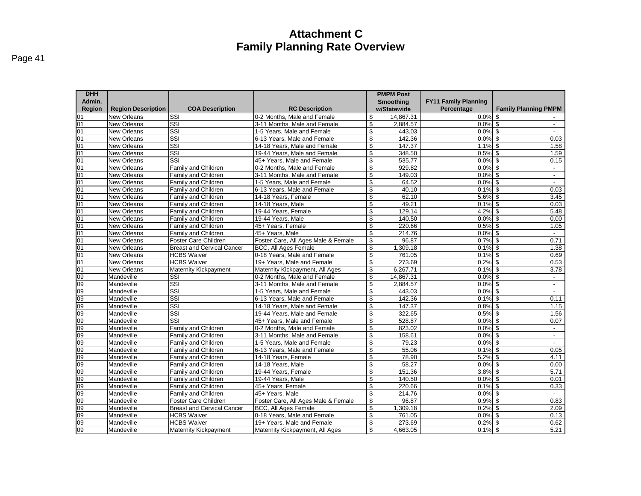**PMPM Post Smoothing** 

**FY11 Family Planning** 

| <b>DHH</b><br>Admin.<br><b>Region</b> | <b>Region Description</b> | <b>COA Description</b>     | <b>RC Description</b>      |
|---------------------------------------|---------------------------|----------------------------|----------------------------|
| 01                                    | New Orleans               | SSI                        | 0-2 Months, Male and Femal |
| 01                                    | New Orleans               | SSI                        | 3-11 Months, Male and Fema |
| 01                                    | New Orleans               | SSI                        | 1-5 Years, Male and Female |
| 01                                    | New Orleans               | SSI                        | 6-13 Years, Male and Femal |
| 01                                    | New Orleans               | SSI                        | 14-18 Years, Male and Fema |
| 01                                    | New Orleans               | <b>SSI</b>                 | 19-44 Years. Male and Fema |
| 01                                    | <b>New Orleans</b>        | <b>SSI</b>                 | 45+ Years. Male and Female |
| 01                                    | New Orleans               | <b>Family and Children</b> | 0-2 Months, Male and Femal |
| 01                                    | New Orleans               | Family and Children        | 3-11 Months, Male and Fema |
| 01                                    | New Orleans               | <b>Family and Children</b> | 1-5 Years, Male and Female |
| 01                                    | New Orleans               | Family and Children        | 6-13 Years, Male and Femal |
| 01                                    | New Orleans               | Family and Children        | 14-18 Years, Female        |
| 01                                    | New Orleans               | Family and Children        | 14-18 Years, Male          |
| 01                                    | New Orleans               | <b>Family and Children</b> | 19-44 Years, Female        |

| SSI<br>0-2 Months. Male and Female<br>New Orleans<br>\$<br>$0.0\%$ \$<br>$\overline{\text{SSI}}$<br>\$<br>$0.0\%$ \$<br>2,884.57<br>New Orleans<br>3-11 Months, Male and Female<br>$\overline{\text{SSI}}$<br>$0.0\%$ \$<br>1-5 Years. Male and Female<br>\$<br>443.03<br><b>New Orleans</b><br>$\sim$<br>SSI<br>142.36<br>$0.0\%$ \$<br>0.03<br>New Orleans<br>6-13 Years, Male and Female<br>\$<br>SSI<br>\$<br>147.37<br>$1.1\%$ \$<br>14-18 Years. Male and Female<br>1.58<br>New Orleans<br>$\overline{\text{SSI}}$<br>\$<br>348.50<br>$0.5\%$ \$<br>New Orleans<br>19-44 Years, Male and Female<br>1.59<br>$\overline{\text{SSI}}$<br>535.77<br>$0.0\%$ \$<br>New Orleans<br>45+ Years, Male and Female<br>\$<br>0.15<br>\$<br>$0.0\%$ \$<br>Family and Children<br>929.82<br>New Orleans<br>0-2 Months, Male and Female<br>\$<br>$0.0\%$ \$<br>Family and Children<br>3-11 Months. Male and Female<br>149.03<br>New Orleans<br>$\sim$<br>1-5 Years, Male and Female<br>\$<br>64.52<br>$0.0\%$ \$<br>New Orleans<br>Family and Children<br>$\sim$<br>\$<br>40.10<br>$0.1\%$ \$<br>0.03<br><b>New Orleans</b><br>Family and Children<br>6-13 Years. Male and Female<br>\$<br>62.10<br>$5.6\%$ \$<br>3.45<br><b>New Orleans</b><br>Family and Children<br>14-18 Years, Female<br>\$<br>49.21<br>$0.1\%$ \$<br>New Orleans<br>Family and Children<br>14-18 Years, Male<br>0.03<br>\$<br>$4.2\%$ \$<br>Family and Children<br>19-44 Years, Female<br>129.14<br>5.48<br><b>New Orleans</b><br>\$<br>$0.0\%$ \$<br>Family and Children<br>19-44 Years, Male<br>140.50<br>0.00<br>New Orleans<br>\$<br>220.66<br>$0.5\%$ \$<br>New Orleans<br>Family and Children<br>45+ Years, Female<br>1.05<br>$0.0\%$ \$<br>New Orleans<br>Family and Children<br>45+ Years, Male<br>\$<br>214.76<br>$\sim$<br>Foster Care, All Ages Male & Female<br>\$<br>96.87<br>$0.7%$ \$<br>0.71<br>Foster Care Children<br>New Orleans<br>$0.1\%$ \$<br>\$<br>1,309.18<br>1.38<br>BCC, All Ages Female<br>New Orleans<br><b>Breast and Cervical Cancer</b><br>$0.1\%$ \$<br><b>HCBS Waiver</b><br>0-18 Years, Male and Female<br>\$<br>761.05<br>0.69<br><b>New Orleans</b><br><b>HCBS Waiver</b><br>19+ Years. Male and Female<br>\$<br>273.69<br>$0.2\%$ \$<br>New Orleans<br>0.53<br>$0.1\%$ \$<br>\$<br>6,267.71<br>New Orleans<br>Maternity Kickpayment<br>Maternity Kickpayment, All Ages<br>3.78<br>$\overline{\text{SSI}}$<br>\$<br>14.867.31<br>$0.0\%$ \$<br>Mandeville<br>0-2 Months. Male and Female<br>$\sim$<br>$\overline{\text{SSI}}$<br>\$<br>2,884.57<br>$0.0\%$ \$<br>Mandeville<br>3-11 Months, Male and Female<br>$\sim$<br>SSI<br>$0.0\%$ \$<br>\$<br>443.03<br>Mandeville<br>1-5 Years, Male and Female<br>$\overline{\text{SSI}}$<br>\$<br>142.36<br>$0.1\sqrt{8}$ \$<br>0.11<br>Mandeville<br>6-13 Years, Male and Female<br>$\overline{\text{SSI}}$<br>\$<br>147.37<br>$0.8\%$ \$<br>1.15<br>Mandeville<br>14-18 Years, Male and Female<br>SSI<br>\$<br>322.65<br>$0.5\%$ \$<br>19-44 Years. Male and Female<br>1.56<br>Mandeville<br>SSI<br>\$<br>528.87<br>$0.0\%$ \$<br>Mandeville<br>45+ Years. Male and Female<br>0.07<br>Family and Children<br>\$<br>823.02<br>$0.0\%$ \$<br>Mandeville<br>0-2 Months, Male and Female<br>$\sim$<br>\$<br>158.61<br>$0.0\%$ \$<br>Mandeville<br>Family and Children<br>3-11 Months. Male and Female<br>$\overline{\phantom{a}}$<br>1-5 Years, Male and Female<br>\$<br>79.23<br>$0.0\%$ \$<br>Mandeville<br>Family and Children<br>$\sim$<br>\$<br>55.06<br>$0.1\%$ \$<br>0.05<br>Mandeville<br>Family and Children<br>6-13 Years, Male and Female<br>\$<br>78.90<br>$5.2\%$ \$<br>Mandeville<br>Family and Children<br>14-18 Years, Female<br>4.11<br>\$<br>58.27<br>$0.0\%$ \$<br>Mandeville<br>Family and Children<br>14-18 Years, Male<br>0.00<br>\$<br>151.36<br>5.71<br>Mandeville<br>19-44 Years, Female<br>$3.8\%$ \$<br>Family and Children<br>\$<br>140.50<br>$0.0\%$ \$<br>Family and Children<br>0.01<br>Mandeville<br>19-44 Years, Male<br>\$<br>220.66<br>$0.1\%$ \$<br>Mandeville<br>Family and Children<br>45+ Years, Female<br>0.33<br>\$<br>Mandeville<br>Family and Children<br>45+ Years, Male<br>214.76<br>$0.0\%$ \$<br>$\sim$<br>$0.9\%$ \$<br>0.83<br>Foster Care Children<br>Foster Care, All Ages Male & Female<br>\$<br>96.87<br>Mandeville<br>\$<br>1,309.18<br>$0.2%$ \$<br>Mandeville<br><b>Breast and Cervical Cancer</b><br>BCC, All Ages Female<br>2.09<br>$0.0\%$ \$<br>Mandeville<br><b>HCBS Waiver</b><br>0-18 Years, Male and Female<br>\$<br>761.05<br>0.13<br><b>HCBS Waiver</b><br>273.69<br>$0.2%$ \$<br>0.62<br>Mandeville<br>19+ Years, Male and Female<br>\$<br><b>Maternity Kickpayment</b><br>Mandeville<br>Maternity Kickpayment, All Ages<br>4,663.05<br>$0.1\%$ \$<br>S<br>5.21 | <b>Region</b>   | <b>Region Description</b> | <b>COA Description</b> | <b>RC Description</b> | w/Statewide | Percentage | <b>Family Planning PMPM</b> |
|-----------------------------------------------------------------------------------------------------------------------------------------------------------------------------------------------------------------------------------------------------------------------------------------------------------------------------------------------------------------------------------------------------------------------------------------------------------------------------------------------------------------------------------------------------------------------------------------------------------------------------------------------------------------------------------------------------------------------------------------------------------------------------------------------------------------------------------------------------------------------------------------------------------------------------------------------------------------------------------------------------------------------------------------------------------------------------------------------------------------------------------------------------------------------------------------------------------------------------------------------------------------------------------------------------------------------------------------------------------------------------------------------------------------------------------------------------------------------------------------------------------------------------------------------------------------------------------------------------------------------------------------------------------------------------------------------------------------------------------------------------------------------------------------------------------------------------------------------------------------------------------------------------------------------------------------------------------------------------------------------------------------------------------------------------------------------------------------------------------------------------------------------------------------------------------------------------------------------------------------------------------------------------------------------------------------------------------------------------------------------------------------------------------------------------------------------------------------------------------------------------------------------------------------------------------------------------------------------------------------------------------------------------------------------------------------------------------------------------------------------------------------------------------------------------------------------------------------------------------------------------------------------------------------------------------------------------------------------------------------------------------------------------------------------------------------------------------------------------------------------------------------------------------------------------------------------------------------------------------------------------------------------------------------------------------------------------------------------------------------------------------------------------------------------------------------------------------------------------------------------------------------------------------------------------------------------------------------------------------------------------------------------------------------------------------------------------------------------------------------------------------------------------------------------------------------------------------------------------------------------------------------------------------------------------------------------------------------------------------------------------------------------------------------------------------------------------------------------------------------------------------------------------------------------------------------------------------------------------------------------------------------------------------------------------------------------------------------------------------------------------------------------------------------------------------------------------------------------------------------------------------------------------------------------------------------------------------------------------------------------------------------------------------------------------------------------------------------------------------------------------------------------------|-----------------|---------------------------|------------------------|-----------------------|-------------|------------|-----------------------------|
|                                                                                                                                                                                                                                                                                                                                                                                                                                                                                                                                                                                                                                                                                                                                                                                                                                                                                                                                                                                                                                                                                                                                                                                                                                                                                                                                                                                                                                                                                                                                                                                                                                                                                                                                                                                                                                                                                                                                                                                                                                                                                                                                                                                                                                                                                                                                                                                                                                                                                                                                                                                                                                                                                                                                                                                                                                                                                                                                                                                                                                                                                                                                                                                                                                                                                                                                                                                                                                                                                                                                                                                                                                                                                                                                                                                                                                                                                                                                                                                                                                                                                                                                                                                                                                                                                                                                                                                                                                                                                                                                                                                                                                                                                                                                                                             | 01              |                           |                        |                       | 14,867.31   |            |                             |
|                                                                                                                                                                                                                                                                                                                                                                                                                                                                                                                                                                                                                                                                                                                                                                                                                                                                                                                                                                                                                                                                                                                                                                                                                                                                                                                                                                                                                                                                                                                                                                                                                                                                                                                                                                                                                                                                                                                                                                                                                                                                                                                                                                                                                                                                                                                                                                                                                                                                                                                                                                                                                                                                                                                                                                                                                                                                                                                                                                                                                                                                                                                                                                                                                                                                                                                                                                                                                                                                                                                                                                                                                                                                                                                                                                                                                                                                                                                                                                                                                                                                                                                                                                                                                                                                                                                                                                                                                                                                                                                                                                                                                                                                                                                                                                             | 01              |                           |                        |                       |             |            |                             |
|                                                                                                                                                                                                                                                                                                                                                                                                                                                                                                                                                                                                                                                                                                                                                                                                                                                                                                                                                                                                                                                                                                                                                                                                                                                                                                                                                                                                                                                                                                                                                                                                                                                                                                                                                                                                                                                                                                                                                                                                                                                                                                                                                                                                                                                                                                                                                                                                                                                                                                                                                                                                                                                                                                                                                                                                                                                                                                                                                                                                                                                                                                                                                                                                                                                                                                                                                                                                                                                                                                                                                                                                                                                                                                                                                                                                                                                                                                                                                                                                                                                                                                                                                                                                                                                                                                                                                                                                                                                                                                                                                                                                                                                                                                                                                                             | 01              |                           |                        |                       |             |            |                             |
|                                                                                                                                                                                                                                                                                                                                                                                                                                                                                                                                                                                                                                                                                                                                                                                                                                                                                                                                                                                                                                                                                                                                                                                                                                                                                                                                                                                                                                                                                                                                                                                                                                                                                                                                                                                                                                                                                                                                                                                                                                                                                                                                                                                                                                                                                                                                                                                                                                                                                                                                                                                                                                                                                                                                                                                                                                                                                                                                                                                                                                                                                                                                                                                                                                                                                                                                                                                                                                                                                                                                                                                                                                                                                                                                                                                                                                                                                                                                                                                                                                                                                                                                                                                                                                                                                                                                                                                                                                                                                                                                                                                                                                                                                                                                                                             | 01              |                           |                        |                       |             |            |                             |
|                                                                                                                                                                                                                                                                                                                                                                                                                                                                                                                                                                                                                                                                                                                                                                                                                                                                                                                                                                                                                                                                                                                                                                                                                                                                                                                                                                                                                                                                                                                                                                                                                                                                                                                                                                                                                                                                                                                                                                                                                                                                                                                                                                                                                                                                                                                                                                                                                                                                                                                                                                                                                                                                                                                                                                                                                                                                                                                                                                                                                                                                                                                                                                                                                                                                                                                                                                                                                                                                                                                                                                                                                                                                                                                                                                                                                                                                                                                                                                                                                                                                                                                                                                                                                                                                                                                                                                                                                                                                                                                                                                                                                                                                                                                                                                             | $\overline{01}$ |                           |                        |                       |             |            |                             |
|                                                                                                                                                                                                                                                                                                                                                                                                                                                                                                                                                                                                                                                                                                                                                                                                                                                                                                                                                                                                                                                                                                                                                                                                                                                                                                                                                                                                                                                                                                                                                                                                                                                                                                                                                                                                                                                                                                                                                                                                                                                                                                                                                                                                                                                                                                                                                                                                                                                                                                                                                                                                                                                                                                                                                                                                                                                                                                                                                                                                                                                                                                                                                                                                                                                                                                                                                                                                                                                                                                                                                                                                                                                                                                                                                                                                                                                                                                                                                                                                                                                                                                                                                                                                                                                                                                                                                                                                                                                                                                                                                                                                                                                                                                                                                                             | 01              |                           |                        |                       |             |            |                             |
|                                                                                                                                                                                                                                                                                                                                                                                                                                                                                                                                                                                                                                                                                                                                                                                                                                                                                                                                                                                                                                                                                                                                                                                                                                                                                                                                                                                                                                                                                                                                                                                                                                                                                                                                                                                                                                                                                                                                                                                                                                                                                                                                                                                                                                                                                                                                                                                                                                                                                                                                                                                                                                                                                                                                                                                                                                                                                                                                                                                                                                                                                                                                                                                                                                                                                                                                                                                                                                                                                                                                                                                                                                                                                                                                                                                                                                                                                                                                                                                                                                                                                                                                                                                                                                                                                                                                                                                                                                                                                                                                                                                                                                                                                                                                                                             | 01              |                           |                        |                       |             |            |                             |
|                                                                                                                                                                                                                                                                                                                                                                                                                                                                                                                                                                                                                                                                                                                                                                                                                                                                                                                                                                                                                                                                                                                                                                                                                                                                                                                                                                                                                                                                                                                                                                                                                                                                                                                                                                                                                                                                                                                                                                                                                                                                                                                                                                                                                                                                                                                                                                                                                                                                                                                                                                                                                                                                                                                                                                                                                                                                                                                                                                                                                                                                                                                                                                                                                                                                                                                                                                                                                                                                                                                                                                                                                                                                                                                                                                                                                                                                                                                                                                                                                                                                                                                                                                                                                                                                                                                                                                                                                                                                                                                                                                                                                                                                                                                                                                             | 01              |                           |                        |                       |             |            |                             |
|                                                                                                                                                                                                                                                                                                                                                                                                                                                                                                                                                                                                                                                                                                                                                                                                                                                                                                                                                                                                                                                                                                                                                                                                                                                                                                                                                                                                                                                                                                                                                                                                                                                                                                                                                                                                                                                                                                                                                                                                                                                                                                                                                                                                                                                                                                                                                                                                                                                                                                                                                                                                                                                                                                                                                                                                                                                                                                                                                                                                                                                                                                                                                                                                                                                                                                                                                                                                                                                                                                                                                                                                                                                                                                                                                                                                                                                                                                                                                                                                                                                                                                                                                                                                                                                                                                                                                                                                                                                                                                                                                                                                                                                                                                                                                                             | 01              |                           |                        |                       |             |            |                             |
|                                                                                                                                                                                                                                                                                                                                                                                                                                                                                                                                                                                                                                                                                                                                                                                                                                                                                                                                                                                                                                                                                                                                                                                                                                                                                                                                                                                                                                                                                                                                                                                                                                                                                                                                                                                                                                                                                                                                                                                                                                                                                                                                                                                                                                                                                                                                                                                                                                                                                                                                                                                                                                                                                                                                                                                                                                                                                                                                                                                                                                                                                                                                                                                                                                                                                                                                                                                                                                                                                                                                                                                                                                                                                                                                                                                                                                                                                                                                                                                                                                                                                                                                                                                                                                                                                                                                                                                                                                                                                                                                                                                                                                                                                                                                                                             | 01              |                           |                        |                       |             |            |                             |
|                                                                                                                                                                                                                                                                                                                                                                                                                                                                                                                                                                                                                                                                                                                                                                                                                                                                                                                                                                                                                                                                                                                                                                                                                                                                                                                                                                                                                                                                                                                                                                                                                                                                                                                                                                                                                                                                                                                                                                                                                                                                                                                                                                                                                                                                                                                                                                                                                                                                                                                                                                                                                                                                                                                                                                                                                                                                                                                                                                                                                                                                                                                                                                                                                                                                                                                                                                                                                                                                                                                                                                                                                                                                                                                                                                                                                                                                                                                                                                                                                                                                                                                                                                                                                                                                                                                                                                                                                                                                                                                                                                                                                                                                                                                                                                             | 01              |                           |                        |                       |             |            |                             |
|                                                                                                                                                                                                                                                                                                                                                                                                                                                                                                                                                                                                                                                                                                                                                                                                                                                                                                                                                                                                                                                                                                                                                                                                                                                                                                                                                                                                                                                                                                                                                                                                                                                                                                                                                                                                                                                                                                                                                                                                                                                                                                                                                                                                                                                                                                                                                                                                                                                                                                                                                                                                                                                                                                                                                                                                                                                                                                                                                                                                                                                                                                                                                                                                                                                                                                                                                                                                                                                                                                                                                                                                                                                                                                                                                                                                                                                                                                                                                                                                                                                                                                                                                                                                                                                                                                                                                                                                                                                                                                                                                                                                                                                                                                                                                                             | 01              |                           |                        |                       |             |            |                             |
|                                                                                                                                                                                                                                                                                                                                                                                                                                                                                                                                                                                                                                                                                                                                                                                                                                                                                                                                                                                                                                                                                                                                                                                                                                                                                                                                                                                                                                                                                                                                                                                                                                                                                                                                                                                                                                                                                                                                                                                                                                                                                                                                                                                                                                                                                                                                                                                                                                                                                                                                                                                                                                                                                                                                                                                                                                                                                                                                                                                                                                                                                                                                                                                                                                                                                                                                                                                                                                                                                                                                                                                                                                                                                                                                                                                                                                                                                                                                                                                                                                                                                                                                                                                                                                                                                                                                                                                                                                                                                                                                                                                                                                                                                                                                                                             | 01              |                           |                        |                       |             |            |                             |
|                                                                                                                                                                                                                                                                                                                                                                                                                                                                                                                                                                                                                                                                                                                                                                                                                                                                                                                                                                                                                                                                                                                                                                                                                                                                                                                                                                                                                                                                                                                                                                                                                                                                                                                                                                                                                                                                                                                                                                                                                                                                                                                                                                                                                                                                                                                                                                                                                                                                                                                                                                                                                                                                                                                                                                                                                                                                                                                                                                                                                                                                                                                                                                                                                                                                                                                                                                                                                                                                                                                                                                                                                                                                                                                                                                                                                                                                                                                                                                                                                                                                                                                                                                                                                                                                                                                                                                                                                                                                                                                                                                                                                                                                                                                                                                             | 01              |                           |                        |                       |             |            |                             |
|                                                                                                                                                                                                                                                                                                                                                                                                                                                                                                                                                                                                                                                                                                                                                                                                                                                                                                                                                                                                                                                                                                                                                                                                                                                                                                                                                                                                                                                                                                                                                                                                                                                                                                                                                                                                                                                                                                                                                                                                                                                                                                                                                                                                                                                                                                                                                                                                                                                                                                                                                                                                                                                                                                                                                                                                                                                                                                                                                                                                                                                                                                                                                                                                                                                                                                                                                                                                                                                                                                                                                                                                                                                                                                                                                                                                                                                                                                                                                                                                                                                                                                                                                                                                                                                                                                                                                                                                                                                                                                                                                                                                                                                                                                                                                                             | 01              |                           |                        |                       |             |            |                             |
|                                                                                                                                                                                                                                                                                                                                                                                                                                                                                                                                                                                                                                                                                                                                                                                                                                                                                                                                                                                                                                                                                                                                                                                                                                                                                                                                                                                                                                                                                                                                                                                                                                                                                                                                                                                                                                                                                                                                                                                                                                                                                                                                                                                                                                                                                                                                                                                                                                                                                                                                                                                                                                                                                                                                                                                                                                                                                                                                                                                                                                                                                                                                                                                                                                                                                                                                                                                                                                                                                                                                                                                                                                                                                                                                                                                                                                                                                                                                                                                                                                                                                                                                                                                                                                                                                                                                                                                                                                                                                                                                                                                                                                                                                                                                                                             | 01              |                           |                        |                       |             |            |                             |
|                                                                                                                                                                                                                                                                                                                                                                                                                                                                                                                                                                                                                                                                                                                                                                                                                                                                                                                                                                                                                                                                                                                                                                                                                                                                                                                                                                                                                                                                                                                                                                                                                                                                                                                                                                                                                                                                                                                                                                                                                                                                                                                                                                                                                                                                                                                                                                                                                                                                                                                                                                                                                                                                                                                                                                                                                                                                                                                                                                                                                                                                                                                                                                                                                                                                                                                                                                                                                                                                                                                                                                                                                                                                                                                                                                                                                                                                                                                                                                                                                                                                                                                                                                                                                                                                                                                                                                                                                                                                                                                                                                                                                                                                                                                                                                             | 01              |                           |                        |                       |             |            |                             |
|                                                                                                                                                                                                                                                                                                                                                                                                                                                                                                                                                                                                                                                                                                                                                                                                                                                                                                                                                                                                                                                                                                                                                                                                                                                                                                                                                                                                                                                                                                                                                                                                                                                                                                                                                                                                                                                                                                                                                                                                                                                                                                                                                                                                                                                                                                                                                                                                                                                                                                                                                                                                                                                                                                                                                                                                                                                                                                                                                                                                                                                                                                                                                                                                                                                                                                                                                                                                                                                                                                                                                                                                                                                                                                                                                                                                                                                                                                                                                                                                                                                                                                                                                                                                                                                                                                                                                                                                                                                                                                                                                                                                                                                                                                                                                                             | 01              |                           |                        |                       |             |            |                             |
|                                                                                                                                                                                                                                                                                                                                                                                                                                                                                                                                                                                                                                                                                                                                                                                                                                                                                                                                                                                                                                                                                                                                                                                                                                                                                                                                                                                                                                                                                                                                                                                                                                                                                                                                                                                                                                                                                                                                                                                                                                                                                                                                                                                                                                                                                                                                                                                                                                                                                                                                                                                                                                                                                                                                                                                                                                                                                                                                                                                                                                                                                                                                                                                                                                                                                                                                                                                                                                                                                                                                                                                                                                                                                                                                                                                                                                                                                                                                                                                                                                                                                                                                                                                                                                                                                                                                                                                                                                                                                                                                                                                                                                                                                                                                                                             | 01              |                           |                        |                       |             |            |                             |
|                                                                                                                                                                                                                                                                                                                                                                                                                                                                                                                                                                                                                                                                                                                                                                                                                                                                                                                                                                                                                                                                                                                                                                                                                                                                                                                                                                                                                                                                                                                                                                                                                                                                                                                                                                                                                                                                                                                                                                                                                                                                                                                                                                                                                                                                                                                                                                                                                                                                                                                                                                                                                                                                                                                                                                                                                                                                                                                                                                                                                                                                                                                                                                                                                                                                                                                                                                                                                                                                                                                                                                                                                                                                                                                                                                                                                                                                                                                                                                                                                                                                                                                                                                                                                                                                                                                                                                                                                                                                                                                                                                                                                                                                                                                                                                             | 01              |                           |                        |                       |             |            |                             |
|                                                                                                                                                                                                                                                                                                                                                                                                                                                                                                                                                                                                                                                                                                                                                                                                                                                                                                                                                                                                                                                                                                                                                                                                                                                                                                                                                                                                                                                                                                                                                                                                                                                                                                                                                                                                                                                                                                                                                                                                                                                                                                                                                                                                                                                                                                                                                                                                                                                                                                                                                                                                                                                                                                                                                                                                                                                                                                                                                                                                                                                                                                                                                                                                                                                                                                                                                                                                                                                                                                                                                                                                                                                                                                                                                                                                                                                                                                                                                                                                                                                                                                                                                                                                                                                                                                                                                                                                                                                                                                                                                                                                                                                                                                                                                                             | 01              |                           |                        |                       |             |            |                             |
|                                                                                                                                                                                                                                                                                                                                                                                                                                                                                                                                                                                                                                                                                                                                                                                                                                                                                                                                                                                                                                                                                                                                                                                                                                                                                                                                                                                                                                                                                                                                                                                                                                                                                                                                                                                                                                                                                                                                                                                                                                                                                                                                                                                                                                                                                                                                                                                                                                                                                                                                                                                                                                                                                                                                                                                                                                                                                                                                                                                                                                                                                                                                                                                                                                                                                                                                                                                                                                                                                                                                                                                                                                                                                                                                                                                                                                                                                                                                                                                                                                                                                                                                                                                                                                                                                                                                                                                                                                                                                                                                                                                                                                                                                                                                                                             | 01              |                           |                        |                       |             |            |                             |
|                                                                                                                                                                                                                                                                                                                                                                                                                                                                                                                                                                                                                                                                                                                                                                                                                                                                                                                                                                                                                                                                                                                                                                                                                                                                                                                                                                                                                                                                                                                                                                                                                                                                                                                                                                                                                                                                                                                                                                                                                                                                                                                                                                                                                                                                                                                                                                                                                                                                                                                                                                                                                                                                                                                                                                                                                                                                                                                                                                                                                                                                                                                                                                                                                                                                                                                                                                                                                                                                                                                                                                                                                                                                                                                                                                                                                                                                                                                                                                                                                                                                                                                                                                                                                                                                                                                                                                                                                                                                                                                                                                                                                                                                                                                                                                             | 09              |                           |                        |                       |             |            |                             |
|                                                                                                                                                                                                                                                                                                                                                                                                                                                                                                                                                                                                                                                                                                                                                                                                                                                                                                                                                                                                                                                                                                                                                                                                                                                                                                                                                                                                                                                                                                                                                                                                                                                                                                                                                                                                                                                                                                                                                                                                                                                                                                                                                                                                                                                                                                                                                                                                                                                                                                                                                                                                                                                                                                                                                                                                                                                                                                                                                                                                                                                                                                                                                                                                                                                                                                                                                                                                                                                                                                                                                                                                                                                                                                                                                                                                                                                                                                                                                                                                                                                                                                                                                                                                                                                                                                                                                                                                                                                                                                                                                                                                                                                                                                                                                                             | 09              |                           |                        |                       |             |            |                             |
|                                                                                                                                                                                                                                                                                                                                                                                                                                                                                                                                                                                                                                                                                                                                                                                                                                                                                                                                                                                                                                                                                                                                                                                                                                                                                                                                                                                                                                                                                                                                                                                                                                                                                                                                                                                                                                                                                                                                                                                                                                                                                                                                                                                                                                                                                                                                                                                                                                                                                                                                                                                                                                                                                                                                                                                                                                                                                                                                                                                                                                                                                                                                                                                                                                                                                                                                                                                                                                                                                                                                                                                                                                                                                                                                                                                                                                                                                                                                                                                                                                                                                                                                                                                                                                                                                                                                                                                                                                                                                                                                                                                                                                                                                                                                                                             | 09              |                           |                        |                       |             |            |                             |
|                                                                                                                                                                                                                                                                                                                                                                                                                                                                                                                                                                                                                                                                                                                                                                                                                                                                                                                                                                                                                                                                                                                                                                                                                                                                                                                                                                                                                                                                                                                                                                                                                                                                                                                                                                                                                                                                                                                                                                                                                                                                                                                                                                                                                                                                                                                                                                                                                                                                                                                                                                                                                                                                                                                                                                                                                                                                                                                                                                                                                                                                                                                                                                                                                                                                                                                                                                                                                                                                                                                                                                                                                                                                                                                                                                                                                                                                                                                                                                                                                                                                                                                                                                                                                                                                                                                                                                                                                                                                                                                                                                                                                                                                                                                                                                             | 60              |                           |                        |                       |             |            |                             |
|                                                                                                                                                                                                                                                                                                                                                                                                                                                                                                                                                                                                                                                                                                                                                                                                                                                                                                                                                                                                                                                                                                                                                                                                                                                                                                                                                                                                                                                                                                                                                                                                                                                                                                                                                                                                                                                                                                                                                                                                                                                                                                                                                                                                                                                                                                                                                                                                                                                                                                                                                                                                                                                                                                                                                                                                                                                                                                                                                                                                                                                                                                                                                                                                                                                                                                                                                                                                                                                                                                                                                                                                                                                                                                                                                                                                                                                                                                                                                                                                                                                                                                                                                                                                                                                                                                                                                                                                                                                                                                                                                                                                                                                                                                                                                                             | 09              |                           |                        |                       |             |            |                             |
|                                                                                                                                                                                                                                                                                                                                                                                                                                                                                                                                                                                                                                                                                                                                                                                                                                                                                                                                                                                                                                                                                                                                                                                                                                                                                                                                                                                                                                                                                                                                                                                                                                                                                                                                                                                                                                                                                                                                                                                                                                                                                                                                                                                                                                                                                                                                                                                                                                                                                                                                                                                                                                                                                                                                                                                                                                                                                                                                                                                                                                                                                                                                                                                                                                                                                                                                                                                                                                                                                                                                                                                                                                                                                                                                                                                                                                                                                                                                                                                                                                                                                                                                                                                                                                                                                                                                                                                                                                                                                                                                                                                                                                                                                                                                                                             | $\overline{09}$ |                           |                        |                       |             |            |                             |
|                                                                                                                                                                                                                                                                                                                                                                                                                                                                                                                                                                                                                                                                                                                                                                                                                                                                                                                                                                                                                                                                                                                                                                                                                                                                                                                                                                                                                                                                                                                                                                                                                                                                                                                                                                                                                                                                                                                                                                                                                                                                                                                                                                                                                                                                                                                                                                                                                                                                                                                                                                                                                                                                                                                                                                                                                                                                                                                                                                                                                                                                                                                                                                                                                                                                                                                                                                                                                                                                                                                                                                                                                                                                                                                                                                                                                                                                                                                                                                                                                                                                                                                                                                                                                                                                                                                                                                                                                                                                                                                                                                                                                                                                                                                                                                             | 09              |                           |                        |                       |             |            |                             |
|                                                                                                                                                                                                                                                                                                                                                                                                                                                                                                                                                                                                                                                                                                                                                                                                                                                                                                                                                                                                                                                                                                                                                                                                                                                                                                                                                                                                                                                                                                                                                                                                                                                                                                                                                                                                                                                                                                                                                                                                                                                                                                                                                                                                                                                                                                                                                                                                                                                                                                                                                                                                                                                                                                                                                                                                                                                                                                                                                                                                                                                                                                                                                                                                                                                                                                                                                                                                                                                                                                                                                                                                                                                                                                                                                                                                                                                                                                                                                                                                                                                                                                                                                                                                                                                                                                                                                                                                                                                                                                                                                                                                                                                                                                                                                                             | 60              |                           |                        |                       |             |            |                             |
|                                                                                                                                                                                                                                                                                                                                                                                                                                                                                                                                                                                                                                                                                                                                                                                                                                                                                                                                                                                                                                                                                                                                                                                                                                                                                                                                                                                                                                                                                                                                                                                                                                                                                                                                                                                                                                                                                                                                                                                                                                                                                                                                                                                                                                                                                                                                                                                                                                                                                                                                                                                                                                                                                                                                                                                                                                                                                                                                                                                                                                                                                                                                                                                                                                                                                                                                                                                                                                                                                                                                                                                                                                                                                                                                                                                                                                                                                                                                                                                                                                                                                                                                                                                                                                                                                                                                                                                                                                                                                                                                                                                                                                                                                                                                                                             | $\overline{09}$ |                           |                        |                       |             |            |                             |
|                                                                                                                                                                                                                                                                                                                                                                                                                                                                                                                                                                                                                                                                                                                                                                                                                                                                                                                                                                                                                                                                                                                                                                                                                                                                                                                                                                                                                                                                                                                                                                                                                                                                                                                                                                                                                                                                                                                                                                                                                                                                                                                                                                                                                                                                                                                                                                                                                                                                                                                                                                                                                                                                                                                                                                                                                                                                                                                                                                                                                                                                                                                                                                                                                                                                                                                                                                                                                                                                                                                                                                                                                                                                                                                                                                                                                                                                                                                                                                                                                                                                                                                                                                                                                                                                                                                                                                                                                                                                                                                                                                                                                                                                                                                                                                             | 09              |                           |                        |                       |             |            |                             |
|                                                                                                                                                                                                                                                                                                                                                                                                                                                                                                                                                                                                                                                                                                                                                                                                                                                                                                                                                                                                                                                                                                                                                                                                                                                                                                                                                                                                                                                                                                                                                                                                                                                                                                                                                                                                                                                                                                                                                                                                                                                                                                                                                                                                                                                                                                                                                                                                                                                                                                                                                                                                                                                                                                                                                                                                                                                                                                                                                                                                                                                                                                                                                                                                                                                                                                                                                                                                                                                                                                                                                                                                                                                                                                                                                                                                                                                                                                                                                                                                                                                                                                                                                                                                                                                                                                                                                                                                                                                                                                                                                                                                                                                                                                                                                                             | 09              |                           |                        |                       |             |            |                             |
|                                                                                                                                                                                                                                                                                                                                                                                                                                                                                                                                                                                                                                                                                                                                                                                                                                                                                                                                                                                                                                                                                                                                                                                                                                                                                                                                                                                                                                                                                                                                                                                                                                                                                                                                                                                                                                                                                                                                                                                                                                                                                                                                                                                                                                                                                                                                                                                                                                                                                                                                                                                                                                                                                                                                                                                                                                                                                                                                                                                                                                                                                                                                                                                                                                                                                                                                                                                                                                                                                                                                                                                                                                                                                                                                                                                                                                                                                                                                                                                                                                                                                                                                                                                                                                                                                                                                                                                                                                                                                                                                                                                                                                                                                                                                                                             | 60              |                           |                        |                       |             |            |                             |
|                                                                                                                                                                                                                                                                                                                                                                                                                                                                                                                                                                                                                                                                                                                                                                                                                                                                                                                                                                                                                                                                                                                                                                                                                                                                                                                                                                                                                                                                                                                                                                                                                                                                                                                                                                                                                                                                                                                                                                                                                                                                                                                                                                                                                                                                                                                                                                                                                                                                                                                                                                                                                                                                                                                                                                                                                                                                                                                                                                                                                                                                                                                                                                                                                                                                                                                                                                                                                                                                                                                                                                                                                                                                                                                                                                                                                                                                                                                                                                                                                                                                                                                                                                                                                                                                                                                                                                                                                                                                                                                                                                                                                                                                                                                                                                             | 09              |                           |                        |                       |             |            |                             |
|                                                                                                                                                                                                                                                                                                                                                                                                                                                                                                                                                                                                                                                                                                                                                                                                                                                                                                                                                                                                                                                                                                                                                                                                                                                                                                                                                                                                                                                                                                                                                                                                                                                                                                                                                                                                                                                                                                                                                                                                                                                                                                                                                                                                                                                                                                                                                                                                                                                                                                                                                                                                                                                                                                                                                                                                                                                                                                                                                                                                                                                                                                                                                                                                                                                                                                                                                                                                                                                                                                                                                                                                                                                                                                                                                                                                                                                                                                                                                                                                                                                                                                                                                                                                                                                                                                                                                                                                                                                                                                                                                                                                                                                                                                                                                                             | 60              |                           |                        |                       |             |            |                             |
|                                                                                                                                                                                                                                                                                                                                                                                                                                                                                                                                                                                                                                                                                                                                                                                                                                                                                                                                                                                                                                                                                                                                                                                                                                                                                                                                                                                                                                                                                                                                                                                                                                                                                                                                                                                                                                                                                                                                                                                                                                                                                                                                                                                                                                                                                                                                                                                                                                                                                                                                                                                                                                                                                                                                                                                                                                                                                                                                                                                                                                                                                                                                                                                                                                                                                                                                                                                                                                                                                                                                                                                                                                                                                                                                                                                                                                                                                                                                                                                                                                                                                                                                                                                                                                                                                                                                                                                                                                                                                                                                                                                                                                                                                                                                                                             | 09              |                           |                        |                       |             |            |                             |
|                                                                                                                                                                                                                                                                                                                                                                                                                                                                                                                                                                                                                                                                                                                                                                                                                                                                                                                                                                                                                                                                                                                                                                                                                                                                                                                                                                                                                                                                                                                                                                                                                                                                                                                                                                                                                                                                                                                                                                                                                                                                                                                                                                                                                                                                                                                                                                                                                                                                                                                                                                                                                                                                                                                                                                                                                                                                                                                                                                                                                                                                                                                                                                                                                                                                                                                                                                                                                                                                                                                                                                                                                                                                                                                                                                                                                                                                                                                                                                                                                                                                                                                                                                                                                                                                                                                                                                                                                                                                                                                                                                                                                                                                                                                                                                             | $\overline{09}$ |                           |                        |                       |             |            |                             |
|                                                                                                                                                                                                                                                                                                                                                                                                                                                                                                                                                                                                                                                                                                                                                                                                                                                                                                                                                                                                                                                                                                                                                                                                                                                                                                                                                                                                                                                                                                                                                                                                                                                                                                                                                                                                                                                                                                                                                                                                                                                                                                                                                                                                                                                                                                                                                                                                                                                                                                                                                                                                                                                                                                                                                                                                                                                                                                                                                                                                                                                                                                                                                                                                                                                                                                                                                                                                                                                                                                                                                                                                                                                                                                                                                                                                                                                                                                                                                                                                                                                                                                                                                                                                                                                                                                                                                                                                                                                                                                                                                                                                                                                                                                                                                                             | 09              |                           |                        |                       |             |            |                             |
|                                                                                                                                                                                                                                                                                                                                                                                                                                                                                                                                                                                                                                                                                                                                                                                                                                                                                                                                                                                                                                                                                                                                                                                                                                                                                                                                                                                                                                                                                                                                                                                                                                                                                                                                                                                                                                                                                                                                                                                                                                                                                                                                                                                                                                                                                                                                                                                                                                                                                                                                                                                                                                                                                                                                                                                                                                                                                                                                                                                                                                                                                                                                                                                                                                                                                                                                                                                                                                                                                                                                                                                                                                                                                                                                                                                                                                                                                                                                                                                                                                                                                                                                                                                                                                                                                                                                                                                                                                                                                                                                                                                                                                                                                                                                                                             | 60              |                           |                        |                       |             |            |                             |
|                                                                                                                                                                                                                                                                                                                                                                                                                                                                                                                                                                                                                                                                                                                                                                                                                                                                                                                                                                                                                                                                                                                                                                                                                                                                                                                                                                                                                                                                                                                                                                                                                                                                                                                                                                                                                                                                                                                                                                                                                                                                                                                                                                                                                                                                                                                                                                                                                                                                                                                                                                                                                                                                                                                                                                                                                                                                                                                                                                                                                                                                                                                                                                                                                                                                                                                                                                                                                                                                                                                                                                                                                                                                                                                                                                                                                                                                                                                                                                                                                                                                                                                                                                                                                                                                                                                                                                                                                                                                                                                                                                                                                                                                                                                                                                             | 09              |                           |                        |                       |             |            |                             |
|                                                                                                                                                                                                                                                                                                                                                                                                                                                                                                                                                                                                                                                                                                                                                                                                                                                                                                                                                                                                                                                                                                                                                                                                                                                                                                                                                                                                                                                                                                                                                                                                                                                                                                                                                                                                                                                                                                                                                                                                                                                                                                                                                                                                                                                                                                                                                                                                                                                                                                                                                                                                                                                                                                                                                                                                                                                                                                                                                                                                                                                                                                                                                                                                                                                                                                                                                                                                                                                                                                                                                                                                                                                                                                                                                                                                                                                                                                                                                                                                                                                                                                                                                                                                                                                                                                                                                                                                                                                                                                                                                                                                                                                                                                                                                                             | 60              |                           |                        |                       |             |            |                             |
|                                                                                                                                                                                                                                                                                                                                                                                                                                                                                                                                                                                                                                                                                                                                                                                                                                                                                                                                                                                                                                                                                                                                                                                                                                                                                                                                                                                                                                                                                                                                                                                                                                                                                                                                                                                                                                                                                                                                                                                                                                                                                                                                                                                                                                                                                                                                                                                                                                                                                                                                                                                                                                                                                                                                                                                                                                                                                                                                                                                                                                                                                                                                                                                                                                                                                                                                                                                                                                                                                                                                                                                                                                                                                                                                                                                                                                                                                                                                                                                                                                                                                                                                                                                                                                                                                                                                                                                                                                                                                                                                                                                                                                                                                                                                                                             | 60              |                           |                        |                       |             |            |                             |
|                                                                                                                                                                                                                                                                                                                                                                                                                                                                                                                                                                                                                                                                                                                                                                                                                                                                                                                                                                                                                                                                                                                                                                                                                                                                                                                                                                                                                                                                                                                                                                                                                                                                                                                                                                                                                                                                                                                                                                                                                                                                                                                                                                                                                                                                                                                                                                                                                                                                                                                                                                                                                                                                                                                                                                                                                                                                                                                                                                                                                                                                                                                                                                                                                                                                                                                                                                                                                                                                                                                                                                                                                                                                                                                                                                                                                                                                                                                                                                                                                                                                                                                                                                                                                                                                                                                                                                                                                                                                                                                                                                                                                                                                                                                                                                             | 09              |                           |                        |                       |             |            |                             |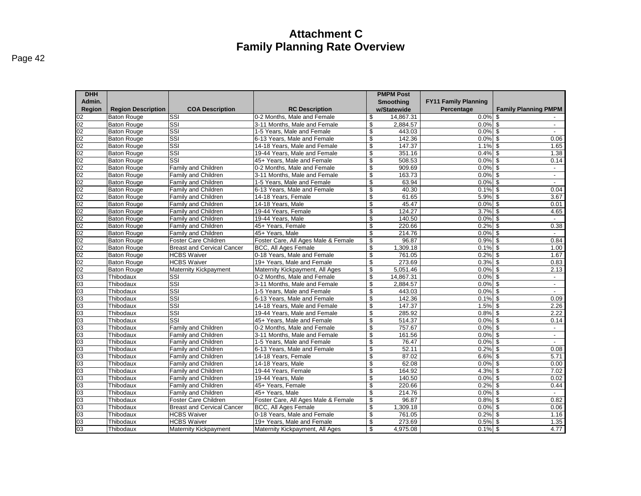| ıae |  |
|-----|--|
|-----|--|

| <b>DHH</b> |                           |                                   |                                     |                          | <b>PMPM Post</b> |                             |                                   |
|------------|---------------------------|-----------------------------------|-------------------------------------|--------------------------|------------------|-----------------------------|-----------------------------------|
| Admin.     |                           |                                   |                                     |                          | Smoothing        | <b>FY11 Family Planning</b> |                                   |
| Region     | <b>Region Description</b> | <b>COA Description</b>            | <b>RC Description</b>               |                          | w/Statewide      | Percentage                  | <b>Family Planning PMPM</b>       |
|            | <b>Baton Rouge</b>        | SSI                               | 0-2 Months. Male and Female         | \$                       | 14.867.31        | $0.0\%$ \$                  |                                   |
|            | <b>Baton Rouge</b>        | $\overline{\text{SSI}}$           | 3-11 Months, Male and Female        | \$                       | 2,884.57         | 0.0%                        | \$<br>$\sim$                      |
|            | <b>Baton Rouge</b>        | SSI                               | 1-5 Years, Male and Female          | \$                       | 443.03           | $0.0\%$                     | -\$                               |
|            | <b>Baton Rouge</b>        | SSI                               | 6-13 Years, Male and Female         | $\overline{\mathcal{S}}$ | 142.36           | 0.0%                        | \$<br>0.06                        |
|            | <b>Baton Rouge</b>        | SSI                               | 14-18 Years. Male and Female        | \$                       | 147.37           | 1.1%                        | \$<br>1.65                        |
|            | <b>Baton Rouge</b>        | $\overline{\text{SSI}}$           | 19-44 Years, Male and Female        | \$                       | 351.16           | 0.4%                        | -\$<br>1.38                       |
|            | <b>Baton Rouge</b>        | $\overline{\text{SSI}}$           | 45+ Years, Male and Female          | \$                       | 508.53           | $0.0\%$ \$                  | 0.14                              |
|            | <b>Baton Rouge</b>        | Family and Children               | 0-2 Months, Male and Female         | \$                       | 909.69           | $0.0\%$ \$                  | $\sim$                            |
|            | <b>Baton Rouge</b>        | Family and Children               | 3-11 Months, Male and Female        | \$                       | 163.73           | 0.0%                        | \$<br>$\sim$                      |
|            | <b>Baton Rouge</b>        | Family and Children               | 1-5 Years, Male and Female          | \$                       | 63.94            | $0.0\%$ \$                  | $\sim$                            |
|            | <b>Baton Rouge</b>        | Family and Children               | 6-13 Years, Male and Female         | \$                       | 40.30            | $0.1\%$ \$                  | 0.04                              |
|            | <b>Baton Rouge</b>        | Family and Children               | 14-18 Years, Female                 | \$                       | 61.65            | 5.9%                        | \$<br>3.67                        |
|            | <b>Baton Rouge</b>        | Family and Children               | 14-18 Years, Male                   | \$                       | 45.47            | $0.0\%$ \$                  | 0.01                              |
|            | <b>Baton Rouge</b>        | Family and Children               | 19-44 Years, Female                 | \$                       | 124.27           | $3.7\%$ \$                  | 4.65                              |
|            | <b>Baton Rouge</b>        | Family and Children               | 19-44 Years, Male                   | \$                       | 140.50           | $0.0\%$ \$                  | $\sim$                            |
|            | <b>Baton Rouge</b>        | Family and Children               | 45+ Years, Female                   | \$                       | 220.66           | 0.2%                        | \$<br>0.38                        |
|            | <b>Baton Rouge</b>        | Family and Children               | 45+ Years, Male                     | \$                       | 214.76           | $0.0\%$ \$                  | $\sim$                            |
|            | <b>Baton Rouge</b>        | Foster Care Children              | Foster Care, All Ages Male & Female | \$                       | 96.87            | 0.9%                        | \$<br>0.84                        |
|            | <b>Baton Rouge</b>        | <b>Breast and Cervical Cancer</b> | <b>BCC, All Ages Female</b>         | \$                       | 1,309.18         | $0.1\%$ \$                  | 1.00                              |
|            | <b>Baton Rouge</b>        | <b>HCBS Waiver</b>                | 0-18 Years, Male and Female         | \$                       | 761.05           | $0.2%$ \$                   | 1.67                              |
|            | <b>Baton Rouge</b>        | <b>HCBS Waiver</b>                | 19+ Years, Male and Female          | \$                       | 273.69           | $0.3\%$ \$                  | 0.83                              |
|            | <b>Baton Rouge</b>        | <b>Maternity Kickpayment</b>      | Maternity Kickpayment, All Ages     | \$                       | 5,051.46         | $0.0\%$ \$                  | 2.13                              |
|            | Thibodaux                 | SSI                               | 0-2 Months, Male and Female         | \$                       | 14,867.31        | $0.0\%$ \$                  | $\sim$                            |
|            | Thibodaux                 | SSI                               | 3-11 Months, Male and Female        | \$                       | 2,884.57         | $0.0\%$ \$                  | $\blacksquare$                    |
|            | Thibodaux                 | $\overline{\text{SSI}}$           | 1-5 Years, Male and Female          | \$                       | 443.03           | 0.0%                        | \$<br>$\sim$                      |
|            | Thibodaux                 | SSI                               | 6-13 Years. Male and Female         | \$                       | 142.36           | $0.1\%$ \$                  | 0.09                              |
|            | Thibodaux                 | $\overline{\text{SSI}}$           | 14-18 Years, Male and Female        | \$                       | 147.37           | 1.5%                        | $\boldsymbol{\mathsf{s}}$<br>2.26 |
|            | Thibodaux                 | SSI                               | 19-44 Years, Male and Female        | \$                       | 285.92           | $0.8\%$ \$                  | 2.22                              |
|            | Thibodaux                 | SSI                               | 45+ Years, Male and Female          | \$                       | 514.37           | $0.0\%$ \$                  | 0.14                              |
|            | Thibodaux                 | Family and Children               | 0-2 Months, Male and Female         | \$                       | 757.67           | 0.0%                        | \$<br>$\sim$                      |
|            | Thibodaux                 | Family and Children               | 3-11 Months, Male and Female        | \$                       | 161.56           | 0.0%                        | \$<br>$\sim$                      |
|            | Thibodaux                 | Family and Children               | 1-5 Years, Male and Female          | \$                       | 76.47            | 0.0%                        | \$<br>$\sim$                      |
|            | Thibodaux                 | Family and Children               | 6-13 Years, Male and Female         | \$                       | 52.11            | 0.2%                        | 0.08<br>-\$                       |
|            | Thibodaux                 | <b>Family and Children</b>        | 14-18 Years, Female                 | \$                       | 87.02            | $6.6\%$ \$                  | 5.71                              |
|            | Thibodaux                 | Family and Children               | 14-18 Years, Male                   | \$                       | 62.08            | $0.0\%$ \$                  | 0.00                              |
|            | Thibodaux                 | Family and Children               | 19-44 Years, Female                 | \$                       | 164.92           | $4.3\%$ \$                  | 7.02                              |
|            | Thibodaux                 | Family and Children               | 19-44 Years, Male                   | \$                       | 140.50           | $0.0\%$ \$                  | 0.02                              |
|            | Thibodaux                 | Family and Children               | 45+ Years, Female                   | \$                       | 220.66           | $0.2%$ \$                   | 0.44                              |
|            | Thibodaux                 | <b>Family and Children</b>        | 45+ Years, Male                     | \$                       | 214.76           | $0.0\%$ \$                  |                                   |
|            | Thibodaux                 | Foster Care Children              | Foster Care, All Ages Male & Female | \$                       | 96.87            | 0.8%                        | 0.82<br>\$                        |
|            | Thibodaux                 | <b>Breast and Cervical Cancer</b> | <b>BCC, All Ages Female</b>         | \$                       | 1,309.18         | $0.0\%$ \$                  | 0.06                              |
|            | Thibodaux                 | <b>HCBS Waiver</b>                | 0-18 Years, Male and Female         | \$                       | 761.05           | $0.2%$ \$                   | 1.16                              |
|            | Thibodaux                 | <b>HCBS Waiver</b>                | 19+ Years, Male and Female          | \$                       | 273.69           | $0.5\%$ \$                  | 1.35                              |
|            | Thibodaux                 | <b>Maternity Kickpayment</b>      | Maternity Kickpayment, All Ages     | \$                       | 4,975.08         | $0.1\%$ \$                  | 4.77                              |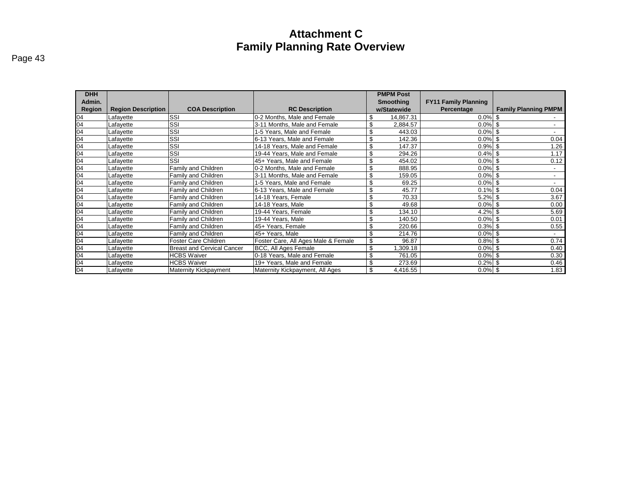| <b>DHH</b> |                           |                                   |                                     |     | <b>PMPM Post</b> |                             |                             |
|------------|---------------------------|-----------------------------------|-------------------------------------|-----|------------------|-----------------------------|-----------------------------|
| Admin.     |                           |                                   |                                     |     | <b>Smoothing</b> | <b>FY11 Family Planning</b> |                             |
| Region     | <b>Region Description</b> | <b>COA Description</b>            | <b>RC Description</b>               |     | w/Statewide      | Percentage                  | <b>Family Planning PMPM</b> |
| 04         | Lafayette                 | SSI                               | 0-2 Months, Male and Female         |     | 14,867.31        | $0.0\%$ \$                  |                             |
| 04         | Lafayette                 | SSI                               | 3-11 Months, Male and Female        | \$. | 2,884.57         | $0.0\%$ \$                  | $\overline{\phantom{0}}$    |
| 04         | Lafayette                 | SSI                               | 1-5 Years, Male and Female          |     | 443.03           | $0.0\%$   \$                | $\sim$                      |
| 04         | Lafayette                 | SSI                               | 6-13 Years, Male and Female         | \$  | 142.36           | $0.0\%$ \$                  | 0.04                        |
| 04         | Lafayette                 | SSI                               | 14-18 Years, Male and Female        | \$  | 147.37           | $0.9\%$ \$                  | 1.26                        |
| 04         | Lafayette                 | SSI                               | 19-44 Years, Male and Female        | \$  | 294.26           | $0.4\%$ \$                  | 1.17                        |
| 04         | Lafayette                 | SSI                               | 45+ Years, Male and Female          | \$. | 454.02           | $0.0\%$ \$                  | 0.12                        |
| 04         | Lafayette                 | Family and Children               | 0-2 Months, Male and Female         | \$. | 888.95           | $0.0\%$ \$                  |                             |
| 04         | Lafayette                 | Family and Children               | 3-11 Months, Male and Female        |     | 159.05           | $0.0\%$ \$                  |                             |
| 04         | Lafayette                 | Family and Children               | 1-5 Years, Male and Female          |     | 69.25            | $0.0\%$ \$                  |                             |
| 04         | Lafayette                 | Family and Children               | 6-13 Years, Male and Female         |     | 45.77            | $0.1\%$ \$                  | 0.04                        |
| 04         | Lafayette                 | Family and Children               | 14-18 Years, Female                 | \$  | 70.33            | $5.2\%$ \$                  | 3.67                        |
| 04         | Lafayette                 | Family and Children               | 14-18 Years, Male                   | \$. | 49.68            | $0.0\%$ \$                  | 0.00                        |
| 04         | Lafayette                 | Family and Children               | 19-44 Years, Female                 | \$  | 134.10           | $4.2\%$ \$                  | 5.69                        |
| 04         | Lafayette                 | Family and Children               | 19-44 Years, Male                   | \$  | 140.50           | $0.0\%$ \$                  | 0.01                        |
| 04         | Lafayette                 | Family and Children               | 45+ Years, Female                   |     | 220.66           | $0.3\%$ \$                  | 0.55                        |
| 04         | Lafayette                 | Family and Children               | 45+ Years, Male                     |     | 214.76           | $0.0\%$ \$                  |                             |
| 04         | Lafayette                 | Foster Care Children              | Foster Care, All Ages Male & Female |     | 96.87            | $0.8\%$ \$                  | 0.74                        |
| 04         | Lafayette                 | <b>Breast and Cervical Cancer</b> | BCC, All Ages Female                |     | ,309.18          | $0.0\%$   \$                | 0.40                        |
| 04         | Lafayette                 | <b>HCBS Waiver</b>                | 0-18 Years, Male and Female         | \$. | 761.05           | $0.0\%$ \$                  | 0.30                        |
| 04         | Lafayette                 | <b>HCBS Waiver</b>                | 19+ Years, Male and Female          |     | 273.69           | $0.2\%$ \$                  | 0.46                        |
| 04         | Lafayette                 | <b>Maternity Kickpayment</b>      | Maternity Kickpayment, All Ages     |     | 4,416.55         | $0.0\%$ \$                  | 1.83                        |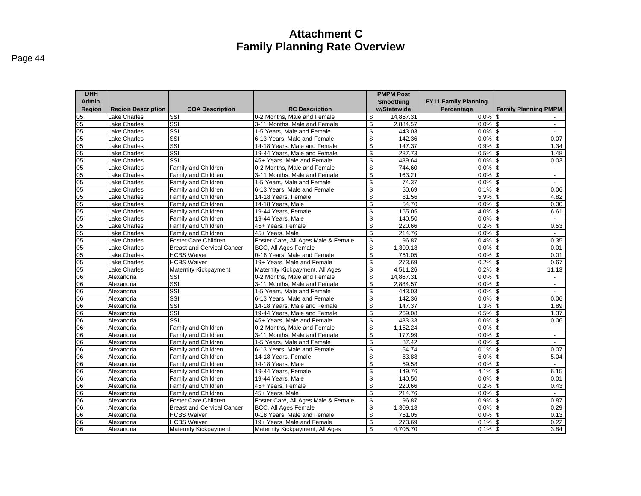| Admin.<br>Smoothing<br><b>Region</b><br><b>Region Description</b><br><b>COA Description</b><br><b>RC Description</b><br>w/Statewide<br>Percentage<br><b>Family Planning PMPM</b><br>SSI<br>$05\,$<br>Lake Charles<br>0-2 Months. Male and Female<br>14,867.31<br>$0.0\%$ \$<br>\$<br>05<br>05<br>05<br>05<br>05<br><b>Lake Charles</b><br>SSI<br>3-11 Months. Male and Female<br>\$<br>2.884.57<br>$0.0\%$ \$<br>$\sim$<br>$\overline{\text{SSI}}$<br>\$<br>$0.0\%$ \$<br>Lake Charles<br>1-5 Years, Male and Female<br>443.03<br>$\sim$<br>SSI<br>\$<br>Lake Charles<br>6-13 Years. Male and Female<br>142.36<br>0.0%<br>\$<br>0.07<br>SSI<br>\$<br>Lake Charles<br>14-18 Years, Male and Female<br>147.37<br>$0.9\%$ \$<br>1.34<br>SSI<br>\$<br>Lake Charles<br>287.73<br>$0.5\%$ \$<br>1.48<br>19-44 Years, Male and Female<br>$\overline{\text{SSI}}$<br>\$<br>489.64<br>$0.0\%$ \$<br>Lake Charles<br>45+ Years, Male and Female<br>0.03<br>Lake Charles<br>Family and Children<br>0-2 Months, Male and Female<br>\$<br>744.60<br>$0.0\%$ \$<br>$\sim$<br><b>Lake Charles</b><br>3-11 Months, Male and Female<br>\$<br>163.21<br>$0.0\%$ \$<br>Family and Children<br>$\sim$<br><u>이영영영</u><br>\$<br>74.37<br>$0.0\%$ \$<br>Lake Charles<br>Family and Children<br>1-5 Years, Male and Female<br>$\sim$<br>$\overline{\mathbb{S}}$<br>50.69<br>$0.1\%$ \$<br>0.06<br><b>Lake Charles</b><br><b>Family and Children</b><br>6-13 Years, Male and Female<br><b>Lake Charles</b><br>\$<br>81.56<br>5.9%<br>l \$<br>4.82<br>Family and Children<br>14-18 Years, Female<br>54.70<br><b>Lake Charles</b><br>14-18 Years, Male<br>\$<br>$0.0\%$ \$<br><b>Family and Children</b><br>0.00<br>\$<br>165.05<br>$4.0\%$ \$<br><b>Lake Charles</b><br>Family and Children<br>19-44 Years, Female<br>6.61<br>$rac{1}{05}$<br>\$<br><b>Lake Charles</b><br>Family and Children<br>19-44 Years, Male<br>140.50<br>$0.0\%$ \$<br>$\sim$<br>0.53<br>Lake Charles<br>Family and Children<br>45+ Years, Female<br>\$<br>220.66<br>0.2%<br>\$<br>05<br>05<br>05<br>\$<br>$0.0\%$ \$<br>Lake Charles<br>Family and Children<br>45+ Years, Male<br>214.76<br>Foster Care, All Ages Male & Female<br>\$<br>96.87<br>$0.4\%$ \$<br>0.35<br><b>Lake Charles</b><br>Foster Care Children<br>Lake Charles<br><b>BCC, All Ages Female</b><br>\$<br>1,309.18<br>$0.0\%$ \$<br>0.01<br><b>Breast and Cervical Cancer</b><br>05<br>05<br>05<br><b>HCBS Waiver</b><br>0-18 Years, Male and Female<br>\$<br>761.05<br>$0.0\%$ \$<br>Lake Charles<br>0.01<br><b>HCBS Waiver</b><br>\$<br>273.69<br>$0.2\%$ \$<br>Lake Charles<br>19+ Years. Male and Female<br>0.67<br><b>Maternity Kickpayment</b><br>Lake Charles<br>Maternity Kickpayment, All Ages<br>\$<br>4,511.26<br>$0.2\%$ \$<br>11.13<br><u>ଓ ଓ ଓ</u><br>$\overline{\text{SSI}}$<br>0-2 Months, Male and Female<br>\$<br>14,867.31<br>0.0%<br>\$<br>Alexandria<br>$\sim$<br>SSI<br>\$<br>$0.0\%$ \$<br>3-11 Months, Male and Female<br>2,884.57<br>Alexandria<br>$\sim$<br>SSI<br>\$<br>$0.0\%$ \$<br>Alexandria<br>1-5 Years. Male and Female<br>443.03<br>$\mathbf{r}$<br>$\overline{\text{SSI}}$<br>6-13 Years, Male and Female<br>\$<br>142.36<br>$0.0\%$ \$<br>0.06<br>Alexandria<br><u> 8 8 </u><br>$\overline{\text{SSI}}$<br>Alexandria<br>\$<br>147.37<br>$1.3\%$ \$<br>14-18 Years, Male and Female<br>1.89<br>SSI<br>\$<br>269.08<br>$0.5\%$ \$<br>1.37<br>Alexandria<br>19-44 Years. Male and Female<br>$\overline{\text{SSI}}$<br>45+ Years, Male and Female<br>\$<br>483.33<br>$0.0\%$ \$<br>0.06<br>Alexandria<br><u>(ဗ္ဗ ဗ</u><br>\$<br>Family and Children<br>1,152.24<br>$0.0\%$ \$<br>Alexandria<br>0-2 Months, Male and Female<br>$\sim$<br>\$<br>177.99<br>$0.0\%$ \$<br>Alexandria<br><b>Family and Children</b><br>3-11 Months, Male and Female<br>$\blacksquare$<br>\$<br>$0.0\%$ \$<br>Alexandria<br><b>Family and Children</b><br>1-5 Years, Male and Female<br>87.42<br>06<br>\$<br>54.74<br>0.07<br>6-13 Years, Male and Female<br>0.1%<br>\$<br>Alexandria<br>Family and Children<br>06<br>14-18 Years, Female<br>\$<br>83.88<br>$6.0\%$ \$<br>5.04<br>Alexandria<br>Family and Children<br>06<br>\$<br>59.58<br>$0.0\%$ \$<br>Alexandria<br><b>Family and Children</b><br>14-18 Years, Male<br>$\sim$<br>06<br>Alexandria<br>19-44 Years, Female<br>\$<br>149.76<br>4.1%<br>\$<br>6.15<br><b>Family and Children</b><br><u>(8 8 8 </u><br>\$<br>19-44 Years, Male<br>140.50<br>0.0%<br>\$<br>Alexandria<br>Family and Children<br>0.01<br>$0.2\%$ \$<br>\$<br>220.66<br>0.43<br>Alexandria<br><b>Family and Children</b><br>45+ Years, Female<br>\$<br>214.76<br>$0.0\%$ \$<br>Family and Children<br>45+ Years, Male<br>Alexandria<br><u>  8  8 </u><br>\$<br>96.87<br>0.87<br>Foster Care Children<br>Foster Care, All Ages Male & Female<br>$0.9\%$ \$<br>Alexandria<br>Alexandria<br><b>Breast and Cervical Cancer</b><br><b>BCC, All Ages Female</b><br>\$<br>1,309.18<br>$0.0\%$ \$<br>0.29<br><b>HCBS Waiver</b><br>0-18 Years, Male and Female<br>\$<br>761.05<br>$0.0\%$ \$<br>0.13<br>Alexandria<br>$\frac{90}{100}$<br>\$<br><b>HCBS Waiver</b><br>273.69<br>$0.1\%$ \$<br>0.22<br>Alexandria<br>19+ Years, Male and Female | <b>DHH</b> |            |                       |                                 |    | <b>PMPM Post</b> |                             |      |
|--------------------------------------------------------------------------------------------------------------------------------------------------------------------------------------------------------------------------------------------------------------------------------------------------------------------------------------------------------------------------------------------------------------------------------------------------------------------------------------------------------------------------------------------------------------------------------------------------------------------------------------------------------------------------------------------------------------------------------------------------------------------------------------------------------------------------------------------------------------------------------------------------------------------------------------------------------------------------------------------------------------------------------------------------------------------------------------------------------------------------------------------------------------------------------------------------------------------------------------------------------------------------------------------------------------------------------------------------------------------------------------------------------------------------------------------------------------------------------------------------------------------------------------------------------------------------------------------------------------------------------------------------------------------------------------------------------------------------------------------------------------------------------------------------------------------------------------------------------------------------------------------------------------------------------------------------------------------------------------------------------------------------------------------------------------------------------------------------------------------------------------------------------------------------------------------------------------------------------------------------------------------------------------------------------------------------------------------------------------------------------------------------------------------------------------------------------------------------------------------------------------------------------------------------------------------------------------------------------------------------------------------------------------------------------------------------------------------------------------------------------------------------------------------------------------------------------------------------------------------------------------------------------------------------------------------------------------------------------------------------------------------------------------------------------------------------------------------------------------------------------------------------------------------------------------------------------------------------------------------------------------------------------------------------------------------------------------------------------------------------------------------------------------------------------------------------------------------------------------------------------------------------------------------------------------------------------------------------------------------------------------------------------------------------------------------------------------------------------------------------------------------------------------------------------------------------------------------------------------------------------------------------------------------------------------------------------------------------------------------------------------------------------------------------------------------------------------------------------------------------------------------------------------------------------------------------------------------------------------------------------------------------------------------------------------------------------------------------------------------------------------------------------------------------------------------------------------------------------------------------------------------------------------------------------------------------------------------------------------------------------------------------------------------------------------------------------------------------------------------------------------------------------------------------------------------------------------------------------------------------------------------------------------------------------------------------------------------------------------------------------------------------------------------------------------------------------------------------------------------------------------------------------------------------------------------------|------------|------------|-----------------------|---------------------------------|----|------------------|-----------------------------|------|
|                                                                                                                                                                                                                                                                                                                                                                                                                                                                                                                                                                                                                                                                                                                                                                                                                                                                                                                                                                                                                                                                                                                                                                                                                                                                                                                                                                                                                                                                                                                                                                                                                                                                                                                                                                                                                                                                                                                                                                                                                                                                                                                                                                                                                                                                                                                                                                                                                                                                                                                                                                                                                                                                                                                                                                                                                                                                                                                                                                                                                                                                                                                                                                                                                                                                                                                                                                                                                                                                                                                                                                                                                                                                                                                                                                                                                                                                                                                                                                                                                                                                                                                                                                                                                                                                                                                                                                                                                                                                                                                                                                                                                                                                                                                                                                                                                                                                                                                                                                                                                                                                                                                                                                                                  |            |            |                       |                                 |    |                  | <b>FY11 Family Planning</b> |      |
|                                                                                                                                                                                                                                                                                                                                                                                                                                                                                                                                                                                                                                                                                                                                                                                                                                                                                                                                                                                                                                                                                                                                                                                                                                                                                                                                                                                                                                                                                                                                                                                                                                                                                                                                                                                                                                                                                                                                                                                                                                                                                                                                                                                                                                                                                                                                                                                                                                                                                                                                                                                                                                                                                                                                                                                                                                                                                                                                                                                                                                                                                                                                                                                                                                                                                                                                                                                                                                                                                                                                                                                                                                                                                                                                                                                                                                                                                                                                                                                                                                                                                                                                                                                                                                                                                                                                                                                                                                                                                                                                                                                                                                                                                                                                                                                                                                                                                                                                                                                                                                                                                                                                                                                                  |            |            |                       |                                 |    |                  |                             |      |
|                                                                                                                                                                                                                                                                                                                                                                                                                                                                                                                                                                                                                                                                                                                                                                                                                                                                                                                                                                                                                                                                                                                                                                                                                                                                                                                                                                                                                                                                                                                                                                                                                                                                                                                                                                                                                                                                                                                                                                                                                                                                                                                                                                                                                                                                                                                                                                                                                                                                                                                                                                                                                                                                                                                                                                                                                                                                                                                                                                                                                                                                                                                                                                                                                                                                                                                                                                                                                                                                                                                                                                                                                                                                                                                                                                                                                                                                                                                                                                                                                                                                                                                                                                                                                                                                                                                                                                                                                                                                                                                                                                                                                                                                                                                                                                                                                                                                                                                                                                                                                                                                                                                                                                                                  |            |            |                       |                                 |    |                  |                             |      |
|                                                                                                                                                                                                                                                                                                                                                                                                                                                                                                                                                                                                                                                                                                                                                                                                                                                                                                                                                                                                                                                                                                                                                                                                                                                                                                                                                                                                                                                                                                                                                                                                                                                                                                                                                                                                                                                                                                                                                                                                                                                                                                                                                                                                                                                                                                                                                                                                                                                                                                                                                                                                                                                                                                                                                                                                                                                                                                                                                                                                                                                                                                                                                                                                                                                                                                                                                                                                                                                                                                                                                                                                                                                                                                                                                                                                                                                                                                                                                                                                                                                                                                                                                                                                                                                                                                                                                                                                                                                                                                                                                                                                                                                                                                                                                                                                                                                                                                                                                                                                                                                                                                                                                                                                  |            |            |                       |                                 |    |                  |                             |      |
|                                                                                                                                                                                                                                                                                                                                                                                                                                                                                                                                                                                                                                                                                                                                                                                                                                                                                                                                                                                                                                                                                                                                                                                                                                                                                                                                                                                                                                                                                                                                                                                                                                                                                                                                                                                                                                                                                                                                                                                                                                                                                                                                                                                                                                                                                                                                                                                                                                                                                                                                                                                                                                                                                                                                                                                                                                                                                                                                                                                                                                                                                                                                                                                                                                                                                                                                                                                                                                                                                                                                                                                                                                                                                                                                                                                                                                                                                                                                                                                                                                                                                                                                                                                                                                                                                                                                                                                                                                                                                                                                                                                                                                                                                                                                                                                                                                                                                                                                                                                                                                                                                                                                                                                                  |            |            |                       |                                 |    |                  |                             |      |
|                                                                                                                                                                                                                                                                                                                                                                                                                                                                                                                                                                                                                                                                                                                                                                                                                                                                                                                                                                                                                                                                                                                                                                                                                                                                                                                                                                                                                                                                                                                                                                                                                                                                                                                                                                                                                                                                                                                                                                                                                                                                                                                                                                                                                                                                                                                                                                                                                                                                                                                                                                                                                                                                                                                                                                                                                                                                                                                                                                                                                                                                                                                                                                                                                                                                                                                                                                                                                                                                                                                                                                                                                                                                                                                                                                                                                                                                                                                                                                                                                                                                                                                                                                                                                                                                                                                                                                                                                                                                                                                                                                                                                                                                                                                                                                                                                                                                                                                                                                                                                                                                                                                                                                                                  |            |            |                       |                                 |    |                  |                             |      |
|                                                                                                                                                                                                                                                                                                                                                                                                                                                                                                                                                                                                                                                                                                                                                                                                                                                                                                                                                                                                                                                                                                                                                                                                                                                                                                                                                                                                                                                                                                                                                                                                                                                                                                                                                                                                                                                                                                                                                                                                                                                                                                                                                                                                                                                                                                                                                                                                                                                                                                                                                                                                                                                                                                                                                                                                                                                                                                                                                                                                                                                                                                                                                                                                                                                                                                                                                                                                                                                                                                                                                                                                                                                                                                                                                                                                                                                                                                                                                                                                                                                                                                                                                                                                                                                                                                                                                                                                                                                                                                                                                                                                                                                                                                                                                                                                                                                                                                                                                                                                                                                                                                                                                                                                  |            |            |                       |                                 |    |                  |                             |      |
|                                                                                                                                                                                                                                                                                                                                                                                                                                                                                                                                                                                                                                                                                                                                                                                                                                                                                                                                                                                                                                                                                                                                                                                                                                                                                                                                                                                                                                                                                                                                                                                                                                                                                                                                                                                                                                                                                                                                                                                                                                                                                                                                                                                                                                                                                                                                                                                                                                                                                                                                                                                                                                                                                                                                                                                                                                                                                                                                                                                                                                                                                                                                                                                                                                                                                                                                                                                                                                                                                                                                                                                                                                                                                                                                                                                                                                                                                                                                                                                                                                                                                                                                                                                                                                                                                                                                                                                                                                                                                                                                                                                                                                                                                                                                                                                                                                                                                                                                                                                                                                                                                                                                                                                                  |            |            |                       |                                 |    |                  |                             |      |
|                                                                                                                                                                                                                                                                                                                                                                                                                                                                                                                                                                                                                                                                                                                                                                                                                                                                                                                                                                                                                                                                                                                                                                                                                                                                                                                                                                                                                                                                                                                                                                                                                                                                                                                                                                                                                                                                                                                                                                                                                                                                                                                                                                                                                                                                                                                                                                                                                                                                                                                                                                                                                                                                                                                                                                                                                                                                                                                                                                                                                                                                                                                                                                                                                                                                                                                                                                                                                                                                                                                                                                                                                                                                                                                                                                                                                                                                                                                                                                                                                                                                                                                                                                                                                                                                                                                                                                                                                                                                                                                                                                                                                                                                                                                                                                                                                                                                                                                                                                                                                                                                                                                                                                                                  |            |            |                       |                                 |    |                  |                             |      |
|                                                                                                                                                                                                                                                                                                                                                                                                                                                                                                                                                                                                                                                                                                                                                                                                                                                                                                                                                                                                                                                                                                                                                                                                                                                                                                                                                                                                                                                                                                                                                                                                                                                                                                                                                                                                                                                                                                                                                                                                                                                                                                                                                                                                                                                                                                                                                                                                                                                                                                                                                                                                                                                                                                                                                                                                                                                                                                                                                                                                                                                                                                                                                                                                                                                                                                                                                                                                                                                                                                                                                                                                                                                                                                                                                                                                                                                                                                                                                                                                                                                                                                                                                                                                                                                                                                                                                                                                                                                                                                                                                                                                                                                                                                                                                                                                                                                                                                                                                                                                                                                                                                                                                                                                  |            |            |                       |                                 |    |                  |                             |      |
|                                                                                                                                                                                                                                                                                                                                                                                                                                                                                                                                                                                                                                                                                                                                                                                                                                                                                                                                                                                                                                                                                                                                                                                                                                                                                                                                                                                                                                                                                                                                                                                                                                                                                                                                                                                                                                                                                                                                                                                                                                                                                                                                                                                                                                                                                                                                                                                                                                                                                                                                                                                                                                                                                                                                                                                                                                                                                                                                                                                                                                                                                                                                                                                                                                                                                                                                                                                                                                                                                                                                                                                                                                                                                                                                                                                                                                                                                                                                                                                                                                                                                                                                                                                                                                                                                                                                                                                                                                                                                                                                                                                                                                                                                                                                                                                                                                                                                                                                                                                                                                                                                                                                                                                                  |            |            |                       |                                 |    |                  |                             |      |
|                                                                                                                                                                                                                                                                                                                                                                                                                                                                                                                                                                                                                                                                                                                                                                                                                                                                                                                                                                                                                                                                                                                                                                                                                                                                                                                                                                                                                                                                                                                                                                                                                                                                                                                                                                                                                                                                                                                                                                                                                                                                                                                                                                                                                                                                                                                                                                                                                                                                                                                                                                                                                                                                                                                                                                                                                                                                                                                                                                                                                                                                                                                                                                                                                                                                                                                                                                                                                                                                                                                                                                                                                                                                                                                                                                                                                                                                                                                                                                                                                                                                                                                                                                                                                                                                                                                                                                                                                                                                                                                                                                                                                                                                                                                                                                                                                                                                                                                                                                                                                                                                                                                                                                                                  |            |            |                       |                                 |    |                  |                             |      |
|                                                                                                                                                                                                                                                                                                                                                                                                                                                                                                                                                                                                                                                                                                                                                                                                                                                                                                                                                                                                                                                                                                                                                                                                                                                                                                                                                                                                                                                                                                                                                                                                                                                                                                                                                                                                                                                                                                                                                                                                                                                                                                                                                                                                                                                                                                                                                                                                                                                                                                                                                                                                                                                                                                                                                                                                                                                                                                                                                                                                                                                                                                                                                                                                                                                                                                                                                                                                                                                                                                                                                                                                                                                                                                                                                                                                                                                                                                                                                                                                                                                                                                                                                                                                                                                                                                                                                                                                                                                                                                                                                                                                                                                                                                                                                                                                                                                                                                                                                                                                                                                                                                                                                                                                  |            |            |                       |                                 |    |                  |                             |      |
|                                                                                                                                                                                                                                                                                                                                                                                                                                                                                                                                                                                                                                                                                                                                                                                                                                                                                                                                                                                                                                                                                                                                                                                                                                                                                                                                                                                                                                                                                                                                                                                                                                                                                                                                                                                                                                                                                                                                                                                                                                                                                                                                                                                                                                                                                                                                                                                                                                                                                                                                                                                                                                                                                                                                                                                                                                                                                                                                                                                                                                                                                                                                                                                                                                                                                                                                                                                                                                                                                                                                                                                                                                                                                                                                                                                                                                                                                                                                                                                                                                                                                                                                                                                                                                                                                                                                                                                                                                                                                                                                                                                                                                                                                                                                                                                                                                                                                                                                                                                                                                                                                                                                                                                                  |            |            |                       |                                 |    |                  |                             |      |
|                                                                                                                                                                                                                                                                                                                                                                                                                                                                                                                                                                                                                                                                                                                                                                                                                                                                                                                                                                                                                                                                                                                                                                                                                                                                                                                                                                                                                                                                                                                                                                                                                                                                                                                                                                                                                                                                                                                                                                                                                                                                                                                                                                                                                                                                                                                                                                                                                                                                                                                                                                                                                                                                                                                                                                                                                                                                                                                                                                                                                                                                                                                                                                                                                                                                                                                                                                                                                                                                                                                                                                                                                                                                                                                                                                                                                                                                                                                                                                                                                                                                                                                                                                                                                                                                                                                                                                                                                                                                                                                                                                                                                                                                                                                                                                                                                                                                                                                                                                                                                                                                                                                                                                                                  |            |            |                       |                                 |    |                  |                             |      |
|                                                                                                                                                                                                                                                                                                                                                                                                                                                                                                                                                                                                                                                                                                                                                                                                                                                                                                                                                                                                                                                                                                                                                                                                                                                                                                                                                                                                                                                                                                                                                                                                                                                                                                                                                                                                                                                                                                                                                                                                                                                                                                                                                                                                                                                                                                                                                                                                                                                                                                                                                                                                                                                                                                                                                                                                                                                                                                                                                                                                                                                                                                                                                                                                                                                                                                                                                                                                                                                                                                                                                                                                                                                                                                                                                                                                                                                                                                                                                                                                                                                                                                                                                                                                                                                                                                                                                                                                                                                                                                                                                                                                                                                                                                                                                                                                                                                                                                                                                                                                                                                                                                                                                                                                  |            |            |                       |                                 |    |                  |                             |      |
|                                                                                                                                                                                                                                                                                                                                                                                                                                                                                                                                                                                                                                                                                                                                                                                                                                                                                                                                                                                                                                                                                                                                                                                                                                                                                                                                                                                                                                                                                                                                                                                                                                                                                                                                                                                                                                                                                                                                                                                                                                                                                                                                                                                                                                                                                                                                                                                                                                                                                                                                                                                                                                                                                                                                                                                                                                                                                                                                                                                                                                                                                                                                                                                                                                                                                                                                                                                                                                                                                                                                                                                                                                                                                                                                                                                                                                                                                                                                                                                                                                                                                                                                                                                                                                                                                                                                                                                                                                                                                                                                                                                                                                                                                                                                                                                                                                                                                                                                                                                                                                                                                                                                                                                                  |            |            |                       |                                 |    |                  |                             |      |
|                                                                                                                                                                                                                                                                                                                                                                                                                                                                                                                                                                                                                                                                                                                                                                                                                                                                                                                                                                                                                                                                                                                                                                                                                                                                                                                                                                                                                                                                                                                                                                                                                                                                                                                                                                                                                                                                                                                                                                                                                                                                                                                                                                                                                                                                                                                                                                                                                                                                                                                                                                                                                                                                                                                                                                                                                                                                                                                                                                                                                                                                                                                                                                                                                                                                                                                                                                                                                                                                                                                                                                                                                                                                                                                                                                                                                                                                                                                                                                                                                                                                                                                                                                                                                                                                                                                                                                                                                                                                                                                                                                                                                                                                                                                                                                                                                                                                                                                                                                                                                                                                                                                                                                                                  |            |            |                       |                                 |    |                  |                             |      |
|                                                                                                                                                                                                                                                                                                                                                                                                                                                                                                                                                                                                                                                                                                                                                                                                                                                                                                                                                                                                                                                                                                                                                                                                                                                                                                                                                                                                                                                                                                                                                                                                                                                                                                                                                                                                                                                                                                                                                                                                                                                                                                                                                                                                                                                                                                                                                                                                                                                                                                                                                                                                                                                                                                                                                                                                                                                                                                                                                                                                                                                                                                                                                                                                                                                                                                                                                                                                                                                                                                                                                                                                                                                                                                                                                                                                                                                                                                                                                                                                                                                                                                                                                                                                                                                                                                                                                                                                                                                                                                                                                                                                                                                                                                                                                                                                                                                                                                                                                                                                                                                                                                                                                                                                  |            |            |                       |                                 |    |                  |                             |      |
|                                                                                                                                                                                                                                                                                                                                                                                                                                                                                                                                                                                                                                                                                                                                                                                                                                                                                                                                                                                                                                                                                                                                                                                                                                                                                                                                                                                                                                                                                                                                                                                                                                                                                                                                                                                                                                                                                                                                                                                                                                                                                                                                                                                                                                                                                                                                                                                                                                                                                                                                                                                                                                                                                                                                                                                                                                                                                                                                                                                                                                                                                                                                                                                                                                                                                                                                                                                                                                                                                                                                                                                                                                                                                                                                                                                                                                                                                                                                                                                                                                                                                                                                                                                                                                                                                                                                                                                                                                                                                                                                                                                                                                                                                                                                                                                                                                                                                                                                                                                                                                                                                                                                                                                                  |            |            |                       |                                 |    |                  |                             |      |
|                                                                                                                                                                                                                                                                                                                                                                                                                                                                                                                                                                                                                                                                                                                                                                                                                                                                                                                                                                                                                                                                                                                                                                                                                                                                                                                                                                                                                                                                                                                                                                                                                                                                                                                                                                                                                                                                                                                                                                                                                                                                                                                                                                                                                                                                                                                                                                                                                                                                                                                                                                                                                                                                                                                                                                                                                                                                                                                                                                                                                                                                                                                                                                                                                                                                                                                                                                                                                                                                                                                                                                                                                                                                                                                                                                                                                                                                                                                                                                                                                                                                                                                                                                                                                                                                                                                                                                                                                                                                                                                                                                                                                                                                                                                                                                                                                                                                                                                                                                                                                                                                                                                                                                                                  |            |            |                       |                                 |    |                  |                             |      |
|                                                                                                                                                                                                                                                                                                                                                                                                                                                                                                                                                                                                                                                                                                                                                                                                                                                                                                                                                                                                                                                                                                                                                                                                                                                                                                                                                                                                                                                                                                                                                                                                                                                                                                                                                                                                                                                                                                                                                                                                                                                                                                                                                                                                                                                                                                                                                                                                                                                                                                                                                                                                                                                                                                                                                                                                                                                                                                                                                                                                                                                                                                                                                                                                                                                                                                                                                                                                                                                                                                                                                                                                                                                                                                                                                                                                                                                                                                                                                                                                                                                                                                                                                                                                                                                                                                                                                                                                                                                                                                                                                                                                                                                                                                                                                                                                                                                                                                                                                                                                                                                                                                                                                                                                  |            |            |                       |                                 |    |                  |                             |      |
|                                                                                                                                                                                                                                                                                                                                                                                                                                                                                                                                                                                                                                                                                                                                                                                                                                                                                                                                                                                                                                                                                                                                                                                                                                                                                                                                                                                                                                                                                                                                                                                                                                                                                                                                                                                                                                                                                                                                                                                                                                                                                                                                                                                                                                                                                                                                                                                                                                                                                                                                                                                                                                                                                                                                                                                                                                                                                                                                                                                                                                                                                                                                                                                                                                                                                                                                                                                                                                                                                                                                                                                                                                                                                                                                                                                                                                                                                                                                                                                                                                                                                                                                                                                                                                                                                                                                                                                                                                                                                                                                                                                                                                                                                                                                                                                                                                                                                                                                                                                                                                                                                                                                                                                                  |            |            |                       |                                 |    |                  |                             |      |
|                                                                                                                                                                                                                                                                                                                                                                                                                                                                                                                                                                                                                                                                                                                                                                                                                                                                                                                                                                                                                                                                                                                                                                                                                                                                                                                                                                                                                                                                                                                                                                                                                                                                                                                                                                                                                                                                                                                                                                                                                                                                                                                                                                                                                                                                                                                                                                                                                                                                                                                                                                                                                                                                                                                                                                                                                                                                                                                                                                                                                                                                                                                                                                                                                                                                                                                                                                                                                                                                                                                                                                                                                                                                                                                                                                                                                                                                                                                                                                                                                                                                                                                                                                                                                                                                                                                                                                                                                                                                                                                                                                                                                                                                                                                                                                                                                                                                                                                                                                                                                                                                                                                                                                                                  |            |            |                       |                                 |    |                  |                             |      |
|                                                                                                                                                                                                                                                                                                                                                                                                                                                                                                                                                                                                                                                                                                                                                                                                                                                                                                                                                                                                                                                                                                                                                                                                                                                                                                                                                                                                                                                                                                                                                                                                                                                                                                                                                                                                                                                                                                                                                                                                                                                                                                                                                                                                                                                                                                                                                                                                                                                                                                                                                                                                                                                                                                                                                                                                                                                                                                                                                                                                                                                                                                                                                                                                                                                                                                                                                                                                                                                                                                                                                                                                                                                                                                                                                                                                                                                                                                                                                                                                                                                                                                                                                                                                                                                                                                                                                                                                                                                                                                                                                                                                                                                                                                                                                                                                                                                                                                                                                                                                                                                                                                                                                                                                  |            |            |                       |                                 |    |                  |                             |      |
|                                                                                                                                                                                                                                                                                                                                                                                                                                                                                                                                                                                                                                                                                                                                                                                                                                                                                                                                                                                                                                                                                                                                                                                                                                                                                                                                                                                                                                                                                                                                                                                                                                                                                                                                                                                                                                                                                                                                                                                                                                                                                                                                                                                                                                                                                                                                                                                                                                                                                                                                                                                                                                                                                                                                                                                                                                                                                                                                                                                                                                                                                                                                                                                                                                                                                                                                                                                                                                                                                                                                                                                                                                                                                                                                                                                                                                                                                                                                                                                                                                                                                                                                                                                                                                                                                                                                                                                                                                                                                                                                                                                                                                                                                                                                                                                                                                                                                                                                                                                                                                                                                                                                                                                                  |            |            |                       |                                 |    |                  |                             |      |
|                                                                                                                                                                                                                                                                                                                                                                                                                                                                                                                                                                                                                                                                                                                                                                                                                                                                                                                                                                                                                                                                                                                                                                                                                                                                                                                                                                                                                                                                                                                                                                                                                                                                                                                                                                                                                                                                                                                                                                                                                                                                                                                                                                                                                                                                                                                                                                                                                                                                                                                                                                                                                                                                                                                                                                                                                                                                                                                                                                                                                                                                                                                                                                                                                                                                                                                                                                                                                                                                                                                                                                                                                                                                                                                                                                                                                                                                                                                                                                                                                                                                                                                                                                                                                                                                                                                                                                                                                                                                                                                                                                                                                                                                                                                                                                                                                                                                                                                                                                                                                                                                                                                                                                                                  |            |            |                       |                                 |    |                  |                             |      |
|                                                                                                                                                                                                                                                                                                                                                                                                                                                                                                                                                                                                                                                                                                                                                                                                                                                                                                                                                                                                                                                                                                                                                                                                                                                                                                                                                                                                                                                                                                                                                                                                                                                                                                                                                                                                                                                                                                                                                                                                                                                                                                                                                                                                                                                                                                                                                                                                                                                                                                                                                                                                                                                                                                                                                                                                                                                                                                                                                                                                                                                                                                                                                                                                                                                                                                                                                                                                                                                                                                                                                                                                                                                                                                                                                                                                                                                                                                                                                                                                                                                                                                                                                                                                                                                                                                                                                                                                                                                                                                                                                                                                                                                                                                                                                                                                                                                                                                                                                                                                                                                                                                                                                                                                  |            |            |                       |                                 |    |                  |                             |      |
|                                                                                                                                                                                                                                                                                                                                                                                                                                                                                                                                                                                                                                                                                                                                                                                                                                                                                                                                                                                                                                                                                                                                                                                                                                                                                                                                                                                                                                                                                                                                                                                                                                                                                                                                                                                                                                                                                                                                                                                                                                                                                                                                                                                                                                                                                                                                                                                                                                                                                                                                                                                                                                                                                                                                                                                                                                                                                                                                                                                                                                                                                                                                                                                                                                                                                                                                                                                                                                                                                                                                                                                                                                                                                                                                                                                                                                                                                                                                                                                                                                                                                                                                                                                                                                                                                                                                                                                                                                                                                                                                                                                                                                                                                                                                                                                                                                                                                                                                                                                                                                                                                                                                                                                                  |            |            |                       |                                 |    |                  |                             |      |
|                                                                                                                                                                                                                                                                                                                                                                                                                                                                                                                                                                                                                                                                                                                                                                                                                                                                                                                                                                                                                                                                                                                                                                                                                                                                                                                                                                                                                                                                                                                                                                                                                                                                                                                                                                                                                                                                                                                                                                                                                                                                                                                                                                                                                                                                                                                                                                                                                                                                                                                                                                                                                                                                                                                                                                                                                                                                                                                                                                                                                                                                                                                                                                                                                                                                                                                                                                                                                                                                                                                                                                                                                                                                                                                                                                                                                                                                                                                                                                                                                                                                                                                                                                                                                                                                                                                                                                                                                                                                                                                                                                                                                                                                                                                                                                                                                                                                                                                                                                                                                                                                                                                                                                                                  |            |            |                       |                                 |    |                  |                             |      |
|                                                                                                                                                                                                                                                                                                                                                                                                                                                                                                                                                                                                                                                                                                                                                                                                                                                                                                                                                                                                                                                                                                                                                                                                                                                                                                                                                                                                                                                                                                                                                                                                                                                                                                                                                                                                                                                                                                                                                                                                                                                                                                                                                                                                                                                                                                                                                                                                                                                                                                                                                                                                                                                                                                                                                                                                                                                                                                                                                                                                                                                                                                                                                                                                                                                                                                                                                                                                                                                                                                                                                                                                                                                                                                                                                                                                                                                                                                                                                                                                                                                                                                                                                                                                                                                                                                                                                                                                                                                                                                                                                                                                                                                                                                                                                                                                                                                                                                                                                                                                                                                                                                                                                                                                  |            |            |                       |                                 |    |                  |                             |      |
|                                                                                                                                                                                                                                                                                                                                                                                                                                                                                                                                                                                                                                                                                                                                                                                                                                                                                                                                                                                                                                                                                                                                                                                                                                                                                                                                                                                                                                                                                                                                                                                                                                                                                                                                                                                                                                                                                                                                                                                                                                                                                                                                                                                                                                                                                                                                                                                                                                                                                                                                                                                                                                                                                                                                                                                                                                                                                                                                                                                                                                                                                                                                                                                                                                                                                                                                                                                                                                                                                                                                                                                                                                                                                                                                                                                                                                                                                                                                                                                                                                                                                                                                                                                                                                                                                                                                                                                                                                                                                                                                                                                                                                                                                                                                                                                                                                                                                                                                                                                                                                                                                                                                                                                                  |            |            |                       |                                 |    |                  |                             |      |
|                                                                                                                                                                                                                                                                                                                                                                                                                                                                                                                                                                                                                                                                                                                                                                                                                                                                                                                                                                                                                                                                                                                                                                                                                                                                                                                                                                                                                                                                                                                                                                                                                                                                                                                                                                                                                                                                                                                                                                                                                                                                                                                                                                                                                                                                                                                                                                                                                                                                                                                                                                                                                                                                                                                                                                                                                                                                                                                                                                                                                                                                                                                                                                                                                                                                                                                                                                                                                                                                                                                                                                                                                                                                                                                                                                                                                                                                                                                                                                                                                                                                                                                                                                                                                                                                                                                                                                                                                                                                                                                                                                                                                                                                                                                                                                                                                                                                                                                                                                                                                                                                                                                                                                                                  |            |            |                       |                                 |    |                  |                             |      |
|                                                                                                                                                                                                                                                                                                                                                                                                                                                                                                                                                                                                                                                                                                                                                                                                                                                                                                                                                                                                                                                                                                                                                                                                                                                                                                                                                                                                                                                                                                                                                                                                                                                                                                                                                                                                                                                                                                                                                                                                                                                                                                                                                                                                                                                                                                                                                                                                                                                                                                                                                                                                                                                                                                                                                                                                                                                                                                                                                                                                                                                                                                                                                                                                                                                                                                                                                                                                                                                                                                                                                                                                                                                                                                                                                                                                                                                                                                                                                                                                                                                                                                                                                                                                                                                                                                                                                                                                                                                                                                                                                                                                                                                                                                                                                                                                                                                                                                                                                                                                                                                                                                                                                                                                  |            |            |                       |                                 |    |                  |                             |      |
|                                                                                                                                                                                                                                                                                                                                                                                                                                                                                                                                                                                                                                                                                                                                                                                                                                                                                                                                                                                                                                                                                                                                                                                                                                                                                                                                                                                                                                                                                                                                                                                                                                                                                                                                                                                                                                                                                                                                                                                                                                                                                                                                                                                                                                                                                                                                                                                                                                                                                                                                                                                                                                                                                                                                                                                                                                                                                                                                                                                                                                                                                                                                                                                                                                                                                                                                                                                                                                                                                                                                                                                                                                                                                                                                                                                                                                                                                                                                                                                                                                                                                                                                                                                                                                                                                                                                                                                                                                                                                                                                                                                                                                                                                                                                                                                                                                                                                                                                                                                                                                                                                                                                                                                                  |            |            |                       |                                 |    |                  |                             |      |
|                                                                                                                                                                                                                                                                                                                                                                                                                                                                                                                                                                                                                                                                                                                                                                                                                                                                                                                                                                                                                                                                                                                                                                                                                                                                                                                                                                                                                                                                                                                                                                                                                                                                                                                                                                                                                                                                                                                                                                                                                                                                                                                                                                                                                                                                                                                                                                                                                                                                                                                                                                                                                                                                                                                                                                                                                                                                                                                                                                                                                                                                                                                                                                                                                                                                                                                                                                                                                                                                                                                                                                                                                                                                                                                                                                                                                                                                                                                                                                                                                                                                                                                                                                                                                                                                                                                                                                                                                                                                                                                                                                                                                                                                                                                                                                                                                                                                                                                                                                                                                                                                                                                                                                                                  |            |            |                       |                                 |    |                  |                             |      |
|                                                                                                                                                                                                                                                                                                                                                                                                                                                                                                                                                                                                                                                                                                                                                                                                                                                                                                                                                                                                                                                                                                                                                                                                                                                                                                                                                                                                                                                                                                                                                                                                                                                                                                                                                                                                                                                                                                                                                                                                                                                                                                                                                                                                                                                                                                                                                                                                                                                                                                                                                                                                                                                                                                                                                                                                                                                                                                                                                                                                                                                                                                                                                                                                                                                                                                                                                                                                                                                                                                                                                                                                                                                                                                                                                                                                                                                                                                                                                                                                                                                                                                                                                                                                                                                                                                                                                                                                                                                                                                                                                                                                                                                                                                                                                                                                                                                                                                                                                                                                                                                                                                                                                                                                  |            |            |                       |                                 |    |                  |                             |      |
|                                                                                                                                                                                                                                                                                                                                                                                                                                                                                                                                                                                                                                                                                                                                                                                                                                                                                                                                                                                                                                                                                                                                                                                                                                                                                                                                                                                                                                                                                                                                                                                                                                                                                                                                                                                                                                                                                                                                                                                                                                                                                                                                                                                                                                                                                                                                                                                                                                                                                                                                                                                                                                                                                                                                                                                                                                                                                                                                                                                                                                                                                                                                                                                                                                                                                                                                                                                                                                                                                                                                                                                                                                                                                                                                                                                                                                                                                                                                                                                                                                                                                                                                                                                                                                                                                                                                                                                                                                                                                                                                                                                                                                                                                                                                                                                                                                                                                                                                                                                                                                                                                                                                                                                                  |            |            |                       |                                 |    |                  |                             |      |
|                                                                                                                                                                                                                                                                                                                                                                                                                                                                                                                                                                                                                                                                                                                                                                                                                                                                                                                                                                                                                                                                                                                                                                                                                                                                                                                                                                                                                                                                                                                                                                                                                                                                                                                                                                                                                                                                                                                                                                                                                                                                                                                                                                                                                                                                                                                                                                                                                                                                                                                                                                                                                                                                                                                                                                                                                                                                                                                                                                                                                                                                                                                                                                                                                                                                                                                                                                                                                                                                                                                                                                                                                                                                                                                                                                                                                                                                                                                                                                                                                                                                                                                                                                                                                                                                                                                                                                                                                                                                                                                                                                                                                                                                                                                                                                                                                                                                                                                                                                                                                                                                                                                                                                                                  |            |            |                       |                                 |    |                  |                             |      |
|                                                                                                                                                                                                                                                                                                                                                                                                                                                                                                                                                                                                                                                                                                                                                                                                                                                                                                                                                                                                                                                                                                                                                                                                                                                                                                                                                                                                                                                                                                                                                                                                                                                                                                                                                                                                                                                                                                                                                                                                                                                                                                                                                                                                                                                                                                                                                                                                                                                                                                                                                                                                                                                                                                                                                                                                                                                                                                                                                                                                                                                                                                                                                                                                                                                                                                                                                                                                                                                                                                                                                                                                                                                                                                                                                                                                                                                                                                                                                                                                                                                                                                                                                                                                                                                                                                                                                                                                                                                                                                                                                                                                                                                                                                                                                                                                                                                                                                                                                                                                                                                                                                                                                                                                  |            |            |                       |                                 |    |                  |                             |      |
|                                                                                                                                                                                                                                                                                                                                                                                                                                                                                                                                                                                                                                                                                                                                                                                                                                                                                                                                                                                                                                                                                                                                                                                                                                                                                                                                                                                                                                                                                                                                                                                                                                                                                                                                                                                                                                                                                                                                                                                                                                                                                                                                                                                                                                                                                                                                                                                                                                                                                                                                                                                                                                                                                                                                                                                                                                                                                                                                                                                                                                                                                                                                                                                                                                                                                                                                                                                                                                                                                                                                                                                                                                                                                                                                                                                                                                                                                                                                                                                                                                                                                                                                                                                                                                                                                                                                                                                                                                                                                                                                                                                                                                                                                                                                                                                                                                                                                                                                                                                                                                                                                                                                                                                                  |            |            |                       |                                 |    |                  |                             |      |
|                                                                                                                                                                                                                                                                                                                                                                                                                                                                                                                                                                                                                                                                                                                                                                                                                                                                                                                                                                                                                                                                                                                                                                                                                                                                                                                                                                                                                                                                                                                                                                                                                                                                                                                                                                                                                                                                                                                                                                                                                                                                                                                                                                                                                                                                                                                                                                                                                                                                                                                                                                                                                                                                                                                                                                                                                                                                                                                                                                                                                                                                                                                                                                                                                                                                                                                                                                                                                                                                                                                                                                                                                                                                                                                                                                                                                                                                                                                                                                                                                                                                                                                                                                                                                                                                                                                                                                                                                                                                                                                                                                                                                                                                                                                                                                                                                                                                                                                                                                                                                                                                                                                                                                                                  |            |            |                       |                                 |    |                  |                             |      |
|                                                                                                                                                                                                                                                                                                                                                                                                                                                                                                                                                                                                                                                                                                                                                                                                                                                                                                                                                                                                                                                                                                                                                                                                                                                                                                                                                                                                                                                                                                                                                                                                                                                                                                                                                                                                                                                                                                                                                                                                                                                                                                                                                                                                                                                                                                                                                                                                                                                                                                                                                                                                                                                                                                                                                                                                                                                                                                                                                                                                                                                                                                                                                                                                                                                                                                                                                                                                                                                                                                                                                                                                                                                                                                                                                                                                                                                                                                                                                                                                                                                                                                                                                                                                                                                                                                                                                                                                                                                                                                                                                                                                                                                                                                                                                                                                                                                                                                                                                                                                                                                                                                                                                                                                  |            |            |                       |                                 |    |                  |                             |      |
|                                                                                                                                                                                                                                                                                                                                                                                                                                                                                                                                                                                                                                                                                                                                                                                                                                                                                                                                                                                                                                                                                                                                                                                                                                                                                                                                                                                                                                                                                                                                                                                                                                                                                                                                                                                                                                                                                                                                                                                                                                                                                                                                                                                                                                                                                                                                                                                                                                                                                                                                                                                                                                                                                                                                                                                                                                                                                                                                                                                                                                                                                                                                                                                                                                                                                                                                                                                                                                                                                                                                                                                                                                                                                                                                                                                                                                                                                                                                                                                                                                                                                                                                                                                                                                                                                                                                                                                                                                                                                                                                                                                                                                                                                                                                                                                                                                                                                                                                                                                                                                                                                                                                                                                                  |            |            |                       |                                 |    |                  |                             |      |
|                                                                                                                                                                                                                                                                                                                                                                                                                                                                                                                                                                                                                                                                                                                                                                                                                                                                                                                                                                                                                                                                                                                                                                                                                                                                                                                                                                                                                                                                                                                                                                                                                                                                                                                                                                                                                                                                                                                                                                                                                                                                                                                                                                                                                                                                                                                                                                                                                                                                                                                                                                                                                                                                                                                                                                                                                                                                                                                                                                                                                                                                                                                                                                                                                                                                                                                                                                                                                                                                                                                                                                                                                                                                                                                                                                                                                                                                                                                                                                                                                                                                                                                                                                                                                                                                                                                                                                                                                                                                                                                                                                                                                                                                                                                                                                                                                                                                                                                                                                                                                                                                                                                                                                                                  |            |            |                       |                                 |    |                  |                             |      |
| $0.1\%$ \$                                                                                                                                                                                                                                                                                                                                                                                                                                                                                                                                                                                                                                                                                                                                                                                                                                                                                                                                                                                                                                                                                                                                                                                                                                                                                                                                                                                                                                                                                                                                                                                                                                                                                                                                                                                                                                                                                                                                                                                                                                                                                                                                                                                                                                                                                                                                                                                                                                                                                                                                                                                                                                                                                                                                                                                                                                                                                                                                                                                                                                                                                                                                                                                                                                                                                                                                                                                                                                                                                                                                                                                                                                                                                                                                                                                                                                                                                                                                                                                                                                                                                                                                                                                                                                                                                                                                                                                                                                                                                                                                                                                                                                                                                                                                                                                                                                                                                                                                                                                                                                                                                                                                                                                       |            | Alexandria | Maternity Kickpayment | Maternity Kickpayment, All Ages | s, | 4,705.70         |                             | 3.84 |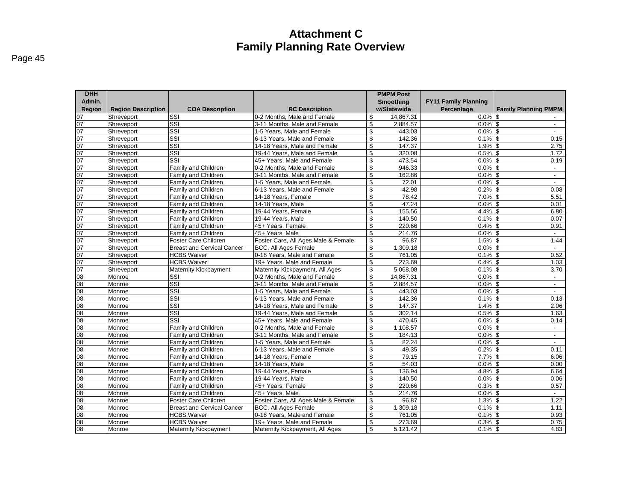| aae |  |
|-----|--|
|-----|--|

| <b>DHH</b>                       |                           |                                   |                                     | <b>PMPM Post</b> |                             |                             |
|----------------------------------|---------------------------|-----------------------------------|-------------------------------------|------------------|-----------------------------|-----------------------------|
| Admin.                           |                           |                                   |                                     | <b>Smoothing</b> | <b>FY11 Family Planning</b> |                             |
| Region                           | <b>Region Description</b> | <b>COA Description</b>            | <b>RC Description</b>               | w/Statewide      | Percentage                  | <b>Family Planning PMPM</b> |
|                                  | Shreveport                | SSI                               | 0-2 Months. Male and Female         | \$<br>14,867.31  | $0.0\%$ \$                  |                             |
|                                  | Shreveport                | SSI                               | 3-11 Months. Male and Female        | \$<br>2,884.57   | $0.0\%$ \$                  | $\overline{\phantom{a}}$    |
|                                  | Shreveport                | $\overline{\text{SSI}}$           | 1-5 Years, Male and Female          | \$<br>443.03     | $0.0\%$ \$                  | $\sim$                      |
|                                  | Shreveport                | $\overline{\text{SSI}}$           | 6-13 Years. Male and Female         | \$<br>142.36     | $0.1\%$ \$                  | 0.15                        |
|                                  | Shreveport                | SSI                               | 14-18 Years, Male and Female        | \$<br>147.37     | $1.9\%$ \$                  | 2.75                        |
|                                  | Shreveport                | $\overline{\text{SSI}}$           | 19-44 Years, Male and Female        | \$<br>320.08     | $0.5%$ \$                   | 1.72                        |
|                                  | Shreveport                | SSI                               | 45+ Years, Male and Female          | \$<br>473.54     | $0.0\%$ \$                  | 0.19                        |
|                                  | Shreveport                | Family and Children               | 0-2 Months, Male and Female         | \$<br>946.33     | $0.0\%$ \$                  | $\sim$                      |
|                                  | Shreveport                | <b>Family and Children</b>        | 3-11 Months, Male and Female        | \$<br>162.86     | $0.0\%$ \$                  | $\sim$                      |
|                                  | Shreveport                | Family and Children               | 1-5 Years, Male and Female          | \$<br>72.01      | $0.0\%$ \$                  | $\sim$                      |
|                                  | Shreveport                | <b>Family and Children</b>        | 6-13 Years, Male and Female         | \$<br>42.98      | $0.2\sqrt{8}$ \$            | 0.08                        |
|                                  | Shreveport                | Family and Children               | 14-18 Years, Female                 | \$<br>78.42      | 7.0% \$                     | 5.51                        |
|                                  | Shreveport                | Family and Children               | 14-18 Years, Male                   | \$<br>47.24      | $0.0\%$ \$                  | 0.01                        |
|                                  | Shreveport                | Family and Children               | 19-44 Years, Female                 | \$<br>155.56     | $4.4\%$ \$                  | 6.80                        |
|                                  | Shreveport                | Family and Children               | 19-44 Years, Male                   | \$<br>140.50     | $0.1\%$ \$                  | 0.07                        |
|                                  | Shreveport                | Family and Children               | 45+ Years, Female                   | \$<br>220.66     | $0.4\%$ \$                  | 0.91                        |
|                                  | Shreveport                | <b>Family and Children</b>        | 45+ Years, Male                     | \$<br>214.76     | $0.0\%$ \$                  |                             |
|                                  | Shreveport                | <b>Foster Care Children</b>       | Foster Care, All Ages Male & Female | \$<br>96.87      | $1.5\%$ \$                  | 1.44                        |
|                                  | Shreveport                | <b>Breast and Cervical Cancer</b> | <b>BCC, All Ages Female</b>         | \$<br>1,309.18   | $0.0\%$ \$                  | $\blacksquare$              |
|                                  | Shreveport                | <b>HCBS Waiver</b>                | 0-18 Years. Male and Female         | \$<br>761.05     | $0.1\%$ \$                  | 0.52                        |
|                                  | Shreveport                | <b>HCBS Waiver</b>                | 19+ Years, Male and Female          | \$<br>273.69     | $0.4\%$ \$                  | 1.03                        |
|                                  | Shreveport                | <b>Maternity Kickpayment</b>      | Maternity Kickpayment, All Ages     | \$<br>5,068.08   | $0.1\%$ \$                  | 3.70                        |
|                                  | Monroe                    | $\overline{\text{SSI}}$           | 0-2 Months, Male and Female         | \$<br>14,867.31  | $0.0\%$ \$                  | $\sim$                      |
|                                  | Monroe                    | $\overline{\text{SSI}}$           | 3-11 Months, Male and Female        | \$<br>2,884.57   | $0.0\%$ \$                  | $\sim$                      |
|                                  | Monroe                    | SSI                               | 1-5 Years, Male and Female          | \$<br>443.03     | $0.0\%$ \$                  |                             |
|                                  | Monroe                    | $\overline{\text{SSI}}$           | 6-13 Years, Male and Female         | \$<br>142.36     | $0.1\%$ \$                  | 0.13                        |
|                                  | Monroe                    | $\overline{\text{SSI}}$           | 14-18 Years, Male and Female        | \$<br>147.37     | $1.4\%$ \$                  | 2.06                        |
|                                  | Monroe                    | SSI                               | 19-44 Years, Male and Female        | \$<br>302.14     | $0.5\%$ \$                  | 1.63                        |
|                                  | Monroe                    | $\overline{\text{SSI}}$           | 45+ Years, Male and Female          | \$<br>470.45     | $0.0\%$ \$                  | 0.14                        |
| $\frac{08}{08}$                  | Monroe                    | <b>Family and Children</b>        | 0-2 Months. Male and Female         | \$<br>1,108.57   | $0.0\%$ \$                  | $\sim$                      |
|                                  | Monroe                    | Family and Children               | 3-11 Months, Male and Female        | \$<br>184.13     | $0.0\%$ \$                  | $\overline{\phantom{a}}$    |
|                                  | Monroe                    | Family and Children               | 1-5 Years, Male and Female          | \$<br>82.24      | $0.0\%$ \$                  |                             |
| 08<br>08<br>08<br>08             | Monroe                    | <b>Family and Children</b>        | 6-13 Years, Male and Female         | \$<br>49.35      | $0.2\%$ \$                  | 0.11                        |
|                                  | Monroe                    | Family and Children               | 14-18 Years, Female                 | \$<br>79.15      | $7.7\%$ \$                  | 6.06                        |
|                                  | Monroe                    | Family and Children               | 14-18 Years, Male                   | \$<br>54.03      | 0.0%                        | \$<br>0.00                  |
|                                  | Monroe                    | Family and Children               | 19-44 Years, Female                 | \$<br>136.94     | $4.8\%$ \$                  | 6.64                        |
| 08<br>08<br>08                   | Monroe                    | <b>Family and Children</b>        | 19-44 Years, Male                   | \$<br>140.50     | $0.0\%$ \$                  | 0.06                        |
|                                  | Monroe                    | Family and Children               | 45+ Years, Female                   | \$<br>220.66     | $0.3\%$ \$                  | 0.57                        |
|                                  | Monroe                    | Family and Children               | 45+ Years, Male                     | \$<br>214.76     | $0.0\%$ \$                  |                             |
|                                  | Monroe                    | Foster Care Children              | Foster Care, All Ages Male & Female | \$<br>96.87      | $1.3%$ \$                   | 1.22                        |
| 08<br>08<br>08<br>08<br>08<br>08 | Monroe                    | <b>Breast and Cervical Cancer</b> | <b>BCC, All Ages Female</b>         | \$<br>1,309.18   | $0.1\%$ \$                  | 1.11                        |
|                                  | Monroe                    | <b>HCBS Waiver</b>                | 0-18 Years, Male and Female         | \$<br>761.05     | $0.1\%$ \$                  | 0.93                        |
|                                  | Monroe                    | <b>HCBS Waiver</b>                | 19+ Years. Male and Female          | \$<br>273.69     | $0.3\%$ \$                  | 0.75                        |
|                                  | Monroe                    | <b>Maternity Kickpayment</b>      | Maternity Kickpayment, All Ages     | \$<br>5,121.42   | $0.1\%$ \$                  | 4.83                        |
|                                  |                           |                                   |                                     |                  |                             |                             |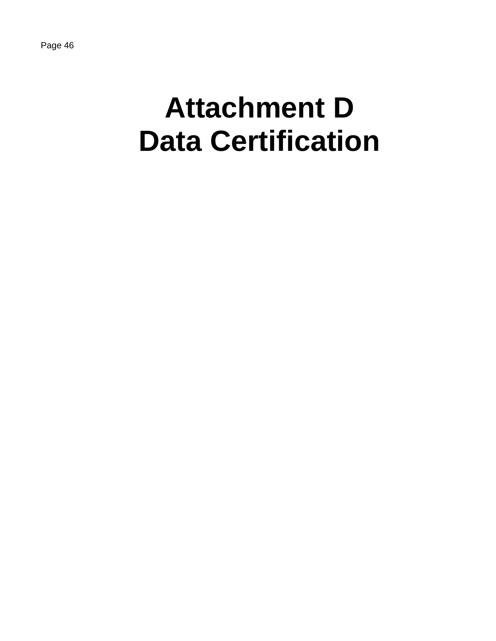# **Attachment D Data Certification**